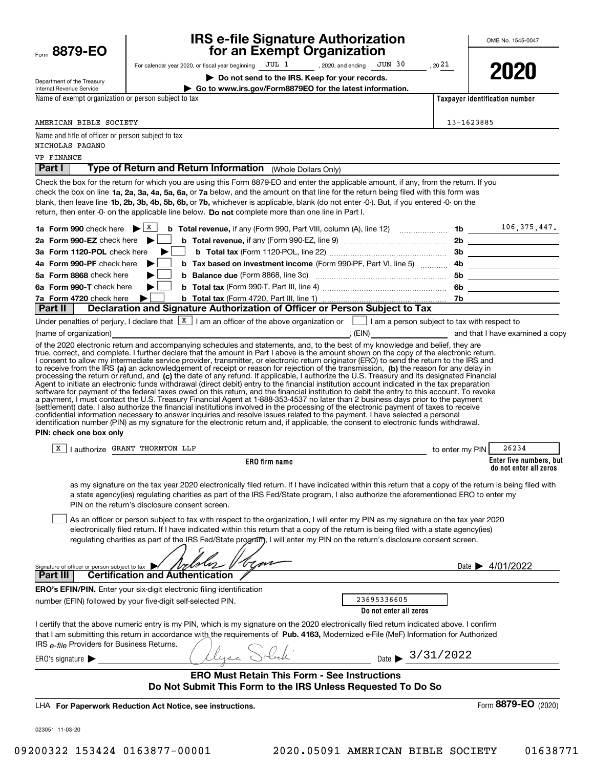| Form 8879-EO                                                                        | <b>IRS e-file Signature Authorization<br/>for an Exempt Organization</b>                                                                                                                                                                                                                                                                                                                                                                                                                                                                                                                                                                                                                                                                                                                                                                                                                                                                                                                                                                                                                                                                                                                                                                                                               |            | OMB No. 1545-0047                                 |
|-------------------------------------------------------------------------------------|----------------------------------------------------------------------------------------------------------------------------------------------------------------------------------------------------------------------------------------------------------------------------------------------------------------------------------------------------------------------------------------------------------------------------------------------------------------------------------------------------------------------------------------------------------------------------------------------------------------------------------------------------------------------------------------------------------------------------------------------------------------------------------------------------------------------------------------------------------------------------------------------------------------------------------------------------------------------------------------------------------------------------------------------------------------------------------------------------------------------------------------------------------------------------------------------------------------------------------------------------------------------------------------|------------|---------------------------------------------------|
|                                                                                     | For calendar year 2020, or fiscal year beginning JUL 1 , 2020, and ending JUN 30<br>, $20\,21$                                                                                                                                                                                                                                                                                                                                                                                                                                                                                                                                                                                                                                                                                                                                                                                                                                                                                                                                                                                                                                                                                                                                                                                         |            |                                                   |
|                                                                                     | Do not send to the IRS. Keep for your records.                                                                                                                                                                                                                                                                                                                                                                                                                                                                                                                                                                                                                                                                                                                                                                                                                                                                                                                                                                                                                                                                                                                                                                                                                                         |            | 2020                                              |
| Department of the Treasury<br>Internal Revenue Service                              | Go to www.irs.gov/Form8879EO for the latest information.                                                                                                                                                                                                                                                                                                                                                                                                                                                                                                                                                                                                                                                                                                                                                                                                                                                                                                                                                                                                                                                                                                                                                                                                                               |            |                                                   |
| Name of exempt organization or person subject to tax                                |                                                                                                                                                                                                                                                                                                                                                                                                                                                                                                                                                                                                                                                                                                                                                                                                                                                                                                                                                                                                                                                                                                                                                                                                                                                                                        |            | Taxpayer identification number                    |
|                                                                                     |                                                                                                                                                                                                                                                                                                                                                                                                                                                                                                                                                                                                                                                                                                                                                                                                                                                                                                                                                                                                                                                                                                                                                                                                                                                                                        |            |                                                   |
| AMERICAN BIBLE SOCIETY                                                              |                                                                                                                                                                                                                                                                                                                                                                                                                                                                                                                                                                                                                                                                                                                                                                                                                                                                                                                                                                                                                                                                                                                                                                                                                                                                                        | 13-1623885 |                                                   |
| Name and title of officer or person subject to tax<br>NICHOLAS PAGANO               |                                                                                                                                                                                                                                                                                                                                                                                                                                                                                                                                                                                                                                                                                                                                                                                                                                                                                                                                                                                                                                                                                                                                                                                                                                                                                        |            |                                                   |
| VP FINANCE                                                                          |                                                                                                                                                                                                                                                                                                                                                                                                                                                                                                                                                                                                                                                                                                                                                                                                                                                                                                                                                                                                                                                                                                                                                                                                                                                                                        |            |                                                   |
| <b>Part I</b>                                                                       | Type of Return and Return Information (Whole Dollars Only)                                                                                                                                                                                                                                                                                                                                                                                                                                                                                                                                                                                                                                                                                                                                                                                                                                                                                                                                                                                                                                                                                                                                                                                                                             |            |                                                   |
|                                                                                     | Check the box for the return for which you are using this Form 8879-EO and enter the applicable amount, if any, from the return. If you<br>check the box on line 1a, 2a, 3a, 4a, 5a, 6a, or 7a below, and the amount on that line for the return being filed with this form was<br>blank, then leave line 1b, 2b, 3b, 4b, 5b, 6b, or 7b, whichever is applicable, blank (do not enter -0-). But, if you entered -0- on the<br>return, then enter -0- on the applicable line below. Do not complete more than one line in Part I.                                                                                                                                                                                                                                                                                                                                                                                                                                                                                                                                                                                                                                                                                                                                                       |            |                                                   |
| 1a Form 990 check here $\blacktriangleright$ $\lfloor x \rfloor$                    | <b>b</b> Total revenue, if any (Form 990, Part VIII, column (A), line 12) $\ldots$ 10 $\ldots$ 10 $\ldots$ 106, 375, 447.                                                                                                                                                                                                                                                                                                                                                                                                                                                                                                                                                                                                                                                                                                                                                                                                                                                                                                                                                                                                                                                                                                                                                              |            |                                                   |
| 2a Form 990-EZ check here $\blacktriangleright$                                     |                                                                                                                                                                                                                                                                                                                                                                                                                                                                                                                                                                                                                                                                                                                                                                                                                                                                                                                                                                                                                                                                                                                                                                                                                                                                                        |            |                                                   |
| 3a Form 1120-POL check here                                                         |                                                                                                                                                                                                                                                                                                                                                                                                                                                                                                                                                                                                                                                                                                                                                                                                                                                                                                                                                                                                                                                                                                                                                                                                                                                                                        |            |                                                   |
| 4a Form 990-PF check here                                                           |                                                                                                                                                                                                                                                                                                                                                                                                                                                                                                                                                                                                                                                                                                                                                                                                                                                                                                                                                                                                                                                                                                                                                                                                                                                                                        |            |                                                   |
| 5a Form 8868 check here                                                             |                                                                                                                                                                                                                                                                                                                                                                                                                                                                                                                                                                                                                                                                                                                                                                                                                                                                                                                                                                                                                                                                                                                                                                                                                                                                                        |            |                                                   |
| 6a Form 990-T check here                                                            |                                                                                                                                                                                                                                                                                                                                                                                                                                                                                                                                                                                                                                                                                                                                                                                                                                                                                                                                                                                                                                                                                                                                                                                                                                                                                        |            |                                                   |
| 7a Form 4720 check here<br>Part II                                                  | Declaration and Signature Authorization of Officer or Person Subject to Tax                                                                                                                                                                                                                                                                                                                                                                                                                                                                                                                                                                                                                                                                                                                                                                                                                                                                                                                                                                                                                                                                                                                                                                                                            |            |                                                   |
|                                                                                     | Under penalties of perjury, I declare that $\boxed{\text{X}}$ I am an officer of the above organization or I am a person subject to tax with respect to                                                                                                                                                                                                                                                                                                                                                                                                                                                                                                                                                                                                                                                                                                                                                                                                                                                                                                                                                                                                                                                                                                                                |            |                                                   |
|                                                                                     |                                                                                                                                                                                                                                                                                                                                                                                                                                                                                                                                                                                                                                                                                                                                                                                                                                                                                                                                                                                                                                                                                                                                                                                                                                                                                        |            |                                                   |
| PIN: check one box only                                                             | I consent to allow my intermediate service provider, transmitter, or electronic return originator (ERO) to send the return to the IRS and<br>to receive from the IRS (a) an acknowledgement of receipt or reason for rejection of the transmission, (b) the reason for any delay in<br>processing the return or refund, and (c) the date of any refund. If applicable, I authorize the U.S. Treasury and its designated Financial<br>Agent to initiate an electronic funds withdrawal (direct debit) entry to the financial institution account indicated in the tax preparation<br>software for payment of the federal taxes owed on this return, and the financial institution to debit the entry to this account. To revoke<br>a payment, I must contact the U.S. Treasury Financial Agent at 1-888-353-4537 no later than 2 business days prior to the payment<br>(settlement) date. I also authorize the financial institutions involved in the processing of the electronic payment of taxes to receive<br>confidential information necessary to answer inquiries and resolve issues related to the payment. I have selected a personal<br>identification number (PIN) as my signature for the electronic return and, if applicable, the consent to electronic funds withdrawal. |            |                                                   |
| X                                                                                   | I authorize GRANT THORNTON LLP<br>to enter my PIN                                                                                                                                                                                                                                                                                                                                                                                                                                                                                                                                                                                                                                                                                                                                                                                                                                                                                                                                                                                                                                                                                                                                                                                                                                      |            | 26234                                             |
|                                                                                     | <b>ERO</b> firm name                                                                                                                                                                                                                                                                                                                                                                                                                                                                                                                                                                                                                                                                                                                                                                                                                                                                                                                                                                                                                                                                                                                                                                                                                                                                   |            | Enter five numbers, but<br>do not enter all zeros |
| Signature of officer or person subject to tax                                       | as my signature on the tax year 2020 electronically filed return. If I have indicated within this return that a copy of the return is being filed with<br>a state agency(ies) regulating charities as part of the IRS Fed/State program, I also authorize the aforementioned ERO to enter my<br>PIN on the return's disclosure consent screen.<br>As an officer or person subject to tax with respect to the organization, I will enter my PIN as my signature on the tax year 2020<br>electronically filed return. If I have indicated within this return that a copy of the return is being filed with a state agency(ies)<br>regulating charities as part of the IRS Fed/State program, I will enter my PIN on the return's disclosure consent screen.<br>tm                                                                                                                                                                                                                                                                                                                                                                                                                                                                                                                        |            | Date $\triangleright$ 4/01/2022                   |
| <b>Part III</b>                                                                     | <b>Certification and Authentication</b>                                                                                                                                                                                                                                                                                                                                                                                                                                                                                                                                                                                                                                                                                                                                                                                                                                                                                                                                                                                                                                                                                                                                                                                                                                                |            |                                                   |
|                                                                                     | <b>ERO's EFIN/PIN.</b> Enter your six-digit electronic filing identification                                                                                                                                                                                                                                                                                                                                                                                                                                                                                                                                                                                                                                                                                                                                                                                                                                                                                                                                                                                                                                                                                                                                                                                                           |            |                                                   |
|                                                                                     | 23695336605<br>number (EFIN) followed by your five-digit self-selected PIN.<br>Do not enter all zeros                                                                                                                                                                                                                                                                                                                                                                                                                                                                                                                                                                                                                                                                                                                                                                                                                                                                                                                                                                                                                                                                                                                                                                                  |            |                                                   |
| IRS e-file Providers for Business Returns.<br>ERO's signature $\blacktriangleright$ | I certify that the above numeric entry is my PIN, which is my signature on the 2020 electronically filed return indicated above. I confirm<br>that I am submitting this return in accordance with the requirements of Pub. 4163, Modernized e-File (MeF) Information for Authorized<br>lyaa Soledi<br>Date $\rightarrow$ 3/31/2022                                                                                                                                                                                                                                                                                                                                                                                                                                                                                                                                                                                                                                                                                                                                                                                                                                                                                                                                                     |            |                                                   |
|                                                                                     | <b>ERO Must Retain This Form - See Instructions</b>                                                                                                                                                                                                                                                                                                                                                                                                                                                                                                                                                                                                                                                                                                                                                                                                                                                                                                                                                                                                                                                                                                                                                                                                                                    |            |                                                   |
|                                                                                     | Do Not Submit This Form to the IRS Unless Requested To Do So                                                                                                                                                                                                                                                                                                                                                                                                                                                                                                                                                                                                                                                                                                                                                                                                                                                                                                                                                                                                                                                                                                                                                                                                                           |            |                                                   |
|                                                                                     |                                                                                                                                                                                                                                                                                                                                                                                                                                                                                                                                                                                                                                                                                                                                                                                                                                                                                                                                                                                                                                                                                                                                                                                                                                                                                        |            | Form 8879-EO (2020)                               |
|                                                                                     | LHA For Paperwork Reduction Act Notice, see instructions.                                                                                                                                                                                                                                                                                                                                                                                                                                                                                                                                                                                                                                                                                                                                                                                                                                                                                                                                                                                                                                                                                                                                                                                                                              |            |                                                   |
| 023051 11-03-20                                                                     |                                                                                                                                                                                                                                                                                                                                                                                                                                                                                                                                                                                                                                                                                                                                                                                                                                                                                                                                                                                                                                                                                                                                                                                                                                                                                        |            |                                                   |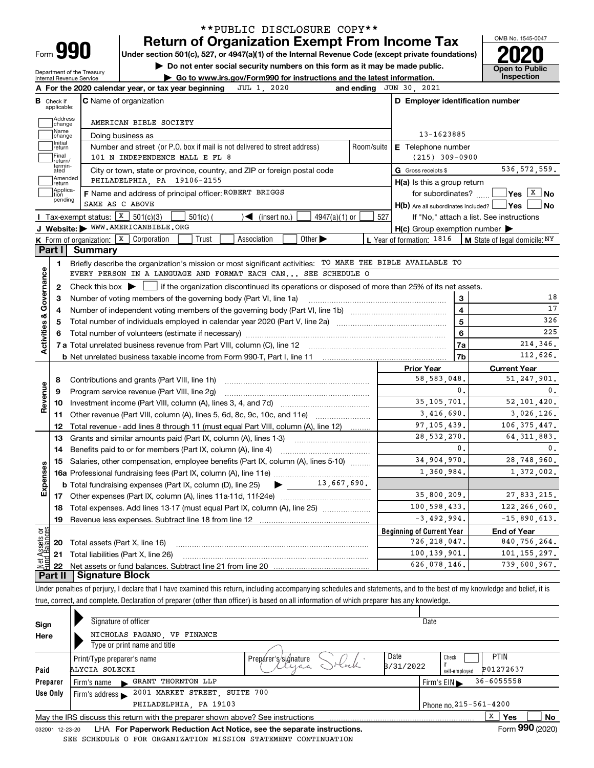| Form |  |
|------|--|
|      |  |

## **Return of Organization Exempt From Income Tax** \*\*PUBLIC DISCLOSURE COPY\*\*

**Under section 501(c), 527, or 4947(a)(1) of the Internal Revenue Code (except private foundations) 2020**

**| Do not enter social security numbers on this form as it may be made public.**

Department of the Treasury Internal Revenue Service

**| Go to www.irs.gov/Form990 for instructions and the latest information. Inspection**



| В                                  |                         |                                                                                                                                                     |            | and ending JUN 30, 2021                                 |                         |                                                                                                                                                                                             |
|------------------------------------|-------------------------|-----------------------------------------------------------------------------------------------------------------------------------------------------|------------|---------------------------------------------------------|-------------------------|---------------------------------------------------------------------------------------------------------------------------------------------------------------------------------------------|
|                                    | Check if<br>applicable: | <b>C</b> Name of organization                                                                                                                       |            | D Employer identification number                        |                         |                                                                                                                                                                                             |
|                                    | Address<br>change       | AMERICAN BIBLE SOCIETY                                                                                                                              |            |                                                         |                         |                                                                                                                                                                                             |
|                                    | Name<br>change          | Doing business as                                                                                                                                   |            | 13-1623885                                              |                         |                                                                                                                                                                                             |
|                                    | Initial<br>return       | Number and street (or P.O. box if mail is not delivered to street address)                                                                          | Room/suite | E Telephone number                                      |                         |                                                                                                                                                                                             |
|                                    | Final<br>return/        | 101 N INDEPENDENCE MALL E FL 8                                                                                                                      |            | $(215)$ 309-0900                                        |                         |                                                                                                                                                                                             |
|                                    | termin-<br>ated         | City or town, state or province, country, and ZIP or foreign postal code                                                                            |            | G Gross receipts \$                                     |                         | 536, 572, 559.                                                                                                                                                                              |
|                                    | Amended<br>return       | PHILADELPHIA, PA 19106-2155                                                                                                                         |            | $H(a)$ is this a group return                           |                         |                                                                                                                                                                                             |
|                                    | Applica-<br>tion        | F Name and address of principal officer: ROBERT BRIGGS                                                                                              |            |                                                         |                         | for subordinates? $\Box \Box$ Yes $X$ No                                                                                                                                                    |
|                                    | pending                 | SAME AS C ABOVE                                                                                                                                     |            | $H(b)$ Are all subordinates included? $\Box$ Yes $\Box$ |                         | No                                                                                                                                                                                          |
|                                    |                         | Tax-exempt status: $\boxed{\textbf{X}}$ 501(c)(3)<br>$\sqrt{\bullet}$ (insert no.)<br>$4947(a)(1)$ or<br>$501(c)$ (                                 | 527        |                                                         |                         | If "No," attach a list. See instructions                                                                                                                                                    |
|                                    |                         | J Website: WWW.AMERICANBIBLE.ORG                                                                                                                    |            | $H(c)$ Group exemption number $\blacktriangleright$     |                         |                                                                                                                                                                                             |
|                                    |                         | Other $\blacktriangleright$<br><b>K</b> Form of organization: $\boxed{\textbf{x}}$ Corporation<br>Trust<br>Association                              |            | <b>L</b> Year of formation: $1816$                      |                         | $\bm{\mathsf{M}}$ State of legal domicile: $\texttt{NY}$                                                                                                                                    |
|                                    | Part I                  | <b>Summary</b>                                                                                                                                      |            |                                                         |                         |                                                                                                                                                                                             |
|                                    | 1.                      | Briefly describe the organization's mission or most significant activities: TO MAKE THE BIBLE AVAILABLE TO                                          |            |                                                         |                         |                                                                                                                                                                                             |
| Activities & Governance            |                         | EVERY PERSON IN A LANGUAGE AND FORMAT EACH CAN SEE SCHEDULE O                                                                                       |            |                                                         |                         |                                                                                                                                                                                             |
|                                    | $\mathbf{2}$            | Check this box $\blacktriangleright$ $\blacksquare$ if the organization discontinued its operations or disposed of more than 25% of its net assets. |            |                                                         |                         |                                                                                                                                                                                             |
|                                    | З                       | Number of voting members of the governing body (Part VI, line 1a)                                                                                   |            |                                                         | 3                       | 18                                                                                                                                                                                          |
|                                    | 4                       |                                                                                                                                                     |            |                                                         | $\overline{\mathbf{4}}$ | 17                                                                                                                                                                                          |
|                                    | 5                       |                                                                                                                                                     |            |                                                         | 5                       | 326                                                                                                                                                                                         |
|                                    |                         |                                                                                                                                                     |            |                                                         | 6                       | 225                                                                                                                                                                                         |
|                                    |                         |                                                                                                                                                     |            |                                                         |                         |                                                                                                                                                                                             |
|                                    |                         |                                                                                                                                                     |            |                                                         | 7a                      | 214,346.                                                                                                                                                                                    |
|                                    |                         |                                                                                                                                                     |            |                                                         | 7b                      | 112,626.                                                                                                                                                                                    |
|                                    |                         |                                                                                                                                                     |            | <b>Prior Year</b>                                       |                         | <b>Current Year</b>                                                                                                                                                                         |
|                                    | 8                       | Contributions and grants (Part VIII, line 1h)                                                                                                       |            | 58,583,048.                                             |                         |                                                                                                                                                                                             |
|                                    | 9                       | Program service revenue (Part VIII, line 2g)                                                                                                        |            |                                                         | $\mathbf{0}$ .          |                                                                                                                                                                                             |
|                                    | 10                      |                                                                                                                                                     |            | 35, 105, 701.                                           |                         |                                                                                                                                                                                             |
|                                    | 11                      | Other revenue (Part VIII, column (A), lines 5, 6d, 8c, 9c, 10c, and 11e)                                                                            |            | 3,416,690.                                              |                         |                                                                                                                                                                                             |
|                                    | 12                      | Total revenue - add lines 8 through 11 (must equal Part VIII, column (A), line 12)                                                                  |            | 97, 105, 439.                                           |                         |                                                                                                                                                                                             |
|                                    | 13                      | Grants and similar amounts paid (Part IX, column (A), lines 1-3)                                                                                    |            | 28,532,270.                                             |                         |                                                                                                                                                                                             |
|                                    | 14                      | Benefits paid to or for members (Part IX, column (A), line 4)                                                                                       |            |                                                         | $\mathbf{0}$ .          |                                                                                                                                                                                             |
|                                    | 15                      | Salaries, other compensation, employee benefits (Part IX, column (A), lines 5-10)                                                                   |            | 34.904.970.                                             |                         |                                                                                                                                                                                             |
|                                    |                         |                                                                                                                                                     |            | 1,360,984.                                              |                         |                                                                                                                                                                                             |
|                                    |                         | $\bullet$ 13,667,690.<br><b>b</b> Total fundraising expenses (Part IX, column (D), line 25)                                                         |            |                                                         |                         |                                                                                                                                                                                             |
|                                    |                         |                                                                                                                                                     |            | 35,800,209.                                             |                         |                                                                                                                                                                                             |
|                                    | 18                      | Total expenses. Add lines 13-17 (must equal Part IX, column (A), line 25) [11, 11, 11, 11, 11, 11, 11, 11, 11,                                      |            | 100,598,433.                                            |                         |                                                                                                                                                                                             |
|                                    | 19                      |                                                                                                                                                     |            | $-3,492,994.$                                           |                         |                                                                                                                                                                                             |
|                                    |                         |                                                                                                                                                     |            | <b>Beginning of Current Year</b>                        |                         | <b>End of Year</b>                                                                                                                                                                          |
|                                    |                         | <b>20</b> Total assets (Part X, line 16)                                                                                                            |            | 726, 218, 047.                                          |                         | 51, 247, 901.<br>0.<br>52, 101, 420.<br>3,026,126.<br>106, 375, 447.<br>64, 311, 883.<br>0.<br>28.748.960.<br>1,372,002.<br>27,833,215.<br>122,266,060.<br>$-15,890,613.$<br>840, 756, 264. |
| Revenue<br>Expenses<br>ăğ<br>ssets |                         | 21 Total liabilities (Part X, line 26)                                                                                                              |            | 100, 139, 901.                                          |                         | 101.155.297.                                                                                                                                                                                |

Under penalties of perjury, I declare that I have examined this return, including accompanying schedules and statements, and to the best of my knowledge and belief, it is true, correct, and complete. Declaration of preparer (other than officer) is based on all information of which preparer has any knowledge.

| Sign     | Signature of officer                                                                                         |                      |           | Date                             |                |    |  |
|----------|--------------------------------------------------------------------------------------------------------------|----------------------|-----------|----------------------------------|----------------|----|--|
| Here     | NICHOLAS PAGANO, VP FINANCE                                                                                  |                      |           |                                  |                |    |  |
|          | Type or print name and title                                                                                 |                      |           |                                  |                |    |  |
|          | Print/Type preparer's name                                                                                   | Prepárer's/signature | Date      | Check                            | <b>PTIN</b>    |    |  |
| Paid     | ALYCIA SOLECKI                                                                                               |                      | 3/31/2022 | self-employed                    | P01272637      |    |  |
| Preparer | GRANT THORNTON LLP<br>Firm's name<br>$\blacksquare$                                                          |                      |           | Firm's $EIN \blacktriangleright$ | $36 - 6055558$ |    |  |
| Use Only | 2001 MARKET STREET, SUITE 700<br>Firm's address $\blacktriangleright$                                        |                      |           |                                  |                |    |  |
|          | PHILADELPHIA, PA 19103                                                                                       |                      |           | Phone no. 215-561-4200           |                |    |  |
|          | May the IRS discuss this return with the preparer shown above? See instructions                              |                      |           |                                  | X<br>Yes       | No |  |
|          | Form 990 (2020)<br>LHA For Paperwork Reduction Act Notice, see the separate instructions.<br>032001 12-23-20 |                      |           |                                  |                |    |  |

SEE SCHEDULE O FOR ORGANIZATION MISSION STATEMENT CONTINUATION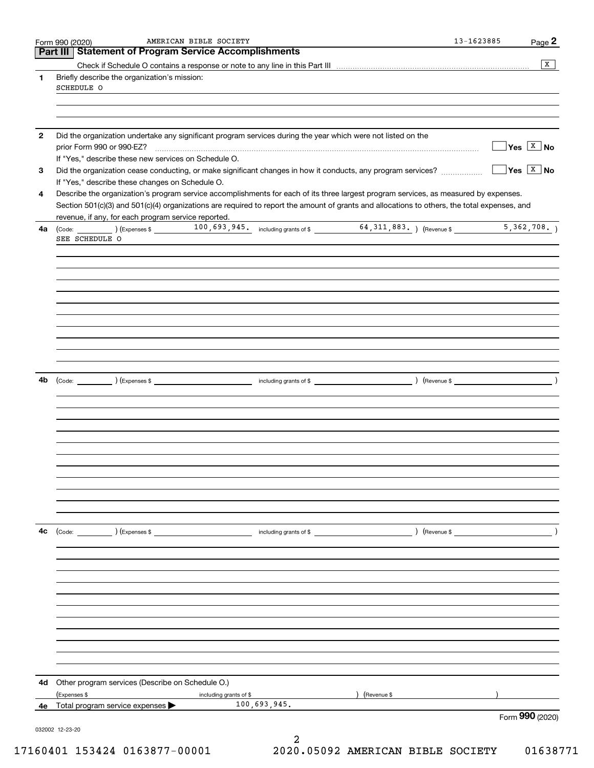| Form 990 (2020)<br>Part III Statement of Program Service Accomplishments          |                                                                                                              |                                                                                                                                                                    | Page 2                                             |
|-----------------------------------------------------------------------------------|--------------------------------------------------------------------------------------------------------------|--------------------------------------------------------------------------------------------------------------------------------------------------------------------|----------------------------------------------------|
|                                                                                   |                                                                                                              |                                                                                                                                                                    |                                                    |
| Briefly describe the organization's mission:                                      |                                                                                                              |                                                                                                                                                                    |                                                    |
| SCHEDULE O                                                                        |                                                                                                              |                                                                                                                                                                    |                                                    |
|                                                                                   |                                                                                                              |                                                                                                                                                                    |                                                    |
|                                                                                   |                                                                                                              |                                                                                                                                                                    |                                                    |
|                                                                                   | Did the organization undertake any significant program services during the year which were not listed on the |                                                                                                                                                                    |                                                    |
| prior Form 990 or 990-EZ?<br>If "Yes," describe these new services on Schedule O. |                                                                                                              |                                                                                                                                                                    | $\Box$ Yes $\boxed{\texttt{X}}$ No                 |
|                                                                                   |                                                                                                              | Did the organization cease conducting, or make significant changes in how it conducts, any program services?                                                       | $\boxed{\phantom{1}}$ Yes $\boxed{\phantom{1}}$ No |
| If "Yes," describe these changes on Schedule O.                                   |                                                                                                              | Describe the organization's program service accomplishments for each of its three largest program services, as measured by expenses.                               |                                                    |
|                                                                                   |                                                                                                              | Section 501(c)(3) and 501(c)(4) organizations are required to report the amount of grants and allocations to others, the total expenses, and                       |                                                    |
| revenue, if any, for each program service reported.                               |                                                                                                              |                                                                                                                                                                    |                                                    |
|                                                                                   |                                                                                                              |                                                                                                                                                                    |                                                    |
| SEE SCHEDULE O                                                                    |                                                                                                              |                                                                                                                                                                    |                                                    |
|                                                                                   |                                                                                                              |                                                                                                                                                                    |                                                    |
|                                                                                   |                                                                                                              |                                                                                                                                                                    |                                                    |
|                                                                                   |                                                                                                              |                                                                                                                                                                    |                                                    |
|                                                                                   |                                                                                                              |                                                                                                                                                                    |                                                    |
|                                                                                   |                                                                                                              |                                                                                                                                                                    |                                                    |
|                                                                                   |                                                                                                              |                                                                                                                                                                    |                                                    |
|                                                                                   |                                                                                                              |                                                                                                                                                                    |                                                    |
|                                                                                   |                                                                                                              |                                                                                                                                                                    |                                                    |
|                                                                                   |                                                                                                              | $\qquad \qquad \text{including grants of $ \qquad \qquad \qquad } \qquad \qquad \qquad } \qquad \text{ (Revenue $ \qquad \qquad } \qquad \qquad } \qquad \text{)}$ |                                                    |
|                                                                                   |                                                                                                              |                                                                                                                                                                    |                                                    |
|                                                                                   |                                                                                                              |                                                                                                                                                                    |                                                    |
|                                                                                   |                                                                                                              |                                                                                                                                                                    |                                                    |
|                                                                                   |                                                                                                              |                                                                                                                                                                    |                                                    |
|                                                                                   |                                                                                                              |                                                                                                                                                                    |                                                    |
|                                                                                   |                                                                                                              |                                                                                                                                                                    |                                                    |
|                                                                                   |                                                                                                              |                                                                                                                                                                    |                                                    |
|                                                                                   |                                                                                                              |                                                                                                                                                                    |                                                    |
| $\left(\text{Code:}\right)$ $\left(\text{Expenses $}\right)$                      |                                                                                                              |                                                                                                                                                                    |                                                    |
|                                                                                   |                                                                                                              |                                                                                                                                                                    |                                                    |
|                                                                                   |                                                                                                              |                                                                                                                                                                    |                                                    |
|                                                                                   |                                                                                                              |                                                                                                                                                                    |                                                    |
|                                                                                   |                                                                                                              |                                                                                                                                                                    |                                                    |
|                                                                                   |                                                                                                              |                                                                                                                                                                    |                                                    |
|                                                                                   |                                                                                                              |                                                                                                                                                                    |                                                    |
|                                                                                   |                                                                                                              |                                                                                                                                                                    |                                                    |
|                                                                                   |                                                                                                              |                                                                                                                                                                    |                                                    |
|                                                                                   |                                                                                                              |                                                                                                                                                                    |                                                    |
| Other program services (Describe on Schedule O.)                                  |                                                                                                              |                                                                                                                                                                    |                                                    |
| (Expenses \$<br>Total program service expenses >                                  | including grants of \$<br>100,693,945.                                                                       | (Revenue \$                                                                                                                                                        |                                                    |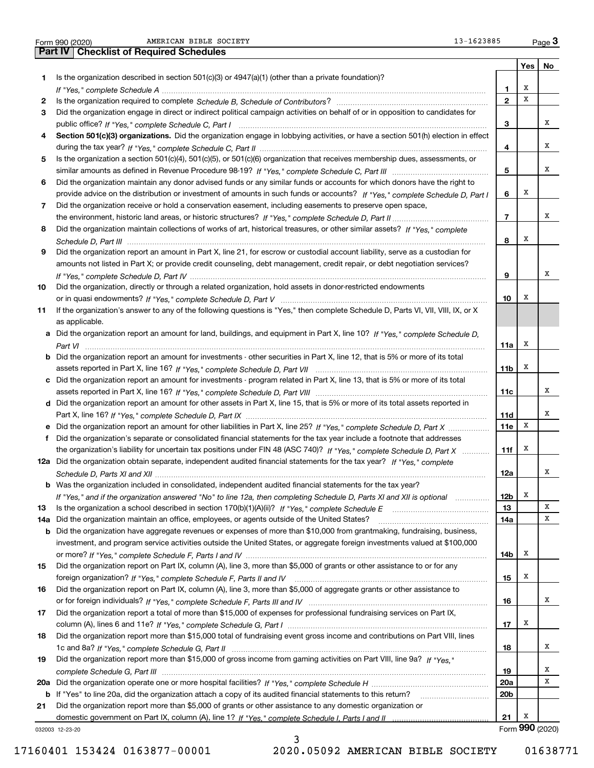|  | Form 990 (2020 |
|--|----------------|

|     | 13-1623885<br>AMERICAN BIBLE SOCIETY<br>Form 990 (2020)                                                                               |                 |     | Page $3$        |
|-----|---------------------------------------------------------------------------------------------------------------------------------------|-----------------|-----|-----------------|
|     | <b>Checklist of Required Schedules</b><br>Part IV                                                                                     |                 |     |                 |
|     |                                                                                                                                       |                 | Yes | No              |
| 1.  | Is the organization described in section $501(c)(3)$ or $4947(a)(1)$ (other than a private foundation)?                               |                 |     |                 |
|     |                                                                                                                                       | 1.              | х   |                 |
| 2   |                                                                                                                                       | $\overline{2}$  | X   |                 |
| 3   | Did the organization engage in direct or indirect political campaign activities on behalf of or in opposition to candidates for       |                 |     |                 |
|     |                                                                                                                                       | 3               |     | х               |
| 4   | Section 501(c)(3) organizations. Did the organization engage in lobbying activities, or have a section 501(h) election in effect      |                 |     |                 |
|     |                                                                                                                                       | 4               |     | х               |
| 5   | Is the organization a section 501(c)(4), 501(c)(5), or 501(c)(6) organization that receives membership dues, assessments, or          |                 |     |                 |
|     |                                                                                                                                       | 5               |     | х               |
| 6   | Did the organization maintain any donor advised funds or any similar funds or accounts for which donors have the right to             |                 |     |                 |
|     | provide advice on the distribution or investment of amounts in such funds or accounts? If "Yes," complete Schedule D, Part I          | 6               | X   |                 |
| 7   | Did the organization receive or hold a conservation easement, including easements to preserve open space,                             |                 |     |                 |
|     |                                                                                                                                       | $\overline{7}$  |     | х               |
| 8   | Did the organization maintain collections of works of art, historical treasures, or other similar assets? If "Yes," complete          |                 |     |                 |
|     |                                                                                                                                       | 8               | X   |                 |
| 9   | Did the organization report an amount in Part X, line 21, for escrow or custodial account liability, serve as a custodian for         |                 |     |                 |
|     | amounts not listed in Part X; or provide credit counseling, debt management, credit repair, or debt negotiation services?             |                 |     | х               |
|     |                                                                                                                                       | 9               |     |                 |
| 10  | Did the organization, directly or through a related organization, hold assets in donor-restricted endowments                          | 10              | х   |                 |
| 11  | If the organization's answer to any of the following questions is "Yes," then complete Schedule D, Parts VI, VII, VIII, IX, or X      |                 |     |                 |
|     | as applicable.                                                                                                                        |                 |     |                 |
| a   | Did the organization report an amount for land, buildings, and equipment in Part X, line 10? If "Yes," complete Schedule D,           |                 |     |                 |
|     |                                                                                                                                       | 11a             | X   |                 |
|     | <b>b</b> Did the organization report an amount for investments - other securities in Part X, line 12, that is 5% or more of its total |                 |     |                 |
|     |                                                                                                                                       | 11 <sub>b</sub> | Х   |                 |
| c   | Did the organization report an amount for investments - program related in Part X, line 13, that is 5% or more of its total           |                 |     |                 |
|     |                                                                                                                                       | 11c             |     | x               |
|     | d Did the organization report an amount for other assets in Part X, line 15, that is 5% or more of its total assets reported in       |                 |     |                 |
|     |                                                                                                                                       | <b>11d</b>      |     | х               |
|     | Did the organization report an amount for other liabilities in Part X, line 25? If "Yes," complete Schedule D, Part X                 | 11e             | X   |                 |
| f   | Did the organization's separate or consolidated financial statements for the tax year include a footnote that addresses               |                 |     |                 |
|     | the organization's liability for uncertain tax positions under FIN 48 (ASC 740)? If "Yes," complete Schedule D, Part X                | 11f             | х   |                 |
|     | 12a Did the organization obtain separate, independent audited financial statements for the tax year? If "Yes," complete               |                 |     |                 |
|     |                                                                                                                                       | 12a             |     | A               |
|     | Was the organization included in consolidated, independent audited financial statements for the tax year?                             |                 |     |                 |
|     | If "Yes," and if the organization answered "No" to line 12a, then completing Schedule D, Parts XI and XII is optional                 | 12b             | х   |                 |
| 13  |                                                                                                                                       | 13              |     | Х               |
| 14a | Did the organization maintain an office, employees, or agents outside of the United States?                                           | <b>14a</b>      |     | х               |
| b   | Did the organization have aggregate revenues or expenses of more than \$10,000 from grantmaking, fundraising, business,               |                 |     |                 |
|     | investment, and program service activities outside the United States, or aggregate foreign investments valued at \$100,000            |                 |     |                 |
|     |                                                                                                                                       | 14b             | х   |                 |
| 15  | Did the organization report on Part IX, column (A), line 3, more than \$5,000 of grants or other assistance to or for any             |                 |     |                 |
|     |                                                                                                                                       | 15              | х   |                 |
| 16  | Did the organization report on Part IX, column (A), line 3, more than \$5,000 of aggregate grants or other assistance to              |                 |     |                 |
|     |                                                                                                                                       | 16              |     | х               |
| 17  | Did the organization report a total of more than \$15,000 of expenses for professional fundraising services on Part IX,               |                 |     |                 |
|     |                                                                                                                                       | 17              | х   |                 |
| 18  | Did the organization report more than \$15,000 total of fundraising event gross income and contributions on Part VIII, lines          |                 |     |                 |
|     |                                                                                                                                       | 18              |     | х               |
| 19  | Did the organization report more than \$15,000 of gross income from gaming activities on Part VIII, line 9a? If "Yes."                |                 |     |                 |
|     |                                                                                                                                       | 19              |     | х               |
| 20a |                                                                                                                                       | 20a             |     | х               |
|     | b If "Yes" to line 20a, did the organization attach a copy of its audited financial statements to this return?                        | 20 <sub>b</sub> |     |                 |
| 21  | Did the organization report more than \$5,000 of grants or other assistance to any domestic organization or                           |                 | Х   |                 |
|     |                                                                                                                                       | 21              |     | Form 990 (2020) |
|     | 032003 12-23-20                                                                                                                       |                 |     |                 |

3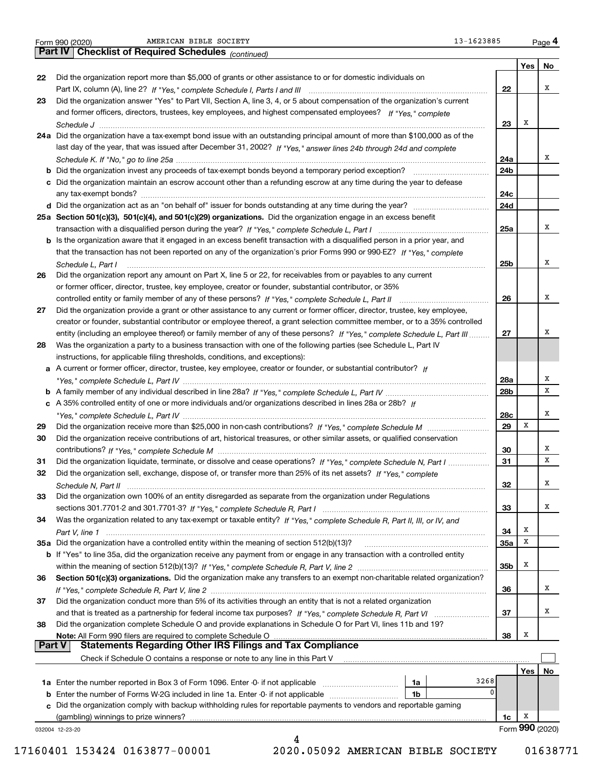|  | Form 990 (2020) |
|--|-----------------|

|               | 13-1623885<br>AMERICAN BIBLE SOCIETY<br>Form 990 (2020)                                                                      |                 |            | Page 4          |
|---------------|------------------------------------------------------------------------------------------------------------------------------|-----------------|------------|-----------------|
|               | <b>Checklist of Required Schedules (continued)</b><br><b>Part IV</b>                                                         |                 |            |                 |
|               |                                                                                                                              |                 | <b>Yes</b> | No              |
| 22            | Did the organization report more than \$5,000 of grants or other assistance to or for domestic individuals on                |                 |            |                 |
|               |                                                                                                                              | 22              |            | х               |
| 23            | Did the organization answer "Yes" to Part VII, Section A, line 3, 4, or 5 about compensation of the organization's current   |                 |            |                 |
|               | and former officers, directors, trustees, key employees, and highest compensated employees? If "Yes," complete               |                 |            |                 |
|               |                                                                                                                              | 23              | X          |                 |
|               | 24a Did the organization have a tax-exempt bond issue with an outstanding principal amount of more than \$100,000 as of the  |                 |            |                 |
|               | last day of the year, that was issued after December 31, 2002? If "Yes," answer lines 24b through 24d and complete           |                 |            |                 |
|               |                                                                                                                              | 24a             |            | х               |
|               |                                                                                                                              | 24b             |            |                 |
|               | c Did the organization maintain an escrow account other than a refunding escrow at any time during the year to defease       |                 |            |                 |
|               |                                                                                                                              | 24c             |            |                 |
|               |                                                                                                                              | 24d             |            |                 |
|               | 25a Section 501(c)(3), 501(c)(4), and 501(c)(29) organizations. Did the organization engage in an excess benefit             |                 |            |                 |
|               |                                                                                                                              | 25a             |            | х               |
|               | b Is the organization aware that it engaged in an excess benefit transaction with a disqualified person in a prior year, and |                 |            |                 |
|               | that the transaction has not been reported on any of the organization's prior Forms 990 or 990-EZ? If "Yes," complete        |                 |            |                 |
|               | Schedule L, Part I                                                                                                           | 25b             |            | Χ               |
| 26            | Did the organization report any amount on Part X, line 5 or 22, for receivables from or payables to any current              |                 |            |                 |
|               | or former officer, director, trustee, key employee, creator or founder, substantial contributor, or 35%                      |                 |            |                 |
|               |                                                                                                                              | 26              |            | х               |
| 27            | Did the organization provide a grant or other assistance to any current or former officer, director, trustee, key employee,  |                 |            |                 |
|               | creator or founder, substantial contributor or employee thereof, a grant selection committee member, or to a 35% controlled  |                 |            |                 |
|               | entity (including an employee thereof) or family member of any of these persons? If "Yes," complete Schedule L, Part III     | 27              |            | х               |
| 28            | Was the organization a party to a business transaction with one of the following parties (see Schedule L, Part IV            |                 |            |                 |
|               | instructions, for applicable filing thresholds, conditions, and exceptions):                                                 |                 |            |                 |
|               | a A current or former officer, director, trustee, key employee, creator or founder, or substantial contributor? If           |                 |            |                 |
|               |                                                                                                                              | 28a             |            | х               |
|               |                                                                                                                              | 28b             |            | x               |
|               | c A 35% controlled entity of one or more individuals and/or organizations described in lines 28a or 28b? If                  |                 |            |                 |
|               |                                                                                                                              | 28c             |            | х               |
| 29            |                                                                                                                              | 29              | X          |                 |
| 30            | Did the organization receive contributions of art, historical treasures, or other similar assets, or qualified conservation  |                 |            |                 |
|               |                                                                                                                              | 30              |            | Χ               |
| 31            | Did the organization liquidate, terminate, or dissolve and cease operations? If "Yes," complete Schedule N, Part I           | 31              |            | х               |
| 32            | Did the organization sell, exchange, dispose of, or transfer more than 25% of its net assets? If "Yes," complete             |                 |            |                 |
|               |                                                                                                                              | 32              |            | х               |
| 33            | Did the organization own 100% of an entity disregarded as separate from the organization under Regulations                   |                 |            |                 |
|               |                                                                                                                              | 33              |            | х               |
| 34            | Was the organization related to any tax-exempt or taxable entity? If "Yes," complete Schedule R, Part II, III, or IV, and    |                 |            |                 |
|               |                                                                                                                              | 34              | X          |                 |
|               | 35a Did the organization have a controlled entity within the meaning of section 512(b)(13)?                                  | 35a             | x          |                 |
|               | b If "Yes" to line 35a, did the organization receive any payment from or engage in any transaction with a controlled entity  |                 |            |                 |
|               |                                                                                                                              | 35 <sub>b</sub> | X          |                 |
| 36            | Section 501(c)(3) organizations. Did the organization make any transfers to an exempt non-charitable related organization?   |                 |            |                 |
|               |                                                                                                                              | 36              |            | х               |
| 37            | Did the organization conduct more than 5% of its activities through an entity that is not a related organization             |                 |            |                 |
|               |                                                                                                                              | 37              |            | х               |
| 38            | Did the organization complete Schedule O and provide explanations in Schedule O for Part VI, lines 11b and 19?               |                 |            |                 |
|               | Note: All Form 990 filers are required to complete Schedule O                                                                | 38              | X          |                 |
| <b>Part V</b> | Statements Regarding Other IRS Filings and Tax Compliance                                                                    |                 |            |                 |
|               | Check if Schedule O contains a response or note to any line in this Part V                                                   |                 |            |                 |
|               | 3268                                                                                                                         |                 | Yes        | No              |
| b             | 1a<br>Enter the number of Forms W-2G included in line 1a. Enter -0- if not applicable<br>1b                                  | 0               |            |                 |
| c             | Did the organization comply with backup withholding rules for reportable payments to vendors and reportable gaming           |                 |            |                 |
|               | (gambling) winnings to prize winners?                                                                                        | 1c              | х          |                 |
|               | 032004 12-23-20                                                                                                              |                 |            | Form 990 (2020) |
|               | 4                                                                                                                            |                 |            |                 |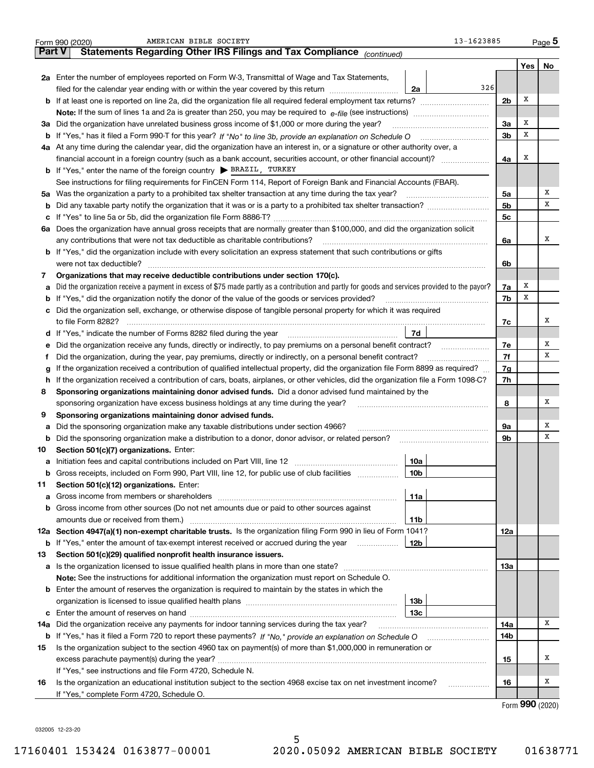|        | 13-1623885<br>AMERICAN BIBLE SOCIETY<br>Form 990 (2020)                                                                                           |                |      | $Page$ <sup>5</sup> |
|--------|---------------------------------------------------------------------------------------------------------------------------------------------------|----------------|------|---------------------|
| Part V | Statements Regarding Other IRS Filings and Tax Compliance (continued)                                                                             |                |      |                     |
|        |                                                                                                                                                   |                | Yes  | No                  |
|        | 2a Enter the number of employees reported on Form W-3, Transmittal of Wage and Tax Statements,                                                    |                |      |                     |
|        | 326<br>2a<br>filed for the calendar year ending with or within the year covered by this return                                                    |                |      |                     |
|        | <b>b</b> If at least one is reported on line 2a, did the organization file all required federal employment tax returns?                           | 2 <sub>b</sub> | х    |                     |
|        | Note: If the sum of lines 1a and 2a is greater than 250, you may be required to $e$ -file (see instructions) <i>marrourching</i>                  |                |      |                     |
|        | 3a Did the organization have unrelated business gross income of \$1,000 or more during the year?                                                  | 3a             | х    |                     |
|        |                                                                                                                                                   | 3 <sub>b</sub> | х    |                     |
|        | 4a At any time during the calendar year, did the organization have an interest in, or a signature or other authority over, a                      |                |      |                     |
|        |                                                                                                                                                   | 4a             | х    |                     |
|        | <b>b</b> If "Yes," enter the name of the foreign country $\triangleright$ <b>BRAZIL</b> , TURKEY                                                  |                |      |                     |
|        | See instructions for filing requirements for FinCEN Form 114, Report of Foreign Bank and Financial Accounts (FBAR).                               |                |      |                     |
|        | 5a Was the organization a party to a prohibited tax shelter transaction at any time during the tax year?                                          | 5a             |      | х                   |
|        |                                                                                                                                                   | 5 <sub>b</sub> |      | х                   |
|        |                                                                                                                                                   | 5c             |      |                     |
|        | 6a Does the organization have annual gross receipts that are normally greater than \$100,000, and did the organization solicit                    |                |      |                     |
|        | any contributions that were not tax deductible as charitable contributions?                                                                       | 6a             |      | х                   |
|        | <b>b</b> If "Yes," did the organization include with every solicitation an express statement that such contributions or gifts                     |                |      |                     |
|        | were not tax deductible?                                                                                                                          | 6b             |      |                     |
| 7      | Organizations that may receive deductible contributions under section 170(c).                                                                     |                |      |                     |
|        | a Did the organization receive a payment in excess of \$75 made partly as a contribution and partly for goods and services provided to the payor? | 7a             | х    |                     |
|        | <b>b</b> If "Yes," did the organization notify the donor of the value of the goods or services provided?                                          | 7b             | х    |                     |
|        | c Did the organization sell, exchange, or otherwise dispose of tangible personal property for which it was required                               |                |      |                     |
|        |                                                                                                                                                   | 7c             |      | х                   |
|        | 7d<br>d If "Yes," indicate the number of Forms 8282 filed during the year [11] [12] [13] [14] [15] [15] [15] [16] [1                              |                |      |                     |
|        | e Did the organization receive any funds, directly or indirectly, to pay premiums on a personal benefit contract?                                 | 7e             |      | х                   |
| Ť.     | Did the organization, during the year, pay premiums, directly or indirectly, on a personal benefit contract?                                      | 7f             |      | х                   |
| g      | If the organization received a contribution of qualified intellectual property, did the organization file Form 8899 as required?                  | 7g             |      |                     |
|        | h If the organization received a contribution of cars, boats, airplanes, or other vehicles, did the organization file a Form 1098-C?              | 7h             |      |                     |
| 8      | Sponsoring organizations maintaining donor advised funds. Did a donor advised fund maintained by the                                              |                |      |                     |
|        | sponsoring organization have excess business holdings at any time during the year?                                                                | 8              |      | х                   |
| 9      | Sponsoring organizations maintaining donor advised funds.                                                                                         |                |      |                     |
|        | a Did the sponsoring organization make any taxable distributions under section 4966?                                                              | 9a             |      | х                   |
| b      | Did the sponsoring organization make a distribution to a donor, donor advisor, or related person?                                                 | 9b             |      | х                   |
| 10     | Section 501(c)(7) organizations. Enter:                                                                                                           |                |      |                     |
|        | 10a                                                                                                                                               |                |      |                     |
| b      | Gross receipts, included on Form 990, Part VIII, line 12, for public use of club facilities<br>  10b                                              |                |      |                     |
| 11     | Section 501(c)(12) organizations. Enter:                                                                                                          |                |      |                     |
| а      | 11a                                                                                                                                               |                |      |                     |
|        | <b>b</b> Gross income from other sources (Do not net amounts due or paid to other sources against                                                 |                |      |                     |
|        | amounts due or received from them.)<br>11b                                                                                                        |                |      |                     |
|        | 12a Section 4947(a)(1) non-exempt charitable trusts. Is the organization filing Form 990 in lieu of Form 1041?                                    | 12a            |      |                     |
|        | <b>b</b> If "Yes," enter the amount of tax-exempt interest received or accrued during the year<br>12b                                             |                |      |                     |
| 13     | Section 501(c)(29) qualified nonprofit health insurance issuers.                                                                                  |                |      |                     |
|        | a Is the organization licensed to issue qualified health plans in more than one state?                                                            | 13а            |      |                     |
|        | Note: See the instructions for additional information the organization must report on Schedule O.                                                 |                |      |                     |
|        | <b>b</b> Enter the amount of reserves the organization is required to maintain by the states in which the                                         |                |      |                     |
|        | 13 <sub>b</sub>                                                                                                                                   |                |      |                     |
|        | 13с                                                                                                                                               |                |      |                     |
| 14a    | Did the organization receive any payments for indoor tanning services during the tax year?                                                        | 14a            |      | х                   |
|        |                                                                                                                                                   | 14b            |      |                     |
| 15     | Is the organization subject to the section 4960 tax on payment(s) of more than \$1,000,000 in remuneration or                                     |                |      |                     |
|        |                                                                                                                                                   | 15             |      | х                   |
|        | If "Yes," see instructions and file Form 4720, Schedule N.                                                                                        |                |      |                     |
| 16     | Is the organization an educational institution subject to the section 4968 excise tax on net investment income?<br>.                              | 16             |      | x                   |
|        | If "Yes," complete Form 4720, Schedule O.                                                                                                         |                | nnn. |                     |

Form (2020) **990**

032005 12-23-20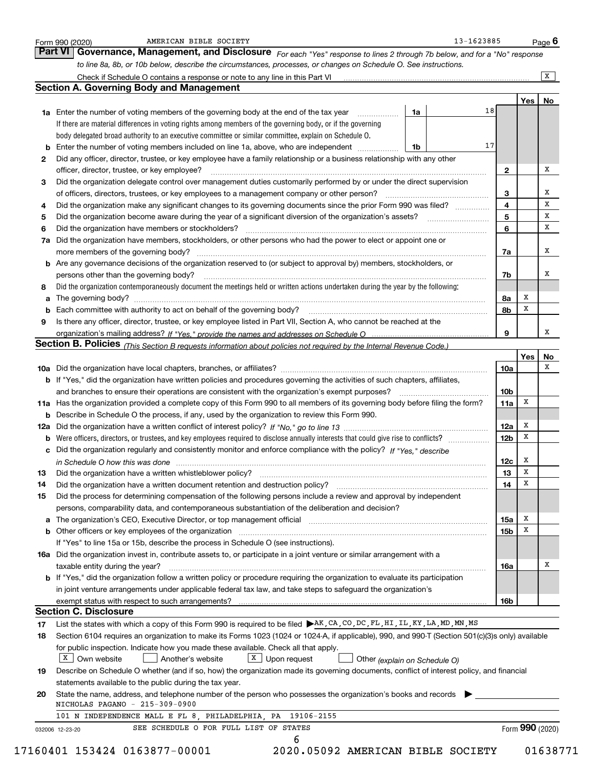|    | to line 8a, 8b, or 10b below, describe the circumstances, processes, or changes on Schedule O. See instructions.                                                                                                               |                 |                 |        |
|----|--------------------------------------------------------------------------------------------------------------------------------------------------------------------------------------------------------------------------------|-----------------|-----------------|--------|
|    |                                                                                                                                                                                                                                |                 |                 | X      |
|    | <b>Section A. Governing Body and Management</b>                                                                                                                                                                                |                 |                 |        |
|    |                                                                                                                                                                                                                                |                 | Yes             | No     |
|    | 18<br>1a<br>1a Enter the number of voting members of the governing body at the end of the tax year <i>manumum</i>                                                                                                              |                 |                 |        |
|    | If there are material differences in voting rights among members of the governing body, or if the governing                                                                                                                    |                 |                 |        |
|    | body delegated broad authority to an executive committee or similar committee, explain on Schedule O.                                                                                                                          |                 |                 |        |
|    | 17<br><b>b</b> Enter the number of voting members included on line 1a, above, who are independent <i>manumum</i><br>1b                                                                                                         |                 |                 |        |
| 2  | Did any officer, director, trustee, or key employee have a family relationship or a business relationship with any other                                                                                                       |                 |                 |        |
|    | officer, director, trustee, or key employee?                                                                                                                                                                                   | 2               |                 | x      |
| 3  | Did the organization delegate control over management duties customarily performed by or under the direct supervision                                                                                                          |                 |                 |        |
|    |                                                                                                                                                                                                                                | 3               |                 | х<br>X |
| 4  | Did the organization make any significant changes to its governing documents since the prior Form 990 was filed?                                                                                                               | 4               |                 |        |
| 5  |                                                                                                                                                                                                                                | 5               |                 | х      |
| 6  | Did the organization have members or stockholders?                                                                                                                                                                             | 6               |                 | х      |
| 7a | Did the organization have members, stockholders, or other persons who had the power to elect or appoint one or                                                                                                                 |                 |                 |        |
|    |                                                                                                                                                                                                                                | 7a              |                 | x      |
|    | <b>b</b> Are any governance decisions of the organization reserved to (or subject to approval by) members, stockholders, or                                                                                                    |                 |                 |        |
|    | persons other than the governing body?                                                                                                                                                                                         | 7b              |                 | х      |
| 8  | Did the organization contemporaneously document the meetings held or written actions undertaken during the year by the following:                                                                                              |                 |                 |        |
|    | The governing body? [[11] matter and the contract of the contract of the contract of the contract of the contract of the contract of the contract of the contract of the contract of the contract of the contract of the contr | 8a              | х               |        |
|    |                                                                                                                                                                                                                                | 8b              | x               |        |
| 9  | Is there any officer, director, trustee, or key employee listed in Part VII, Section A, who cannot be reached at the                                                                                                           |                 |                 |        |
|    |                                                                                                                                                                                                                                | 9               |                 | х      |
|    | Section B. Policies (This Section B requests information about policies not required by the Internal Revenue Code.)                                                                                                            |                 |                 |        |
|    |                                                                                                                                                                                                                                |                 | Yes             | No     |
|    |                                                                                                                                                                                                                                | 10a             |                 | х      |
|    | b If "Yes," did the organization have written policies and procedures governing the activities of such chapters, affiliates,                                                                                                   |                 |                 |        |
|    | and branches to ensure their operations are consistent with the organization's exempt purposes?                                                                                                                                | 10 <sub>b</sub> |                 |        |
|    | 11a Has the organization provided a complete copy of this Form 990 to all members of its governing body before filing the form?                                                                                                | 11a             | X               |        |
|    | <b>b</b> Describe in Schedule O the process, if any, used by the organization to review this Form 990.                                                                                                                         |                 |                 |        |
|    |                                                                                                                                                                                                                                | 12a             | x               |        |
|    |                                                                                                                                                                                                                                | 12 <sub>b</sub> | x               |        |
|    | c Did the organization regularly and consistently monitor and enforce compliance with the policy? If "Yes." describe                                                                                                           |                 |                 |        |
|    | in Schedule O how this was done manufactured and contain an according of the state of the state of the state o                                                                                                                 | 12c             | x               |        |
| 13 | Did the organization have a written whistleblower policy?                                                                                                                                                                      | 13              | Х               |        |
| 14 | Did the organization have a written document retention and destruction policy?                                                                                                                                                 | 14              | x               |        |
| 15 | Did the process for determining compensation of the following persons include a review and approval by independent                                                                                                             |                 |                 |        |
|    | persons, comparability data, and contemporaneous substantiation of the deliberation and decision?                                                                                                                              |                 |                 |        |
|    |                                                                                                                                                                                                                                | 15a             | x               |        |
|    | <b>b</b> Other officers or key employees of the organization                                                                                                                                                                   | 15b             | X               |        |
|    |                                                                                                                                                                                                                                |                 |                 |        |
|    | If "Yes" to line 15a or 15b, describe the process in Schedule O (see instructions).                                                                                                                                            |                 |                 |        |
|    | 16a Did the organization invest in, contribute assets to, or participate in a joint venture or similar arrangement with a                                                                                                      |                 |                 | х      |
|    | taxable entity during the year?                                                                                                                                                                                                | 16a             |                 |        |
|    | b If "Yes," did the organization follow a written policy or procedure requiring the organization to evaluate its participation                                                                                                 |                 |                 |        |
|    | in joint venture arrangements under applicable federal tax law, and take steps to safeguard the organization's                                                                                                                 |                 |                 |        |
|    | exempt status with respect to such arrangements?                                                                                                                                                                               | 16b             |                 |        |
|    | <b>Section C. Disclosure</b>                                                                                                                                                                                                   |                 |                 |        |
| 17 | List the states with which a copy of this Form 990 is required to be filed AK, CA, CO, DC, FL, HI, IL, KY, LA, MD, MN, MS                                                                                                      |                 |                 |        |
| 18 | Section 6104 requires an organization to make its Forms 1023 (1024 or 1024-A, if applicable), 990, and 990-T (Section 501(c)(3)s only) available                                                                               |                 |                 |        |
|    | for public inspection. Indicate how you made these available. Check all that apply.                                                                                                                                            |                 |                 |        |
|    | $X$ Own website<br>$X$ Upon request<br>Another's website<br>Other (explain on Schedule O)                                                                                                                                      |                 |                 |        |
| 19 | Describe on Schedule O whether (and if so, how) the organization made its governing documents, conflict of interest policy, and financial                                                                                      |                 |                 |        |
|    | statements available to the public during the tax year.                                                                                                                                                                        |                 |                 |        |
| 20 | State the name, address, and telephone number of the person who possesses the organization's books and records                                                                                                                 |                 |                 |        |
|    | NICHOLAS PAGANO - 215-309-0900                                                                                                                                                                                                 |                 |                 |        |
|    | 101 N INDEPENDENCE MALL E FL 8, PHILADELPHIA, PA 19106-2155<br>SEE SCHEDULE O FOR FULL LIST OF STATES                                                                                                                          |                 | Form 990 (2020) |        |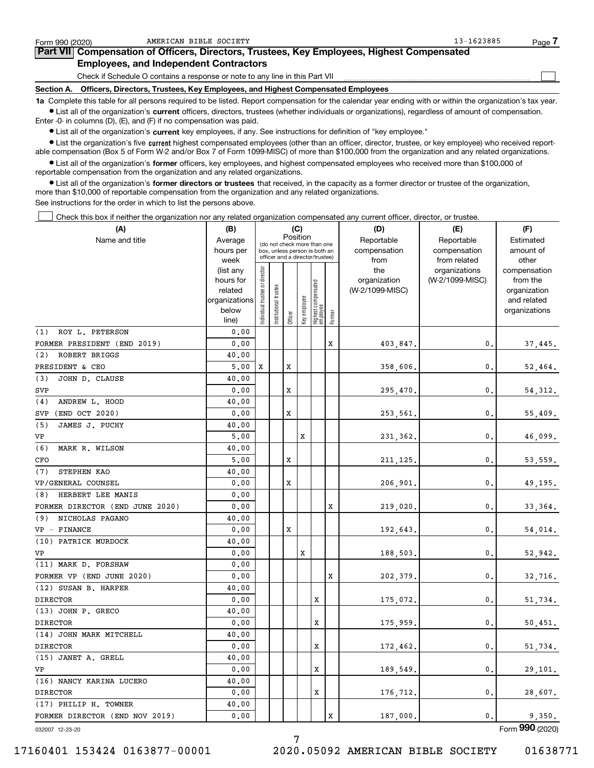| Form 990 (2020)   | AMERICAN BIBLE SOCIETY                                                                                                                                     | 13-1623885 | Page |
|-------------------|------------------------------------------------------------------------------------------------------------------------------------------------------------|------------|------|
|                   | Part VII Compensation of Officers, Directors, Trustees, Key Employees, Highest Compensated                                                                 |            |      |
|                   | <b>Employees, and Independent Contractors</b>                                                                                                              |            |      |
|                   | Check if Schedule O contains a response or note to any line in this Part VII                                                                               |            |      |
| <b>Section A.</b> | Officers, Directors, Trustees, Key Employees, and Highest Compensated Employees                                                                            |            |      |
|                   | 1a Complete this table for all persons required to be listed. Report compensation for the calendar year ending with or within the organization's tax year. |            |      |

**•** List all of the organization's current officers, directors, trustees (whether individuals or organizations), regardless of amount of compensation. Enter -0- in columns (D), (E), and (F) if no compensation was paid.

 $\bullet$  List all of the organization's  $\,$ current key employees, if any. See instructions for definition of "key employee."

**•** List the organization's five current highest compensated employees (other than an officer, director, trustee, or key employee) who received reportable compensation (Box 5 of Form W-2 and/or Box 7 of Form 1099-MISC) of more than \$100,000 from the organization and any related organizations.

**•** List all of the organization's former officers, key employees, and highest compensated employees who received more than \$100,000 of reportable compensation from the organization and any related organizations.

**former directors or trustees**  ¥ List all of the organization's that received, in the capacity as a former director or trustee of the organization, more than \$10,000 of reportable compensation from the organization and any related organizations.

See instructions for the order in which to list the persons above.

Check this box if neither the organization nor any related organization compensated any current officer, director, or trustee.  $\mathcal{L}^{\text{max}}$ 

| (A)                                          | (B)               |                               |                                                                  |             | (C)          |                                 |             | (D)             | (E)                           | (F)                   |  |  |
|----------------------------------------------|-------------------|-------------------------------|------------------------------------------------------------------|-------------|--------------|---------------------------------|-------------|-----------------|-------------------------------|-----------------------|--|--|
| Name and title                               | Average           |                               | (do not check more than one                                      |             | Position     |                                 |             | Reportable      | Reportable                    | Estimated             |  |  |
|                                              | hours per         |                               | box, unless person is both an<br>officer and a director/trustee) |             |              |                                 |             | compensation    | compensation                  | amount of             |  |  |
|                                              | week<br>(list any |                               |                                                                  |             |              |                                 |             | from<br>the     | from related<br>organizations | other<br>compensation |  |  |
|                                              | hours for         |                               |                                                                  |             |              |                                 |             | organization    | (W-2/1099-MISC)               | from the              |  |  |
|                                              | related           |                               |                                                                  |             |              |                                 |             | (W-2/1099-MISC) |                               | organization          |  |  |
|                                              | organizations     |                               |                                                                  |             |              |                                 |             |                 |                               | and related           |  |  |
|                                              | below             | ndividual trustee or director | Institutional trustee                                            | Officer     | Key employee | Highest compensated<br>employee | Former      |                 |                               | organizations         |  |  |
|                                              | line)             |                               |                                                                  |             |              |                                 |             |                 |                               |                       |  |  |
| ROY L. PETERSON<br>(1)                       | 0.00              |                               |                                                                  |             |              |                                 |             |                 |                               |                       |  |  |
| FORMER PRESIDENT (END 2019)<br>ROBERT BRIGGS | 0.00              |                               |                                                                  |             |              |                                 | x           | 403,847.        | $\mathbf{0}$ .                | 37,445.               |  |  |
| (2)                                          | 40.00             |                               |                                                                  |             |              |                                 |             |                 |                               |                       |  |  |
| PRESIDENT & CEO                              | 5,00              | x                             |                                                                  | X           |              |                                 |             | 358,606.        | $\mathbf{0}$ .                | 52,464.               |  |  |
| JOHN D. CLAUSE<br>(3)                        | 40.00             |                               |                                                                  |             |              |                                 |             |                 |                               |                       |  |  |
| <b>SVP</b>                                   | 0.00              |                               |                                                                  | X           |              |                                 |             | 295,470,        | $\mathbf{0}$                  | 54,312.               |  |  |
| ANDREW L. HOOD<br>(4)                        | 40.00             |                               |                                                                  |             |              |                                 |             |                 |                               |                       |  |  |
| (END OCT 2020)<br>SVP                        | 0.00              |                               |                                                                  | X           |              |                                 |             | 253,561.        | $\mathbf{0}$ .                | 55,409.               |  |  |
| (5)<br>JAMES J. PUCHY<br>VP                  | 40.00<br>5,00     |                               |                                                                  |             | $\mathbf x$  |                                 |             |                 | 0.                            |                       |  |  |
| (6)<br>MARK R. WILSON                        | 40.00             |                               |                                                                  |             |              |                                 |             | 231,362.        |                               | 46,099.               |  |  |
| CFO                                          | 5,00              |                               |                                                                  | X           |              |                                 |             | 211,125,        | $\mathbf{0}$ .                | 53,559.               |  |  |
| (7)<br>STEPHEN KAO                           | 40.00             |                               |                                                                  |             |              |                                 |             |                 |                               |                       |  |  |
| VP/GENERAL COUNSEL                           | 0.00              |                               |                                                                  | X           |              |                                 |             | 206,901.        | $\mathbf{0}$ .                | 49,195.               |  |  |
| HERBERT LEE MANIS<br>(8)                     | 0.00              |                               |                                                                  |             |              |                                 |             |                 |                               |                       |  |  |
| FORMER DIRECTOR (END JUNE 2020)              | 0.00              |                               |                                                                  |             |              |                                 | X           | 219,020.        | 0.                            | 33,364.               |  |  |
| (9)<br>NICHOLAS PAGANO                       | 40.00             |                               |                                                                  |             |              |                                 |             |                 |                               |                       |  |  |
| VP - FINANCE                                 | 0.00              |                               |                                                                  | $\mathbf x$ |              |                                 |             | 192,643.        | 0.                            | 54,014.               |  |  |
| (10) PATRICK MURDOCK                         | 40.00             |                               |                                                                  |             |              |                                 |             |                 |                               |                       |  |  |
| VP                                           | 0.00              |                               |                                                                  |             | X            |                                 |             | 188,503.        | $\mathbf{0}$ .                | 52,942.               |  |  |
| (11) MARK D. FORSHAW                         | 0.00              |                               |                                                                  |             |              |                                 |             |                 |                               |                       |  |  |
| FORMER VP (END JUNE 2020)                    | 0.00              |                               |                                                                  |             |              |                                 | Х           | 202,379.        | $\mathbf{0}$ .                | 32,716.               |  |  |
| (12) SUSAN B. HARPER                         | 40.00             |                               |                                                                  |             |              |                                 |             |                 |                               |                       |  |  |
| <b>DIRECTOR</b>                              | 0.00              |                               |                                                                  |             |              | X                               |             | 175,072.        | $\mathbf{0}$ .                | 51,734.               |  |  |
| (13) JOHN P. GRECO                           | 40.00             |                               |                                                                  |             |              |                                 |             |                 |                               |                       |  |  |
| <b>DIRECTOR</b>                              | 0.00              |                               |                                                                  |             |              | $\mathbf x$                     |             | 175,959.        | $\mathbf{0}$ .                | 50,451.               |  |  |
| (14) JOHN MARK MITCHELL                      | 40.00             |                               |                                                                  |             |              |                                 |             |                 |                               |                       |  |  |
| <b>DIRECTOR</b>                              | 0.00              |                               |                                                                  |             |              | X                               |             | 172,462.        | 0.                            | 51,734.               |  |  |
| (15) JANET A. GRELL                          | 40.00             |                               |                                                                  |             |              |                                 |             |                 |                               |                       |  |  |
| VP                                           | 0.00              |                               |                                                                  |             |              | X                               |             | 189,549.        | $\mathbf{0}$ .                | 29,101.               |  |  |
| (16) NANCY KARINA LUCERO                     | 40.00             |                               |                                                                  |             |              |                                 |             |                 |                               |                       |  |  |
| <b>DIRECTOR</b>                              | 0.00              |                               |                                                                  |             |              | X                               |             | 176,712.        | $\mathbf{0}$ .                | 28,607.               |  |  |
| (17) PHILIP H. TOWNER                        | 40.00             |                               |                                                                  |             |              |                                 |             |                 |                               |                       |  |  |
| FORMER DIRECTOR (END NOV 2019)               | 0.00              |                               |                                                                  |             |              |                                 | $\mathbf x$ | 187,000.        | 0.                            | 9,350.                |  |  |
| 032007 12-23-20                              |                   |                               |                                                                  |             |              |                                 |             |                 |                               | Form 990 (2020)       |  |  |

7

032007 12-23-20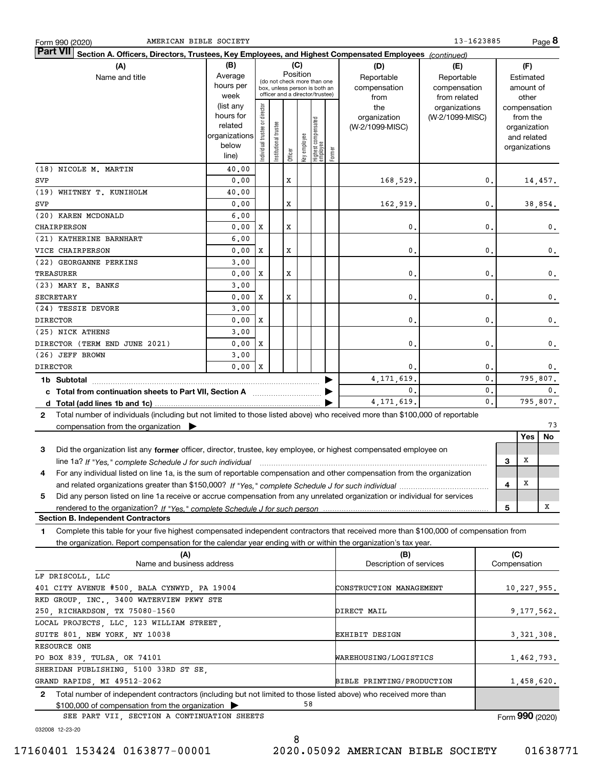| 13-1623885<br>Page 8<br>AMERICAN BIBLE SOCIETY<br>Form 990 (2020)                                                                               |                      |                                |                       |                                         |              |                                 |        |                           |                 |                |                 |               |                |
|-------------------------------------------------------------------------------------------------------------------------------------------------|----------------------|--------------------------------|-----------------------|-----------------------------------------|--------------|---------------------------------|--------|---------------------------|-----------------|----------------|-----------------|---------------|----------------|
| <b>Part VII</b><br>Section A. Officers, Directors, Trustees, Key Employees, and Highest Compensated Employees (continued)                       |                      |                                |                       |                                         |              |                                 |        |                           |                 |                |                 |               |                |
| (A)                                                                                                                                             | (B)                  |                                |                       |                                         | (C)          |                                 |        | (D)                       | (E)             |                |                 | (F)           |                |
| Name and title                                                                                                                                  | Average              |                                |                       | Position<br>(do not check more than one |              |                                 |        | Reportable                | Reportable      |                |                 | Estimated     |                |
|                                                                                                                                                 | hours per            |                                |                       | box, unless person is both an           |              |                                 |        | compensation              | compensation    |                |                 | amount of     |                |
|                                                                                                                                                 | week                 |                                |                       | officer and a director/trustee)         |              |                                 |        | from                      | from related    |                |                 | other         |                |
|                                                                                                                                                 | (list any            |                                |                       |                                         |              |                                 |        | the                       | organizations   |                |                 | compensation  |                |
|                                                                                                                                                 | hours for<br>related |                                |                       |                                         |              |                                 |        | organization              | (W-2/1099-MISC) |                |                 | from the      |                |
|                                                                                                                                                 | organizations        |                                |                       |                                         |              |                                 |        | (W-2/1099-MISC)           |                 |                |                 | organization  |                |
|                                                                                                                                                 | below                |                                |                       |                                         |              |                                 |        |                           |                 |                |                 | and related   |                |
|                                                                                                                                                 | line)                | Individual trustee or director | Institutional trustee | Officer                                 | Key employee | Highest compensated<br>employee | Former |                           |                 |                |                 | organizations |                |
| (18) NICOLE M. MARTIN                                                                                                                           | 40.00                |                                |                       |                                         |              |                                 |        |                           |                 |                |                 |               |                |
| SVP                                                                                                                                             | 0.00                 |                                |                       | X                                       |              |                                 |        | 168,529.                  |                 | $\mathbf{0}$ . |                 |               | 14,457.        |
| (19) WHITNEY T. KUNIHOLM                                                                                                                        | 40.00                |                                |                       |                                         |              |                                 |        |                           |                 |                |                 |               |                |
| SVP                                                                                                                                             | 0.00                 |                                |                       | x                                       |              |                                 |        | 162,919.                  |                 | $\mathbf{0}$ . |                 |               | 38,854.        |
| (20) KAREN MCDONALD                                                                                                                             | 6,00                 |                                |                       |                                         |              |                                 |        |                           |                 |                |                 |               |                |
| CHAIRPERSON                                                                                                                                     | 0.00                 | х                              |                       | x                                       |              |                                 |        | $\mathbf{0}$              |                 | 0.             |                 |               | 0.             |
| (21) KATHERINE BARNHART                                                                                                                         | 6.00                 |                                |                       |                                         |              |                                 |        |                           |                 |                |                 |               |                |
| VICE CHAIRPERSON                                                                                                                                | 0.00                 | х                              |                       | x                                       |              |                                 |        | $\mathbf{0}$              |                 | 0.             |                 |               | 0.             |
| (22) GEORGANNE PERKINS                                                                                                                          |                      |                                |                       |                                         |              |                                 |        |                           |                 |                |                 |               |                |
|                                                                                                                                                 | 3,00                 |                                |                       |                                         |              |                                 |        |                           |                 |                |                 |               |                |
| TREASURER                                                                                                                                       | 0.00                 | х                              |                       | x                                       |              |                                 |        | 0.                        |                 | 0.             |                 |               | 0.             |
| (23) MARY E. BANKS                                                                                                                              | 3,00                 |                                |                       |                                         |              |                                 |        |                           |                 |                |                 |               |                |
| <b>SECRETARY</b>                                                                                                                                | 0.00                 | х                              |                       | X                                       |              |                                 |        | $\mathbf{0}$              |                 | 0.             |                 |               | 0.             |
| (24) TESSIE DEVORE                                                                                                                              | 3,00                 |                                |                       |                                         |              |                                 |        |                           |                 |                |                 |               |                |
| <b>DIRECTOR</b>                                                                                                                                 | 0.00                 | х                              |                       |                                         |              |                                 |        | 0.                        |                 | 0.             |                 |               | 0.             |
| (25) NICK ATHENS                                                                                                                                | 3,00                 |                                |                       |                                         |              |                                 |        |                           |                 |                |                 |               |                |
| DIRECTOR (TERM END JUNE 2021)                                                                                                                   | 0.00                 | х                              |                       |                                         |              |                                 |        | $\mathbf{0}$              |                 | 0.             |                 |               | 0.             |
| (26) JEFF BROWN                                                                                                                                 | 3,00                 |                                |                       |                                         |              |                                 |        |                           |                 |                |                 |               |                |
| <b>DIRECTOR</b>                                                                                                                                 | 0.00                 | X                              |                       |                                         |              |                                 |        | 0.                        |                 | 0.             |                 |               | 0.             |
| 1b Subtotal                                                                                                                                     |                      |                                |                       |                                         |              |                                 |        | 4, 171, 619.              |                 | $\mathbf 0$ .  |                 | 795,807.      |                |
| c Total from continuation sheets to Part VII, Section A manufactor continuum                                                                    |                      |                                |                       |                                         |              |                                 |        | 0.                        |                 | 0.             |                 |               | $\mathbf{0}$ . |
|                                                                                                                                                 |                      |                                |                       |                                         |              |                                 |        | 4, 171, 619.              |                 | 0.             |                 | 795,807.      |                |
| Total number of individuals (including but not limited to those listed above) who received more than \$100,000 of reportable<br>$\mathbf{2}$    |                      |                                |                       |                                         |              |                                 |        |                           |                 |                |                 |               |                |
| compensation from the organization $\blacktriangleright$                                                                                        |                      |                                |                       |                                         |              |                                 |        |                           |                 |                |                 |               | 73             |
|                                                                                                                                                 |                      |                                |                       |                                         |              |                                 |        |                           |                 |                |                 | Yes           | No             |
| 3<br>Did the organization list any former officer, director, trustee, key employee, or highest compensated employee on                          |                      |                                |                       |                                         |              |                                 |        |                           |                 |                |                 |               |                |
| line 1a? If "Yes," complete Schedule J for such individual manufactured contained and the 1a? If "Yes," complete Schedule J for such individual |                      |                                |                       |                                         |              |                                 |        |                           |                 |                | 3               | х             |                |
| For any individual listed on line 1a, is the sum of reportable compensation and other compensation from the organization<br>4                   |                      |                                |                       |                                         |              |                                 |        |                           |                 |                |                 |               |                |
|                                                                                                                                                 |                      |                                |                       |                                         |              |                                 |        |                           |                 |                | 4               | X             |                |
| 5<br>Did any person listed on line 1a receive or accrue compensation from any unrelated organization or individual for services                 |                      |                                |                       |                                         |              |                                 |        |                           |                 |                |                 |               |                |
|                                                                                                                                                 |                      |                                |                       |                                         |              |                                 |        |                           |                 |                | 5               |               | Χ              |
| <b>Section B. Independent Contractors</b>                                                                                                       |                      |                                |                       |                                         |              |                                 |        |                           |                 |                |                 |               |                |
| Complete this table for your five highest compensated independent contractors that received more than \$100,000 of compensation from<br>1       |                      |                                |                       |                                         |              |                                 |        |                           |                 |                |                 |               |                |
| the organization. Report compensation for the calendar year ending with or within the organization's tax year.                                  |                      |                                |                       |                                         |              |                                 |        |                           |                 |                |                 |               |                |
| (A)                                                                                                                                             |                      |                                |                       |                                         |              |                                 |        | (B)                       |                 |                | (C)             |               |                |
| Name and business address                                                                                                                       |                      |                                |                       |                                         |              |                                 |        | Description of services   |                 |                | Compensation    |               |                |
| LF DRISCOLL, LLC                                                                                                                                |                      |                                |                       |                                         |              |                                 |        |                           |                 |                |                 |               |                |
| 401 CITY AVENUE #500, BALA CYNWYD, PA 19004                                                                                                     |                      |                                |                       |                                         |              |                                 |        | CONSTRUCTION MANAGEMENT   |                 |                |                 | 10,227,955.   |                |
| RKD GROUP, INC., 3400 WATERVIEW PKWY STE                                                                                                        |                      |                                |                       |                                         |              |                                 |        |                           |                 |                |                 |               |                |
| 250, RICHARDSON, TX 75080-1560                                                                                                                  |                      |                                |                       |                                         |              |                                 |        | DIRECT MAIL               |                 |                |                 | 9,177,562.    |                |
| LOCAL PROJECTS, LLC, 123 WILLIAM STREET,                                                                                                        |                      |                                |                       |                                         |              |                                 |        |                           |                 |                |                 |               |                |
| SUITE 801, NEW YORK, NY 10038<br>3, 321, 308.<br>EXHIBIT DESIGN                                                                                 |                      |                                |                       |                                         |              |                                 |        |                           |                 |                |                 |               |                |
| RESOURCE ONE                                                                                                                                    |                      |                                |                       |                                         |              |                                 |        |                           |                 |                |                 |               |                |
| PO BOX 839, TULSA, OK 74101                                                                                                                     |                      |                                |                       |                                         |              |                                 |        | WAREHOUSING/LOGISTICS     |                 |                |                 | 1,462,793.    |                |
| SHERIDAN PUBLISHING, 5100 33RD ST SE,                                                                                                           |                      |                                |                       |                                         |              |                                 |        |                           |                 |                |                 |               |                |
| GRAND RAPIDS, MI 49512-2062                                                                                                                     |                      |                                |                       |                                         |              |                                 |        | BIBLE PRINTING/PRODUCTION |                 |                |                 | 1,458,620.    |                |
| Total number of independent contractors (including but not limited to those listed above) who received more than<br>$\mathbf{2}$                |                      |                                |                       |                                         |              |                                 |        |                           |                 |                |                 |               |                |
| \$100,000 of compensation from the organization                                                                                                 |                      |                                |                       |                                         | 58           |                                 |        |                           |                 |                |                 |               |                |
| SEE PART VII, SECTION A CONTINUATION SHEETS                                                                                                     |                      |                                |                       |                                         |              |                                 |        |                           |                 |                | Form 990 (2020) |               |                |

032008 12-23-20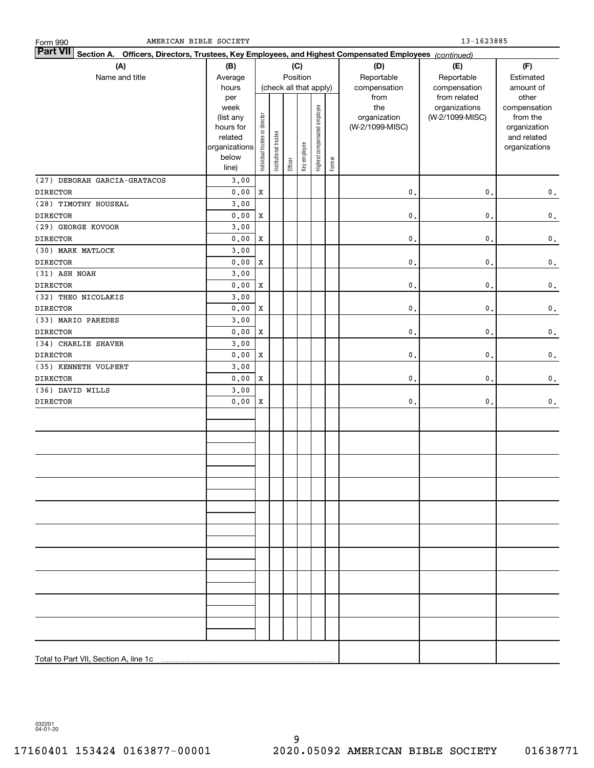| Form 990 |  |
|----------|--|
|          |  |

| <b>Part VII</b><br>Section A. Officers, Directors, Trustees, Key Employees, and Highest Compensated Employees (continued)<br>(C) |                                 |                                |                        |         |              |                              |        |                     |                                  |                          |  |  |
|----------------------------------------------------------------------------------------------------------------------------------|---------------------------------|--------------------------------|------------------------|---------|--------------|------------------------------|--------|---------------------|----------------------------------|--------------------------|--|--|
| (A)                                                                                                                              | (B)                             |                                | (D)                    | (E)     | (F)          |                              |        |                     |                                  |                          |  |  |
| Name and title                                                                                                                   | Average                         |                                |                        |         | Position     |                              |        | Reportable          | Reportable                       | Estimated                |  |  |
|                                                                                                                                  | hours                           |                                | (check all that apply) |         |              |                              |        | compensation        | compensation                     | amount of                |  |  |
|                                                                                                                                  | per                             |                                |                        |         |              |                              |        | from                | from related                     | other                    |  |  |
|                                                                                                                                  | week<br>(list any               |                                |                        |         |              |                              |        | the<br>organization | organizations<br>(W-2/1099-MISC) | compensation<br>from the |  |  |
|                                                                                                                                  | hours for                       |                                |                        |         |              |                              |        | (W-2/1099-MISC)     |                                  | organization             |  |  |
|                                                                                                                                  | related                         |                                |                        |         |              |                              |        |                     |                                  | and related              |  |  |
|                                                                                                                                  | organizations                   |                                |                        |         |              |                              |        |                     |                                  | organizations            |  |  |
|                                                                                                                                  | below                           | Individual trustee or director | Institutional trustee  |         | Key employee | Highest compensated employee | Former |                     |                                  |                          |  |  |
|                                                                                                                                  | line)                           |                                |                        | Officer |              |                              |        |                     |                                  |                          |  |  |
| (27) DEBORAH GARCIA-GRATACOS                                                                                                     | 3.00                            |                                |                        |         |              |                              |        |                     |                                  |                          |  |  |
| <b>DIRECTOR</b>                                                                                                                  | 0.00                            | $\mathbf x$                    |                        |         |              |                              |        | $\mathbf 0$ .       | $\mathbf{0}$ .                   | $\mathbf 0$ .            |  |  |
| (28) TIMOTHY HOUSEAL                                                                                                             | 3.00                            |                                |                        |         |              |                              |        |                     |                                  |                          |  |  |
| <b>DIRECTOR</b>                                                                                                                  | 0.00                            | $\mathbf x$                    |                        |         |              |                              |        | $\mathbf 0$ .       | $\mathbf{0}$ .                   | $\mathbf 0$ .            |  |  |
| (29) GEORGE KOVOOR                                                                                                               | 3.00                            |                                |                        |         |              |                              |        |                     |                                  |                          |  |  |
| <b>DIRECTOR</b>                                                                                                                  | ${\bf 0}$ , ${\bf 0}$ ${\bf 0}$ | $\mathbf x$                    |                        |         |              |                              |        | $\mathbf 0$ .       | $\mathbf{0}$ .                   | $\mathbf 0$ .            |  |  |
| (30) MARK MATLOCK                                                                                                                | 3.00                            |                                |                        |         |              |                              |        |                     |                                  |                          |  |  |
| <b>DIRECTOR</b>                                                                                                                  | ${\bf 0}$ , ${\bf 0}$ ${\bf 0}$ | $\mathbf x$                    |                        |         |              |                              |        | $\mathbf 0$ .       | $\mathbf{0}$ .                   | $\mathbf 0$ .            |  |  |
| (31) ASH NOAH                                                                                                                    | 3.00                            |                                |                        |         |              |                              |        |                     |                                  |                          |  |  |
| <b>DIRECTOR</b>                                                                                                                  | ${\bf 0}$ , ${\bf 0}$ ${\bf 0}$ | $\mathbf x$                    |                        |         |              |                              |        | $\mathbf{0}$ .      | $\mathbf{0}$ .                   | $\mathbf 0$ .            |  |  |
| (32) THEO NICOLAKIS                                                                                                              | 3.00                            |                                |                        |         |              |                              |        |                     |                                  |                          |  |  |
| <b>DIRECTOR</b>                                                                                                                  | 0.00                            | $\mathbf x$                    |                        |         |              |                              |        | $\mathbf{0}$ .      | $\mathbf{0}$ .                   | $\mathbf 0$ .            |  |  |
| (33) MARIO PAREDES                                                                                                               | 3.00                            |                                |                        |         |              |                              |        |                     |                                  |                          |  |  |
| <b>DIRECTOR</b>                                                                                                                  | 0.00                            | $\mathbf x$                    |                        |         |              |                              |        | $\mathbf{0}$ .      | $\mathbf{0}$ .                   | $\mathbf 0$ .            |  |  |
| (34) CHARLIE SHAVER                                                                                                              | 3.00                            |                                |                        |         |              |                              |        |                     |                                  |                          |  |  |
| <b>DIRECTOR</b>                                                                                                                  | 0.00                            | $\mathbf x$                    |                        |         |              |                              |        | $\mathbf{0}$ .      | $\mathbf{0}$ .                   | $\mathbf 0$ .            |  |  |
| (35) KENNETH VOLPERT                                                                                                             | 3.00                            |                                |                        |         |              |                              |        |                     |                                  |                          |  |  |
| <b>DIRECTOR</b>                                                                                                                  | ${\bf 0}$ , ${\bf 0}$ ${\bf 0}$ | $\mathbf x$                    |                        |         |              |                              |        | $\mathbf 0$ .       | $\mathbf{0}$ .                   | $\mathbf 0$ .            |  |  |
| (36) DAVID WILLS                                                                                                                 | 3.00                            |                                |                        |         |              |                              |        |                     |                                  |                          |  |  |
| <b>DIRECTOR</b>                                                                                                                  | ${\bf 0}$ , ${\bf 0}$ ${\bf 0}$ | $\mathbf x$                    |                        |         |              |                              |        | $\mathbf{0}$ .      | $\mathbf{0}$ .                   | $\mathbf 0$ .            |  |  |
|                                                                                                                                  |                                 |                                |                        |         |              |                              |        |                     |                                  |                          |  |  |
|                                                                                                                                  |                                 |                                |                        |         |              |                              |        |                     |                                  |                          |  |  |
|                                                                                                                                  |                                 |                                |                        |         |              |                              |        |                     |                                  |                          |  |  |
|                                                                                                                                  |                                 |                                |                        |         |              |                              |        |                     |                                  |                          |  |  |
|                                                                                                                                  |                                 |                                |                        |         |              |                              |        |                     |                                  |                          |  |  |
|                                                                                                                                  |                                 |                                |                        |         |              |                              |        |                     |                                  |                          |  |  |
|                                                                                                                                  |                                 |                                |                        |         |              |                              |        |                     |                                  |                          |  |  |
|                                                                                                                                  |                                 |                                |                        |         |              |                              |        |                     |                                  |                          |  |  |
|                                                                                                                                  |                                 |                                |                        |         |              |                              |        |                     |                                  |                          |  |  |
|                                                                                                                                  |                                 |                                |                        |         |              |                              |        |                     |                                  |                          |  |  |
|                                                                                                                                  |                                 |                                |                        |         |              |                              |        |                     |                                  |                          |  |  |
|                                                                                                                                  |                                 |                                |                        |         |              |                              |        |                     |                                  |                          |  |  |
|                                                                                                                                  |                                 |                                |                        |         |              |                              |        |                     |                                  |                          |  |  |
|                                                                                                                                  |                                 |                                |                        |         |              |                              |        |                     |                                  |                          |  |  |
|                                                                                                                                  |                                 |                                |                        |         |              |                              |        |                     |                                  |                          |  |  |
|                                                                                                                                  |                                 |                                |                        |         |              |                              |        |                     |                                  |                          |  |  |
|                                                                                                                                  |                                 |                                |                        |         |              |                              |        |                     |                                  |                          |  |  |
|                                                                                                                                  |                                 |                                |                        |         |              |                              |        |                     |                                  |                          |  |  |
|                                                                                                                                  |                                 |                                |                        |         |              |                              |        |                     |                                  |                          |  |  |
|                                                                                                                                  |                                 |                                |                        |         |              |                              |        |                     |                                  |                          |  |  |
|                                                                                                                                  |                                 |                                |                        |         |              |                              |        |                     |                                  |                          |  |  |
|                                                                                                                                  |                                 |                                |                        |         |              |                              |        |                     |                                  |                          |  |  |

032201 04-01-20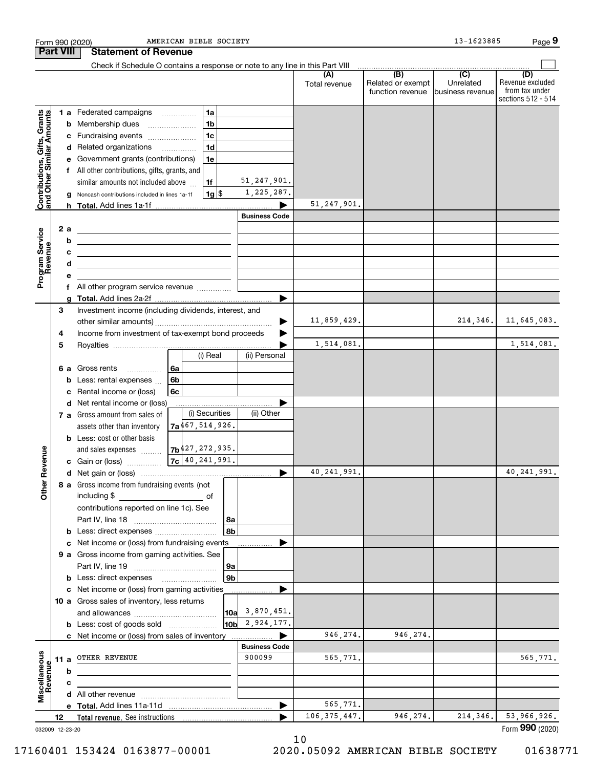| <b>Part VIII</b><br><b>Statement of Revenue</b><br>Check if Schedule O contains a response or note to any line in this Part VIII<br>$\begin{array}{c c c c c c} \hline \textbf{(B)} & \textbf{(C)} & \textbf{1} & \textbf{1} & \textbf{1} & \textbf{1} \\ \hline \end{array}$<br>(D)<br>(A)<br>Related or exempt<br>Unrelated<br>Total revenue<br>function revenue<br>business revenue<br>1a<br>1 a Federated campaigns<br><b>Contributions, Gifts, Grants</b><br>and Other Similar Amounts<br>1 <sub>b</sub><br><b>b</b> Membership dues<br>$\overline{\phantom{a}}$<br>1 <sub>c</sub><br>c Fundraising events<br>1 <sub>d</sub><br>d Related organizations<br>1e<br>e Government grants (contributions)<br>f All other contributions, gifts, grants, and<br>51, 247, 901.<br>similar amounts not included above<br>1f<br>1,225,287.<br> 1g <br>Noncash contributions included in lines 1a-1f<br>g<br>51, 247, 901.<br><b>Business Code</b><br>Program Service<br>Revenue<br>2a<br><u> 1989 - Johann Harry Harry Harry Harry Harry Harry Harry Harry Harry Harry Harry Harry Harry Harry Harry Harry</u><br>b<br><u> 1989 - Andrea State Barbara, amerikan personal di sebagai personal di sebagai personal di sebagai personal di</u><br>с<br><u> Alexander de la construcción de la construcción de la construcción de la construcción de la construcción de l</u><br>d<br>the control of the control of the control of the control of the control of the control of<br>е<br>f All other program service revenue<br>g<br>3<br>Investment income (including dividends, interest, and<br>11,859,429.<br>214, 346.<br>Income from investment of tax-exempt bond proceeds<br>4<br>1,514,081.<br>5<br>(i) Real<br>(ii) Personal<br>6a<br>6 a Gross rents<br>$\overline{\phantom{a}}$<br>6 <sub>b</sub><br><b>b</b> Less: rental expenses<br>Rental income or (loss)<br>6с<br>c<br>d Net rental income or (loss)<br>(i) Securities<br>(ii) Other<br>7 a Gross amount from sales of<br>7a467,514,926.<br>assets other than inventory<br><b>b</b> Less: cost or other basis<br>and sales expenses $7b^{427}$ , 272, 935.<br>evenue<br>$7c$ 40, 241, 991.<br>c Gain or (loss)<br>40, 241, 991.<br>40, 241, 991.<br>Other <sub>R</sub><br>8 a Gross income from fundraising events (not<br>including \$<br><u>of</u> of<br>contributions reported on line 1c). See<br>  8a<br>8b<br><b>b</b> Less: direct expenses <i>manually contained</i><br>c Net income or (loss) from fundraising events<br>9 a Gross income from gaming activities. See<br> 9a<br>9 <sub>b</sub><br><b>b</b> Less: direct expenses <b>manually</b><br>c Net income or (loss) from gaming activities<br>.<br>10 a Gross sales of inventory, less returns<br>$10a$ 3,870,451.<br>$10b \mid 2,924,177.$<br><b>b</b> Less: cost of goods sold<br>946, 274.<br>946, 274.<br>c Net income or (loss) from sales of inventory<br><b>Business Code</b><br>Miscellaneous<br>Revenue<br>900099<br>11 a OTHER REVENUE<br>565,771.<br>565,771.<br>b<br>c<br>565,771.<br>▶<br>53,966,926.<br>946,274.<br>214,346.<br>106, 375, 447.<br>12<br>032009 12-23-20 |  | AMERICAN BIBLE SOCIETY<br>Form 990 (2020) |  | 13-1623885 | Page 9                                                   |
|----------------------------------------------------------------------------------------------------------------------------------------------------------------------------------------------------------------------------------------------------------------------------------------------------------------------------------------------------------------------------------------------------------------------------------------------------------------------------------------------------------------------------------------------------------------------------------------------------------------------------------------------------------------------------------------------------------------------------------------------------------------------------------------------------------------------------------------------------------------------------------------------------------------------------------------------------------------------------------------------------------------------------------------------------------------------------------------------------------------------------------------------------------------------------------------------------------------------------------------------------------------------------------------------------------------------------------------------------------------------------------------------------------------------------------------------------------------------------------------------------------------------------------------------------------------------------------------------------------------------------------------------------------------------------------------------------------------------------------------------------------------------------------------------------------------------------------------------------------------------------------------------------------------------------------------------------------------------------------------------------------------------------------------------------------------------------------------------------------------------------------------------------------------------------------------------------------------------------------------------------------------------------------------------------------------------------------------------------------------------------------------------------------------------------------------------------------------------------------------------------------------------------------------------------------------------------------------------------------------------------------------------------------------------------------------------------------------------------------------------------------------------------------------------------------------------------------------------------------------------------------------------------------------------------------------------------------------------------------------------------------------------------------------------------------------------------------------------------------------|--|-------------------------------------------|--|------------|----------------------------------------------------------|
|                                                                                                                                                                                                                                                                                                                                                                                                                                                                                                                                                                                                                                                                                                                                                                                                                                                                                                                                                                                                                                                                                                                                                                                                                                                                                                                                                                                                                                                                                                                                                                                                                                                                                                                                                                                                                                                                                                                                                                                                                                                                                                                                                                                                                                                                                                                                                                                                                                                                                                                                                                                                                                                                                                                                                                                                                                                                                                                                                                                                                                                                                                                |  |                                           |  |            |                                                          |
|                                                                                                                                                                                                                                                                                                                                                                                                                                                                                                                                                                                                                                                                                                                                                                                                                                                                                                                                                                                                                                                                                                                                                                                                                                                                                                                                                                                                                                                                                                                                                                                                                                                                                                                                                                                                                                                                                                                                                                                                                                                                                                                                                                                                                                                                                                                                                                                                                                                                                                                                                                                                                                                                                                                                                                                                                                                                                                                                                                                                                                                                                                                |  |                                           |  |            |                                                          |
|                                                                                                                                                                                                                                                                                                                                                                                                                                                                                                                                                                                                                                                                                                                                                                                                                                                                                                                                                                                                                                                                                                                                                                                                                                                                                                                                                                                                                                                                                                                                                                                                                                                                                                                                                                                                                                                                                                                                                                                                                                                                                                                                                                                                                                                                                                                                                                                                                                                                                                                                                                                                                                                                                                                                                                                                                                                                                                                                                                                                                                                                                                                |  |                                           |  |            | Revenue excluded<br>from tax under<br>sections 512 - 514 |
|                                                                                                                                                                                                                                                                                                                                                                                                                                                                                                                                                                                                                                                                                                                                                                                                                                                                                                                                                                                                                                                                                                                                                                                                                                                                                                                                                                                                                                                                                                                                                                                                                                                                                                                                                                                                                                                                                                                                                                                                                                                                                                                                                                                                                                                                                                                                                                                                                                                                                                                                                                                                                                                                                                                                                                                                                                                                                                                                                                                                                                                                                                                |  |                                           |  |            |                                                          |
|                                                                                                                                                                                                                                                                                                                                                                                                                                                                                                                                                                                                                                                                                                                                                                                                                                                                                                                                                                                                                                                                                                                                                                                                                                                                                                                                                                                                                                                                                                                                                                                                                                                                                                                                                                                                                                                                                                                                                                                                                                                                                                                                                                                                                                                                                                                                                                                                                                                                                                                                                                                                                                                                                                                                                                                                                                                                                                                                                                                                                                                                                                                |  |                                           |  |            |                                                          |
|                                                                                                                                                                                                                                                                                                                                                                                                                                                                                                                                                                                                                                                                                                                                                                                                                                                                                                                                                                                                                                                                                                                                                                                                                                                                                                                                                                                                                                                                                                                                                                                                                                                                                                                                                                                                                                                                                                                                                                                                                                                                                                                                                                                                                                                                                                                                                                                                                                                                                                                                                                                                                                                                                                                                                                                                                                                                                                                                                                                                                                                                                                                |  |                                           |  |            |                                                          |
|                                                                                                                                                                                                                                                                                                                                                                                                                                                                                                                                                                                                                                                                                                                                                                                                                                                                                                                                                                                                                                                                                                                                                                                                                                                                                                                                                                                                                                                                                                                                                                                                                                                                                                                                                                                                                                                                                                                                                                                                                                                                                                                                                                                                                                                                                                                                                                                                                                                                                                                                                                                                                                                                                                                                                                                                                                                                                                                                                                                                                                                                                                                |  |                                           |  |            |                                                          |
|                                                                                                                                                                                                                                                                                                                                                                                                                                                                                                                                                                                                                                                                                                                                                                                                                                                                                                                                                                                                                                                                                                                                                                                                                                                                                                                                                                                                                                                                                                                                                                                                                                                                                                                                                                                                                                                                                                                                                                                                                                                                                                                                                                                                                                                                                                                                                                                                                                                                                                                                                                                                                                                                                                                                                                                                                                                                                                                                                                                                                                                                                                                |  |                                           |  |            |                                                          |
|                                                                                                                                                                                                                                                                                                                                                                                                                                                                                                                                                                                                                                                                                                                                                                                                                                                                                                                                                                                                                                                                                                                                                                                                                                                                                                                                                                                                                                                                                                                                                                                                                                                                                                                                                                                                                                                                                                                                                                                                                                                                                                                                                                                                                                                                                                                                                                                                                                                                                                                                                                                                                                                                                                                                                                                                                                                                                                                                                                                                                                                                                                                |  |                                           |  |            |                                                          |
|                                                                                                                                                                                                                                                                                                                                                                                                                                                                                                                                                                                                                                                                                                                                                                                                                                                                                                                                                                                                                                                                                                                                                                                                                                                                                                                                                                                                                                                                                                                                                                                                                                                                                                                                                                                                                                                                                                                                                                                                                                                                                                                                                                                                                                                                                                                                                                                                                                                                                                                                                                                                                                                                                                                                                                                                                                                                                                                                                                                                                                                                                                                |  |                                           |  |            |                                                          |
|                                                                                                                                                                                                                                                                                                                                                                                                                                                                                                                                                                                                                                                                                                                                                                                                                                                                                                                                                                                                                                                                                                                                                                                                                                                                                                                                                                                                                                                                                                                                                                                                                                                                                                                                                                                                                                                                                                                                                                                                                                                                                                                                                                                                                                                                                                                                                                                                                                                                                                                                                                                                                                                                                                                                                                                                                                                                                                                                                                                                                                                                                                                |  |                                           |  |            |                                                          |
|                                                                                                                                                                                                                                                                                                                                                                                                                                                                                                                                                                                                                                                                                                                                                                                                                                                                                                                                                                                                                                                                                                                                                                                                                                                                                                                                                                                                                                                                                                                                                                                                                                                                                                                                                                                                                                                                                                                                                                                                                                                                                                                                                                                                                                                                                                                                                                                                                                                                                                                                                                                                                                                                                                                                                                                                                                                                                                                                                                                                                                                                                                                |  |                                           |  |            |                                                          |
|                                                                                                                                                                                                                                                                                                                                                                                                                                                                                                                                                                                                                                                                                                                                                                                                                                                                                                                                                                                                                                                                                                                                                                                                                                                                                                                                                                                                                                                                                                                                                                                                                                                                                                                                                                                                                                                                                                                                                                                                                                                                                                                                                                                                                                                                                                                                                                                                                                                                                                                                                                                                                                                                                                                                                                                                                                                                                                                                                                                                                                                                                                                |  |                                           |  |            |                                                          |
|                                                                                                                                                                                                                                                                                                                                                                                                                                                                                                                                                                                                                                                                                                                                                                                                                                                                                                                                                                                                                                                                                                                                                                                                                                                                                                                                                                                                                                                                                                                                                                                                                                                                                                                                                                                                                                                                                                                                                                                                                                                                                                                                                                                                                                                                                                                                                                                                                                                                                                                                                                                                                                                                                                                                                                                                                                                                                                                                                                                                                                                                                                                |  |                                           |  |            |                                                          |
|                                                                                                                                                                                                                                                                                                                                                                                                                                                                                                                                                                                                                                                                                                                                                                                                                                                                                                                                                                                                                                                                                                                                                                                                                                                                                                                                                                                                                                                                                                                                                                                                                                                                                                                                                                                                                                                                                                                                                                                                                                                                                                                                                                                                                                                                                                                                                                                                                                                                                                                                                                                                                                                                                                                                                                                                                                                                                                                                                                                                                                                                                                                |  |                                           |  |            |                                                          |
|                                                                                                                                                                                                                                                                                                                                                                                                                                                                                                                                                                                                                                                                                                                                                                                                                                                                                                                                                                                                                                                                                                                                                                                                                                                                                                                                                                                                                                                                                                                                                                                                                                                                                                                                                                                                                                                                                                                                                                                                                                                                                                                                                                                                                                                                                                                                                                                                                                                                                                                                                                                                                                                                                                                                                                                                                                                                                                                                                                                                                                                                                                                |  |                                           |  |            |                                                          |
|                                                                                                                                                                                                                                                                                                                                                                                                                                                                                                                                                                                                                                                                                                                                                                                                                                                                                                                                                                                                                                                                                                                                                                                                                                                                                                                                                                                                                                                                                                                                                                                                                                                                                                                                                                                                                                                                                                                                                                                                                                                                                                                                                                                                                                                                                                                                                                                                                                                                                                                                                                                                                                                                                                                                                                                                                                                                                                                                                                                                                                                                                                                |  |                                           |  |            |                                                          |
|                                                                                                                                                                                                                                                                                                                                                                                                                                                                                                                                                                                                                                                                                                                                                                                                                                                                                                                                                                                                                                                                                                                                                                                                                                                                                                                                                                                                                                                                                                                                                                                                                                                                                                                                                                                                                                                                                                                                                                                                                                                                                                                                                                                                                                                                                                                                                                                                                                                                                                                                                                                                                                                                                                                                                                                                                                                                                                                                                                                                                                                                                                                |  |                                           |  |            |                                                          |
|                                                                                                                                                                                                                                                                                                                                                                                                                                                                                                                                                                                                                                                                                                                                                                                                                                                                                                                                                                                                                                                                                                                                                                                                                                                                                                                                                                                                                                                                                                                                                                                                                                                                                                                                                                                                                                                                                                                                                                                                                                                                                                                                                                                                                                                                                                                                                                                                                                                                                                                                                                                                                                                                                                                                                                                                                                                                                                                                                                                                                                                                                                                |  |                                           |  |            |                                                          |
|                                                                                                                                                                                                                                                                                                                                                                                                                                                                                                                                                                                                                                                                                                                                                                                                                                                                                                                                                                                                                                                                                                                                                                                                                                                                                                                                                                                                                                                                                                                                                                                                                                                                                                                                                                                                                                                                                                                                                                                                                                                                                                                                                                                                                                                                                                                                                                                                                                                                                                                                                                                                                                                                                                                                                                                                                                                                                                                                                                                                                                                                                                                |  |                                           |  |            |                                                          |
|                                                                                                                                                                                                                                                                                                                                                                                                                                                                                                                                                                                                                                                                                                                                                                                                                                                                                                                                                                                                                                                                                                                                                                                                                                                                                                                                                                                                                                                                                                                                                                                                                                                                                                                                                                                                                                                                                                                                                                                                                                                                                                                                                                                                                                                                                                                                                                                                                                                                                                                                                                                                                                                                                                                                                                                                                                                                                                                                                                                                                                                                                                                |  |                                           |  |            |                                                          |
|                                                                                                                                                                                                                                                                                                                                                                                                                                                                                                                                                                                                                                                                                                                                                                                                                                                                                                                                                                                                                                                                                                                                                                                                                                                                                                                                                                                                                                                                                                                                                                                                                                                                                                                                                                                                                                                                                                                                                                                                                                                                                                                                                                                                                                                                                                                                                                                                                                                                                                                                                                                                                                                                                                                                                                                                                                                                                                                                                                                                                                                                                                                |  |                                           |  |            | 11,645,083.                                              |
|                                                                                                                                                                                                                                                                                                                                                                                                                                                                                                                                                                                                                                                                                                                                                                                                                                                                                                                                                                                                                                                                                                                                                                                                                                                                                                                                                                                                                                                                                                                                                                                                                                                                                                                                                                                                                                                                                                                                                                                                                                                                                                                                                                                                                                                                                                                                                                                                                                                                                                                                                                                                                                                                                                                                                                                                                                                                                                                                                                                                                                                                                                                |  |                                           |  |            |                                                          |
|                                                                                                                                                                                                                                                                                                                                                                                                                                                                                                                                                                                                                                                                                                                                                                                                                                                                                                                                                                                                                                                                                                                                                                                                                                                                                                                                                                                                                                                                                                                                                                                                                                                                                                                                                                                                                                                                                                                                                                                                                                                                                                                                                                                                                                                                                                                                                                                                                                                                                                                                                                                                                                                                                                                                                                                                                                                                                                                                                                                                                                                                                                                |  |                                           |  |            | 1,514,081.                                               |
|                                                                                                                                                                                                                                                                                                                                                                                                                                                                                                                                                                                                                                                                                                                                                                                                                                                                                                                                                                                                                                                                                                                                                                                                                                                                                                                                                                                                                                                                                                                                                                                                                                                                                                                                                                                                                                                                                                                                                                                                                                                                                                                                                                                                                                                                                                                                                                                                                                                                                                                                                                                                                                                                                                                                                                                                                                                                                                                                                                                                                                                                                                                |  |                                           |  |            |                                                          |
|                                                                                                                                                                                                                                                                                                                                                                                                                                                                                                                                                                                                                                                                                                                                                                                                                                                                                                                                                                                                                                                                                                                                                                                                                                                                                                                                                                                                                                                                                                                                                                                                                                                                                                                                                                                                                                                                                                                                                                                                                                                                                                                                                                                                                                                                                                                                                                                                                                                                                                                                                                                                                                                                                                                                                                                                                                                                                                                                                                                                                                                                                                                |  |                                           |  |            |                                                          |
|                                                                                                                                                                                                                                                                                                                                                                                                                                                                                                                                                                                                                                                                                                                                                                                                                                                                                                                                                                                                                                                                                                                                                                                                                                                                                                                                                                                                                                                                                                                                                                                                                                                                                                                                                                                                                                                                                                                                                                                                                                                                                                                                                                                                                                                                                                                                                                                                                                                                                                                                                                                                                                                                                                                                                                                                                                                                                                                                                                                                                                                                                                                |  |                                           |  |            |                                                          |
|                                                                                                                                                                                                                                                                                                                                                                                                                                                                                                                                                                                                                                                                                                                                                                                                                                                                                                                                                                                                                                                                                                                                                                                                                                                                                                                                                                                                                                                                                                                                                                                                                                                                                                                                                                                                                                                                                                                                                                                                                                                                                                                                                                                                                                                                                                                                                                                                                                                                                                                                                                                                                                                                                                                                                                                                                                                                                                                                                                                                                                                                                                                |  |                                           |  |            |                                                          |
|                                                                                                                                                                                                                                                                                                                                                                                                                                                                                                                                                                                                                                                                                                                                                                                                                                                                                                                                                                                                                                                                                                                                                                                                                                                                                                                                                                                                                                                                                                                                                                                                                                                                                                                                                                                                                                                                                                                                                                                                                                                                                                                                                                                                                                                                                                                                                                                                                                                                                                                                                                                                                                                                                                                                                                                                                                                                                                                                                                                                                                                                                                                |  |                                           |  |            |                                                          |
|                                                                                                                                                                                                                                                                                                                                                                                                                                                                                                                                                                                                                                                                                                                                                                                                                                                                                                                                                                                                                                                                                                                                                                                                                                                                                                                                                                                                                                                                                                                                                                                                                                                                                                                                                                                                                                                                                                                                                                                                                                                                                                                                                                                                                                                                                                                                                                                                                                                                                                                                                                                                                                                                                                                                                                                                                                                                                                                                                                                                                                                                                                                |  |                                           |  |            |                                                          |
|                                                                                                                                                                                                                                                                                                                                                                                                                                                                                                                                                                                                                                                                                                                                                                                                                                                                                                                                                                                                                                                                                                                                                                                                                                                                                                                                                                                                                                                                                                                                                                                                                                                                                                                                                                                                                                                                                                                                                                                                                                                                                                                                                                                                                                                                                                                                                                                                                                                                                                                                                                                                                                                                                                                                                                                                                                                                                                                                                                                                                                                                                                                |  |                                           |  |            |                                                          |
|                                                                                                                                                                                                                                                                                                                                                                                                                                                                                                                                                                                                                                                                                                                                                                                                                                                                                                                                                                                                                                                                                                                                                                                                                                                                                                                                                                                                                                                                                                                                                                                                                                                                                                                                                                                                                                                                                                                                                                                                                                                                                                                                                                                                                                                                                                                                                                                                                                                                                                                                                                                                                                                                                                                                                                                                                                                                                                                                                                                                                                                                                                                |  |                                           |  |            |                                                          |
|                                                                                                                                                                                                                                                                                                                                                                                                                                                                                                                                                                                                                                                                                                                                                                                                                                                                                                                                                                                                                                                                                                                                                                                                                                                                                                                                                                                                                                                                                                                                                                                                                                                                                                                                                                                                                                                                                                                                                                                                                                                                                                                                                                                                                                                                                                                                                                                                                                                                                                                                                                                                                                                                                                                                                                                                                                                                                                                                                                                                                                                                                                                |  |                                           |  |            |                                                          |
|                                                                                                                                                                                                                                                                                                                                                                                                                                                                                                                                                                                                                                                                                                                                                                                                                                                                                                                                                                                                                                                                                                                                                                                                                                                                                                                                                                                                                                                                                                                                                                                                                                                                                                                                                                                                                                                                                                                                                                                                                                                                                                                                                                                                                                                                                                                                                                                                                                                                                                                                                                                                                                                                                                                                                                                                                                                                                                                                                                                                                                                                                                                |  |                                           |  |            |                                                          |
|                                                                                                                                                                                                                                                                                                                                                                                                                                                                                                                                                                                                                                                                                                                                                                                                                                                                                                                                                                                                                                                                                                                                                                                                                                                                                                                                                                                                                                                                                                                                                                                                                                                                                                                                                                                                                                                                                                                                                                                                                                                                                                                                                                                                                                                                                                                                                                                                                                                                                                                                                                                                                                                                                                                                                                                                                                                                                                                                                                                                                                                                                                                |  |                                           |  |            |                                                          |
|                                                                                                                                                                                                                                                                                                                                                                                                                                                                                                                                                                                                                                                                                                                                                                                                                                                                                                                                                                                                                                                                                                                                                                                                                                                                                                                                                                                                                                                                                                                                                                                                                                                                                                                                                                                                                                                                                                                                                                                                                                                                                                                                                                                                                                                                                                                                                                                                                                                                                                                                                                                                                                                                                                                                                                                                                                                                                                                                                                                                                                                                                                                |  |                                           |  |            |                                                          |
|                                                                                                                                                                                                                                                                                                                                                                                                                                                                                                                                                                                                                                                                                                                                                                                                                                                                                                                                                                                                                                                                                                                                                                                                                                                                                                                                                                                                                                                                                                                                                                                                                                                                                                                                                                                                                                                                                                                                                                                                                                                                                                                                                                                                                                                                                                                                                                                                                                                                                                                                                                                                                                                                                                                                                                                                                                                                                                                                                                                                                                                                                                                |  |                                           |  |            |                                                          |
|                                                                                                                                                                                                                                                                                                                                                                                                                                                                                                                                                                                                                                                                                                                                                                                                                                                                                                                                                                                                                                                                                                                                                                                                                                                                                                                                                                                                                                                                                                                                                                                                                                                                                                                                                                                                                                                                                                                                                                                                                                                                                                                                                                                                                                                                                                                                                                                                                                                                                                                                                                                                                                                                                                                                                                                                                                                                                                                                                                                                                                                                                                                |  |                                           |  |            |                                                          |
|                                                                                                                                                                                                                                                                                                                                                                                                                                                                                                                                                                                                                                                                                                                                                                                                                                                                                                                                                                                                                                                                                                                                                                                                                                                                                                                                                                                                                                                                                                                                                                                                                                                                                                                                                                                                                                                                                                                                                                                                                                                                                                                                                                                                                                                                                                                                                                                                                                                                                                                                                                                                                                                                                                                                                                                                                                                                                                                                                                                                                                                                                                                |  |                                           |  |            |                                                          |
|                                                                                                                                                                                                                                                                                                                                                                                                                                                                                                                                                                                                                                                                                                                                                                                                                                                                                                                                                                                                                                                                                                                                                                                                                                                                                                                                                                                                                                                                                                                                                                                                                                                                                                                                                                                                                                                                                                                                                                                                                                                                                                                                                                                                                                                                                                                                                                                                                                                                                                                                                                                                                                                                                                                                                                                                                                                                                                                                                                                                                                                                                                                |  |                                           |  |            |                                                          |
|                                                                                                                                                                                                                                                                                                                                                                                                                                                                                                                                                                                                                                                                                                                                                                                                                                                                                                                                                                                                                                                                                                                                                                                                                                                                                                                                                                                                                                                                                                                                                                                                                                                                                                                                                                                                                                                                                                                                                                                                                                                                                                                                                                                                                                                                                                                                                                                                                                                                                                                                                                                                                                                                                                                                                                                                                                                                                                                                                                                                                                                                                                                |  |                                           |  |            |                                                          |
|                                                                                                                                                                                                                                                                                                                                                                                                                                                                                                                                                                                                                                                                                                                                                                                                                                                                                                                                                                                                                                                                                                                                                                                                                                                                                                                                                                                                                                                                                                                                                                                                                                                                                                                                                                                                                                                                                                                                                                                                                                                                                                                                                                                                                                                                                                                                                                                                                                                                                                                                                                                                                                                                                                                                                                                                                                                                                                                                                                                                                                                                                                                |  |                                           |  |            |                                                          |
|                                                                                                                                                                                                                                                                                                                                                                                                                                                                                                                                                                                                                                                                                                                                                                                                                                                                                                                                                                                                                                                                                                                                                                                                                                                                                                                                                                                                                                                                                                                                                                                                                                                                                                                                                                                                                                                                                                                                                                                                                                                                                                                                                                                                                                                                                                                                                                                                                                                                                                                                                                                                                                                                                                                                                                                                                                                                                                                                                                                                                                                                                                                |  |                                           |  |            |                                                          |
|                                                                                                                                                                                                                                                                                                                                                                                                                                                                                                                                                                                                                                                                                                                                                                                                                                                                                                                                                                                                                                                                                                                                                                                                                                                                                                                                                                                                                                                                                                                                                                                                                                                                                                                                                                                                                                                                                                                                                                                                                                                                                                                                                                                                                                                                                                                                                                                                                                                                                                                                                                                                                                                                                                                                                                                                                                                                                                                                                                                                                                                                                                                |  |                                           |  |            |                                                          |
|                                                                                                                                                                                                                                                                                                                                                                                                                                                                                                                                                                                                                                                                                                                                                                                                                                                                                                                                                                                                                                                                                                                                                                                                                                                                                                                                                                                                                                                                                                                                                                                                                                                                                                                                                                                                                                                                                                                                                                                                                                                                                                                                                                                                                                                                                                                                                                                                                                                                                                                                                                                                                                                                                                                                                                                                                                                                                                                                                                                                                                                                                                                |  |                                           |  |            |                                                          |
|                                                                                                                                                                                                                                                                                                                                                                                                                                                                                                                                                                                                                                                                                                                                                                                                                                                                                                                                                                                                                                                                                                                                                                                                                                                                                                                                                                                                                                                                                                                                                                                                                                                                                                                                                                                                                                                                                                                                                                                                                                                                                                                                                                                                                                                                                                                                                                                                                                                                                                                                                                                                                                                                                                                                                                                                                                                                                                                                                                                                                                                                                                                |  |                                           |  |            |                                                          |
|                                                                                                                                                                                                                                                                                                                                                                                                                                                                                                                                                                                                                                                                                                                                                                                                                                                                                                                                                                                                                                                                                                                                                                                                                                                                                                                                                                                                                                                                                                                                                                                                                                                                                                                                                                                                                                                                                                                                                                                                                                                                                                                                                                                                                                                                                                                                                                                                                                                                                                                                                                                                                                                                                                                                                                                                                                                                                                                                                                                                                                                                                                                |  |                                           |  |            |                                                          |
|                                                                                                                                                                                                                                                                                                                                                                                                                                                                                                                                                                                                                                                                                                                                                                                                                                                                                                                                                                                                                                                                                                                                                                                                                                                                                                                                                                                                                                                                                                                                                                                                                                                                                                                                                                                                                                                                                                                                                                                                                                                                                                                                                                                                                                                                                                                                                                                                                                                                                                                                                                                                                                                                                                                                                                                                                                                                                                                                                                                                                                                                                                                |  |                                           |  |            |                                                          |
|                                                                                                                                                                                                                                                                                                                                                                                                                                                                                                                                                                                                                                                                                                                                                                                                                                                                                                                                                                                                                                                                                                                                                                                                                                                                                                                                                                                                                                                                                                                                                                                                                                                                                                                                                                                                                                                                                                                                                                                                                                                                                                                                                                                                                                                                                                                                                                                                                                                                                                                                                                                                                                                                                                                                                                                                                                                                                                                                                                                                                                                                                                                |  |                                           |  |            |                                                          |
|                                                                                                                                                                                                                                                                                                                                                                                                                                                                                                                                                                                                                                                                                                                                                                                                                                                                                                                                                                                                                                                                                                                                                                                                                                                                                                                                                                                                                                                                                                                                                                                                                                                                                                                                                                                                                                                                                                                                                                                                                                                                                                                                                                                                                                                                                                                                                                                                                                                                                                                                                                                                                                                                                                                                                                                                                                                                                                                                                                                                                                                                                                                |  |                                           |  |            |                                                          |
|                                                                                                                                                                                                                                                                                                                                                                                                                                                                                                                                                                                                                                                                                                                                                                                                                                                                                                                                                                                                                                                                                                                                                                                                                                                                                                                                                                                                                                                                                                                                                                                                                                                                                                                                                                                                                                                                                                                                                                                                                                                                                                                                                                                                                                                                                                                                                                                                                                                                                                                                                                                                                                                                                                                                                                                                                                                                                                                                                                                                                                                                                                                |  |                                           |  |            |                                                          |
|                                                                                                                                                                                                                                                                                                                                                                                                                                                                                                                                                                                                                                                                                                                                                                                                                                                                                                                                                                                                                                                                                                                                                                                                                                                                                                                                                                                                                                                                                                                                                                                                                                                                                                                                                                                                                                                                                                                                                                                                                                                                                                                                                                                                                                                                                                                                                                                                                                                                                                                                                                                                                                                                                                                                                                                                                                                                                                                                                                                                                                                                                                                |  |                                           |  |            |                                                          |
|                                                                                                                                                                                                                                                                                                                                                                                                                                                                                                                                                                                                                                                                                                                                                                                                                                                                                                                                                                                                                                                                                                                                                                                                                                                                                                                                                                                                                                                                                                                                                                                                                                                                                                                                                                                                                                                                                                                                                                                                                                                                                                                                                                                                                                                                                                                                                                                                                                                                                                                                                                                                                                                                                                                                                                                                                                                                                                                                                                                                                                                                                                                |  |                                           |  |            |                                                          |
|                                                                                                                                                                                                                                                                                                                                                                                                                                                                                                                                                                                                                                                                                                                                                                                                                                                                                                                                                                                                                                                                                                                                                                                                                                                                                                                                                                                                                                                                                                                                                                                                                                                                                                                                                                                                                                                                                                                                                                                                                                                                                                                                                                                                                                                                                                                                                                                                                                                                                                                                                                                                                                                                                                                                                                                                                                                                                                                                                                                                                                                                                                                |  |                                           |  |            |                                                          |
|                                                                                                                                                                                                                                                                                                                                                                                                                                                                                                                                                                                                                                                                                                                                                                                                                                                                                                                                                                                                                                                                                                                                                                                                                                                                                                                                                                                                                                                                                                                                                                                                                                                                                                                                                                                                                                                                                                                                                                                                                                                                                                                                                                                                                                                                                                                                                                                                                                                                                                                                                                                                                                                                                                                                                                                                                                                                                                                                                                                                                                                                                                                |  |                                           |  |            |                                                          |
|                                                                                                                                                                                                                                                                                                                                                                                                                                                                                                                                                                                                                                                                                                                                                                                                                                                                                                                                                                                                                                                                                                                                                                                                                                                                                                                                                                                                                                                                                                                                                                                                                                                                                                                                                                                                                                                                                                                                                                                                                                                                                                                                                                                                                                                                                                                                                                                                                                                                                                                                                                                                                                                                                                                                                                                                                                                                                                                                                                                                                                                                                                                |  |                                           |  |            | Form 990 (2020)                                          |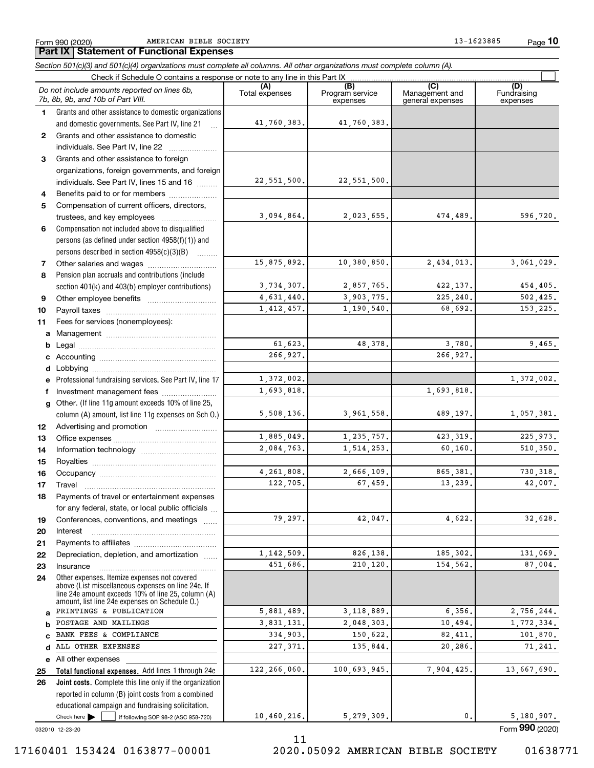Form 990 (2020) AMERICAN BIBLE SOCIETY 13-1623885 Page

**10**

#### Check here  $\bullet$  if following SOP 98-2 (ASC 958-720) **Total functional expenses.**  Add lines 1 through 24e **Joint costs.** Complete this line only if the organization **(A)**<br>Total expenses **(B) (C) (D) 1234567891011abcdefg12131415161718192021222324abcde2526***Section 501(c)(3) and 501(c)(4) organizations must complete all columns. All other organizations must complete column (A).* Grants and other assistance to domestic organizations and domestic governments. See Part IV, line 21 Compensation not included above to disqualified persons (as defined under section 4958(f)(1)) and persons described in section 4958(c)(3)(B) Pension plan accruals and contributions (include section 401(k) and 403(b) employer contributions) Professional fundraising services. See Part IV, line 17 Other. (If line 11g amount exceeds 10% of line 25, column (A) amount, list line 11g expenses on Sch O.) Other expenses. Itemize expenses not covered above (List miscellaneous expenses on line 24e. If line 24e amount exceeds 10% of line 25, column (A) amount, list line 24e expenses on Schedule O.) reported in column (B) joint costs from a combined educational campaign and fundraising solicitation. Check if Schedule O contains a response or note to any line in this Part IX (C) (C) (C) (C) (C) (C) Program service expensesManagement and general expenses Fundraising expensesGrants and other assistance to domestic individuals. See Part IV, line 22 .......... Grants and other assistance to foreign organizations, foreign governments, and foreign individuals. See Part IV, lines 15 and 16  $\ldots$ Benefits paid to or for members .................... Compensation of current officers, directors, trustees, and key employees ........................ Other salaries and wages .................... Other employee benefits ~~~~~~~~~~ Payroll taxes ~~~~~~~~~~~~~~~~ Fees for services (nonemployees): Management ~~~~~~~~~~~~~~~~ Legal ~~~~~~~~~~~~~~~~~~~~ Accounting ~~~~~~~~~~~~~~~~~ Lobbying ~~~~~~~~~~~~~~~~~~ lnvestment management fees ....................... Advertising and promotion www.communication Office expenses ~~~~~~~~~~~~~~~ Information technology ~~~~~~~~~~~ Royalties ~~~~~~~~~~~~~~~~~~ Occupancy ~~~~~~~~~~~~~~~~~ Travel ……………………………………………… Payments of travel or entertainment expenses for any federal, state, or local public officials ... Conferences, conventions, and meetings ...... InterestPayments to affiliates ~~~~~~~~~~~~ Depreciation, depletion, and amortization  $\,\,\ldots\,\,$ Insurance~~~~~~~~~~~~~~~~~All other expenses Check here  $\blacktriangleright$ *Do not include amounts reported on lines 6b, 7b, 8b, 9b, and 10b of Part VIII.*  $\mathcal{L}^{\text{max}}$ 41,760,383. 22,551,500. 3,094,864. 15,875,892. 3,734,307. 4,631,440. 1,412,457. 61,623. 266,927. 1,372,002. 5,508,136. 1,885,049. 2,084,763. 4,261,808. 122,705. 79,297. 1,142,509. 451,686. 5,881,489. 3,831,131. 334,903. 227,371. 122,266,060. 10,460,216. 1,693,818. 41,760,383. 22,551,500. 2,023,655. 474,489. 596,720. 10,380,850. 2,434,013. 3,061,029. 2,857,765. 422,137. 454,405. 3,903,775. 225,240. 502,425. 1,190,540. 68,692. 153,225. 48,378. 3,780. 9,465. 266,927. 1,372,002. 1,693,818. 3,961,558. 489,197. 1,057,381. 1,235,757. 423,319. 225,973. 1,514,253. 60,160. 510,350. 2,666,109. 865,381. 730,318. 67,459. 13,239. 42,007. 42,047. 4,622. 32,628. 826,138. 185,302. 185,302. 131,069. 210,120. 154,562. 87,004. 3,118,889. 6,356. 2,756,244. 2,048,303. 10,494. 1,772,334. 150,622. 82,411. 101,870. 135,844. 20,286. 71,241. 100,693,945. 7,904,425. 13,667,690. 5,279,309. 0. 5,180,907. PRINTINGS & PUBLICATION POSTAGE AND MAILINGS BANK FEES & COMPLIANCE ALL OTHER EXPENSES

032010 12-23-20

11

17160401 153424 0163877-00001 2020.05092 AMERICAN BIBLE SOCIETY 01638771

Form (2020) **990**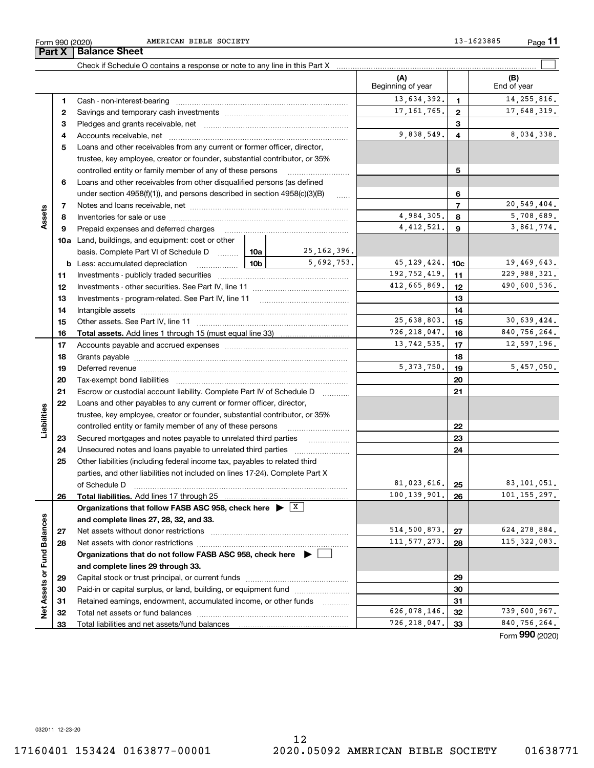|                            |    |                                                                                         |                 |                     | Beginning of year |                 | End of year    |
|----------------------------|----|-----------------------------------------------------------------------------------------|-----------------|---------------------|-------------------|-----------------|----------------|
|                            | 1  |                                                                                         |                 |                     | 13,634,392.       | $\mathbf{1}$    | 14, 255, 816.  |
|                            | 2  |                                                                                         |                 |                     | 17, 161, 765.     | $\mathbf{2}$    | 17,648,319.    |
|                            | 3  |                                                                                         |                 |                     |                   | 3               |                |
|                            | 4  |                                                                                         |                 |                     | 9,838,549.        | 4               | 8,034,338.     |
|                            | 5  | Loans and other receivables from any current or former officer, director,               |                 |                     |                   |                 |                |
|                            |    | trustee, key employee, creator or founder, substantial contributor, or 35%              |                 |                     |                   |                 |                |
|                            |    | controlled entity or family member of any of these persons                              |                 |                     |                   | 5               |                |
|                            | 6  | Loans and other receivables from other disqualified persons (as defined                 |                 |                     |                   |                 |                |
|                            |    | under section $4958(f)(1)$ , and persons described in section $4958(c)(3)(B)$           |                 | $\ldots$            |                   | 6               |                |
|                            | 7  |                                                                                         |                 |                     |                   | $\overline{7}$  | 20,549,404.    |
| Assets                     | 8  |                                                                                         |                 |                     | 4,984,305.        | 8               | 5,708,689.     |
|                            | 9  | Prepaid expenses and deferred charges                                                   |                 |                     | 4, 412, 521.      | 9               | 3,861,774.     |
|                            |    | <b>10a</b> Land, buildings, and equipment: cost or other                                |                 |                     |                   |                 |                |
|                            |    | basis. Complete Part VI of Schedule D  10a                                              |                 | 25, 162, 396.       |                   |                 |                |
|                            |    | <b>b</b> Less: accumulated depreciation                                                 | 10 <sub>b</sub> | 5,692,753.          | 45, 129, 424.     | 10 <sub>c</sub> | 19,469,643.    |
|                            | 11 |                                                                                         |                 |                     | 192,752,419.      | 11              | 229,988,321.   |
|                            | 12 |                                                                                         |                 |                     | 412,665,869.      | 12              | 490,600,536.   |
|                            | 13 |                                                                                         |                 |                     |                   | 13              |                |
|                            | 14 |                                                                                         |                 |                     |                   | 14              |                |
|                            | 15 |                                                                                         |                 | 25,638,803.         | 15                | 30,639,424.     |                |
|                            | 16 |                                                                                         |                 |                     | 726, 218, 047.    | 16              | 840, 756, 264. |
|                            | 17 |                                                                                         |                 |                     | 13,742,535.       | 17              | 12,597,196.    |
|                            | 18 |                                                                                         |                 |                     |                   | 18              |                |
|                            | 19 |                                                                                         |                 | 5, 373, 750.        | 19                | 5,457,050.      |                |
|                            | 20 |                                                                                         |                 | 20                  |                   |                 |                |
|                            | 21 | Escrow or custodial account liability. Complete Part IV of Schedule D                   |                 | 21                  |                   |                 |                |
|                            | 22 | Loans and other payables to any current or former officer, director,                    |                 |                     |                   |                 |                |
|                            |    | trustee, key employee, creator or founder, substantial contributor, or 35%              |                 |                     |                   |                 |                |
| Liabilities                |    | controlled entity or family member of any of these persons                              |                 |                     |                   | 22              |                |
|                            | 23 | Secured mortgages and notes payable to unrelated third parties                          |                 |                     | 23                |                 |                |
|                            | 24 |                                                                                         |                 | 24                  |                   |                 |                |
|                            | 25 | Other liabilities (including federal income tax, payables to related third              |                 |                     |                   |                 |                |
|                            |    | parties, and other liabilities not included on lines 17-24). Complete Part X            |                 |                     |                   |                 |                |
|                            |    | of Schedule D                                                                           |                 |                     | 81,023,616.       | 25              | 83,101,051.    |
|                            | 26 |                                                                                         |                 |                     | 100, 139, 901.    | 26              | 101, 155, 297. |
|                            |    | Organizations that follow FASB ASC 958, check here $\triangleright$ $\lfloor x \rfloor$ |                 |                     |                   |                 |                |
| w                          |    | and complete lines 27, 28, 32, and 33.                                                  |                 |                     |                   |                 |                |
|                            | 27 | Net assets without donor restrictions                                                   |                 |                     | 514,500,873.      | 27              | 624, 278, 884. |
|                            | 28 |                                                                                         |                 |                     | 111, 577, 273.    | 28              | 115, 322, 083. |
|                            |    | Organizations that do not follow FASB ASC 958, check here $\blacktriangleright$         |                 |                     |                   |                 |                |
|                            |    | and complete lines 29 through 33.                                                       |                 |                     |                   |                 |                |
| Net Assets or Fund Balance | 29 |                                                                                         |                 |                     |                   | 29              |                |
|                            | 30 | Paid-in or capital surplus, or land, building, or equipment fund                        |                 |                     |                   | 30              |                |
|                            | 31 | Retained earnings, endowment, accumulated income, or other funds                        |                 |                     |                   | 31              |                |
|                            | 32 |                                                                                         |                 | 1.1.1.1.1.1.1.1.1.1 | 626,078,146.      | 32              | 739,600,967.   |
|                            | 33 |                                                                                         |                 |                     | 726, 218, 047.    | 33              | 840,756,264.   |
|                            |    |                                                                                         |                 |                     |                   |                 |                |

Check if Schedule O contains a response or note to any line in this Part X

Form 990 (2020) AMERICAN BIBLE SOCIETY 13-1623885 Page

**(B)**

**(A)**

 $\mathcal{L}^{\text{max}}$ 

Form (2020) **990**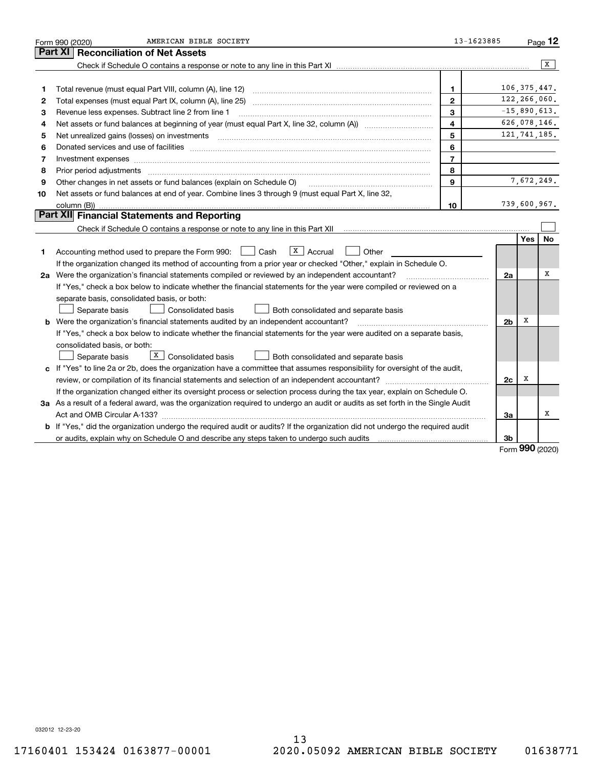|    | AMERICAN BIBLE SOCIETY<br>Form 990 (2020)                                                                                            | 13-1623885              |                |                | $P_{\text{aqe}}$ 12 |
|----|--------------------------------------------------------------------------------------------------------------------------------------|-------------------------|----------------|----------------|---------------------|
|    | <b>Part XI</b><br><b>Reconciliation of Net Assets</b>                                                                                |                         |                |                |                     |
|    |                                                                                                                                      |                         |                |                | x                   |
|    |                                                                                                                                      |                         |                |                |                     |
| 1  | Total revenue (must equal Part VIII, column (A), line 12)                                                                            | 1                       |                | 106, 375, 447. |                     |
| 2  |                                                                                                                                      | $\mathbf{2}$            |                | 122,266,060.   |                     |
| З  | Revenue less expenses. Subtract line 2 from line 1                                                                                   | 3                       |                | $-15,890,613.$ |                     |
| 4  |                                                                                                                                      | $\overline{\mathbf{4}}$ |                | 626,078,146.   |                     |
| 5  | Net unrealized gains (losses) on investments                                                                                         | 5                       |                | 121, 741, 185. |                     |
| 6  |                                                                                                                                      | 6                       |                |                |                     |
| 7  | Investment expenses www.communication.com/www.communication.com/www.communication.com/www.com                                        | $\overline{7}$          |                |                |                     |
| 8  | Prior period adjustments                                                                                                             | 8                       |                |                |                     |
| 9  | Other changes in net assets or fund balances (explain on Schedule O)                                                                 | $\mathbf{Q}$            |                | 7,672,249.     |                     |
| 10 | Net assets or fund balances at end of year. Combine lines 3 through 9 (must equal Part X, line 32,                                   |                         |                |                |                     |
|    | column (B))                                                                                                                          | 10                      |                | 739,600,967.   |                     |
|    | Part XII Financial Statements and Reporting                                                                                          |                         |                |                |                     |
|    |                                                                                                                                      |                         |                |                |                     |
|    |                                                                                                                                      |                         |                | Yes            | No                  |
| 1  | $X \vert$ Accrual<br>Accounting method used to prepare the Form 990: <u>II</u> Cash<br>Other                                         |                         |                |                |                     |
|    | If the organization changed its method of accounting from a prior year or checked "Other," explain in Schedule O.                    |                         |                |                |                     |
|    | 2a Were the organization's financial statements compiled or reviewed by an independent accountant?                                   |                         | 2a             |                | x                   |
|    | If "Yes," check a box below to indicate whether the financial statements for the year were compiled or reviewed on a                 |                         |                |                |                     |
|    | separate basis, consolidated basis, or both:                                                                                         |                         |                |                |                     |
|    | Separate basis<br>Consolidated basis<br>Both consolidated and separate basis                                                         |                         |                |                |                     |
|    | <b>b</b> Were the organization's financial statements audited by an independent accountant?                                          |                         | 2 <sub>b</sub> | х              |                     |
|    | If "Yes," check a box below to indicate whether the financial statements for the year were audited on a separate basis,              |                         |                |                |                     |
|    | consolidated basis, or both:                                                                                                         |                         |                |                |                     |
|    | $X$ Consolidated basis<br>Separate basis<br>Both consolidated and separate basis                                                     |                         |                |                |                     |
|    | c If "Yes" to line 2a or 2b, does the organization have a committee that assumes responsibility for oversight of the audit,          |                         |                |                |                     |
|    |                                                                                                                                      |                         | 2c             | х              |                     |
|    | If the organization changed either its oversight process or selection process during the tax year, explain on Schedule O.            |                         |                |                |                     |
|    | 3a As a result of a federal award, was the organization required to undergo an audit or audits as set forth in the Single Audit      |                         |                |                |                     |
|    |                                                                                                                                      |                         | За             |                | х                   |
|    | <b>b</b> If "Yes," did the organization undergo the required audit or audits? If the organization did not undergo the required audit |                         |                |                |                     |
|    |                                                                                                                                      |                         | 3b             | $\Omega$       |                     |

Form (2020) **990**

032012 12-23-20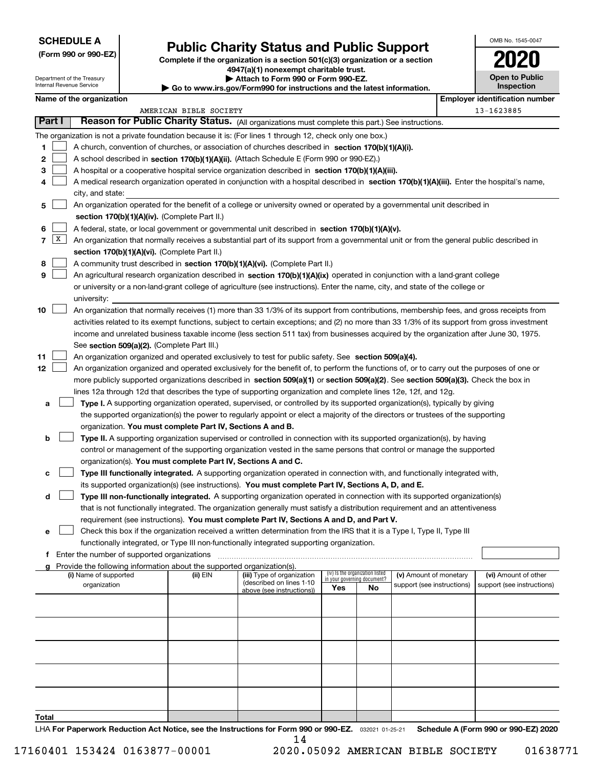| <b>SCHEDULE A</b> |  |
|-------------------|--|
|-------------------|--|

Department of the Treasury Internal Revenue Service

**(Form 990 or 990-EZ)**

# **Public Charity Status and Public Support**

**Complete if the organization is a section 501(c)(3) organization or a section 4947(a)(1) nonexempt charitable trust. | Attach to Form 990 or Form 990-EZ.** 

| Go to www.irs.gov/Form990 for instructions and the latest information. |  |  |  |  |  |  |  |  |  |  |  |  |  |  |  |  |  |  |  |  |  |  |  |  |  |  |  |  |  |  |
|------------------------------------------------------------------------|--|--|--|--|--|--|--|--|--|--|--|--|--|--|--|--|--|--|--|--|--|--|--|--|--|--|--|--|--|--|
|------------------------------------------------------------------------|--|--|--|--|--|--|--|--|--|--|--|--|--|--|--|--|--|--|--|--|--|--|--|--|--|--|--|--|--|--|

| OMB No. 1545-0047     |
|-----------------------|
| 2020                  |
| <b>Open to Public</b> |

**Inspection**

|                |        | Name of the organization                                                                                                                     |                        |                                                        |                             |                                 |                                                      | <b>Employer identification number</b>              |
|----------------|--------|----------------------------------------------------------------------------------------------------------------------------------------------|------------------------|--------------------------------------------------------|-----------------------------|---------------------------------|------------------------------------------------------|----------------------------------------------------|
|                |        |                                                                                                                                              | AMERICAN BIBLE SOCIETY | 13-1623885                                             |                             |                                 |                                                      |                                                    |
|                | Part I | Reason for Public Charity Status. (All organizations must complete this part.) See instructions.                                             |                        |                                                        |                             |                                 |                                                      |                                                    |
|                |        | The organization is not a private foundation because it is: (For lines 1 through 12, check only one box.)                                    |                        |                                                        |                             |                                 |                                                      |                                                    |
| 1              |        | A church, convention of churches, or association of churches described in section $170(b)(1)(A)(i)$ .                                        |                        |                                                        |                             |                                 |                                                      |                                                    |
| 2              |        | A school described in section 170(b)(1)(A)(ii). (Attach Schedule E (Form 990 or 990-EZ).)                                                    |                        |                                                        |                             |                                 |                                                      |                                                    |
| з              |        | A hospital or a cooperative hospital service organization described in section 170(b)(1)(A)(iii).                                            |                        |                                                        |                             |                                 |                                                      |                                                    |
| 4              |        | A medical research organization operated in conjunction with a hospital described in section 170(b)(1)(A)(iii). Enter the hospital's name,   |                        |                                                        |                             |                                 |                                                      |                                                    |
|                |        | city, and state:                                                                                                                             |                        |                                                        |                             |                                 |                                                      |                                                    |
| 5              |        | An organization operated for the benefit of a college or university owned or operated by a governmental unit described in                    |                        |                                                        |                             |                                 |                                                      |                                                    |
|                |        | section 170(b)(1)(A)(iv). (Complete Part II.)                                                                                                |                        |                                                        |                             |                                 |                                                      |                                                    |
| 6              |        | A federal, state, or local government or governmental unit described in section 170(b)(1)(A)(v).                                             |                        |                                                        |                             |                                 |                                                      |                                                    |
| $\overline{7}$ | X      | An organization that normally receives a substantial part of its support from a governmental unit or from the general public described in    |                        |                                                        |                             |                                 |                                                      |                                                    |
|                |        | section 170(b)(1)(A)(vi). (Complete Part II.)                                                                                                |                        |                                                        |                             |                                 |                                                      |                                                    |
| 8              |        | A community trust described in section 170(b)(1)(A)(vi). (Complete Part II.)                                                                 |                        |                                                        |                             |                                 |                                                      |                                                    |
| 9              |        | An agricultural research organization described in section 170(b)(1)(A)(ix) operated in conjunction with a land-grant college                |                        |                                                        |                             |                                 |                                                      |                                                    |
|                |        | or university or a non-land-grant college of agriculture (see instructions). Enter the name, city, and state of the college or               |                        |                                                        |                             |                                 |                                                      |                                                    |
|                |        | university:                                                                                                                                  |                        |                                                        |                             |                                 |                                                      |                                                    |
| 10             |        | An organization that normally receives (1) more than 33 1/3% of its support from contributions, membership fees, and gross receipts from     |                        |                                                        |                             |                                 |                                                      |                                                    |
|                |        | activities related to its exempt functions, subject to certain exceptions; and (2) no more than 33 1/3% of its support from gross investment |                        |                                                        |                             |                                 |                                                      |                                                    |
|                |        | income and unrelated business taxable income (less section 511 tax) from businesses acquired by the organization after June 30, 1975.        |                        |                                                        |                             |                                 |                                                      |                                                    |
|                |        | See section 509(a)(2). (Complete Part III.)                                                                                                  |                        |                                                        |                             |                                 |                                                      |                                                    |
| 11             |        | An organization organized and operated exclusively to test for public safety. See section 509(a)(4).                                         |                        |                                                        |                             |                                 |                                                      |                                                    |
| 12             |        | An organization organized and operated exclusively for the benefit of, to perform the functions of, or to carry out the purposes of one or   |                        |                                                        |                             |                                 |                                                      |                                                    |
|                |        |                                                                                                                                              |                        |                                                        |                             |                                 |                                                      |                                                    |
|                |        | more publicly supported organizations described in section 509(a)(1) or section 509(a)(2). See section 509(a)(3). Check the box in           |                        |                                                        |                             |                                 |                                                      |                                                    |
|                |        | lines 12a through 12d that describes the type of supporting organization and complete lines 12e, 12f, and 12g.                               |                        |                                                        |                             |                                 |                                                      |                                                    |
| a              |        | Type I. A supporting organization operated, supervised, or controlled by its supported organization(s), typically by giving                  |                        |                                                        |                             |                                 |                                                      |                                                    |
|                |        | the supported organization(s) the power to regularly appoint or elect a majority of the directors or trustees of the supporting              |                        |                                                        |                             |                                 |                                                      |                                                    |
|                |        | organization. You must complete Part IV, Sections A and B.                                                                                   |                        |                                                        |                             |                                 |                                                      |                                                    |
| b              |        | Type II. A supporting organization supervised or controlled in connection with its supported organization(s), by having                      |                        |                                                        |                             |                                 |                                                      |                                                    |
|                |        | control or management of the supporting organization vested in the same persons that control or manage the supported                         |                        |                                                        |                             |                                 |                                                      |                                                    |
|                |        | organization(s). You must complete Part IV, Sections A and C.                                                                                |                        |                                                        |                             |                                 |                                                      |                                                    |
| c              |        | Type III functionally integrated. A supporting organization operated in connection with, and functionally integrated with,                   |                        |                                                        |                             |                                 |                                                      |                                                    |
|                |        | its supported organization(s) (see instructions). You must complete Part IV, Sections A, D, and E.                                           |                        |                                                        |                             |                                 |                                                      |                                                    |
| d              |        | Type III non-functionally integrated. A supporting organization operated in connection with its supported organization(s)                    |                        |                                                        |                             |                                 |                                                      |                                                    |
|                |        | that is not functionally integrated. The organization generally must satisfy a distribution requirement and an attentiveness                 |                        |                                                        |                             |                                 |                                                      |                                                    |
|                |        | requirement (see instructions). You must complete Part IV, Sections A and D, and Part V.                                                     |                        |                                                        |                             |                                 |                                                      |                                                    |
|                |        | Check this box if the organization received a written determination from the IRS that it is a Type I, Type II, Type III                      |                        |                                                        |                             |                                 |                                                      |                                                    |
|                |        | functionally integrated, or Type III non-functionally integrated supporting organization.                                                    |                        |                                                        |                             |                                 |                                                      |                                                    |
|                |        | <b>f</b> Enter the number of supported organizations                                                                                         |                        |                                                        |                             |                                 |                                                      |                                                    |
|                |        | Provide the following information about the supported organization(s).                                                                       |                        |                                                        |                             | (iv) Is the organization listed |                                                      |                                                    |
|                |        | (i) Name of supported<br>organization                                                                                                        | (ii) EIN               | (iii) Type of organization<br>(described on lines 1-10 | in your governing document? |                                 | (v) Amount of monetary<br>support (see instructions) | (vi) Amount of other<br>support (see instructions) |
|                |        |                                                                                                                                              |                        | above (see instructions))                              | Yes                         | No                              |                                                      |                                                    |
|                |        |                                                                                                                                              |                        |                                                        |                             |                                 |                                                      |                                                    |
|                |        |                                                                                                                                              |                        |                                                        |                             |                                 |                                                      |                                                    |
|                |        |                                                                                                                                              |                        |                                                        |                             |                                 |                                                      |                                                    |
|                |        |                                                                                                                                              |                        |                                                        |                             |                                 |                                                      |                                                    |
|                |        |                                                                                                                                              |                        |                                                        |                             |                                 |                                                      |                                                    |
|                |        |                                                                                                                                              |                        |                                                        |                             |                                 |                                                      |                                                    |
|                |        |                                                                                                                                              |                        |                                                        |                             |                                 |                                                      |                                                    |
|                |        |                                                                                                                                              |                        |                                                        |                             |                                 |                                                      |                                                    |
|                |        |                                                                                                                                              |                        |                                                        |                             |                                 |                                                      |                                                    |
|                |        |                                                                                                                                              |                        |                                                        |                             |                                 |                                                      |                                                    |
| Total          |        |                                                                                                                                              |                        |                                                        |                             |                                 |                                                      |                                                    |
|                |        | LHA For Paperwork Reduction Act Notice, see the Instructions for Form 990 or 990-EZ. 032021 01-25-21                                         |                        |                                                        |                             |                                 |                                                      | Schedule A (Form 990 or 990-EZ) 2020               |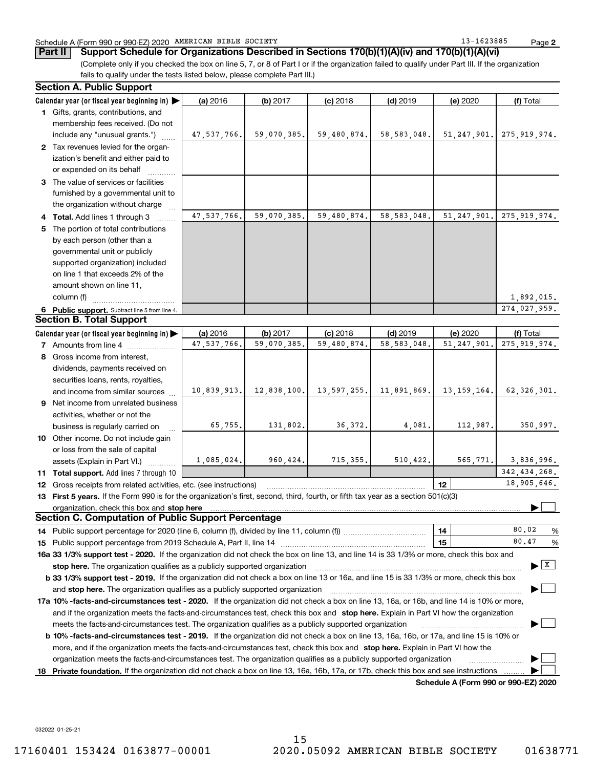#### Schedule A (Form 990 or 990-EZ) 2020 Page AMERICAN BIBLE SOCIETY 13-1623885

**2**

**Part II Support Schedule for Organizations Described in Sections 170(b)(1)(A)(iv) and 170(b)(1)(A)(vi)**

(Complete only if you checked the box on line 5, 7, or 8 of Part I or if the organization failed to qualify under Part III. If the organization fails to qualify under the tests listed below, please complete Part III.)

|    | <b>Section A. Public Support</b>                                                                                                                                                                                       |             |             |             |               |                                      |                                       |
|----|------------------------------------------------------------------------------------------------------------------------------------------------------------------------------------------------------------------------|-------------|-------------|-------------|---------------|--------------------------------------|---------------------------------------|
|    | Calendar year (or fiscal year beginning in)                                                                                                                                                                            | (a) 2016    | (b) 2017    | $(c)$ 2018  | $(d)$ 2019    | (e) 2020                             | (f) Total                             |
|    | 1 Gifts, grants, contributions, and                                                                                                                                                                                    |             |             |             |               |                                      |                                       |
|    | membership fees received. (Do not<br>include any "unusual grants.")                                                                                                                                                    | 47,537,766. | 59,070,385. | 59,480,874. | 58, 583, 048. |                                      | 51, 247, 901.   275, 919, 974.        |
|    | 2 Tax revenues levied for the organ-                                                                                                                                                                                   |             |             |             |               |                                      |                                       |
|    | ization's benefit and either paid to                                                                                                                                                                                   |             |             |             |               |                                      |                                       |
|    | or expended on its behalf                                                                                                                                                                                              |             |             |             |               |                                      |                                       |
|    | 3 The value of services or facilities                                                                                                                                                                                  |             |             |             |               |                                      |                                       |
|    | furnished by a governmental unit to                                                                                                                                                                                    |             |             |             |               |                                      |                                       |
|    | the organization without charge                                                                                                                                                                                        |             |             |             |               |                                      |                                       |
|    | 4 Total. Add lines 1 through 3                                                                                                                                                                                         | 47,537,766. | 59,070,385. | 59,480,874. | 58, 583, 048. | 51, 247, 901.                        | 275, 919, 974.                        |
| 5. | The portion of total contributions                                                                                                                                                                                     |             |             |             |               |                                      |                                       |
|    | by each person (other than a                                                                                                                                                                                           |             |             |             |               |                                      |                                       |
|    | governmental unit or publicly                                                                                                                                                                                          |             |             |             |               |                                      |                                       |
|    | supported organization) included                                                                                                                                                                                       |             |             |             |               |                                      |                                       |
|    | on line 1 that exceeds 2% of the                                                                                                                                                                                       |             |             |             |               |                                      |                                       |
|    | amount shown on line 11,                                                                                                                                                                                               |             |             |             |               |                                      |                                       |
|    | column (f)                                                                                                                                                                                                             |             |             |             |               |                                      | 1,892,015.                            |
|    | 6 Public support. Subtract line 5 from line 4.                                                                                                                                                                         |             |             |             |               |                                      | 274,027,959.                          |
|    | <b>Section B. Total Support</b>                                                                                                                                                                                        |             |             |             |               |                                      |                                       |
|    | Calendar year (or fiscal year beginning in)                                                                                                                                                                            | (a) 2016    | (b) 2017    | $(c)$ 2018  | $(d)$ 2019    | (e) 2020                             | (f) Total                             |
|    | <b>7</b> Amounts from line 4                                                                                                                                                                                           | 47,537,766. | 59,070,385. | 59,480,874. | 58, 583, 048. | 51, 247, 901.                        | 275, 919, 974.                        |
|    | 8 Gross income from interest,                                                                                                                                                                                          |             |             |             |               |                                      |                                       |
|    | dividends, payments received on                                                                                                                                                                                        |             |             |             |               |                                      |                                       |
|    | securities loans, rents, royalties,                                                                                                                                                                                    |             |             |             |               |                                      |                                       |
|    | and income from similar sources                                                                                                                                                                                        | 10,839,913. | 12,838,100. | 13,597,255. | 11,891,869.   | 13, 159, 164.                        | 62, 326, 301.                         |
|    | 9 Net income from unrelated business                                                                                                                                                                                   |             |             |             |               |                                      |                                       |
|    | activities, whether or not the                                                                                                                                                                                         |             |             |             |               |                                      |                                       |
|    | business is regularly carried on                                                                                                                                                                                       | 65,755.     | 131,802.    | 36,372.     | 4,081.        | 112,987.                             | 350,997.                              |
|    | 10 Other income. Do not include gain                                                                                                                                                                                   |             |             |             |               |                                      |                                       |
|    | or loss from the sale of capital                                                                                                                                                                                       |             |             |             |               |                                      |                                       |
|    | assets (Explain in Part VI.)                                                                                                                                                                                           | 1,085,024.  | 960,424.    | 715, 355.   | 510, 422.     | 565, 771.                            | 3,836,996.                            |
|    | 11 Total support. Add lines 7 through 10                                                                                                                                                                               |             |             |             |               |                                      | 342, 434, 268.                        |
|    | 12 Gross receipts from related activities, etc. (see instructions)                                                                                                                                                     |             |             |             |               | 12                                   | 18,905,646.                           |
|    | 13 First 5 years. If the Form 990 is for the organization's first, second, third, fourth, or fifth tax year as a section 501(c)(3)                                                                                     |             |             |             |               |                                      |                                       |
|    | organization, check this box and stop here<br><b>Section C. Computation of Public Support Percentage</b>                                                                                                               |             |             |             |               |                                      |                                       |
|    |                                                                                                                                                                                                                        |             |             |             |               |                                      | 80.02                                 |
|    |                                                                                                                                                                                                                        |             |             |             |               | 14                                   | %<br>80.47                            |
|    | 16a 33 1/3% support test - 2020. If the organization did not check the box on line 13, and line 14 is 33 1/3% or more, check this box and                                                                              |             |             |             |               | 15                                   | %                                     |
|    |                                                                                                                                                                                                                        |             |             |             |               |                                      | $\blacktriangleright$ $\mid$ X $\mid$ |
|    | stop here. The organization qualifies as a publicly supported organization<br>b 33 1/3% support test - 2019. If the organization did not check a box on line 13 or 16a, and line 15 is 33 1/3% or more, check this box |             |             |             |               |                                      |                                       |
|    | and stop here. The organization qualifies as a publicly supported organization                                                                                                                                         |             |             |             |               |                                      |                                       |
|    | 17a 10% -facts-and-circumstances test - 2020. If the organization did not check a box on line 13, 16a, or 16b, and line 14 is 10% or more,                                                                             |             |             |             |               |                                      |                                       |
|    | and if the organization meets the facts-and-circumstances test, check this box and stop here. Explain in Part VI how the organization                                                                                  |             |             |             |               |                                      |                                       |
|    | meets the facts-and-circumstances test. The organization qualifies as a publicly supported organization                                                                                                                |             |             |             |               |                                      |                                       |
|    | <b>b 10% -facts-and-circumstances test - 2019.</b> If the organization did not check a box on line 13, 16a, 16b, or 17a, and line 15 is 10% or                                                                         |             |             |             |               |                                      |                                       |
|    | more, and if the organization meets the facts-and-circumstances test, check this box and stop here. Explain in Part VI how the                                                                                         |             |             |             |               |                                      |                                       |
|    | organization meets the facts-and-circumstances test. The organization qualifies as a publicly supported organization                                                                                                   |             |             |             |               |                                      |                                       |
| 18 | Private foundation. If the organization did not check a box on line 13, 16a, 16b, 17a, or 17b, check this box and see instructions                                                                                     |             |             |             |               |                                      |                                       |
|    |                                                                                                                                                                                                                        |             |             |             |               | Schedule A (Form 990 or 990-EZ) 2020 |                                       |

032022 01-25-21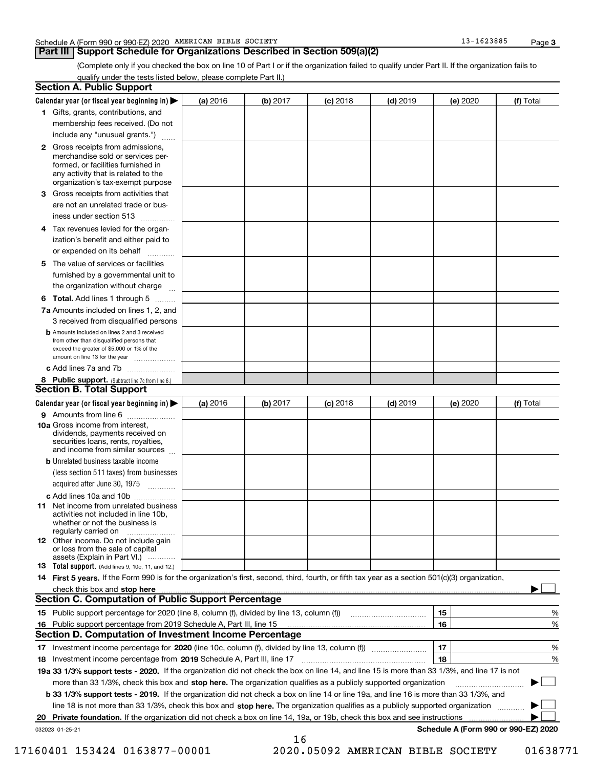### **Part III Support Schedule for Organizations Described in Section 509(a)(2)**

**3**

(Complete only if you checked the box on line 10 of Part I or if the organization failed to qualify under Part II. If the organization fails to qualify under the tests listed below, please complete Part II.)

|     | <b>Section A. Public Support</b>                                                                                                                                                                                               |          |          |                 |            |          |                                      |
|-----|--------------------------------------------------------------------------------------------------------------------------------------------------------------------------------------------------------------------------------|----------|----------|-----------------|------------|----------|--------------------------------------|
|     | Calendar year (or fiscal year beginning in) $\blacktriangleright$                                                                                                                                                              | (a) 2016 | (b) 2017 | <b>(c)</b> 2018 | $(d)$ 2019 | (e) 2020 | (f) Total                            |
|     | 1 Gifts, grants, contributions, and                                                                                                                                                                                            |          |          |                 |            |          |                                      |
|     | membership fees received. (Do not                                                                                                                                                                                              |          |          |                 |            |          |                                      |
|     | include any "unusual grants.")                                                                                                                                                                                                 |          |          |                 |            |          |                                      |
|     | <b>2</b> Gross receipts from admissions,<br>merchandise sold or services per-<br>formed, or facilities furnished in<br>any activity that is related to the<br>organization's tax-exempt purpose                                |          |          |                 |            |          |                                      |
|     | 3 Gross receipts from activities that<br>are not an unrelated trade or bus-                                                                                                                                                    |          |          |                 |            |          |                                      |
|     | iness under section 513                                                                                                                                                                                                        |          |          |                 |            |          |                                      |
|     | 4 Tax revenues levied for the organ-<br>ization's benefit and either paid to<br>or expended on its behalf<br>.                                                                                                                 |          |          |                 |            |          |                                      |
|     | 5 The value of services or facilities<br>furnished by a governmental unit to                                                                                                                                                   |          |          |                 |            |          |                                      |
|     | the organization without charge                                                                                                                                                                                                |          |          |                 |            |          |                                      |
|     | <b>6 Total.</b> Add lines 1 through 5 $\dots$                                                                                                                                                                                  |          |          |                 |            |          |                                      |
|     | 7a Amounts included on lines 1, 2, and<br>3 received from disqualified persons                                                                                                                                                 |          |          |                 |            |          |                                      |
|     | <b>b</b> Amounts included on lines 2 and 3 received<br>from other than disqualified persons that<br>exceed the greater of \$5,000 or 1% of the<br>amount on line 13 for the year                                               |          |          |                 |            |          |                                      |
|     | c Add lines 7a and 7b                                                                                                                                                                                                          |          |          |                 |            |          |                                      |
|     | 8 Public support. (Subtract line 7c from line 6.)                                                                                                                                                                              |          |          |                 |            |          |                                      |
|     | <b>Section B. Total Support</b>                                                                                                                                                                                                |          |          |                 |            |          |                                      |
|     | Calendar year (or fiscal year beginning in)                                                                                                                                                                                    | (a) 2016 | (b) 2017 | <b>(c)</b> 2018 | $(d)$ 2019 | (e) 2020 | (f) Total                            |
|     | 9 Amounts from line 6                                                                                                                                                                                                          |          |          |                 |            |          |                                      |
|     | 10a Gross income from interest,<br>dividends, payments received on<br>securities loans, rents, royalties,<br>and income from similar sources                                                                                   |          |          |                 |            |          |                                      |
|     | <b>b</b> Unrelated business taxable income<br>(less section 511 taxes) from businesses<br>acquired after June 30, 1975 [10001]                                                                                                 |          |          |                 |            |          |                                      |
|     | c Add lines 10a and 10b                                                                                                                                                                                                        |          |          |                 |            |          |                                      |
|     | 11 Net income from unrelated business<br>activities not included in line 10b,<br>whether or not the business is<br>regularly carried on                                                                                        |          |          |                 |            |          |                                      |
|     | <b>12</b> Other income. Do not include gain<br>or loss from the sale of capital<br>assets (Explain in Part VI.)                                                                                                                |          |          |                 |            |          |                                      |
|     | 13 Total support. (Add lines 9, 10c, 11, and 12.)                                                                                                                                                                              |          |          |                 |            |          |                                      |
|     | 14 First 5 years. If the Form 990 is for the organization's first, second, third, fourth, or fifth tax year as a section 501(c)(3) organization,                                                                               |          |          |                 |            |          |                                      |
|     | check this box and stop here measurements and contain the state of the state of the state of the state of the state of the state of the state of the state of the state of the state of the state of the state of the state of |          |          |                 |            |          |                                      |
|     | <b>Section C. Computation of Public Support Percentage</b>                                                                                                                                                                     |          |          |                 |            |          |                                      |
|     |                                                                                                                                                                                                                                |          |          |                 |            | 15       | %                                    |
| 16. | Public support percentage from 2019 Schedule A, Part III, line 15                                                                                                                                                              |          |          |                 |            | 16       | %                                    |
|     | <b>Section D. Computation of Investment Income Percentage</b>                                                                                                                                                                  |          |          |                 |            |          |                                      |
|     | 17 Investment income percentage for 2020 (line 10c, column (f), divided by line 13, column (f))                                                                                                                                |          |          |                 |            | 17       | %                                    |
|     | 18 Investment income percentage from 2019 Schedule A, Part III, line 17                                                                                                                                                        |          |          |                 |            | 18       | %                                    |
|     | 19a 33 1/3% support tests - 2020. If the organization did not check the box on line 14, and line 15 is more than 33 1/3%, and line 17 is not                                                                                   |          |          |                 |            |          |                                      |
|     | more than 33 1/3%, check this box and stop here. The organization qualifies as a publicly supported organization                                                                                                               |          |          |                 |            |          | $\sim$ 1                             |
|     | b 33 1/3% support tests - 2019. If the organization did not check a box on line 14 or line 19a, and line 16 is more than 33 1/3%, and                                                                                          |          |          |                 |            |          |                                      |
|     | line 18 is not more than 33 1/3%, check this box and stop here. The organization qualifies as a publicly supported organization                                                                                                |          |          |                 |            |          |                                      |
| 20  | Private foundation. If the organization did not check a box on line 14, 19a, or 19b, check this box and see instructions                                                                                                       |          |          |                 |            |          |                                      |
|     | 032023 01-25-21                                                                                                                                                                                                                |          | 16       |                 |            |          | Schedule A (Form 990 or 990-EZ) 2020 |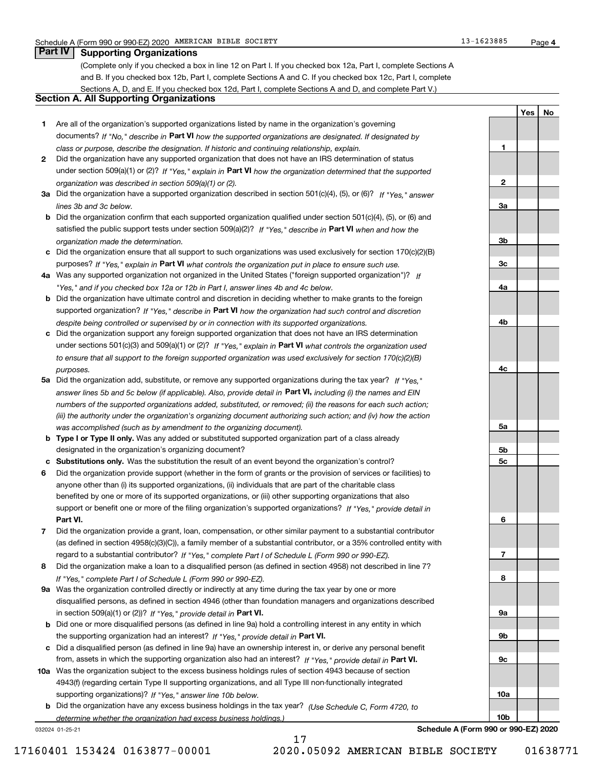**1**

**2**

**3a**

**3b**

**3c**

**4a**

**4b**

**4c**

**5a**

**5b5c**

**6**

**7**

**8**

**9a**

**9b**

**9c**

**10a**

**10b**

**YesNo**

## **Part IV Supporting Organizations**

(Complete only if you checked a box in line 12 on Part I. If you checked box 12a, Part I, complete Sections A and B. If you checked box 12b, Part I, complete Sections A and C. If you checked box 12c, Part I, complete Sections A, D, and E. If you checked box 12d, Part I, complete Sections A and D, and complete Part V.)

### **Section A. All Supporting Organizations**

- **1** Are all of the organization's supported organizations listed by name in the organization's governing documents? If "No," describe in **Part VI** how the supported organizations are designated. If designated by *class or purpose, describe the designation. If historic and continuing relationship, explain.*
- **2** Did the organization have any supported organization that does not have an IRS determination of status under section 509(a)(1) or (2)? If "Yes," explain in Part VI how the organization determined that the supported *organization was described in section 509(a)(1) or (2).*
- **3a** Did the organization have a supported organization described in section 501(c)(4), (5), or (6)? If "Yes," answer *lines 3b and 3c below.*
- **b** Did the organization confirm that each supported organization qualified under section 501(c)(4), (5), or (6) and satisfied the public support tests under section 509(a)(2)? If "Yes," describe in **Part VI** when and how the *organization made the determination.*
- **c**Did the organization ensure that all support to such organizations was used exclusively for section 170(c)(2)(B) purposes? If "Yes," explain in **Part VI** what controls the organization put in place to ensure such use.
- **4a***If* Was any supported organization not organized in the United States ("foreign supported organization")? *"Yes," and if you checked box 12a or 12b in Part I, answer lines 4b and 4c below.*
- **b** Did the organization have ultimate control and discretion in deciding whether to make grants to the foreign supported organization? If "Yes," describe in **Part VI** how the organization had such control and discretion *despite being controlled or supervised by or in connection with its supported organizations.*
- **c** Did the organization support any foreign supported organization that does not have an IRS determination under sections 501(c)(3) and 509(a)(1) or (2)? If "Yes," explain in **Part VI** what controls the organization used *to ensure that all support to the foreign supported organization was used exclusively for section 170(c)(2)(B) purposes.*
- **5a** Did the organization add, substitute, or remove any supported organizations during the tax year? If "Yes," answer lines 5b and 5c below (if applicable). Also, provide detail in **Part VI,** including (i) the names and EIN *numbers of the supported organizations added, substituted, or removed; (ii) the reasons for each such action; (iii) the authority under the organization's organizing document authorizing such action; and (iv) how the action was accomplished (such as by amendment to the organizing document).*
- **b** Type I or Type II only. Was any added or substituted supported organization part of a class already designated in the organization's organizing document?
- **cSubstitutions only.**  Was the substitution the result of an event beyond the organization's control?
- **6** Did the organization provide support (whether in the form of grants or the provision of services or facilities) to **Part VI.** *If "Yes," provide detail in* support or benefit one or more of the filing organization's supported organizations? anyone other than (i) its supported organizations, (ii) individuals that are part of the charitable class benefited by one or more of its supported organizations, or (iii) other supporting organizations that also
- **7**Did the organization provide a grant, loan, compensation, or other similar payment to a substantial contributor *If "Yes," complete Part I of Schedule L (Form 990 or 990-EZ).* regard to a substantial contributor? (as defined in section 4958(c)(3)(C)), a family member of a substantial contributor, or a 35% controlled entity with
- **8** Did the organization make a loan to a disqualified person (as defined in section 4958) not described in line 7? *If "Yes," complete Part I of Schedule L (Form 990 or 990-EZ).*
- **9a** Was the organization controlled directly or indirectly at any time during the tax year by one or more in section 509(a)(1) or (2))? If "Yes," *provide detail in* <code>Part VI.</code> disqualified persons, as defined in section 4946 (other than foundation managers and organizations described
- **b** Did one or more disqualified persons (as defined in line 9a) hold a controlling interest in any entity in which the supporting organization had an interest? If "Yes," provide detail in P**art VI**.
- **c**Did a disqualified person (as defined in line 9a) have an ownership interest in, or derive any personal benefit from, assets in which the supporting organization also had an interest? If "Yes," provide detail in P**art VI.**
- **10a** Was the organization subject to the excess business holdings rules of section 4943 because of section supporting organizations)? If "Yes," answer line 10b below. 4943(f) (regarding certain Type II supporting organizations, and all Type III non-functionally integrated
- **b** Did the organization have any excess business holdings in the tax year? (Use Schedule C, Form 4720, to *determine whether the organization had excess business holdings.)*

17

032024 01-25-21

**Schedule A (Form 990 or 990-EZ) 2020**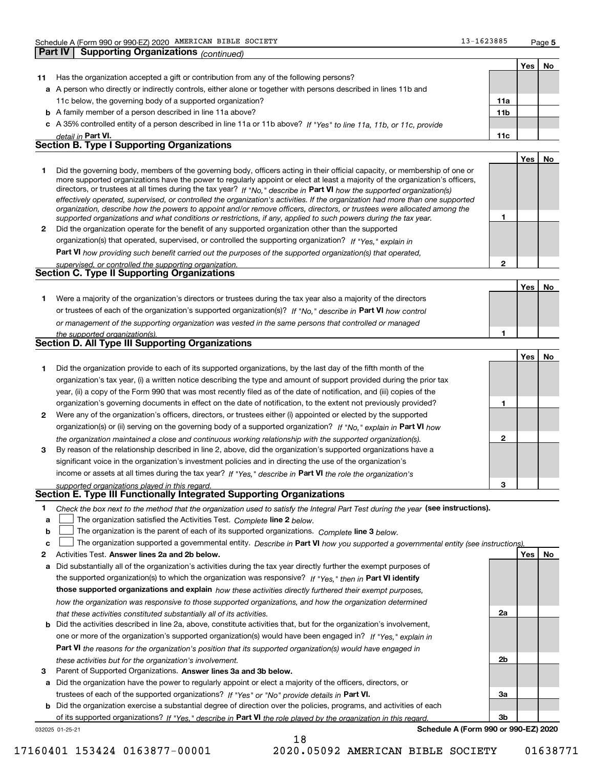**Part IV Supporting Organizations** *(continued)*

**1**

**2**

**1**

**Yes No**

|    |                                                                                                                            |                 | Yes | Nο |
|----|----------------------------------------------------------------------------------------------------------------------------|-----------------|-----|----|
| 11 | Has the organization accepted a gift or contribution from any of the following persons?                                    |                 |     |    |
|    | a A person who directly or indirectly controls, either alone or together with persons described in lines 11b and           |                 |     |    |
|    | 11c below, the governing body of a supported organization?                                                                 | 11a             |     |    |
|    | <b>b</b> A family member of a person described in line 11a above?                                                          | 11 <sub>b</sub> |     |    |
|    | c A 35% controlled entity of a person described in line 11a or 11b above? If "Yes" to line 11a, 11b, or 11c, provide       |                 |     |    |
|    | detail in Part VI.                                                                                                         | 11c             |     |    |
|    | <b>Section B. Type I Supporting Organizations</b>                                                                          |                 |     |    |
|    |                                                                                                                            |                 | Yes | No |
|    | Did the governing body, members of the governing body, officers acting in their official capacity, or membership of one or |                 |     |    |

|   | <u>Did the governing body, mombers of the governing body, omoors abting in their omoial capacity, or mombership or one or</u>  |
|---|--------------------------------------------------------------------------------------------------------------------------------|
|   | more supported organizations have the power to regularly appoint or elect at least a majority of the organization's officers,  |
|   | directors, or trustees at all times during the tax year? If "No," describe in Part VI how the supported organization(s)        |
|   | effectively operated, supervised, or controlled the organization's activities. If the organization had more than one supported |
|   | organization, describe how the powers to appoint and/or remove officers, directors, or trustees were allocated among the       |
|   | supported organizations and what conditions or restrictions, if any, applied to such powers during the tax year.               |
| 2 | Did the organization operate for the benefit of any supported organization other than the supported                            |
|   | organization(s) that operated, supervised, or controlled the supporting organization? If "Yes," explain in                     |

**Part VI**  *how providing such benefit carried out the purposes of the supported organization(s) that operated,*

| supervised, or controlled the supporting organization. |  |
|--------------------------------------------------------|--|
| Section C. Type II Supporting Organizations            |  |
|                                                        |  |

**1**or trustees of each of the organization's supported organization(s)? If "No," describe in **Part VI** how control *or management of the supporting organization was vested in the same persons that controlled or managed the supported organization(s).* Were a majority of the organization's directors or trustees during the tax year also a majority of the directors

|  |  |  | <b>Section D. All Type III Supporting Organizations</b> |
|--|--|--|---------------------------------------------------------|
|--|--|--|---------------------------------------------------------|

|              |                                                                                                                        |   | Yes l | <b>No</b> |
|--------------|------------------------------------------------------------------------------------------------------------------------|---|-------|-----------|
|              | Did the organization provide to each of its supported organizations, by the last day of the fifth month of the         |   |       |           |
|              | organization's tax year, (i) a written notice describing the type and amount of support provided during the prior tax  |   |       |           |
|              | year, (ii) a copy of the Form 990 that was most recently filed as of the date of notification, and (iii) copies of the |   |       |           |
|              | organization's governing documents in effect on the date of notification, to the extent not previously provided?       |   |       |           |
| $\mathbf{2}$ | Were any of the organization's officers, directors, or trustees either (i) appointed or elected by the supported       |   |       |           |
|              | organization(s) or (ii) serving on the governing body of a supported organization? If "No," explain in Part VI how     |   |       |           |
|              | the organization maintained a close and continuous working relationship with the supported organization(s).            | 2 |       |           |
| 3            | By reason of the relationship described in line 2, above, did the organization's supported organizations have a        |   |       |           |
|              | significant voice in the organization's investment policies and in directing the use of the organization's             |   |       |           |
|              | income or assets at all times during the tax year? If "Yes," describe in Part VI the role the organization's           |   |       |           |
|              | supported organizations played in this regard.                                                                         | з |       |           |

# *supported organizations played in this regard.* **Section E. Type III Functionally Integrated Supporting Organizations**

|  | Check the box next to the method that the organization used to satisfy the Integral Part Test during the year (see instructions). |  |  |  |
|--|-----------------------------------------------------------------------------------------------------------------------------------|--|--|--|
|--|-----------------------------------------------------------------------------------------------------------------------------------|--|--|--|

- **a**The organization satisfied the Activities Test. *Complete* line 2 below.  $\mathcal{L}^{\text{max}}$
- **b**The organization is the parent of each of its supported organizations. *Complete* line 3 *below.*  $\mathcal{L}^{\text{max}}$

|  |  |  | c <u>L</u> The organization supported a governmental entity. Describe in Part VI how you supported a governmental entity (see instructions). |  |  |  |  |  |  |
|--|--|--|----------------------------------------------------------------------------------------------------------------------------------------------|--|--|--|--|--|--|
|--|--|--|----------------------------------------------------------------------------------------------------------------------------------------------|--|--|--|--|--|--|

18

- **2Answer lines 2a and 2b below. Yes No** Activities Test.
- **a** Did substantially all of the organization's activities during the tax year directly further the exempt purposes of the supported organization(s) to which the organization was responsive? If "Yes," then in **Part VI identify those supported organizations and explain**  *how these activities directly furthered their exempt purposes, how the organization was responsive to those supported organizations, and how the organization determined that these activities constituted substantially all of its activities.*
- **b** Did the activities described in line 2a, above, constitute activities that, but for the organization's involvement, **Part VI**  *the reasons for the organization's position that its supported organization(s) would have engaged in* one or more of the organization's supported organization(s) would have been engaged in? If "Yes," e*xplain in these activities but for the organization's involvement.*
- **3** Parent of Supported Organizations. Answer lines 3a and 3b below.

**a** Did the organization have the power to regularly appoint or elect a majority of the officers, directors, or trustees of each of the supported organizations? If "Yes" or "No" provide details in **Part VI.** 

**b** Did the organization exercise a substantial degree of direction over the policies, programs, and activities of each of its supported organizations? If "Yes," describe in Part VI the role played by the organization in this regard.

032025 01-25-21

**Schedule A (Form 990 or 990-EZ) 2020**

**2a**

**2b**

**3a**

**3b**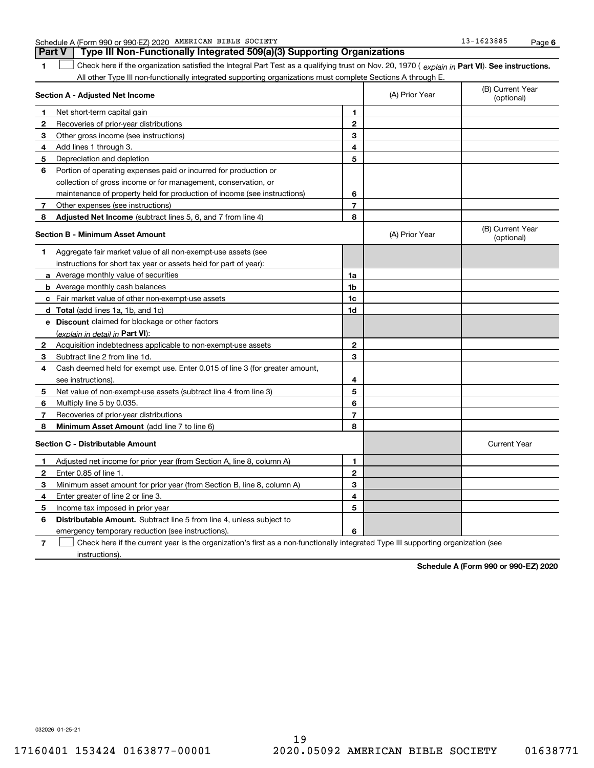| Schedule A | A (Form 990 or 990-EZ) 2020 | AMERICAN BIBLE | SOCIETY | 1623885 | Page |  |
|------------|-----------------------------|----------------|---------|---------|------|--|
|------------|-----------------------------|----------------|---------|---------|------|--|

**1**1 Check here if the organization satisfied the Integral Part Test as a qualifying trust on Nov. 20, 1970 (explain in Part VI). See instructions. All other Type III non-functionally integrated supporting organizations must complete Sections A through E. **Part V Type III Non-Functionally Integrated 509(a)(3) Supporting Organizations** 

|              | Section A - Adjusted Net Income                                                                                                   |                | (A) Prior Year | (B) Current Year<br>(optional) |
|--------------|-----------------------------------------------------------------------------------------------------------------------------------|----------------|----------------|--------------------------------|
| 1.           | Net short-term capital gain                                                                                                       | 1              |                |                                |
| $\mathbf{2}$ | Recoveries of prior-year distributions                                                                                            | $\mathbf{2}$   |                |                                |
| 3            | Other gross income (see instructions)                                                                                             | 3              |                |                                |
| 4            | Add lines 1 through 3.                                                                                                            | 4              |                |                                |
| 5            | Depreciation and depletion                                                                                                        | 5              |                |                                |
| 6            | Portion of operating expenses paid or incurred for production or                                                                  |                |                |                                |
|              | collection of gross income or for management, conservation, or                                                                    |                |                |                                |
|              | maintenance of property held for production of income (see instructions)                                                          | 6              |                |                                |
| 7            | Other expenses (see instructions)                                                                                                 | $\overline{7}$ |                |                                |
| 8            | Adjusted Net Income (subtract lines 5, 6, and 7 from line 4)                                                                      | 8              |                |                                |
|              | <b>Section B - Minimum Asset Amount</b>                                                                                           |                | (A) Prior Year | (B) Current Year<br>(optional) |
| 1            | Aggregate fair market value of all non-exempt-use assets (see                                                                     |                |                |                                |
|              | instructions for short tax year or assets held for part of year):                                                                 |                |                |                                |
|              | <b>a</b> Average monthly value of securities                                                                                      | 1a             |                |                                |
|              | <b>b</b> Average monthly cash balances                                                                                            | 1b             |                |                                |
|              | c Fair market value of other non-exempt-use assets                                                                                | 1c             |                |                                |
|              | d Total (add lines 1a, 1b, and 1c)                                                                                                | 1d             |                |                                |
|              | e Discount claimed for blockage or other factors                                                                                  |                |                |                                |
|              | (explain in detail in Part VI):                                                                                                   |                |                |                                |
| 2            | Acquisition indebtedness applicable to non-exempt-use assets                                                                      | $\mathbf{2}$   |                |                                |
| 3            | Subtract line 2 from line 1d.                                                                                                     | 3              |                |                                |
| 4            | Cash deemed held for exempt use. Enter 0.015 of line 3 (for greater amount,                                                       |                |                |                                |
|              | see instructions).                                                                                                                | 4              |                |                                |
| 5            | Net value of non-exempt-use assets (subtract line 4 from line 3)                                                                  | 5              |                |                                |
| 6            | Multiply line 5 by 0.035.                                                                                                         | 6              |                |                                |
| 7            | Recoveries of prior-year distributions                                                                                            | $\overline{7}$ |                |                                |
| 8            | Minimum Asset Amount (add line 7 to line 6)                                                                                       | 8              |                |                                |
|              | <b>Section C - Distributable Amount</b>                                                                                           |                |                | <b>Current Year</b>            |
| 1            | Adjusted net income for prior year (from Section A, line 8, column A)                                                             | 1              |                |                                |
| 2            | Enter 0.85 of line 1.                                                                                                             | $\mathbf{2}$   |                |                                |
| 3            | Minimum asset amount for prior year (from Section B, line 8, column A)                                                            | 3              |                |                                |
| 4            | Enter greater of line 2 or line 3.                                                                                                | 4              |                |                                |
| 5            | Income tax imposed in prior year                                                                                                  | 5              |                |                                |
| 6            | <b>Distributable Amount.</b> Subtract line 5 from line 4, unless subject to                                                       |                |                |                                |
|              | emergency temporary reduction (see instructions).                                                                                 | 6              |                |                                |
| 7            | Check here if the current year is the organization's first as a non-functionally integrated Type III supporting organization (see |                |                |                                |

instructions).

**Schedule A (Form 990 or 990-EZ) 2020**

032026 01-25-21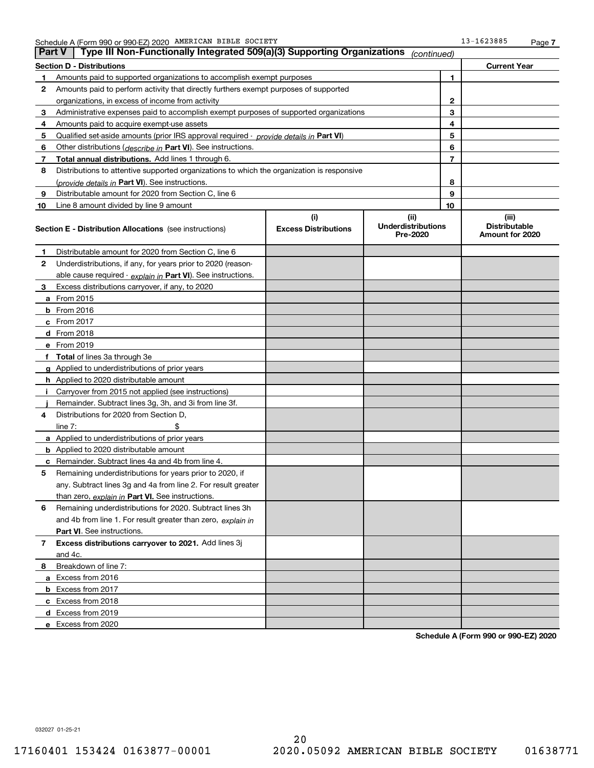| <b>Part V</b> | Type III Non-Functionally Integrated 509(a)(3) Supporting Organizations                    |                                    | (continued)                                   |              |                                                  |
|---------------|--------------------------------------------------------------------------------------------|------------------------------------|-----------------------------------------------|--------------|--------------------------------------------------|
|               | <b>Section D - Distributions</b>                                                           |                                    |                                               |              | <b>Current Year</b>                              |
| 1             | Amounts paid to supported organizations to accomplish exempt purposes                      |                                    | 1                                             |              |                                                  |
| 2             | Amounts paid to perform activity that directly furthers exempt purposes of supported       |                                    |                                               |              |                                                  |
|               | organizations, in excess of income from activity                                           |                                    |                                               | $\mathbf{2}$ |                                                  |
| 3             | Administrative expenses paid to accomplish exempt purposes of supported organizations      |                                    |                                               | 3            |                                                  |
| 4             | Amounts paid to acquire exempt-use assets                                                  |                                    |                                               | 4            |                                                  |
| 5             | Qualified set-aside amounts (prior IRS approval required - provide details in Part VI)     |                                    |                                               | 5            |                                                  |
| 6             | Other distributions ( <i>describe in</i> Part VI). See instructions.                       |                                    |                                               |              |                                                  |
| 7             | Total annual distributions. Add lines 1 through 6.                                         |                                    |                                               | 7            |                                                  |
| 8             | Distributions to attentive supported organizations to which the organization is responsive |                                    |                                               |              |                                                  |
|               | (provide details in Part VI). See instructions.                                            |                                    |                                               | 8            |                                                  |
| 9             | Distributable amount for 2020 from Section C, line 6                                       |                                    |                                               | 9            |                                                  |
| 10            | Line 8 amount divided by line 9 amount                                                     |                                    |                                               | 10           |                                                  |
|               | <b>Section E - Distribution Allocations</b> (see instructions)                             | (i)<br><b>Excess Distributions</b> | (ii)<br><b>Underdistributions</b><br>Pre-2020 |              | (iii)<br><b>Distributable</b><br>Amount for 2020 |
| 1             | Distributable amount for 2020 from Section C, line 6                                       |                                    |                                               |              |                                                  |
| 2             | Underdistributions, if any, for years prior to 2020 (reason-                               |                                    |                                               |              |                                                  |
|               | able cause required - explain in Part VI). See instructions.                               |                                    |                                               |              |                                                  |
| 3             | Excess distributions carryover, if any, to 2020                                            |                                    |                                               |              |                                                  |
|               | a From 2015                                                                                |                                    |                                               |              |                                                  |
|               | <b>b</b> From 2016                                                                         |                                    |                                               |              |                                                  |
|               | $c$ From 2017                                                                              |                                    |                                               |              |                                                  |
|               | d From 2018                                                                                |                                    |                                               |              |                                                  |
|               | e From 2019                                                                                |                                    |                                               |              |                                                  |
|               | f Total of lines 3a through 3e                                                             |                                    |                                               |              |                                                  |
|               | g Applied to underdistributions of prior years                                             |                                    |                                               |              |                                                  |
|               | <b>h</b> Applied to 2020 distributable amount                                              |                                    |                                               |              |                                                  |
|               | Carryover from 2015 not applied (see instructions)                                         |                                    |                                               |              |                                                  |
|               | Remainder. Subtract lines 3g, 3h, and 3i from line 3f.                                     |                                    |                                               |              |                                                  |
| 4             | Distributions for 2020 from Section D,                                                     |                                    |                                               |              |                                                  |
|               | line $7:$                                                                                  |                                    |                                               |              |                                                  |
|               | a Applied to underdistributions of prior years                                             |                                    |                                               |              |                                                  |
|               | <b>b</b> Applied to 2020 distributable amount                                              |                                    |                                               |              |                                                  |
|               | c Remainder. Subtract lines 4a and 4b from line 4.                                         |                                    |                                               |              |                                                  |
| 5.            | Remaining underdistributions for years prior to 2020, if                                   |                                    |                                               |              |                                                  |
|               | any. Subtract lines 3g and 4a from line 2. For result greater                              |                                    |                                               |              |                                                  |
|               | than zero, explain in Part VI. See instructions.                                           |                                    |                                               |              |                                                  |
| 6             | Remaining underdistributions for 2020. Subtract lines 3h                                   |                                    |                                               |              |                                                  |
|               | and 4b from line 1. For result greater than zero, explain in                               |                                    |                                               |              |                                                  |
|               | Part VI. See instructions.                                                                 |                                    |                                               |              |                                                  |
| 7             | Excess distributions carryover to 2021. Add lines 3j                                       |                                    |                                               |              |                                                  |
|               | and 4c.                                                                                    |                                    |                                               |              |                                                  |
| 8             | Breakdown of line 7:                                                                       |                                    |                                               |              |                                                  |
|               | a Excess from 2016                                                                         |                                    |                                               |              |                                                  |
|               | <b>b</b> Excess from 2017                                                                  |                                    |                                               |              |                                                  |
|               | c Excess from 2018                                                                         |                                    |                                               |              |                                                  |
|               | d Excess from 2019                                                                         |                                    |                                               |              |                                                  |
|               | e Excess from 2020                                                                         |                                    |                                               |              |                                                  |

**Schedule A (Form 990 or 990-EZ) 2020**

032027 01-25-21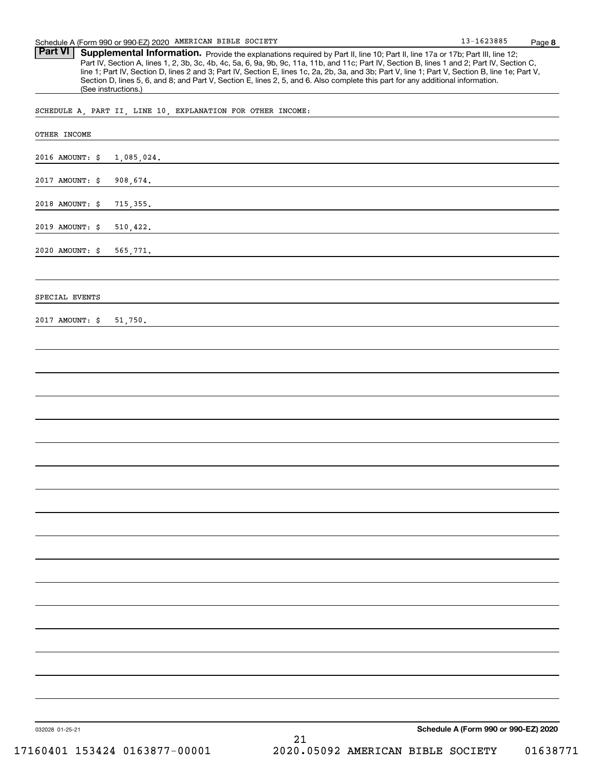Part VI | Supplemental Information. Provide the explanations required by Part II, line 10; Part II, line 17a or 17b; Part III, line 12; Part IV, Section A, lines 1, 2, 3b, 3c, 4b, 4c, 5a, 6, 9a, 9b, 9c, 11a, 11b, and 11c; Part IV, Section B, lines 1 and 2; Part IV, Section C, line 1; Part IV, Section D, lines 2 and 3; Part IV, Section E, lines 1c, 2a, 2b, 3a, and 3b; Part V, line 1; Part V, Section B, line 1e; Part V, Section D, lines 5, 6, and 8; and Part V, Section E, lines 2, 5, and 6. Also complete this part for any additional information. (See instructions.)

SCHEDULE A, PART II, LINE 10, EXPLANATION FOR OTHER INCOME:

| OTHER INCOME    |                                                |
|-----------------|------------------------------------------------|
| 2016 AMOUNT: \$ | 1,085,024.                                     |
| 2017 AMOUNT: \$ | 908,674.                                       |
| 2018 AMOUNT: \$ | 715, 355.                                      |
| 2019 AMOUNT: \$ | 510, 422.                                      |
| 2020 AMOUNT: \$ | 565,771.                                       |
|                 |                                                |
| SPECIAL EVENTS  |                                                |
| 2017 AMOUNT: \$ | 51,750.                                        |
|                 |                                                |
|                 |                                                |
|                 |                                                |
|                 |                                                |
|                 |                                                |
|                 |                                                |
|                 |                                                |
|                 |                                                |
|                 |                                                |
|                 |                                                |
|                 |                                                |
|                 |                                                |
|                 |                                                |
|                 |                                                |
|                 |                                                |
|                 |                                                |
|                 |                                                |
| 032028 01-25-21 | Schedule A (Form 990 or 990-EZ) 2020<br>$21\,$ |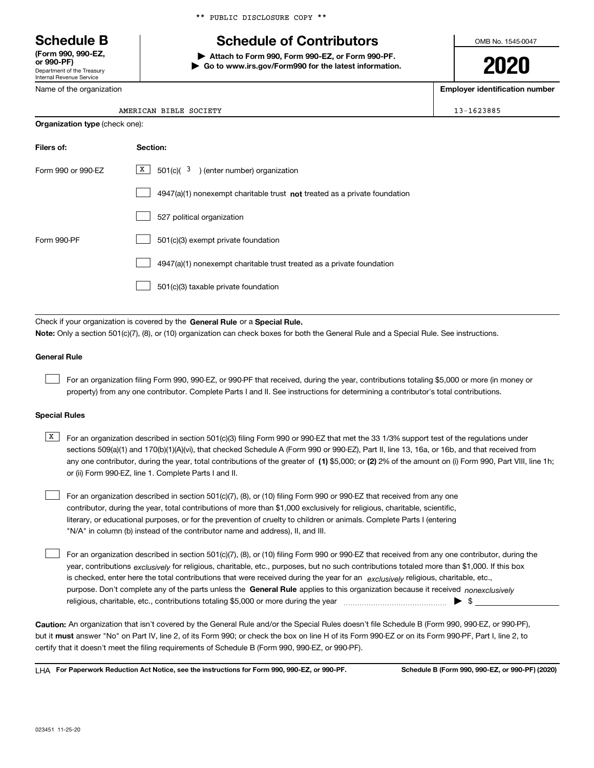Department of the Treasury Internal Revenue Service **(Form 990, 990-EZ, or 990-PF)**

Name of the organization

# **Schedule B Schedule of Contributors**

**| Attach to Form 990, Form 990-EZ, or Form 990-PF. | Go to www.irs.gov/Form990 for the latest information.** OMB No. 1545-0047

**2020**

**Employer identification number**

13-1623885

| <b>Organization type (check one):</b> |                                                                             |  |  |
|---------------------------------------|-----------------------------------------------------------------------------|--|--|
| Filers of:                            | Section:                                                                    |  |  |
| Form 990 or 990-EZ                    | $X$ 501(c)( $3$ ) (enter number) organization                               |  |  |
|                                       | $4947(a)(1)$ nonexempt charitable trust not treated as a private foundation |  |  |
|                                       | 527 political organization                                                  |  |  |
| Form 990-PF                           | 501(c)(3) exempt private foundation                                         |  |  |
|                                       | 4947(a)(1) nonexempt charitable trust treated as a private foundation       |  |  |
|                                       | 501(c)(3) taxable private foundation                                        |  |  |

Check if your organization is covered by the **General Rule** or a **Special Rule. Note:**  Only a section 501(c)(7), (8), or (10) organization can check boxes for both the General Rule and a Special Rule. See instructions.

#### **General Rule**

 $\mathcal{L}^{\text{max}}$ 

For an organization filing Form 990, 990-EZ, or 990-PF that received, during the year, contributions totaling \$5,000 or more (in money or property) from any one contributor. Complete Parts I and II. See instructions for determining a contributor's total contributions.

#### **Special Rules**

any one contributor, during the year, total contributions of the greater of  $\,$  (1) \$5,000; or **(2)** 2% of the amount on (i) Form 990, Part VIII, line 1h;  $\overline{X}$  For an organization described in section 501(c)(3) filing Form 990 or 990-EZ that met the 33 1/3% support test of the regulations under sections 509(a)(1) and 170(b)(1)(A)(vi), that checked Schedule A (Form 990 or 990-EZ), Part II, line 13, 16a, or 16b, and that received from or (ii) Form 990-EZ, line 1. Complete Parts I and II.

For an organization described in section 501(c)(7), (8), or (10) filing Form 990 or 990-EZ that received from any one contributor, during the year, total contributions of more than \$1,000 exclusively for religious, charitable, scientific, literary, or educational purposes, or for the prevention of cruelty to children or animals. Complete Parts I (entering "N/A" in column (b) instead of the contributor name and address), II, and III.  $\mathcal{L}^{\text{max}}$ 

purpose. Don't complete any of the parts unless the **General Rule** applies to this organization because it received *nonexclusively* year, contributions <sub>exclusively</sub> for religious, charitable, etc., purposes, but no such contributions totaled more than \$1,000. If this box is checked, enter here the total contributions that were received during the year for an  $\;$ exclusively religious, charitable, etc., For an organization described in section 501(c)(7), (8), or (10) filing Form 990 or 990-EZ that received from any one contributor, during the religious, charitable, etc., contributions totaling \$5,000 or more during the year  $\Box$ — $\Box$  =  $\Box$  $\mathcal{L}^{\text{max}}$ 

**Caution:**  An organization that isn't covered by the General Rule and/or the Special Rules doesn't file Schedule B (Form 990, 990-EZ, or 990-PF),  **must** but it answer "No" on Part IV, line 2, of its Form 990; or check the box on line H of its Form 990-EZ or on its Form 990-PF, Part I, line 2, to certify that it doesn't meet the filing requirements of Schedule B (Form 990, 990-EZ, or 990-PF).

**For Paperwork Reduction Act Notice, see the instructions for Form 990, 990-EZ, or 990-PF. Schedule B (Form 990, 990-EZ, or 990-PF) (2020)** LHA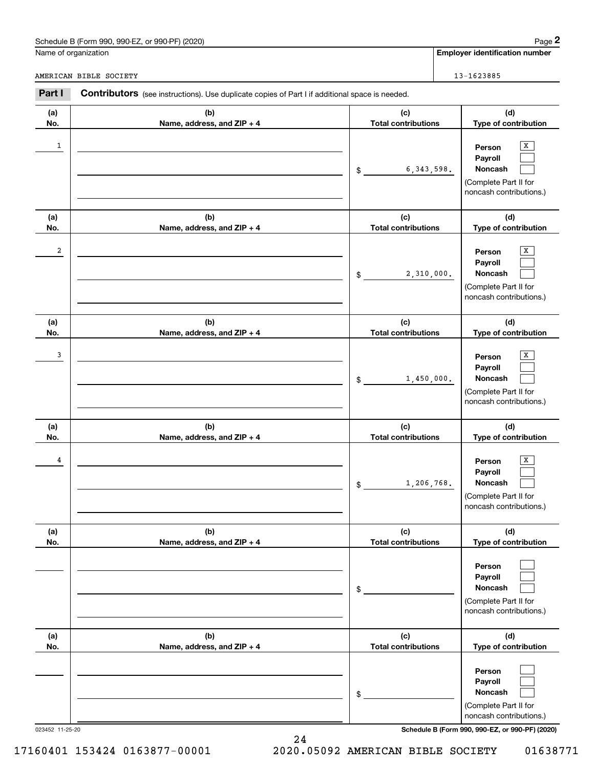# Schedule B (Form 990, 990-EZ, or 990-PF) (2020) Page 2

|                        | Schedule B (Form 990, 990-EZ, or 990-PF) (2020)                                                       |                                   |  | Page 2                                                                                  |
|------------------------|-------------------------------------------------------------------------------------------------------|-----------------------------------|--|-----------------------------------------------------------------------------------------|
|                        | Name of organization                                                                                  |                                   |  | <b>Employer identification number</b>                                                   |
| AMERICAN BIBLE SOCIETY |                                                                                                       |                                   |  | 13-1623885                                                                              |
| Part I                 | <b>Contributors</b> (see instructions). Use duplicate copies of Part I if additional space is needed. |                                   |  |                                                                                         |
| (a)<br>No.             | (b)<br>Name, address, and ZIP + 4                                                                     | (c)<br><b>Total contributions</b> |  | (d)<br>Type of contribution                                                             |
| 1                      |                                                                                                       | 6, 343, 598.<br>\$                |  | x<br>Person<br>Payroll<br>Noncash<br>(Complete Part II for<br>noncash contributions.)   |
| (a)<br>No.             | (b)<br>Name, address, and ZIP + 4                                                                     | (c)<br><b>Total contributions</b> |  | (d)<br>Type of contribution                                                             |
| 2                      |                                                                                                       | 2,310,000.<br>\$                  |  | x<br>Person<br>Payroll<br>Noncash<br>(Complete Part II for<br>noncash contributions.)   |
| (a)<br>No.             | (b)<br>Name, address, and ZIP + 4                                                                     | (c)<br><b>Total contributions</b> |  | (d)<br>Type of contribution                                                             |
| 3                      |                                                                                                       | 1,450,000.<br>\$                  |  | х<br>Person<br>Payroll<br>Noncash<br>(Complete Part II for<br>noncash contributions.)   |
| (a)<br>No.             | (b)<br>Name, address, and ZIP + 4                                                                     | (c)<br><b>Total contributions</b> |  | (d)<br>Type of contribution                                                             |
| 4                      |                                                                                                       | 1,206,768.<br>\$                  |  | x<br>Person<br>Payroll<br>Noncash<br>(Complete Part II for<br>noncash contributions.)   |
| (a)<br>No.             | (b)<br>Name, address, and ZIP + 4                                                                     | (c)<br><b>Total contributions</b> |  | (d)<br>Type of contribution                                                             |
|                        |                                                                                                       | \$                                |  | Person<br>Payroll<br><b>Noncash</b><br>(Complete Part II for<br>noncash contributions.) |
| (a)<br>No.             | (b)<br>Name, address, and ZIP + 4                                                                     | (c)<br><b>Total contributions</b> |  | (d)<br>Type of contribution                                                             |
|                        |                                                                                                       | \$                                |  | Person<br>Payroll<br>Noncash<br>(Complete Part II for<br>noncash contributions.)        |

24

023452 11-25-20 **Schedule B (Form 990, 990-EZ, or 990-PF) (2020)**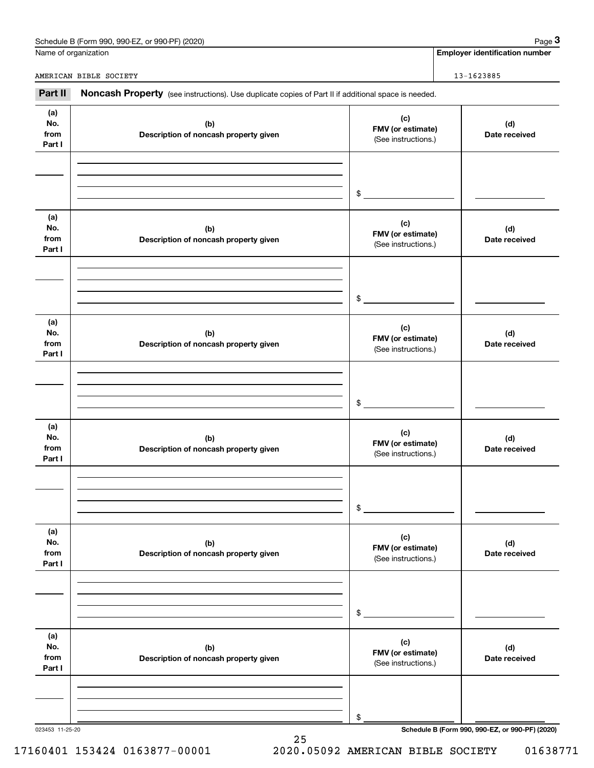| Schedule B (Form 990,<br>990-EZ.<br>or 990-PF) (2020) | Page |
|-------------------------------------------------------|------|
|                                                       |      |

|                              | Schedule B (Form 990, 990-EZ, or 990-PF) (2020)                                                     |                                                 | Page 3                                          |
|------------------------------|-----------------------------------------------------------------------------------------------------|-------------------------------------------------|-------------------------------------------------|
|                              | Name of organization                                                                                |                                                 | <b>Employer identification number</b>           |
|                              | AMERICAN BIBLE SOCIETY                                                                              |                                                 | 13-1623885                                      |
| Part II                      | Noncash Property (see instructions). Use duplicate copies of Part II if additional space is needed. |                                                 |                                                 |
| (a)<br>No.<br>from<br>Part I | (b)<br>Description of noncash property given                                                        | (c)<br>FMV (or estimate)<br>(See instructions.) | (d)<br>Date received                            |
|                              |                                                                                                     | \$                                              |                                                 |
| (a)<br>No.<br>from<br>Part I | (b)<br>Description of noncash property given                                                        | (c)<br>FMV (or estimate)<br>(See instructions.) | (d)<br>Date received                            |
|                              |                                                                                                     | \$                                              |                                                 |
| (a)<br>No.<br>from<br>Part I | (b)<br>Description of noncash property given                                                        | (c)<br>FMV (or estimate)<br>(See instructions.) | (d)<br>Date received                            |
|                              |                                                                                                     | \$                                              |                                                 |
| (a)<br>No.<br>from<br>Part I | (b)<br>Description of noncash property given                                                        | (c)<br>FMV (or estimate)<br>(See instructions.) | (d)<br>Date received                            |
|                              |                                                                                                     | \$                                              |                                                 |
| (a)<br>No.<br>from<br>Part I | (b)<br>Description of noncash property given                                                        | (c)<br>FMV (or estimate)<br>(See instructions.) | (d)<br>Date received                            |
|                              |                                                                                                     | \$                                              |                                                 |
| (a)<br>No.<br>from<br>Part I | (b)<br>Description of noncash property given                                                        | (c)<br>FMV (or estimate)<br>(See instructions.) | (d)<br>Date received                            |
|                              |                                                                                                     | \$                                              |                                                 |
| 023453 11-25-20              |                                                                                                     |                                                 | Schedule B (Form 990, 990-EZ, or 990-PF) (2020) |

25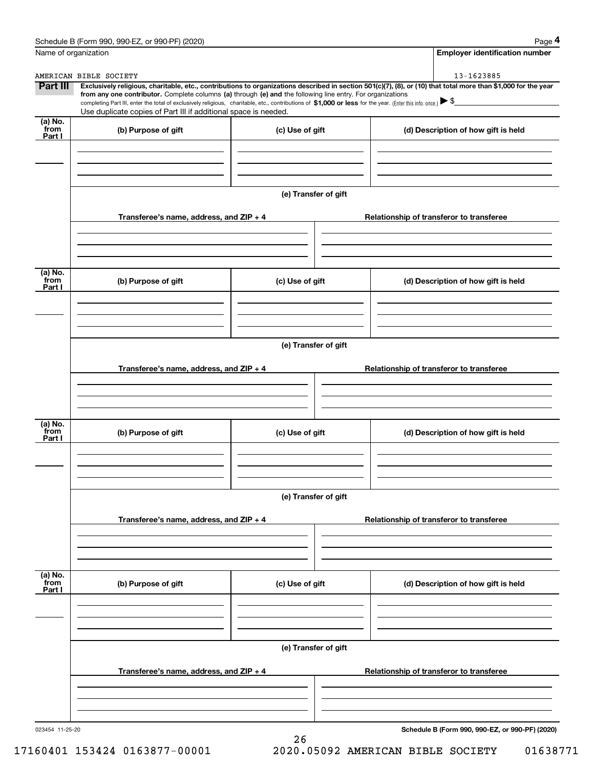|                              | Schedule B (Form 990, 990-EZ, or 990-PF) (2020)                                                                                                                                                                                                                                                 |                      | Page 4                                                                                                                                                         |
|------------------------------|-------------------------------------------------------------------------------------------------------------------------------------------------------------------------------------------------------------------------------------------------------------------------------------------------|----------------------|----------------------------------------------------------------------------------------------------------------------------------------------------------------|
|                              | Name of organization                                                                                                                                                                                                                                                                            |                      | <b>Employer identification number</b>                                                                                                                          |
|                              | AMERICAN BIBLE SOCIETY                                                                                                                                                                                                                                                                          |                      | 13-1623885                                                                                                                                                     |
| Part III                     |                                                                                                                                                                                                                                                                                                 |                      | Exclusively religious, charitable, etc., contributions to organizations described in section 501(c)(7), (8), or (10) that total more than \$1,000 for the year |
|                              | from any one contributor. Complete columns (a) through (e) and the following line entry. For organizations<br>completing Part III, enter the total of exclusively religious, charitable, etc., contributions of \$1,000 or less for the year. (Enter this info. once.) $\blacktriangleright$ \$ |                      |                                                                                                                                                                |
|                              | Use duplicate copies of Part III if additional space is needed.                                                                                                                                                                                                                                 |                      |                                                                                                                                                                |
| $(a)$ No.<br>`from<br>Part I | (b) Purpose of gift                                                                                                                                                                                                                                                                             | (c) Use of gift      | (d) Description of how gift is held                                                                                                                            |
|                              |                                                                                                                                                                                                                                                                                                 |                      |                                                                                                                                                                |
|                              |                                                                                                                                                                                                                                                                                                 | (e) Transfer of gift |                                                                                                                                                                |
|                              | Transferee's name, address, and ZIP + 4                                                                                                                                                                                                                                                         |                      | Relationship of transferor to transferee                                                                                                                       |
|                              |                                                                                                                                                                                                                                                                                                 |                      |                                                                                                                                                                |
|                              |                                                                                                                                                                                                                                                                                                 |                      |                                                                                                                                                                |
| (a) No.<br>from<br>Part I    | (b) Purpose of gift                                                                                                                                                                                                                                                                             | (c) Use of gift      | (d) Description of how gift is held                                                                                                                            |
|                              |                                                                                                                                                                                                                                                                                                 |                      |                                                                                                                                                                |
|                              |                                                                                                                                                                                                                                                                                                 | (e) Transfer of gift |                                                                                                                                                                |
|                              | Transferee's name, address, and ZIP + 4                                                                                                                                                                                                                                                         |                      | Relationship of transferor to transferee                                                                                                                       |
|                              |                                                                                                                                                                                                                                                                                                 |                      |                                                                                                                                                                |
| (a) No.                      |                                                                                                                                                                                                                                                                                                 |                      |                                                                                                                                                                |
| from<br>Part I               | (b) Purpose of gift                                                                                                                                                                                                                                                                             | (c) Use of gift      | (d) Description of how gift is held                                                                                                                            |
|                              |                                                                                                                                                                                                                                                                                                 |                      |                                                                                                                                                                |
|                              |                                                                                                                                                                                                                                                                                                 | (e) Transfer of gift |                                                                                                                                                                |
|                              | Transferee's name, address, and ZIP + 4                                                                                                                                                                                                                                                         |                      | Relationship of transferor to transferee                                                                                                                       |
|                              |                                                                                                                                                                                                                                                                                                 |                      |                                                                                                                                                                |
|                              |                                                                                                                                                                                                                                                                                                 |                      |                                                                                                                                                                |
| (a) No.<br>from<br>Part I    | (b) Purpose of gift                                                                                                                                                                                                                                                                             | (c) Use of gift      | (d) Description of how gift is held                                                                                                                            |
|                              |                                                                                                                                                                                                                                                                                                 |                      |                                                                                                                                                                |
|                              |                                                                                                                                                                                                                                                                                                 | (e) Transfer of gift |                                                                                                                                                                |
|                              | Transferee's name, address, and $ZIP + 4$                                                                                                                                                                                                                                                       |                      | Relationship of transferor to transferee                                                                                                                       |
|                              |                                                                                                                                                                                                                                                                                                 |                      |                                                                                                                                                                |
|                              |                                                                                                                                                                                                                                                                                                 |                      |                                                                                                                                                                |
| 023454 11-25-20              |                                                                                                                                                                                                                                                                                                 |                      | Schedule B (Form 990, 990-EZ, or 990-PF) (2020)                                                                                                                |

26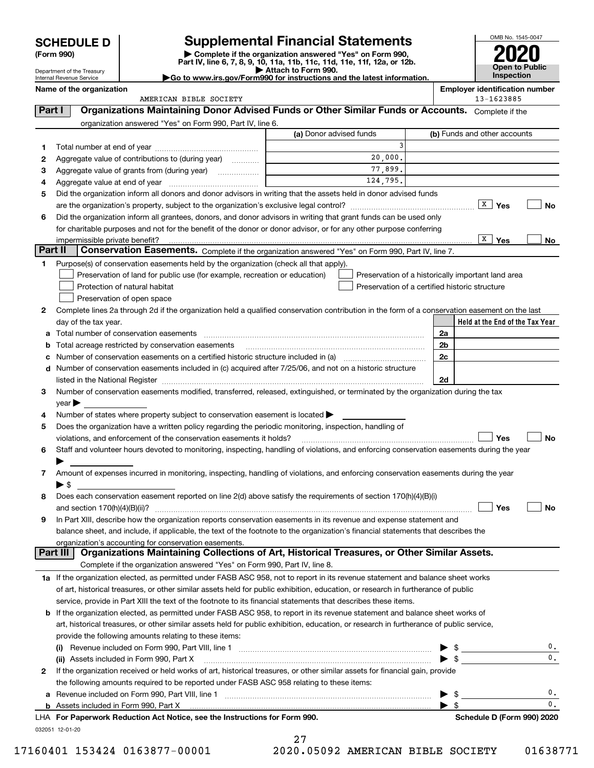| <b>SCHEDULE D</b> |  |
|-------------------|--|
|-------------------|--|

| (Form 990) |  |
|------------|--|
|------------|--|

# **Supplemental Financial Statements**



**No**

| (Form 990) |                                                        |                                                                                                                 | Complete if the organization answered "Yes" on Form 990,<br>Part IV, line 6, 7, 8, 9, 10, 11a, 11b, 11c, 11d, 11e, 11f, 12a, or 12b.           |    |                                       |
|------------|--------------------------------------------------------|-----------------------------------------------------------------------------------------------------------------|------------------------------------------------------------------------------------------------------------------------------------------------|----|---------------------------------------|
|            | Department of the Treasury<br>Internal Revenue Service |                                                                                                                 | Attach to Form 990.<br>Go to www.irs.gov/Form990 for instructions and the latest information.                                                  |    | Open to Public<br>Inspection          |
|            | Name of the organization                               |                                                                                                                 |                                                                                                                                                |    | <b>Employer identification number</b> |
|            | AMERICAN BIBLE SOCIETY                                 |                                                                                                                 |                                                                                                                                                |    | 13-1623885                            |
| Part I     |                                                        |                                                                                                                 | Organizations Maintaining Donor Advised Funds or Other Similar Funds or Accounts. Complete if the                                              |    |                                       |
|            |                                                        | organization answered "Yes" on Form 990, Part IV, line 6.                                                       |                                                                                                                                                |    |                                       |
|            |                                                        |                                                                                                                 | (a) Donor advised funds                                                                                                                        |    | (b) Funds and other accounts          |
| 1.         |                                                        |                                                                                                                 | 3                                                                                                                                              |    |                                       |
| 2          |                                                        | Aggregate value of contributions to (during year)                                                               | 20,000.                                                                                                                                        |    |                                       |
| З          |                                                        |                                                                                                                 | 77,899.                                                                                                                                        |    |                                       |
| 4          |                                                        |                                                                                                                 | 124,795.                                                                                                                                       |    |                                       |
| 5          |                                                        |                                                                                                                 | Did the organization inform all donors and donor advisors in writing that the assets held in donor advised funds                               |    |                                       |
|            |                                                        |                                                                                                                 |                                                                                                                                                |    | $\sqrt{\frac{X}{X}}$ Yes<br><b>No</b> |
| 6          |                                                        |                                                                                                                 | Did the organization inform all grantees, donors, and donor advisors in writing that grant funds can be used only                              |    |                                       |
|            |                                                        |                                                                                                                 | for charitable purposes and not for the benefit of the donor or donor advisor, or for any other purpose conferring                             |    |                                       |
|            | impermissible private benefit?                         |                                                                                                                 |                                                                                                                                                |    | X  <br>Yes<br>No                      |
|            | Part II                                                |                                                                                                                 | Conservation Easements. Complete if the organization answered "Yes" on Form 990, Part IV, line 7.                                              |    |                                       |
| 1.         |                                                        | Purpose(s) of conservation easements held by the organization (check all that apply).                           |                                                                                                                                                |    |                                       |
|            |                                                        | Preservation of land for public use (for example, recreation or education)                                      | Preservation of a historically important land area                                                                                             |    |                                       |
|            |                                                        | Protection of natural habitat                                                                                   | Preservation of a certified historic structure                                                                                                 |    |                                       |
|            |                                                        | Preservation of open space                                                                                      |                                                                                                                                                |    |                                       |
| 2          |                                                        |                                                                                                                 | Complete lines 2a through 2d if the organization held a qualified conservation contribution in the form of a conservation easement on the last |    |                                       |
|            | day of the tax year.                                   |                                                                                                                 |                                                                                                                                                |    | Held at the End of the Tax Year       |
|            |                                                        | Total number of conservation easements                                                                          |                                                                                                                                                | 2a |                                       |
| b          |                                                        | Total acreage restricted by conservation easements                                                              |                                                                                                                                                | 2b |                                       |
| c          |                                                        |                                                                                                                 | Number of conservation easements on a certified historic structure included in (a) <i>mummumumumum</i>                                         | 2c |                                       |
| d          |                                                        | Number of conservation easements included in (c) acquired after 7/25/06, and not on a historic structure        |                                                                                                                                                |    |                                       |
|            |                                                        |                                                                                                                 |                                                                                                                                                | 2d |                                       |
| 3          |                                                        |                                                                                                                 | Number of conservation easements modified, transferred, released, extinguished, or terminated by the organization during the tax               |    |                                       |
|            | $year \blacktriangleright$                             |                                                                                                                 |                                                                                                                                                |    |                                       |
| 4          |                                                        | Number of states where property subject to conservation easement is located >                                   |                                                                                                                                                |    |                                       |
| 5          |                                                        | Does the organization have a written policy regarding the periodic monitoring, inspection, handling of          |                                                                                                                                                |    |                                       |
|            |                                                        | violations, and enforcement of the conservation easements it holds?                                             |                                                                                                                                                |    | Yes<br>No                             |
| 6          |                                                        |                                                                                                                 | Staff and volunteer hours devoted to monitoring, inspecting, handling of violations, and enforcing conservation easements during the year      |    |                                       |
|            |                                                        |                                                                                                                 |                                                                                                                                                |    |                                       |
| 7          |                                                        |                                                                                                                 | Amount of expenses incurred in monitoring, inspecting, handling of violations, and enforcing conservation easements during the year            |    |                                       |
|            | ▶ \$                                                   |                                                                                                                 |                                                                                                                                                |    |                                       |
|            |                                                        | the contract of the contract of the contract of the contract of the contract of the contract of the contract of |                                                                                                                                                |    |                                       |

|   | Deut III. Dannstentinge Meisteisten Onlingtinge of Aut. Hetzaigel Taxonomen, en Other Ointilen Annete                             |              |
|---|-----------------------------------------------------------------------------------------------------------------------------------|--------------|
|   | organization's accounting for conservation easements.                                                                             |              |
|   | balance sheet, and include, if applicable, the text of the footnote to the organization's financial statements that describes the |              |
|   | 9 In Part XIII, describe how the organization reports conservation easements in its revenue and expense statement and             |              |
|   | . ∣Yes                                                                                                                            | $\mathbf{L}$ |
| 8 | Does each conservation easement reported on line 2(d) above satisfy the requirements of section 170(h)(4)(B)(i)                   |              |

| <b>Part III   Organizations Maintaining Collections of Art, Historical Treasures, or Other Similar Assets.</b>                  |
|---------------------------------------------------------------------------------------------------------------------------------|
| Complete if the organization answered "Yes" on Form 990, Part IV, line 8.                                                       |
| 1a If the organization elected, as permitted under FASB ASC 958, not to report in its revenue statement and balance sheet works |

of art, historical treasures, or other similar assets held for public exhibition, education, or research in furtherance of public service, provide in Part XIII the text of the footnote to its financial statements that describes these items.

| <b>b</b> If the organization elected, as permitted under FASB ASC 958, to report in its revenue statement and balance sheet works of    |  |
|-----------------------------------------------------------------------------------------------------------------------------------------|--|
| art, historical treasures, or other similar assets held for public exhibition, education, or research in furtherance of public service, |  |
| provide the following amounts relating to these items:                                                                                  |  |
| (i) Revenue included on Form 990, Part VIII line 1                                                                                      |  |

| <b>b</b> Assets included in Form 990, Part X                                                                                                                            |                                                                                                                                                         |
|-------------------------------------------------------------------------------------------------------------------------------------------------------------------------|---------------------------------------------------------------------------------------------------------------------------------------------------------|
|                                                                                                                                                                         |                                                                                                                                                         |
| a Revenue included on Form 990, Part VIII, line 1                                                                                                                       |                                                                                                                                                         |
| the following amounts required to be reported under FASB ASC 958 relating to these items:                                                                               |                                                                                                                                                         |
|                                                                                                                                                                         |                                                                                                                                                         |
| (ii) Assets included in Form 990, Part X                                                                                                                                |                                                                                                                                                         |
| Revenue included on Form 990, Part VIII, line 1<br>(i)<br>and the company of the contract of the company of the company of the company of the company of the company of |                                                                                                                                                         |
|                                                                                                                                                                         | $\blacktriangleright$ 5<br>If the organization received or held works of art, historical treasures, or other similar assets for financial gain, provide |

032051 12-01-20

27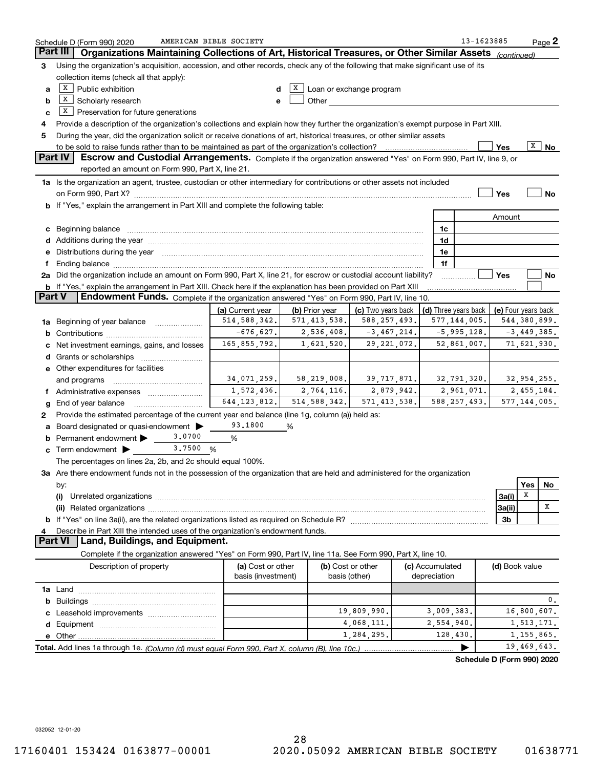|                 | AMERICAN BIBLE SOCIETY<br>Schedule D (Form 990) 2020                                                                                                                                                                           |                    |                   |                                                                                                                                                                                                                               |                      | 13-1623885                 |                     |               | $Page$ 2          |
|-----------------|--------------------------------------------------------------------------------------------------------------------------------------------------------------------------------------------------------------------------------|--------------------|-------------------|-------------------------------------------------------------------------------------------------------------------------------------------------------------------------------------------------------------------------------|----------------------|----------------------------|---------------------|---------------|-------------------|
| <b>Part III</b> | Organizations Maintaining Collections of Art, Historical Treasures, or Other Similar Assets                                                                                                                                    |                    |                   |                                                                                                                                                                                                                               |                      |                            | (continued)         |               |                   |
| 3               | Using the organization's acquisition, accession, and other records, check any of the following that make significant use of its                                                                                                |                    |                   |                                                                                                                                                                                                                               |                      |                            |                     |               |                   |
|                 | collection items (check all that apply):                                                                                                                                                                                       |                    |                   |                                                                                                                                                                                                                               |                      |                            |                     |               |                   |
| a               | $X$ Public exhibition                                                                                                                                                                                                          | d                  | X                 | Loan or exchange program                                                                                                                                                                                                      |                      |                            |                     |               |                   |
| b               | X  <br>Scholarly research                                                                                                                                                                                                      | e                  |                   | Other and the contract of the contract of the contract of the contract of the contract of the contract of the contract of the contract of the contract of the contract of the contract of the contract of the contract of the |                      |                            |                     |               |                   |
| c               | $X$ Preservation for future generations                                                                                                                                                                                        |                    |                   |                                                                                                                                                                                                                               |                      |                            |                     |               |                   |
| 4               | Provide a description of the organization's collections and explain how they further the organization's exempt purpose in Part XIII.                                                                                           |                    |                   |                                                                                                                                                                                                                               |                      |                            |                     |               |                   |
| 5               | During the year, did the organization solicit or receive donations of art, historical treasures, or other similar assets                                                                                                       |                    |                   |                                                                                                                                                                                                                               |                      |                            |                     |               |                   |
|                 |                                                                                                                                                                                                                                |                    |                   |                                                                                                                                                                                                                               |                      |                            | Yes                 |               | $\overline{X}$ No |
|                 | Part IV<br>Escrow and Custodial Arrangements. Complete if the organization answered "Yes" on Form 990, Part IV, line 9, or                                                                                                     |                    |                   |                                                                                                                                                                                                                               |                      |                            |                     |               |                   |
|                 | reported an amount on Form 990, Part X, line 21.                                                                                                                                                                               |                    |                   |                                                                                                                                                                                                                               |                      |                            |                     |               |                   |
|                 | 1a Is the organization an agent, trustee, custodian or other intermediary for contributions or other assets not included                                                                                                       |                    |                   |                                                                                                                                                                                                                               |                      |                            |                     |               |                   |
|                 |                                                                                                                                                                                                                                |                    |                   |                                                                                                                                                                                                                               |                      |                            | Yes                 |               | <b>No</b>         |
|                 |                                                                                                                                                                                                                                |                    |                   |                                                                                                                                                                                                                               |                      |                            |                     |               |                   |
|                 | b If "Yes," explain the arrangement in Part XIII and complete the following table:                                                                                                                                             |                    |                   |                                                                                                                                                                                                                               |                      |                            |                     |               |                   |
|                 |                                                                                                                                                                                                                                |                    |                   |                                                                                                                                                                                                                               |                      |                            | Amount              |               |                   |
| с               | Beginning balance material contracts and contracts and contracts and contracts and contracts and contracts and                                                                                                                 |                    |                   |                                                                                                                                                                                                                               | 1c                   |                            |                     |               |                   |
|                 | Additions during the year manufactured and an account of the state of the state of the state of the state of the state of the state of the state of the state of the state of the state of the state of the state of the state |                    |                   |                                                                                                                                                                                                                               | 1d                   |                            |                     |               |                   |
| е               | Distributions during the year manufactured and continuum and contact the year manufactured and contact the year                                                                                                                |                    |                   |                                                                                                                                                                                                                               | 1e                   |                            |                     |               |                   |
| f               | Ending balance manufactured and contract the contract of the contract of the contract of the contract of the contract of the contract of the contract of the contract of the contract of the contract of the contract of the c |                    |                   |                                                                                                                                                                                                                               | 1f                   |                            |                     |               |                   |
|                 | 2a Did the organization include an amount on Form 990, Part X, line 21, for escrow or custodial account liability?                                                                                                             |                    |                   |                                                                                                                                                                                                                               |                      |                            | Yes                 |               | No                |
|                 | b If "Yes," explain the arrangement in Part XIII. Check here if the explanation has been provided on Part XIII                                                                                                                 |                    |                   |                                                                                                                                                                                                                               |                      |                            |                     |               |                   |
| <b>Part V</b>   | <b>Endowment Funds.</b> Complete if the organization answered "Yes" on Form 990, Part IV, line 10.                                                                                                                             |                    |                   |                                                                                                                                                                                                                               |                      |                            |                     |               |                   |
|                 |                                                                                                                                                                                                                                | (a) Current year   | (b) Prior year    | (c) Two years back                                                                                                                                                                                                            | (d) Three years back |                            | (e) Four years back |               |                   |
| 1a              | Beginning of year balance                                                                                                                                                                                                      | 514, 588, 342.     | 571, 413, 538.    | 588, 257, 493.                                                                                                                                                                                                                | 577, 144, 005.       |                            | 544,380,899.        |               |                   |
| b               |                                                                                                                                                                                                                                | $-676,627.$        | 2,536,408.        | $-3,467,214.$                                                                                                                                                                                                                 |                      | $-5,995,128.$              |                     | $-3,449,385.$ |                   |
| с               | Net investment earnings, gains, and losses                                                                                                                                                                                     | 165,855,792.       | 1,621,520.        | 29, 221, 072.                                                                                                                                                                                                                 |                      | 52,861,007.                |                     | 71,621,930.   |                   |
| d               |                                                                                                                                                                                                                                |                    |                   |                                                                                                                                                                                                                               |                      |                            |                     |               |                   |
|                 | e Other expenditures for facilities                                                                                                                                                                                            |                    |                   |                                                                                                                                                                                                                               |                      |                            |                     |               |                   |
|                 | and programs                                                                                                                                                                                                                   | 34,071,259.        | 58, 219, 008.     | 39,717,871.                                                                                                                                                                                                                   |                      | 32,791,320.                |                     | 32,954,255.   |                   |
| Ť.              | Administrative expenses                                                                                                                                                                                                        | 1,572,436.         | 2,764,116.        | 2,879,942.                                                                                                                                                                                                                    |                      | 2,961,071.                 |                     | 2,455,184.    |                   |
| g               | End of year balance                                                                                                                                                                                                            | 644, 123, 812.     | 514, 588, 342.    | 571, 413, 538.                                                                                                                                                                                                                | 588, 257, 493.       |                            | 577, 144, 005.      |               |                   |
| 2               | Provide the estimated percentage of the current year end balance (line 1g, column (a)) held as:                                                                                                                                |                    |                   |                                                                                                                                                                                                                               |                      |                            |                     |               |                   |
| а               | Board designated or quasi-endowment                                                                                                                                                                                            | 93,1800            | %                 |                                                                                                                                                                                                                               |                      |                            |                     |               |                   |
| b               | 3,0700<br>Permanent endowment                                                                                                                                                                                                  | %                  |                   |                                                                                                                                                                                                                               |                      |                            |                     |               |                   |
| с               | 3,7500<br>Term endowment $\blacktriangleright$                                                                                                                                                                                 | %                  |                   |                                                                                                                                                                                                                               |                      |                            |                     |               |                   |
|                 | The percentages on lines 2a, 2b, and 2c should equal 100%.                                                                                                                                                                     |                    |                   |                                                                                                                                                                                                                               |                      |                            |                     |               |                   |
|                 | 3a Are there endowment funds not in the possession of the organization that are held and administered for the organization                                                                                                     |                    |                   |                                                                                                                                                                                                                               |                      |                            |                     |               |                   |
|                 | by:                                                                                                                                                                                                                            |                    |                   |                                                                                                                                                                                                                               |                      |                            |                     | Yes           | No                |
|                 | (i)                                                                                                                                                                                                                            |                    |                   |                                                                                                                                                                                                                               |                      |                            | 3a(i)               | X             |                   |
|                 |                                                                                                                                                                                                                                |                    |                   |                                                                                                                                                                                                                               |                      |                            | 3a(ii)              |               | х                 |
|                 |                                                                                                                                                                                                                                |                    |                   |                                                                                                                                                                                                                               |                      |                            |                     |               |                   |
|                 |                                                                                                                                                                                                                                |                    |                   |                                                                                                                                                                                                                               |                      |                            | 3b                  |               |                   |
|                 | Describe in Part XIII the intended uses of the organization's endowment funds.<br><b>Part VI</b><br>Land, Buildings, and Equipment.                                                                                            |                    |                   |                                                                                                                                                                                                                               |                      |                            |                     |               |                   |
|                 |                                                                                                                                                                                                                                |                    |                   |                                                                                                                                                                                                                               |                      |                            |                     |               |                   |
|                 | Complete if the organization answered "Yes" on Form 990, Part IV, line 11a. See Form 990, Part X, line 10.                                                                                                                     |                    |                   |                                                                                                                                                                                                                               |                      |                            |                     |               |                   |
|                 | Description of property                                                                                                                                                                                                        | (a) Cost or other  | (b) Cost or other |                                                                                                                                                                                                                               | (c) Accumulated      |                            | (d) Book value      |               |                   |
|                 |                                                                                                                                                                                                                                | basis (investment) |                   | basis (other)                                                                                                                                                                                                                 | depreciation         |                            |                     |               |                   |
|                 |                                                                                                                                                                                                                                |                    |                   |                                                                                                                                                                                                                               |                      |                            |                     |               |                   |
|                 |                                                                                                                                                                                                                                |                    |                   |                                                                                                                                                                                                                               |                      |                            |                     |               | 0.                |
|                 |                                                                                                                                                                                                                                |                    |                   | 19,809,990.                                                                                                                                                                                                                   | 3,009,383.           |                            |                     | 16,800,607.   |                   |
|                 |                                                                                                                                                                                                                                |                    |                   | 4,068,111.                                                                                                                                                                                                                    | 2,554,940.           |                            |                     | 1,513,171.    |                   |
|                 |                                                                                                                                                                                                                                |                    |                   | 1,284,295.                                                                                                                                                                                                                    | 128,430.             |                            |                     | 1, 155, 865.  |                   |
|                 |                                                                                                                                                                                                                                |                    |                   |                                                                                                                                                                                                                               |                      |                            |                     | 19,469,643.   |                   |
|                 |                                                                                                                                                                                                                                |                    |                   |                                                                                                                                                                                                                               |                      | Schedule D (Form 990) 2020 |                     |               |                   |

032052 12-01-20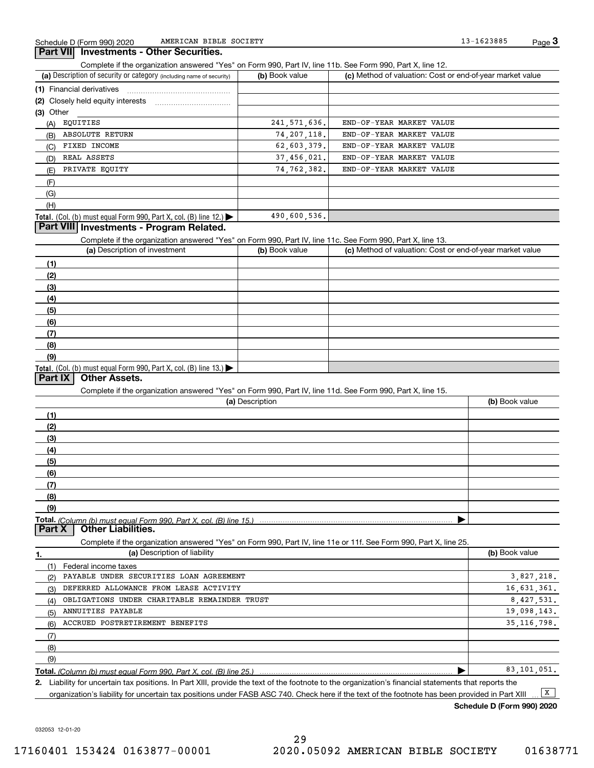### **3Part VII Investments - Other Securities.**

Complete if the organization answered "Yes" on Form 990, Part IV, line 11b. See Form 990, Part X, line 12.

| (a) Description of security or category (including name of security)       | (b) Book value | (c) Method of valuation: Cost or end-of-year market value |
|----------------------------------------------------------------------------|----------------|-----------------------------------------------------------|
| (1) Financial derivatives                                                  |                |                                                           |
| (2) Closely held equity interests                                          |                |                                                           |
| (3) Other                                                                  |                |                                                           |
| EQUITIES<br>(A)                                                            | 241, 571, 636. | END-OF-YEAR MARKET VALUE                                  |
| <b>ABSOLUTE RETURN</b><br>(B)                                              | 74, 207, 118.  | END-OF-YEAR MARKET VALUE                                  |
| FIXED INCOME<br>(C)                                                        | 62,603,379.    | END-OF-YEAR MARKET VALUE                                  |
| REAL ASSETS<br>(D)                                                         | 37,456,021.    | END-OF-YEAR MARKET VALUE                                  |
| PRIVATE EOUITY<br>(E)                                                      | 74, 762, 382.  | END-OF-YEAR MARKET VALUE                                  |
| (F)                                                                        |                |                                                           |
| (G)                                                                        |                |                                                           |
| (H)                                                                        |                |                                                           |
| <b>Total.</b> (Col. (b) must equal Form 990, Part X, col. (B) line $12$ .) | 490,600,536.   |                                                           |

## **Part VIII Investments - Program Related.**

Complete if the organization answered "Yes" on Form 990, Part IV, line 11c. See Form 990, Part X, line 13.

| (a) Description of investment                                                                 | (b) Book value | (c) Method of valuation: Cost or end-of-year market value |
|-----------------------------------------------------------------------------------------------|----------------|-----------------------------------------------------------|
| (1)                                                                                           |                |                                                           |
| (2)                                                                                           |                |                                                           |
| $\frac{1}{2}$                                                                                 |                |                                                           |
| (4)                                                                                           |                |                                                           |
| (5)                                                                                           |                |                                                           |
| (6)                                                                                           |                |                                                           |
| (7)                                                                                           |                |                                                           |
| (8)                                                                                           |                |                                                           |
| (9)                                                                                           |                |                                                           |
| <b>Total.</b> (Col. (b) must equal Form 990, Part X, col. (B) line 13.) $\blacktriangleright$ |                |                                                           |

### **Part IX Other Assets.**

Complete if the organization answered "Yes" on Form 990, Part IV, line 11d. See Form 990, Part X, line 15.

| (a) Description | (b) Book value |
|-----------------|----------------|
| (1)             |                |
| (2)             |                |
| (3)             |                |
| (4)             |                |
| (5)             |                |
| (6)             |                |
|                 |                |
| (8)             |                |
| (9)             |                |
|                 |                |
|                 |                |

Complete if the organization answered "Yes" on Form 990, Part IV, line 11e or 11f. See Form 990, Part X, line 25.

| 1.  | (a) Description of liability                                       | (b) Book value |
|-----|--------------------------------------------------------------------|----------------|
|     | Federal income taxes                                               |                |
| (2) | PAYABLE UNDER SECURITIES LOAN AGREEMENT                            | 3,827,218.     |
| (3) | DEFERRED ALLOWANCE FROM LEASE ACTIVITY                             | 16,631,361.    |
| (4) | OBLIGATIONS UNDER CHARITABLE REMAINDER TRUST                       | 8.427.531.     |
| (5) | ANNUITIES PAYABLE                                                  | 19,098,143.    |
| (6) | ACCRUED POSTRETIREMENT BENEFITS                                    | 35, 116, 798.  |
| (7) |                                                                    |                |
| (8) |                                                                    |                |
| (9) |                                                                    |                |
|     | Total. (Column (b) must equal Form 990, Part X, col. (B) line 25.) | 83,101,051.    |

**2.**Liability for uncertain tax positions. In Part XIII, provide the text of the footnote to the organization's financial statements that reports the organization's liability for uncertain tax positions under FASB ASC 740. Check here if the text of the footnote has been provided in Part XIII  $\boxed{\mathbf{X}}$ 

**Schedule D (Form 990) 2020**

032053 12-01-20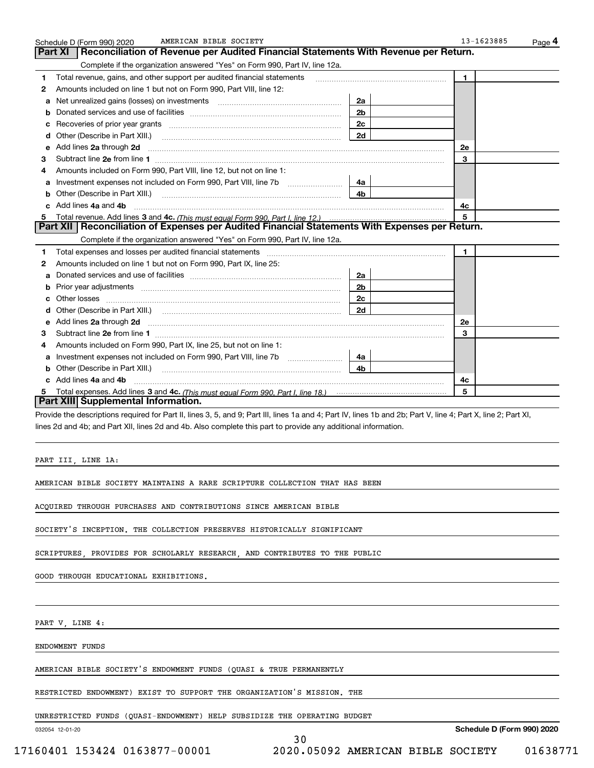|    | AMERICAN BIBLE SOCIETY<br>Schedule D (Form 990) 2020                                                                                                                                                                                |                | 13-1623885   | Page 4 |
|----|-------------------------------------------------------------------------------------------------------------------------------------------------------------------------------------------------------------------------------------|----------------|--------------|--------|
|    | Reconciliation of Revenue per Audited Financial Statements With Revenue per Return.<br>Part XI                                                                                                                                      |                |              |        |
|    | Complete if the organization answered "Yes" on Form 990, Part IV, line 12a.                                                                                                                                                         |                |              |        |
| 1  | Total revenue, gains, and other support per audited financial statements                                                                                                                                                            |                | $\mathbf{1}$ |        |
| 2  | Amounts included on line 1 but not on Form 990, Part VIII, line 12:                                                                                                                                                                 |                |              |        |
| a  |                                                                                                                                                                                                                                     | 2a             |              |        |
| b  |                                                                                                                                                                                                                                     | 2 <sub>b</sub> |              |        |
| c  |                                                                                                                                                                                                                                     | 2c             |              |        |
| d  | Other (Describe in Part XIII.)                                                                                                                                                                                                      | 2d             |              |        |
| е  | Add lines 2a through 2d                                                                                                                                                                                                             |                | <b>2e</b>    |        |
| З  |                                                                                                                                                                                                                                     |                | 3            |        |
| 4  | Amounts included on Form 990, Part VIII, line 12, but not on line 1:                                                                                                                                                                |                |              |        |
|    |                                                                                                                                                                                                                                     | 4a             |              |        |
| b  | Other (Describe in Part XIII.) <b>Construction Contract Construction</b> Chern Construction Chern Chern Chern Chern Chern Chern Chern Chern Chern Chern Chern Chern Chern Chern Chern Chern Chern Chern Chern Chern Chern Chern Che | 4b             |              |        |
| c. | Add lines 4a and 4b                                                                                                                                                                                                                 |                | 4с           |        |
| 5  |                                                                                                                                                                                                                                     |                | 5            |        |
|    | Part XII   Reconciliation of Expenses per Audited Financial Statements With Expenses per Return.                                                                                                                                    |                |              |        |
|    | Complete if the organization answered "Yes" on Form 990, Part IV, line 12a.                                                                                                                                                         |                |              |        |
| 1  | Total expenses and losses per audited financial statements [111] [12] contracts and statements [12] [12] contracts and losses per audited financial statements [12] [12] [12] and the statements and statements and statements      |                | $\mathbf{1}$ |        |
| 2  | Amounts included on line 1 but not on Form 990, Part IX, line 25:                                                                                                                                                                   |                |              |        |
| a  |                                                                                                                                                                                                                                     | 2a             |              |        |
| b  |                                                                                                                                                                                                                                     | 2 <sub>b</sub> |              |        |
|    | Other losses                                                                                                                                                                                                                        | 2с             |              |        |
|    | Other (Describe in Part XIII.) (Contract and Contract and Chern Contract) (Chern Chern Chern Chern Chern Chern                                                                                                                      | 2d             |              |        |
| е  |                                                                                                                                                                                                                                     |                | <b>2e</b>    |        |
| 3  |                                                                                                                                                                                                                                     |                | 3            |        |
| 4  | Amounts included on Form 990, Part IX, line 25, but not on line 1:                                                                                                                                                                  |                |              |        |
| a  | Investment expenses not included on Form 990, Part VIII, line 7b                                                                                                                                                                    | 4a             |              |        |
| b  | Other (Describe in Part XIII.)                                                                                                                                                                                                      | 4b             |              |        |
|    | Add lines 4a and 4b                                                                                                                                                                                                                 |                | 4c           |        |
| 5  |                                                                                                                                                                                                                                     |                | 5            |        |
|    | Part XIII Supplemental Information.                                                                                                                                                                                                 |                |              |        |
|    | Provide the descriptions required for Part II, lines 3, 5, and 9; Part III, lines 1a and 4; Part IV, lines 1b and 2b; Part V, line 4; Part X, line 2; Part XI,                                                                      |                |              |        |
|    | lines 2d and 4b; and Part XII, lines 2d and 4b. Also complete this part to provide any additional information.                                                                                                                      |                |              |        |

PART III, LINE 1A:

AMERICAN BIBLE SOCIETY MAINTAINS A RARE SCRIPTURE COLLECTION THAT HAS BEEN

ACQUIRED THROUGH PURCHASES AND CONTRIBUTIONS SINCE AMERICAN BIBLE

SOCIETY'S INCEPTION. THE COLLECTION PRESERVES HISTORICALLY SIGNIFICANT

SCRIPTURES, PROVIDES FOR SCHOLARLY RESEARCH, AND CONTRIBUTES TO THE PUBLIC

GOOD THROUGH EDUCATIONAL EXHIBITIONS.

PART V, LINE 4:

ENDOWMENT FUNDS

AMERICAN BIBLE SOCIETY'S ENDOWMENT FUNDS (QUASI & TRUE PERMANENTLY

RESTRICTED ENDOWMENT) EXIST TO SUPPORT THE ORGANIZATION'S MISSION. THE

UNRESTRICTED FUNDS (QUASI-ENDOWMENT) HELP SUBSIDIZE THE OPERATING BUDGET

30

032054 12-01-20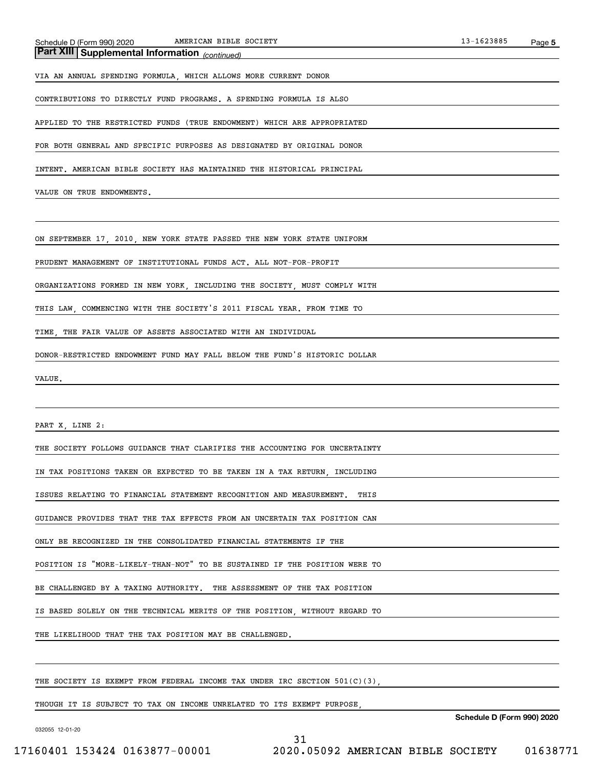*(continued)* **Part XIII Supplemental Information** 

VIA AN ANNUAL SPENDING FORMULA, WHICH ALLOWS MORE CURRENT DONOR

CONTRIBUTIONS TO DIRECTLY FUND PROGRAMS. A SPENDING FORMULA IS ALSO

APPLIED TO THE RESTRICTED FUNDS (TRUE ENDOWMENT) WHICH ARE APPROPRIATED

FOR BOTH GENERAL AND SPECIFIC PURPOSES AS DESIGNATED BY ORIGINAL DONOR

INTENT. AMERICAN BIBLE SOCIETY HAS MAINTAINED THE HISTORICAL PRINCIPAL

VALUE ON TRUE ENDOWMENTS.

ON SEPTEMBER 17, 2010, NEW YORK STATE PASSED THE NEW YORK STATE UNIFORM

PRUDENT MANAGEMENT OF INSTITUTIONAL FUNDS ACT. ALL NOT-FOR-PROFIT

ORGANIZATIONS FORMED IN NEW YORK, INCLUDING THE SOCIETY, MUST COMPLY WITH

THIS LAW, COMMENCING WITH THE SOCIETY'S 2011 FISCAL YEAR. FROM TIME TO

TIME, THE FAIR VALUE OF ASSETS ASSOCIATED WITH AN INDIVIDUAL

DONOR-RESTRICTED ENDOWMENT FUND MAY FALL BELOW THE FUND'S HISTORIC DOLLAR

VALUE.

PART X, LINE 2:

THE SOCIETY FOLLOWS GUIDANCE THAT CLARIFIES THE ACCOUNTING FOR UNCERTAINTY

IN TAX POSITIONS TAKEN OR EXPECTED TO BE TAKEN IN A TAX RETURN, INCLUDING

ISSUES RELATING TO FINANCIAL STATEMENT RECOGNITION AND MEASUREMENT. THIS

GUIDANCE PROVIDES THAT THE TAX EFFECTS FROM AN UNCERTAIN TAX POSITION CAN

ONLY BE RECOGNIZED IN THE CONSOLIDATED FINANCIAL STATEMENTS IF THE

POSITION IS "MORE-LIKELY-THAN-NOT" TO BE SUSTAINED IF THE POSITION WERE TO

BE CHALLENGED BY A TAXING AUTHORITY. THE ASSESSMENT OF THE TAX POSITION

IS BASED SOLELY ON THE TECHNICAL MERITS OF THE POSITION, WITHOUT REGARD TO

THE LIKELIHOOD THAT THE TAX POSITION MAY BE CHALLENGED.

THE SOCIETY IS EXEMPT FROM FEDERAL INCOME TAX UNDER IRC SECTION 501(C)(3).

THOUGH IT IS SUBJECT TO TAX ON INCOME UNRELATED TO ITS EXEMPT PURPOSE,

**Schedule D (Form 990) 2020**

032055 12-01-20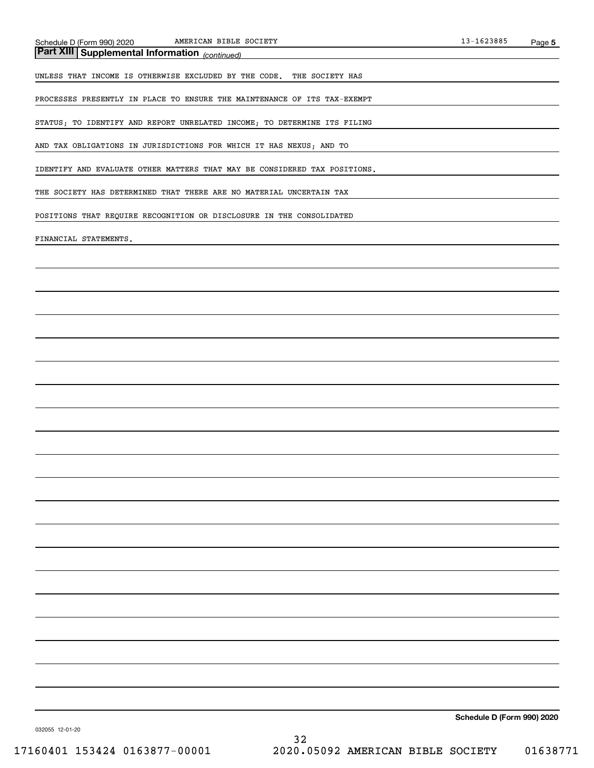*(continued)* **Part XIII Supplemental Information** 

UNLESS THAT INCOME IS OTHERWISE EXCLUDED BY THE CODE. THE SOCIETY HAS

PROCESSES PRESENTLY IN PLACE TO ENSURE THE MAINTENANCE OF ITS TAX-EXEMPT

STATUS; TO IDENTIFY AND REPORT UNRELATED INCOME; TO DETERMINE ITS FILING

AND TAX OBLIGATIONS IN JURISDICTIONS FOR WHICH IT HAS NEXUS; AND TO

IDENTIFY AND EVALUATE OTHER MATTERS THAT MAY BE CONSIDERED TAX POSITIONS.

THE SOCIETY HAS DETERMINED THAT THERE ARE NO MATERIAL UNCERTAIN TAX

POSITIONS THAT REQUIRE RECOGNITION OR DISCLOSURE IN THE CONSOLIDATED

FINANCIAL STATEMENTS.

**Schedule D (Form 990) 2020**

032055 12-01-20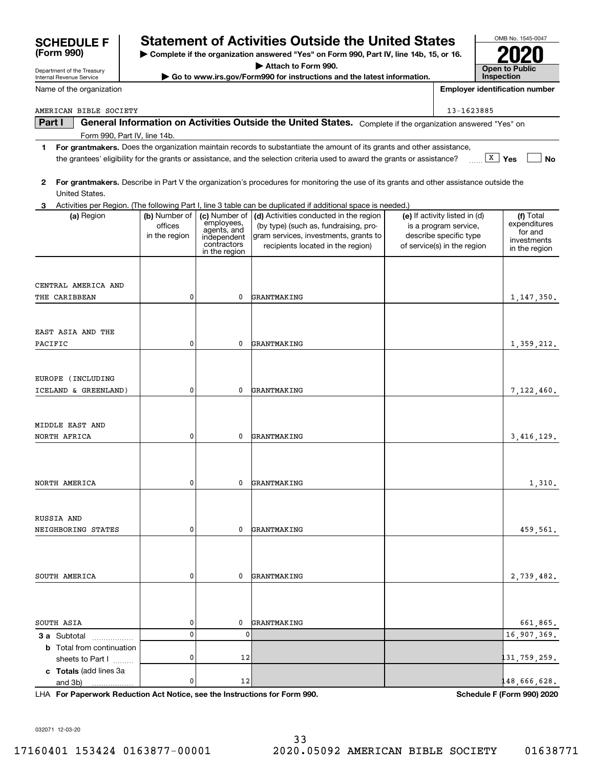| 0<br>$\mathbf 0$<br>GRANTMAKING<br>0<br>0<br>GRANTMAKING<br>$\mathbf{0}$<br>0<br>GRANTMAKING<br>$\mathbf 0$<br>0<br>GRANTMAKING<br>0<br>0<br>3 a Subtotal<br>.<br><b>b</b> Total from continuation<br>0<br>12<br>sheets to Part I<br>c Totals (add lines 3a<br>0<br>12<br>and 3b)<br>33<br>2020.05092 AMERICAN BIBLE SOCIETY |  | 661,865.<br>16,907,369.<br>131,759,259.<br>148,666,628.<br>Schedule F (Form 990) 2020 | NORTH AFRICA | 0 | 0 | GRANTMAKING | 3,416,129. |
|------------------------------------------------------------------------------------------------------------------------------------------------------------------------------------------------------------------------------------------------------------------------------------------------------------------------------|--|---------------------------------------------------------------------------------------|--------------|---|---|-------------|------------|
| NORTH AMERICA<br>RUSSIA AND<br>NEIGHBORING STATES<br>SOUTH AMERICA<br>SOUTH ASIA<br>LHA For Paperwork Reduction Act Notice, see the Instructions for Form 990.<br>032071 12-03-20<br>17160401 153424 0163877-00001                                                                                                           |  |                                                                                       |              |   |   |             |            |
|                                                                                                                                                                                                                                                                                                                              |  |                                                                                       |              |   |   |             | 1,310.     |
|                                                                                                                                                                                                                                                                                                                              |  |                                                                                       |              |   |   |             |            |
|                                                                                                                                                                                                                                                                                                                              |  |                                                                                       |              |   |   |             |            |
|                                                                                                                                                                                                                                                                                                                              |  |                                                                                       |              |   |   |             | 459,561.   |
|                                                                                                                                                                                                                                                                                                                              |  |                                                                                       |              |   |   |             |            |
|                                                                                                                                                                                                                                                                                                                              |  |                                                                                       |              |   |   |             | 2,739,482. |
|                                                                                                                                                                                                                                                                                                                              |  |                                                                                       |              |   |   |             |            |
|                                                                                                                                                                                                                                                                                                                              |  |                                                                                       |              |   |   |             |            |
|                                                                                                                                                                                                                                                                                                                              |  |                                                                                       |              |   |   |             |            |
|                                                                                                                                                                                                                                                                                                                              |  |                                                                                       |              |   |   |             |            |
|                                                                                                                                                                                                                                                                                                                              |  |                                                                                       |              |   |   |             |            |
|                                                                                                                                                                                                                                                                                                                              |  |                                                                                       |              |   |   |             |            |
|                                                                                                                                                                                                                                                                                                                              |  |                                                                                       |              |   |   |             |            |
|                                                                                                                                                                                                                                                                                                                              |  |                                                                                       |              |   |   |             | 01638771   |
|                                                                                                                                                                                                                                                                                                                              |  |                                                                                       |              |   |   |             |            |
|                                                                                                                                                                                                                                                                                                                              |  |                                                                                       |              |   |   |             |            |
|                                                                                                                                                                                                                                                                                                                              |  |                                                                                       |              |   |   |             |            |

**| Complete if the organization answered "Yes" on Form 990, Part IV, line 14b, 15, or 16.**

**| Attach to Form 990.**

**| Go to www.irs.gov/Form990 for instructions and the latest information.**

## OMB No. 1545-0047 **SCHEDULE F Statement of Activities Outside the United States**

**Open to Public InspectionEmployer identification number**

**2020**

 $(e)$  If activity listed in  $(d)$ is a program service, describe specific type of service(s) in the region **No**

Total expenditures for and investmentsin the region

1,147,350.

1,359,212.

7,122,460.

AMERICAN BIBLE SOCIETY **13-1623885** 

CENTRAL AMERICA AND

EAST ASIA AND THE

THE CARIBBEAN

PACIFIC

EUROPE (INCLUDING

ICELAND & GREENLAND)

MIDDLE EAST AND

officesin the region

0

0

0

Name of the organization

Department of the Treasury Internal Revenue Service

**(Form 990)**

**Part I**  $\parallel$  General Information on Activities Outside the United States. Complete if the organization answered "Yes" on Form 990, Part IV, line 14b.

- **1For grantmakers.**  Does the organization maintain records to substantiate the amount of its grants and other assistance, **X** Yes the grantees' eligibility for the grants or assistance, and the selection criteria used to award the grants or assistance?
- **2For grantmakers.**  Describe in Part V the organization's procedures for monitoring the use of its grants and other assistance outside the United States.

GRANTMAKING

GRANTMAKING

GRANTMAKING

**(a)** Region  $\begin{pmatrix} \mathbf{b} \end{pmatrix}$  Number of  $\begin{pmatrix} \mathbf{c} \end{pmatrix}$  Mumber of  $\begin{pmatrix} \mathbf{d} \end{pmatrix}$  Activities conducted in the region  $\begin{pmatrix} \mathbf{e} \end{pmatrix}$  If activity listed in (d)  $\begin{pmatrix} \mathbf{f} \end{pmatrix}$ 

(by type) (such as, fundraising, program services, investments, grants to recipients located in the region)

|            |  | 3 Activities per Region. (The following Part I, line 3 table can be duplicated if additional space is needed.) |         |
|------------|--|----------------------------------------------------------------------------------------------------------------|---------|
| (a) Region |  | $\vert$ (b) Number of $\vert$ (c) Number of $\vert$ (d) Activities conducted in the region $\vert$             | $(e)$ l |

employees, agents, and independent contractorsin the region

0

0

0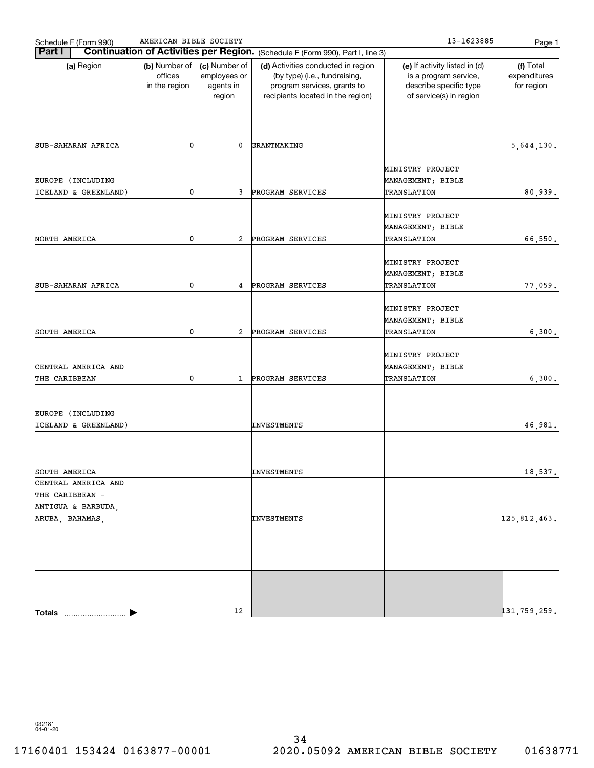| Schedule F (Form 990)                                        | AMERICAN BIBLE SOCIETY                    |                                                      |                                                                                                                                         | 13-1623885                                                                                                  | Page 1                                  |
|--------------------------------------------------------------|-------------------------------------------|------------------------------------------------------|-----------------------------------------------------------------------------------------------------------------------------------------|-------------------------------------------------------------------------------------------------------------|-----------------------------------------|
| Part I                                                       |                                           |                                                      | Continuation of Activities per Region. (Schedule F (Form 990), Part I, line 3)                                                          |                                                                                                             |                                         |
| (a) Region                                                   | (b) Number of<br>offices<br>in the region | (c) Number of<br>employees or<br>agents in<br>region | (d) Activities conducted in region<br>(by type) (i.e., fundraising,<br>program services, grants to<br>recipients located in the region) | (e) If activity listed in (d)<br>is a program service,<br>describe specific type<br>of service(s) in region | (f) Total<br>expenditures<br>for region |
|                                                              |                                           |                                                      |                                                                                                                                         |                                                                                                             |                                         |
| SUB-SAHARAN AFRICA                                           | 0                                         | 0                                                    | GRANTMAKING                                                                                                                             |                                                                                                             | 5,644,130.                              |
| EUROPE (INCLUDING<br>ICELAND & GREENLAND)                    | 0                                         | 3                                                    | PROGRAM SERVICES                                                                                                                        | MINISTRY PROJECT<br>MANAGEMENT; BIBLE<br>TRANSLATION                                                        | 80,939.                                 |
|                                                              |                                           |                                                      |                                                                                                                                         |                                                                                                             |                                         |
| NORTH AMERICA                                                | 0                                         | 2                                                    | PROGRAM SERVICES                                                                                                                        | MINISTRY PROJECT<br>MANAGEMENT; BIBLE<br>TRANSLATION                                                        | 66,550.                                 |
|                                                              |                                           |                                                      |                                                                                                                                         | MINISTRY PROJECT<br>MANAGEMENT; BIBLE                                                                       |                                         |
| SUB-SAHARAN AFRICA                                           | 0                                         | 4                                                    | PROGRAM SERVICES                                                                                                                        | TRANSLATION                                                                                                 | 77,059.                                 |
|                                                              |                                           |                                                      |                                                                                                                                         | MINISTRY PROJECT<br>MANAGEMENT; BIBLE                                                                       |                                         |
| SOUTH AMERICA                                                | 0                                         | 2                                                    | PROGRAM SERVICES                                                                                                                        | TRANSLATION                                                                                                 | 6,300.                                  |
| CENTRAL AMERICA AND<br>THE CARIBBEAN                         | 0                                         | $\mathbf{1}$                                         | PROGRAM SERVICES                                                                                                                        | MINISTRY PROJECT<br>MANAGEMENT; BIBLE<br>TRANSLATION                                                        | 6,300.                                  |
| EUROPE (INCLUDING<br>ICELAND & GREENLAND)                    |                                           |                                                      | INVESTMENTS                                                                                                                             |                                                                                                             | 46,981.                                 |
| SOUTH AMERICA                                                |                                           |                                                      | INVESTMENTS                                                                                                                             |                                                                                                             | 18,537.                                 |
| CENTRAL AMERICA AND<br>THE CARIBBEAN -<br>ANTIGUA & BARBUDA, |                                           |                                                      |                                                                                                                                         |                                                                                                             |                                         |
| ARUBA, BAHAMAS,                                              |                                           |                                                      | INVESTMENTS                                                                                                                             |                                                                                                             | 125,812,463.                            |
| Totals                                                       |                                           | 12                                                   |                                                                                                                                         |                                                                                                             | 131,759,259.                            |

032181 04-01-20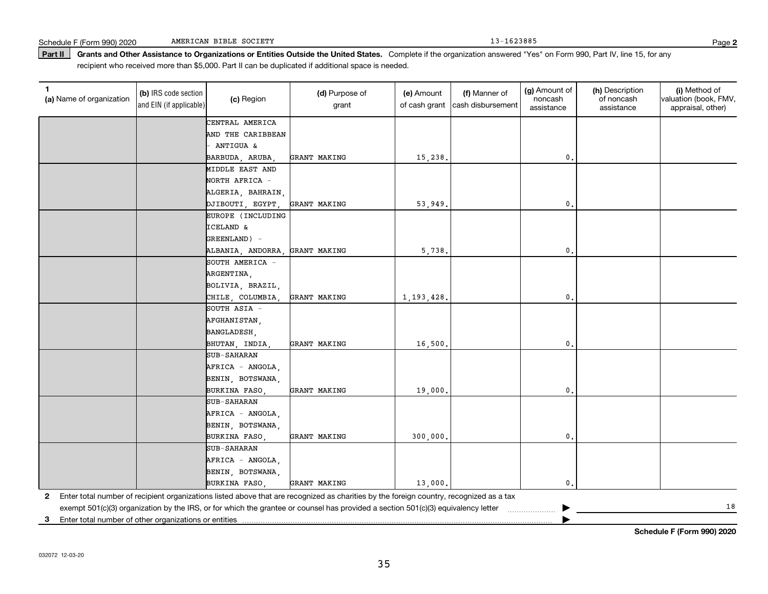Part II | Grants and Other Assistance to Organizations or Entities Outside the United States. Complete if the organization answered "Yes" on Form 990, Part IV, line 15, for any recipient who received more than \$5,000. Part II can be duplicated if additional space is needed.

| 1<br>(a) Name of organization                              | (b) IRS code section<br>and EIN (if applicable) | (c) Region          | (d) Purpose of<br>grant                                                                                                                 | (e) Amount<br>of cash grant | (f) Manner of<br>cash disbursement | (g) Amount of<br>noncash<br>assistance | (h) Description<br>of noncash<br>assistance | (i) Method of<br>valuation (book, FMV,<br>appraisal, other) |
|------------------------------------------------------------|-------------------------------------------------|---------------------|-----------------------------------------------------------------------------------------------------------------------------------------|-----------------------------|------------------------------------|----------------------------------------|---------------------------------------------|-------------------------------------------------------------|
|                                                            |                                                 | CENTRAL AMERICA     |                                                                                                                                         |                             |                                    |                                        |                                             |                                                             |
|                                                            |                                                 | AND THE CARIBBEAN   |                                                                                                                                         |                             |                                    |                                        |                                             |                                                             |
|                                                            |                                                 | ANTIGUA &           |                                                                                                                                         |                             |                                    |                                        |                                             |                                                             |
|                                                            |                                                 | BARBUDA, ARUBA,     | GRANT MAKING                                                                                                                            | 15,238.                     |                                    | $\mathbf 0$ .                          |                                             |                                                             |
|                                                            |                                                 | MIDDLE EAST AND     |                                                                                                                                         |                             |                                    |                                        |                                             |                                                             |
|                                                            |                                                 | NORTH AFRICA -      |                                                                                                                                         |                             |                                    |                                        |                                             |                                                             |
|                                                            |                                                 | ALGERIA, BAHRAIN,   |                                                                                                                                         |                             |                                    |                                        |                                             |                                                             |
|                                                            |                                                 | DJIBOUTI, EGYPT,    | GRANT MAKING                                                                                                                            | 53,949.                     |                                    | $\mathbf{0}$                           |                                             |                                                             |
|                                                            |                                                 | EUROPE (INCLUDING   |                                                                                                                                         |                             |                                    |                                        |                                             |                                                             |
|                                                            |                                                 | ICELAND &           |                                                                                                                                         |                             |                                    |                                        |                                             |                                                             |
|                                                            |                                                 | GREENLAND) -        |                                                                                                                                         |                             |                                    |                                        |                                             |                                                             |
|                                                            |                                                 | ALBANIA, ANDORRA,   | GRANT MAKING                                                                                                                            | 5,738.                      |                                    | $\mathbf{0}$                           |                                             |                                                             |
|                                                            |                                                 | SOUTH AMERICA -     |                                                                                                                                         |                             |                                    |                                        |                                             |                                                             |
|                                                            |                                                 | ARGENTINA,          |                                                                                                                                         |                             |                                    |                                        |                                             |                                                             |
|                                                            |                                                 | BOLIVIA, BRAZIL,    |                                                                                                                                         |                             |                                    |                                        |                                             |                                                             |
|                                                            |                                                 | CHILE, COLUMBIA,    | GRANT MAKING                                                                                                                            | 1, 193, 428.                |                                    | $\mathbf{0}$                           |                                             |                                                             |
|                                                            |                                                 | SOUTH ASIA -        |                                                                                                                                         |                             |                                    |                                        |                                             |                                                             |
|                                                            |                                                 | AFGHANISTAN,        |                                                                                                                                         |                             |                                    |                                        |                                             |                                                             |
|                                                            |                                                 | <b>BANGLADESH</b> . |                                                                                                                                         |                             |                                    |                                        |                                             |                                                             |
|                                                            |                                                 | BHUTAN, INDIA,      | GRANT MAKING                                                                                                                            | 16,500.                     |                                    | $\mathbf 0$ .                          |                                             |                                                             |
|                                                            |                                                 | SUB-SAHARAN         |                                                                                                                                         |                             |                                    |                                        |                                             |                                                             |
|                                                            |                                                 | AFRICA - ANGOLA,    |                                                                                                                                         |                             |                                    |                                        |                                             |                                                             |
|                                                            |                                                 | BENIN, BOTSWANA,    |                                                                                                                                         |                             |                                    |                                        |                                             |                                                             |
|                                                            |                                                 | BURKINA FASO,       | GRANT MAKING                                                                                                                            | 19,000.                     |                                    | $\mathbf 0$ .                          |                                             |                                                             |
|                                                            |                                                 | SUB-SAHARAN         |                                                                                                                                         |                             |                                    |                                        |                                             |                                                             |
|                                                            |                                                 | AFRICA - ANGOLA,    |                                                                                                                                         |                             |                                    |                                        |                                             |                                                             |
|                                                            |                                                 | BENIN, BOTSWANA,    |                                                                                                                                         |                             |                                    |                                        |                                             |                                                             |
|                                                            |                                                 | BURKINA FASO,       | GRANT MAKING                                                                                                                            | 300,000,                    |                                    | $\mathbf{0}$                           |                                             |                                                             |
|                                                            |                                                 | <b>SUB-SAHARAN</b>  |                                                                                                                                         |                             |                                    |                                        |                                             |                                                             |
|                                                            |                                                 | AFRICA - ANGOLA,    |                                                                                                                                         |                             |                                    |                                        |                                             |                                                             |
|                                                            |                                                 | BENIN, BOTSWANA,    |                                                                                                                                         |                             |                                    |                                        |                                             |                                                             |
|                                                            |                                                 | BURKINA FASO,       | GRANT MAKING                                                                                                                            | 13,000.                     |                                    | $\mathbf 0$ .                          |                                             |                                                             |
| $\mathbf{2}$                                               |                                                 |                     | Enter total number of recipient organizations listed above that are recognized as charities by the foreign country, recognized as a tax |                             |                                    |                                        |                                             |                                                             |
|                                                            |                                                 |                     | exempt 501(c)(3) organization by the IRS, or for which the grantee or counsel has provided a section 501(c)(3) equivalency letter       |                             |                                    |                                        |                                             | 18                                                          |
| Enter total number of other organizations or entities<br>3 |                                                 |                     |                                                                                                                                         |                             |                                    |                                        |                                             |                                                             |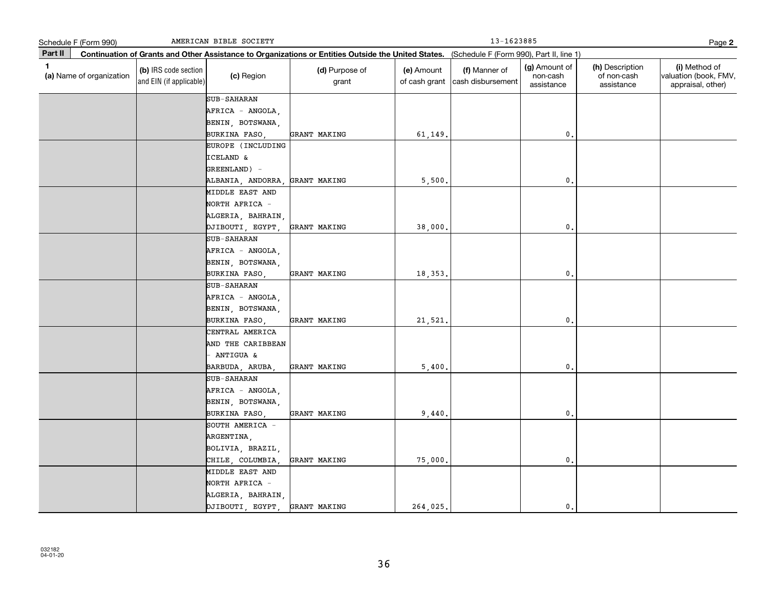|         | Schedule F (Form 990)                                                                                                                        |                                                 | AMERICAN BIBLE SOCIETY                                                     |                         |                             | 13-1623885                         |                                         |                                              | Page 2                                                      |
|---------|----------------------------------------------------------------------------------------------------------------------------------------------|-------------------------------------------------|----------------------------------------------------------------------------|-------------------------|-----------------------------|------------------------------------|-----------------------------------------|----------------------------------------------|-------------------------------------------------------------|
| Part II | Continuation of Grants and Other Assistance to Organizations or Entities Outside the United States. (Schedule F (Form 990), Part II, line 1) |                                                 |                                                                            |                         |                             |                                    |                                         |                                              |                                                             |
| 1       | (a) Name of organization                                                                                                                     | (b) IRS code section<br>and EIN (if applicable) | (c) Region                                                                 | (d) Purpose of<br>grant | (e) Amount<br>of cash grant | (f) Manner of<br>cash disbursement | (g) Amount of<br>non-cash<br>assistance | (h) Description<br>of non-cash<br>assistance | (i) Method of<br>valuation (book, FMV,<br>appraisal, other) |
|         |                                                                                                                                              |                                                 | SUB-SAHARAN<br>AFRICA - ANGOLA,<br>BENIN, BOTSWANA,                        |                         |                             |                                    |                                         |                                              |                                                             |
|         |                                                                                                                                              |                                                 | BURKINA FASO,                                                              | GRANT MAKING            | 61,149.                     |                                    | $\mathfrak o$ .                         |                                              |                                                             |
|         |                                                                                                                                              |                                                 | EUROPE (INCLUDING<br><b>ICELAND &amp;</b><br>GREENLAND) -                  |                         |                             |                                    |                                         |                                              |                                                             |
|         |                                                                                                                                              |                                                 | ALBANIA, ANDORRA,                                                          | GRANT MAKING            | 5,500.                      |                                    | $\mathbf{0}$ .                          |                                              |                                                             |
|         |                                                                                                                                              |                                                 | MIDDLE EAST AND<br>NORTH AFRICA -<br>ALGERIA, BAHRAIN,                     |                         |                             |                                    |                                         |                                              |                                                             |
|         |                                                                                                                                              |                                                 | DJIBOUTI, EGYPT                                                            | GRANT MAKING            | 38,000.                     |                                    | $\mathfrak o$ .                         |                                              |                                                             |
|         |                                                                                                                                              |                                                 | SUB-SAHARAN<br>AFRICA - ANGOLA,<br>BENIN, BOTSWANA,<br>BURKINA FASO.       | GRANT MAKING            | 18,353.                     |                                    | $\mathbf{0}$ .                          |                                              |                                                             |
|         |                                                                                                                                              |                                                 | SUB-SAHARAN<br>AFRICA - ANGOLA,<br>BENIN, BOTSWANA,<br>BURKINA FASO,       | GRANT MAKING            | 21,521                      |                                    | $\mathbf 0$ .                           |                                              |                                                             |
|         |                                                                                                                                              |                                                 | CENTRAL AMERICA<br>AND THE CARIBBEAN<br>- ANTIGUA &<br>BARBUDA, ARUBA,     | GRANT MAKING            | 5,400.                      |                                    | $\mathbf{0}$ .                          |                                              |                                                             |
|         |                                                                                                                                              |                                                 | <b>SUB-SAHARAN</b><br>AFRICA - ANGOLA,<br>BENIN, BOTSWANA,<br>BURKINA FASO | GRANT MAKING            | 9,440.                      |                                    | $\mathfrak o$ .                         |                                              |                                                             |
|         |                                                                                                                                              |                                                 | SOUTH AMERICA -<br>ARGENTINA,<br>BOLIVIA, BRAZIL,<br>CHILE, COLUMBIA,      | GRANT MAKING            | 75,000.                     |                                    | $\mathfrak o$ .                         |                                              |                                                             |
|         |                                                                                                                                              |                                                 | MIDDLE EAST AND<br>NORTH AFRICA -<br>ALGERIA, BAHRAIN,<br>DJIBOUTI, EGYPT  | GRANT MAKING            | 264,025.                    |                                    | $\mathbf{0}$ .                          |                                              |                                                             |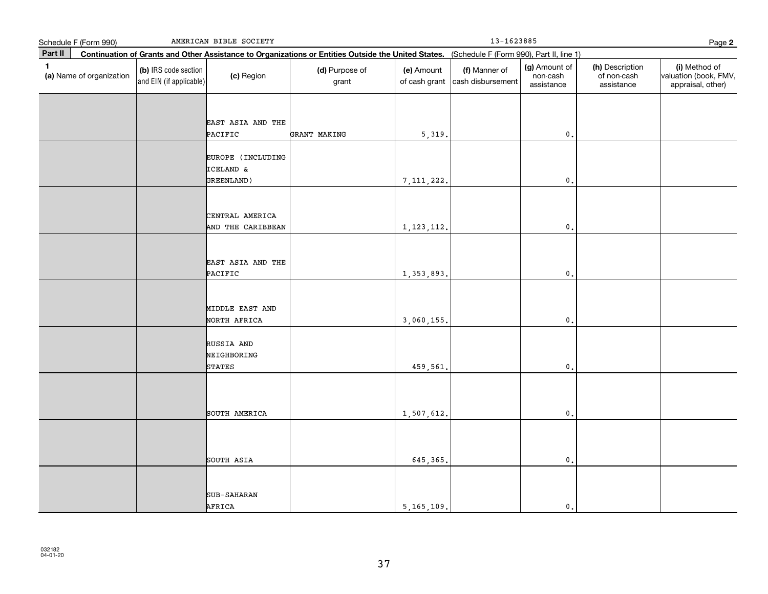|              | AMERICAN BIBLE SOCIETY<br>Schedule F (Form 990) |                                                 |                                              |                         |                                                                                                                                              | $13 - 1623885$                     |                                         |                                              |                                                             |  |  |
|--------------|-------------------------------------------------|-------------------------------------------------|----------------------------------------------|-------------------------|----------------------------------------------------------------------------------------------------------------------------------------------|------------------------------------|-----------------------------------------|----------------------------------------------|-------------------------------------------------------------|--|--|
| Part II      |                                                 |                                                 |                                              |                         | Continuation of Grants and Other Assistance to Organizations or Entities Outside the United States. (Schedule F (Form 990), Part II, line 1) |                                    |                                         |                                              |                                                             |  |  |
| $\mathbf{1}$ | (a) Name of organization                        | (b) IRS code section<br>and EIN (if applicable) | (c) Region                                   | (d) Purpose of<br>grant | (e) Amount<br>of cash grant                                                                                                                  | (f) Manner of<br>cash disbursement | (g) Amount of<br>non-cash<br>assistance | (h) Description<br>of non-cash<br>assistance | (i) Method of<br>valuation (book, FMV,<br>appraisal, other) |  |  |
|              |                                                 |                                                 | EAST ASIA AND THE<br>PACIFIC                 | GRANT MAKING            | 5,319.                                                                                                                                       |                                    | $\mathfrak o$ .                         |                                              |                                                             |  |  |
|              |                                                 |                                                 | EUROPE (INCLUDING<br>ICELAND &<br>GREENLAND) |                         | 7, 111, 222.                                                                                                                                 |                                    | $\mathbf 0$ .                           |                                              |                                                             |  |  |
|              |                                                 |                                                 | CENTRAL AMERICA<br>AND THE CARIBBEAN         |                         | 1, 123, 112.                                                                                                                                 |                                    | $\mathbf 0$ .                           |                                              |                                                             |  |  |
|              |                                                 |                                                 | EAST ASIA AND THE<br>PACIFIC                 |                         | 1, 353, 893.                                                                                                                                 |                                    | $\mathbf 0$ .                           |                                              |                                                             |  |  |
|              |                                                 |                                                 | MIDDLE EAST AND<br>NORTH AFRICA              |                         | 3,060,155.                                                                                                                                   |                                    | $\mathbf{0}$ .                          |                                              |                                                             |  |  |
|              |                                                 |                                                 | RUSSIA AND<br>NEIGHBORING<br>STATES          |                         | 459,561.                                                                                                                                     |                                    | $\mathfrak o$ .                         |                                              |                                                             |  |  |
|              |                                                 |                                                 | SOUTH AMERICA                                |                         | 1,507,612.                                                                                                                                   |                                    | $\mathfrak o$ .                         |                                              |                                                             |  |  |
|              |                                                 |                                                 | SOUTH ASIA                                   |                         | 645, 365,                                                                                                                                    |                                    | $\mathfrak o$ .                         |                                              |                                                             |  |  |
|              |                                                 |                                                 | SUB-SAHARAN<br>AFRICA                        |                         | 5, 165, 109.                                                                                                                                 |                                    | $\mathfrak o$ .                         |                                              |                                                             |  |  |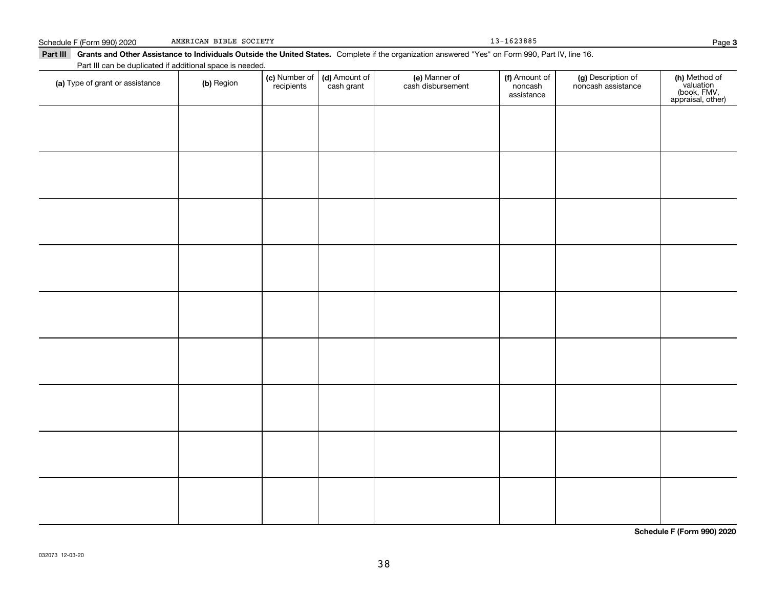| Part III can be duplicated if additional space is needed. |            |                             |                             |                                    |                                        |                                          |                                                                |
|-----------------------------------------------------------|------------|-----------------------------|-----------------------------|------------------------------------|----------------------------------------|------------------------------------------|----------------------------------------------------------------|
| (a) Type of grant or assistance                           | (b) Region | (c) Number of<br>recipients | (d) Amount of<br>cash grant | (e) Manner of<br>cash disbursement | (f) Amount of<br>noncash<br>assistance | (g) Description of<br>noncash assistance | (h) Method of<br>valuation<br>(book, FMV,<br>appraisal, other) |
|                                                           |            |                             |                             |                                    |                                        |                                          |                                                                |
|                                                           |            |                             |                             |                                    |                                        |                                          |                                                                |
|                                                           |            |                             |                             |                                    |                                        |                                          |                                                                |
|                                                           |            |                             |                             |                                    |                                        |                                          |                                                                |
|                                                           |            |                             |                             |                                    |                                        |                                          |                                                                |
|                                                           |            |                             |                             |                                    |                                        |                                          |                                                                |
|                                                           |            |                             |                             |                                    |                                        |                                          |                                                                |
|                                                           |            |                             |                             |                                    |                                        |                                          |                                                                |
|                                                           |            |                             |                             |                                    |                                        |                                          |                                                                |
|                                                           |            |                             |                             |                                    |                                        |                                          |                                                                |
|                                                           |            |                             |                             |                                    |                                        |                                          |                                                                |
|                                                           |            |                             |                             |                                    |                                        |                                          |                                                                |
|                                                           |            |                             |                             |                                    |                                        |                                          |                                                                |
|                                                           |            |                             |                             |                                    |                                        |                                          |                                                                |
|                                                           |            |                             |                             |                                    |                                        |                                          |                                                                |
|                                                           |            |                             |                             |                                    |                                        |                                          |                                                                |
|                                                           |            |                             |                             |                                    |                                        |                                          | Schedule F (Form 990) 2020                                     |

Part III Grants and Other Assistance to Individuals Outside the United States. Complete if the organization answered "Yes" on Form 990, Part IV, line 16.

#### Schedule F (Form 990) 2020 AMERICAN BIBLE SOCIETY 2008 2009 13-1623885 AMERICAN BIBLE SOCIETY

Page 3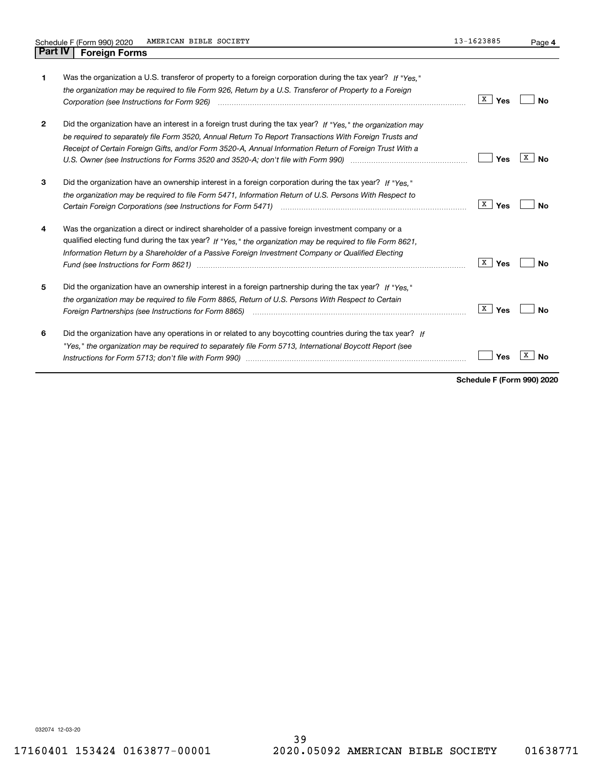| 1              | Was the organization a U.S. transferor of property to a foreign corporation during the tax year? If "Yes."<br>the organization may be required to file Form 926, Return by a U.S. Transferor of Property to a Foreign                                                                                                                                                                                                                   | X<br>Yes | No      |
|----------------|-----------------------------------------------------------------------------------------------------------------------------------------------------------------------------------------------------------------------------------------------------------------------------------------------------------------------------------------------------------------------------------------------------------------------------------------|----------|---------|
| $\overline{2}$ | Did the organization have an interest in a foreign trust during the tax year? If "Yes." the organization may<br>be required to separately file Form 3520, Annual Return To Report Transactions With Foreign Trusts and<br>Receipt of Certain Foreign Gifts, and/or Form 3520-A, Annual Information Return of Foreign Trust With a                                                                                                       | Yes      | x<br>N٥ |
| 3              | Did the organization have an ownership interest in a foreign corporation during the tax year? If "Yes,"<br>the organization may be required to file Form 5471, Information Return of U.S. Persons With Respect to                                                                                                                                                                                                                       | X<br>Yes | Nο      |
| 4              | Was the organization a direct or indirect shareholder of a passive foreign investment company or a<br>qualified electing fund during the tax year? If "Yes," the organization may be required to file Form 8621.<br>Information Return by a Shareholder of a Passive Foreign Investment Company or Qualified Electing<br>Fund (see Instructions for Form 8621) manufactured control control and the latest state of the state of the st | X<br>Yes | No      |
| 5              | Did the organization have an ownership interest in a foreign partnership during the tax year? If "Yes."<br>the organization may be required to file Form 8865, Return of U.S. Persons With Respect to Certain<br>Foreign Partnerships (see Instructions for Form 8865) <i>mand contained contained contained to the set of the set</i>                                                                                                  | X<br>Yes | No      |
| 6              | Did the organization have any operations in or related to any boycotting countries during the tax year? If<br>"Yes," the organization may be required to separately file Form 5713, International Boycott Report (see                                                                                                                                                                                                                   | Yes      |         |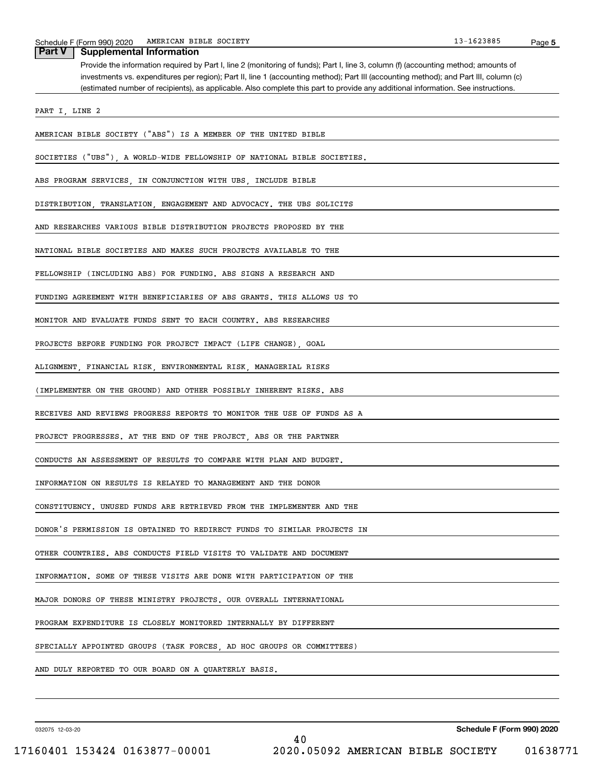| <b>Part V</b><br><b>Supplemental Information</b>                                                                                                                                                                                                                                                                                                                                                                  |
|-------------------------------------------------------------------------------------------------------------------------------------------------------------------------------------------------------------------------------------------------------------------------------------------------------------------------------------------------------------------------------------------------------------------|
| Provide the information required by Part I, line 2 (monitoring of funds); Part I, line 3, column (f) (accounting method; amounts of<br>investments vs. expenditures per region); Part II, line 1 (accounting method); Part III (accounting method); and Part III, column (c)<br>(estimated number of recipients), as applicable. Also complete this part to provide any additional information. See instructions. |
| PART I, LINE 2                                                                                                                                                                                                                                                                                                                                                                                                    |
|                                                                                                                                                                                                                                                                                                                                                                                                                   |
| AMERICAN BIBLE SOCIETY ("ABS") IS A MEMBER OF THE UNITED BIBLE                                                                                                                                                                                                                                                                                                                                                    |
| SOCIETIES ("UBS"), A WORLD-WIDE FELLOWSHIP OF NATIONAL BIBLE SOCIETIES.                                                                                                                                                                                                                                                                                                                                           |
| ABS PROGRAM SERVICES, IN CONJUNCTION WITH UBS, INCLUDE BIBLE                                                                                                                                                                                                                                                                                                                                                      |
| DISTRIBUTION, TRANSLATION, ENGAGEMENT AND ADVOCACY. THE UBS SOLICITS                                                                                                                                                                                                                                                                                                                                              |
| AND RESEARCHES VARIOUS BIBLE DISTRIBUTION PROJECTS PROPOSED BY THE                                                                                                                                                                                                                                                                                                                                                |
| NATIONAL BIBLE SOCIETIES AND MAKES SUCH PROJECTS AVAILABLE TO THE                                                                                                                                                                                                                                                                                                                                                 |
| FELLOWSHIP (INCLUDING ABS) FOR FUNDING. ABS SIGNS A RESEARCH AND                                                                                                                                                                                                                                                                                                                                                  |
| FUNDING AGREEMENT WITH BENEFICIARIES OF ABS GRANTS. THIS ALLOWS US TO                                                                                                                                                                                                                                                                                                                                             |
| MONITOR AND EVALUATE FUNDS SENT TO EACH COUNTRY. ABS RESEARCHES                                                                                                                                                                                                                                                                                                                                                   |
| PROJECTS BEFORE FUNDING FOR PROJECT IMPACT (LIFE CHANGE), GOAL                                                                                                                                                                                                                                                                                                                                                    |
| ALIGNMENT, FINANCIAL RISK, ENVIRONMENTAL RISK, MANAGERIAL RISKS                                                                                                                                                                                                                                                                                                                                                   |
| (IMPLEMENTER ON THE GROUND) AND OTHER POSSIBLY INHERENT RISKS. ABS                                                                                                                                                                                                                                                                                                                                                |
| RECEIVES AND REVIEWS PROGRESS REPORTS TO MONITOR THE USE OF FUNDS AS A                                                                                                                                                                                                                                                                                                                                            |
| PROJECT PROGRESSES. AT THE END OF THE PROJECT, ABS OR THE PARTNER                                                                                                                                                                                                                                                                                                                                                 |
| CONDUCTS AN ASSESSMENT OF RESULTS TO COMPARE WITH PLAN AND BUDGET.                                                                                                                                                                                                                                                                                                                                                |
| INFORMATION ON RESULTS IS RELAYED TO MANAGEMENT AND THE DONOR                                                                                                                                                                                                                                                                                                                                                     |
| CONSTITUENCY. UNUSED FUNDS ARE RETRIEVED FROM THE IMPLEMENTER AND THE                                                                                                                                                                                                                                                                                                                                             |
| DONOR'S PERMISSION IS OBTAINED TO REDIRECT FUNDS TO SIMILAR PROJECTS IN                                                                                                                                                                                                                                                                                                                                           |
| OTHER COUNTRIES. ABS CONDUCTS FIELD VISITS TO VALIDATE AND DOCUMENT                                                                                                                                                                                                                                                                                                                                               |
| INFORMATION. SOME OF THESE VISITS ARE DONE WITH PARTICIPATION OF THE                                                                                                                                                                                                                                                                                                                                              |
| MAJOR DONORS OF THESE MINISTRY PROJECTS. OUR OVERALL INTERNATIONAL                                                                                                                                                                                                                                                                                                                                                |
| PROGRAM EXPENDITURE IS CLOSELY MONITORED INTERNALLY BY DIFFERENT                                                                                                                                                                                                                                                                                                                                                  |
| SPECIALLY APPOINTED GROUPS (TASK FORCES, AD HOC GROUPS OR COMMITTEES)                                                                                                                                                                                                                                                                                                                                             |
| AND DULY REPORTED TO OUR BOARD ON A QUARTERLY BASIS.                                                                                                                                                                                                                                                                                                                                                              |

032075 12-03-20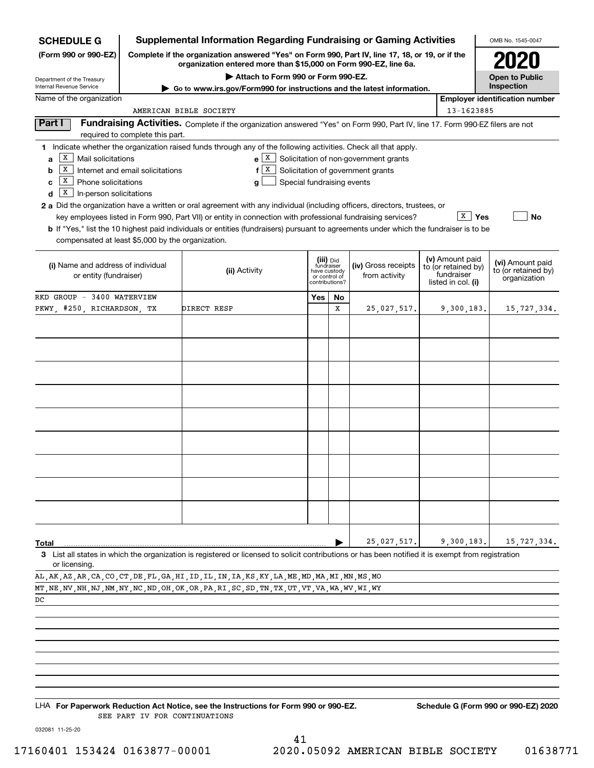| <b>SCHEDULE G</b>                                                                                                                                         |                                  | <b>Supplemental Information Regarding Fundraising or Gaming Activities</b>                                                                                                                                                                                                                                                                                                                                                                                                                                                                                    |                                                               |           |                                                                                   |                                                                            | OMB No. 1545-0047                                       |
|-----------------------------------------------------------------------------------------------------------------------------------------------------------|----------------------------------|---------------------------------------------------------------------------------------------------------------------------------------------------------------------------------------------------------------------------------------------------------------------------------------------------------------------------------------------------------------------------------------------------------------------------------------------------------------------------------------------------------------------------------------------------------------|---------------------------------------------------------------|-----------|-----------------------------------------------------------------------------------|----------------------------------------------------------------------------|---------------------------------------------------------|
| (Form 990 or 990-EZ)                                                                                                                                      |                                  | Complete if the organization answered "Yes" on Form 990, Part IV, line 17, 18, or 19, or if the<br>organization entered more than \$15,000 on Form 990-EZ, line 6a.                                                                                                                                                                                                                                                                                                                                                                                           |                                                               |           |                                                                                   |                                                                            | 2020                                                    |
| Department of the Treasury                                                                                                                                |                                  | Attach to Form 990 or Form 990-EZ.                                                                                                                                                                                                                                                                                                                                                                                                                                                                                                                            |                                                               |           |                                                                                   |                                                                            | <b>Open to Public</b>                                   |
| Internal Revenue Service                                                                                                                                  |                                  | Go to www.irs.gov/Form990 for instructions and the latest information.                                                                                                                                                                                                                                                                                                                                                                                                                                                                                        |                                                               |           |                                                                                   |                                                                            | Inspection                                              |
| Name of the organization                                                                                                                                  |                                  |                                                                                                                                                                                                                                                                                                                                                                                                                                                                                                                                                               |                                                               |           |                                                                                   |                                                                            | <b>Employer identification number</b>                   |
|                                                                                                                                                           |                                  | AMERICAN BIBLE SOCIETY                                                                                                                                                                                                                                                                                                                                                                                                                                                                                                                                        |                                                               |           |                                                                                   | 13-1623885                                                                 |                                                         |
| Part I                                                                                                                                                    | required to complete this part.  | Fundraising Activities. Complete if the organization answered "Yes" on Form 990, Part IV, line 17. Form 990-EZ filers are not                                                                                                                                                                                                                                                                                                                                                                                                                                 |                                                               |           |                                                                                   |                                                                            |                                                         |
| $\boxed{\text{X}}$ Mail solicitations<br>a<br>ΙX<br>b<br>$\boxed{\text{X}}$ Phone solicitations<br>c<br>$\boxed{\textbf{X}}$ In-person solicitations<br>d | Internet and email solicitations | 1 Indicate whether the organization raised funds through any of the following activities. Check all that apply.<br>  X  <br>f<br>Special fundraising events<br>a<br>2 a Did the organization have a written or oral agreement with any individual (including officers, directors, trustees, or<br>key employees listed in Form 990, Part VII) or entity in connection with professional fundraising services?<br><b>b</b> If "Yes," list the 10 highest paid individuals or entities (fundraisers) pursuant to agreements under which the fundraiser is to be |                                                               |           | $e[X]$ Solicitation of non-government grants<br>Solicitation of government grants | $\mathbf{x}$<br>Yes                                                        | No                                                      |
| compensated at least \$5,000 by the organization.                                                                                                         |                                  |                                                                                                                                                                                                                                                                                                                                                                                                                                                                                                                                                               |                                                               |           |                                                                                   |                                                                            |                                                         |
| (i) Name and address of individual<br>or entity (fundraiser)                                                                                              |                                  | (ii) Activity                                                                                                                                                                                                                                                                                                                                                                                                                                                                                                                                                 | fundraiser<br>have custody<br>or control of<br>contributions? | (iii) Did | (iv) Gross receipts<br>from activity                                              | (v) Amount paid<br>to (or retained by)<br>fundraiser<br>listed in col. (i) | (vi) Amount paid<br>to (or retained by)<br>organization |
| RKD GROUP - 3400 WATERVIEW                                                                                                                                |                                  |                                                                                                                                                                                                                                                                                                                                                                                                                                                                                                                                                               | Yes                                                           | No        |                                                                                   |                                                                            |                                                         |
| PKWY, #250, RICHARDSON, TX                                                                                                                                |                                  | DIRECT RESP                                                                                                                                                                                                                                                                                                                                                                                                                                                                                                                                                   |                                                               | x         | 25,027,517.                                                                       | 9,300,183.                                                                 | 15,727,334.                                             |
|                                                                                                                                                           |                                  |                                                                                                                                                                                                                                                                                                                                                                                                                                                                                                                                                               |                                                               |           |                                                                                   |                                                                            |                                                         |
| Total                                                                                                                                                     |                                  | 3 List all states in which the organization is registered or licensed to solicit contributions or has been notified it is exempt from registration                                                                                                                                                                                                                                                                                                                                                                                                            |                                                               |           | 25,027,517.                                                                       | 9,300,183.                                                                 | 15,727,334.                                             |
| or licensing.                                                                                                                                             |                                  |                                                                                                                                                                                                                                                                                                                                                                                                                                                                                                                                                               |                                                               |           |                                                                                   |                                                                            |                                                         |
|                                                                                                                                                           |                                  | AL, AK, AZ, AR, CA, CO, CT, DE, FL, GA, HI, ID, IL, IN, IA, KS, KY, LA, ME, MD, MA, MI, MN, MS, MO<br>MT , NE , NV , NH , NJ , NM , NY , NC , ND , OH , OK , OR , PA , RI , SC , SD , TN , TX , UT , VT , VA , WA , WV , WI , WY                                                                                                                                                                                                                                                                                                                              |                                                               |           |                                                                                   |                                                                            |                                                         |
| DC                                                                                                                                                        |                                  |                                                                                                                                                                                                                                                                                                                                                                                                                                                                                                                                                               |                                                               |           |                                                                                   |                                                                            |                                                         |

LHA For Paperwork Reduction Act Notice, see the Instructions for Form 990 or 990-EZ. Schedule G (Form 990 or 990-EZ) 2020 SEE PART IV FOR CONTINUATIONS

032081 11-25-20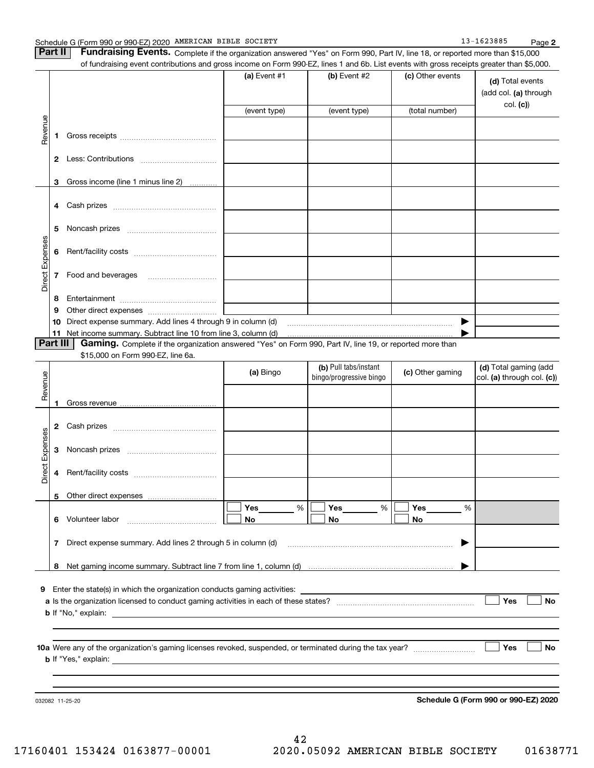| Part II   Fundraising Events. Complete if the organization answered "Yes" on Form 990, Part IV, line 18, or reported more than \$15,000   |
|-------------------------------------------------------------------------------------------------------------------------------------------|
| of fundraising event contributions and gross income on Form 990-EZ, lines 1 and 6b. List events with gross receipts greater than \$5,000. |

|                 |          | of fundraising event contributions and gross income on Form 990-EZ, lines 1 and 6b. List events with gross receipts greater than \$5,000. | (a) Event $#1$ | $(b)$ Event #2                                   | (c) Other events | (d) Total events<br>(add col. (a) through           |
|-----------------|----------|-------------------------------------------------------------------------------------------------------------------------------------------|----------------|--------------------------------------------------|------------------|-----------------------------------------------------|
|                 |          |                                                                                                                                           | (event type)   | (event type)                                     | (total number)   | col. (c)                                            |
|                 |          |                                                                                                                                           |                |                                                  |                  |                                                     |
| Revenue         | 1        |                                                                                                                                           |                |                                                  |                  |                                                     |
|                 |          |                                                                                                                                           |                |                                                  |                  |                                                     |
|                 | 3        | Gross income (line 1 minus line 2)<br>.                                                                                                   |                |                                                  |                  |                                                     |
|                 | 4        |                                                                                                                                           |                |                                                  |                  |                                                     |
|                 | 5        |                                                                                                                                           |                |                                                  |                  |                                                     |
| Direct Expenses | 6        |                                                                                                                                           |                |                                                  |                  |                                                     |
|                 | 7        | Food and beverages                                                                                                                        |                |                                                  |                  |                                                     |
|                 | 8        |                                                                                                                                           |                |                                                  |                  |                                                     |
|                 | 9        |                                                                                                                                           |                |                                                  |                  |                                                     |
|                 | 10       | Direct expense summary. Add lines 4 through 9 in column (d)                                                                               |                |                                                  |                  |                                                     |
|                 | 11       | Net income summary. Subtract line 10 from line 3, column (d)                                                                              |                |                                                  |                  |                                                     |
|                 | Part III | Gaming. Complete if the organization answered "Yes" on Form 990, Part IV, line 19, or reported more than                                  |                |                                                  |                  |                                                     |
|                 |          | \$15,000 on Form 990-EZ, line 6a.                                                                                                         |                |                                                  |                  |                                                     |
| Revenue         |          |                                                                                                                                           | (a) Bingo      | (b) Pull tabs/instant<br>bingo/progressive bingo | (c) Other gaming | (d) Total gaming (add<br>col. (a) through col. (c)) |
|                 | 1        |                                                                                                                                           |                |                                                  |                  |                                                     |
|                 | 2        |                                                                                                                                           |                |                                                  |                  |                                                     |
| Expenses        | 3        |                                                                                                                                           |                |                                                  |                  |                                                     |
| Direct          | 4        |                                                                                                                                           |                |                                                  |                  |                                                     |
|                 |          | 5 Other direct expenses                                                                                                                   |                |                                                  |                  |                                                     |
|                 |          |                                                                                                                                           | Yes<br>%       | %<br>Yes                                         | Yes<br>%         |                                                     |
|                 |          | 6 Volunteer labor                                                                                                                         | No.            | No                                               | No               |                                                     |
|                 | 7        | Direct expense summary. Add lines 2 through 5 in column (d)                                                                               |                |                                                  |                  |                                                     |
|                 | 8        |                                                                                                                                           |                |                                                  |                  |                                                     |
|                 |          |                                                                                                                                           |                |                                                  |                  |                                                     |
|                 |          | 9 Enter the state(s) in which the organization conducts gaming activities:                                                                |                |                                                  |                  |                                                     |
|                 |          |                                                                                                                                           |                |                                                  |                  | Yes<br><b>No</b>                                    |
|                 |          |                                                                                                                                           |                |                                                  |                  |                                                     |
|                 |          |                                                                                                                                           |                |                                                  |                  |                                                     |
|                 |          |                                                                                                                                           |                |                                                  |                  |                                                     |
|                 |          |                                                                                                                                           |                |                                                  |                  | Yes<br>No                                           |
|                 |          |                                                                                                                                           |                |                                                  |                  |                                                     |
|                 |          |                                                                                                                                           |                |                                                  |                  |                                                     |
|                 |          |                                                                                                                                           |                |                                                  |                  |                                                     |
|                 |          | 032082 11-25-20                                                                                                                           |                |                                                  |                  | Schedule G (Form 990 or 990-EZ) 2020                |

**Schedule G (Form 990 or 990-EZ) 2020**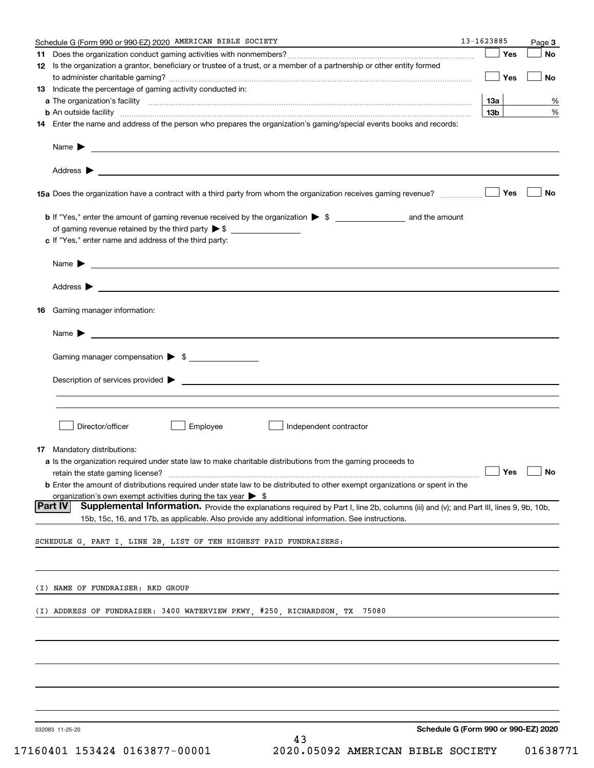|    | Schedule G (Form 990 or 990-EZ) 2020 AMERICAN BIBLE SOCIETY                                                                                                                                                                                                           | 13-1623885 |                 |     | Page 3 |
|----|-----------------------------------------------------------------------------------------------------------------------------------------------------------------------------------------------------------------------------------------------------------------------|------------|-----------------|-----|--------|
|    |                                                                                                                                                                                                                                                                       |            |                 | Yes | No     |
|    | 12 Is the organization a grantor, beneficiary or trustee of a trust, or a member of a partnership or other entity formed                                                                                                                                              |            |                 |     |        |
|    |                                                                                                                                                                                                                                                                       |            |                 | Yes | No     |
|    | <b>13</b> Indicate the percentage of gaming activity conducted in:                                                                                                                                                                                                    |            |                 |     |        |
|    |                                                                                                                                                                                                                                                                       |            | 13а             |     | %      |
|    | <b>b</b> An outside facility <b>contract and the contract of the contract of the contract of the contract of the contract of the contract of the contract of the contract of the contract of the contract of the contract of the cont</b>                             |            | 13 <sub>b</sub> |     | %      |
|    | 14 Enter the name and address of the person who prepares the organization's gaming/special events books and records:                                                                                                                                                  |            |                 |     |        |
|    |                                                                                                                                                                                                                                                                       |            |                 |     |        |
|    | Name $\blacktriangleright$<br><u> 1989 - Andrea Stadt Britain, amerikansk politik (</u>                                                                                                                                                                               |            |                 |     |        |
|    | Address $\blacktriangleright$<br><u>and the state of the state of the state of the state of the state of the state of the state of the state of the state of the state of the state of the state of the state of the state of the state of the state of the state</u> |            |                 |     |        |
|    |                                                                                                                                                                                                                                                                       |            |                 |     |        |
|    |                                                                                                                                                                                                                                                                       |            |                 | Yes | No     |
|    |                                                                                                                                                                                                                                                                       |            |                 |     |        |
|    |                                                                                                                                                                                                                                                                       |            |                 |     |        |
|    | c If "Yes," enter name and address of the third party:                                                                                                                                                                                                                |            |                 |     |        |
|    |                                                                                                                                                                                                                                                                       |            |                 |     |        |
|    | <u> 1989 - Johann Barbara, martin amerikan basal dan berasal dalam basal dalam basal dalam basal dalam basal dala</u><br>Name $\blacktriangleright$                                                                                                                   |            |                 |     |        |
|    |                                                                                                                                                                                                                                                                       |            |                 |     |        |
|    | Address $\blacktriangleright$<br><u>some started and the started and the started and the started and the started and the started and the started and</u>                                                                                                              |            |                 |     |        |
| 16 | Gaming manager information:                                                                                                                                                                                                                                           |            |                 |     |        |
|    |                                                                                                                                                                                                                                                                       |            |                 |     |        |
|    | Name $\blacktriangleright$<br><u> 1989 - Johann Barbara, martxa alemaniar arg</u>                                                                                                                                                                                     |            |                 |     |        |
|    | Gaming manager compensation > \$                                                                                                                                                                                                                                      |            |                 |     |        |
|    |                                                                                                                                                                                                                                                                       |            |                 |     |        |
|    | Description of services provided $\blacktriangleright$<br><u> 1989 - Jan Samuel Barbara, martin da shekara tsara 1980 - André a Santa Barbara, marka a shekara tsara 1980 </u>                                                                                        |            |                 |     |        |
|    |                                                                                                                                                                                                                                                                       |            |                 |     |        |
|    |                                                                                                                                                                                                                                                                       |            |                 |     |        |
|    | Director/officer<br>Employee<br>Independent contractor                                                                                                                                                                                                                |            |                 |     |        |
|    |                                                                                                                                                                                                                                                                       |            |                 |     |        |
|    | <b>17</b> Mandatory distributions:                                                                                                                                                                                                                                    |            |                 |     |        |
|    | a Is the organization required under state law to make charitable distributions from the gaming proceeds to                                                                                                                                                           |            |                 |     |        |
|    | retain the state gaming license? <b>Construction and the state gaming license</b> ? No                                                                                                                                                                                |            |                 |     |        |
|    | <b>b</b> Enter the amount of distributions required under state law to be distributed to other exempt organizations or spent in the                                                                                                                                   |            |                 |     |        |
|    | organization's own exempt activities during the tax year $\triangleright$ \$<br><b>Part IV</b>                                                                                                                                                                        |            |                 |     |        |
|    | Supplemental Information. Provide the explanations required by Part I, line 2b, columns (iii) and (v); and Part III, lines 9, 9b, 10b,<br>15b, 15c, 16, and 17b, as applicable. Also provide any additional information. See instructions.                            |            |                 |     |        |
|    |                                                                                                                                                                                                                                                                       |            |                 |     |        |
|    | SCHEDULE G, PART I, LINE 2B, LIST OF TEN HIGHEST PAID FUNDRAISERS:                                                                                                                                                                                                    |            |                 |     |        |
|    |                                                                                                                                                                                                                                                                       |            |                 |     |        |
|    |                                                                                                                                                                                                                                                                       |            |                 |     |        |
|    | (I) NAME OF FUNDRAISER: RKD GROUP                                                                                                                                                                                                                                     |            |                 |     |        |
|    |                                                                                                                                                                                                                                                                       |            |                 |     |        |
|    | (I) ADDRESS OF FUNDRAISER: 3400 WATERVIEW PKWY, #250, RICHARDSON, TX 75080                                                                                                                                                                                            |            |                 |     |        |
|    |                                                                                                                                                                                                                                                                       |            |                 |     |        |
|    |                                                                                                                                                                                                                                                                       |            |                 |     |        |
|    |                                                                                                                                                                                                                                                                       |            |                 |     |        |
|    |                                                                                                                                                                                                                                                                       |            |                 |     |        |
|    |                                                                                                                                                                                                                                                                       |            |                 |     |        |
|    |                                                                                                                                                                                                                                                                       |            |                 |     |        |
|    | Schedule G (Form 990 or 990-EZ) 2020<br>032083 11-25-20                                                                                                                                                                                                               |            |                 |     |        |
|    | 43                                                                                                                                                                                                                                                                    |            |                 |     |        |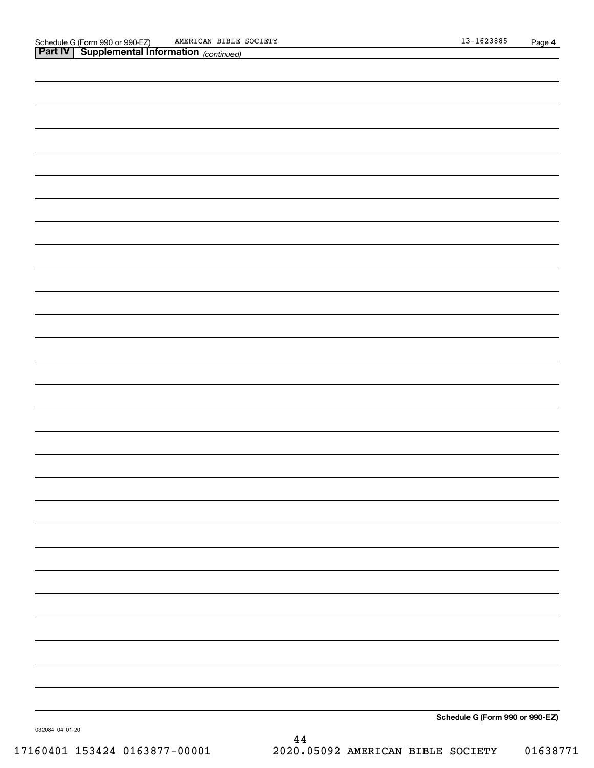| <b>Part IV   Supplemental Information</b> (continued) |
|-------------------------------------------------------|
|                                                       |
|                                                       |
|                                                       |
|                                                       |
|                                                       |
|                                                       |
|                                                       |
|                                                       |
|                                                       |
|                                                       |
|                                                       |
|                                                       |
|                                                       |
|                                                       |
|                                                       |
|                                                       |
|                                                       |
|                                                       |
|                                                       |
|                                                       |
|                                                       |
|                                                       |
|                                                       |
|                                                       |
|                                                       |
|                                                       |
|                                                       |
|                                                       |
|                                                       |
| Schedule G (Form 990 or 990-EZ)                       |

032084 04-01-20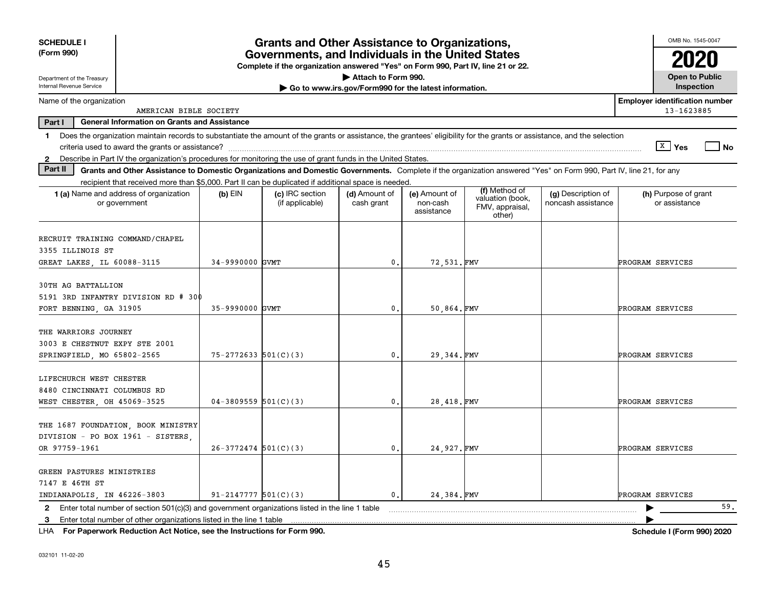| <b>SCHEDULE I</b>                                                                                                                                                             |                            | <b>Grants and Other Assistance to Organizations,</b>                                                                                  |                                                       |                                         |                                                                |                                          | OMB No. 1545-0047                                   |
|-------------------------------------------------------------------------------------------------------------------------------------------------------------------------------|----------------------------|---------------------------------------------------------------------------------------------------------------------------------------|-------------------------------------------------------|-----------------------------------------|----------------------------------------------------------------|------------------------------------------|-----------------------------------------------------|
| (Form 990)                                                                                                                                                                    |                            | Governments, and Individuals in the United States<br>Complete if the organization answered "Yes" on Form 990, Part IV, line 21 or 22. |                                                       |                                         |                                                                |                                          |                                                     |
|                                                                                                                                                                               |                            |                                                                                                                                       | Attach to Form 990.                                   |                                         |                                                                |                                          | <b>Open to Public</b>                               |
| Department of the Treasury<br>Internal Revenue Service                                                                                                                        |                            |                                                                                                                                       | Go to www.irs.gov/Form990 for the latest information. |                                         |                                                                |                                          | Inspection                                          |
| Name of the organization<br>AMERICAN BIBLE SOCIETY                                                                                                                            |                            |                                                                                                                                       |                                                       |                                         |                                                                |                                          | <b>Employer identification number</b><br>13-1623885 |
| Part I<br><b>General Information on Grants and Assistance</b>                                                                                                                 |                            |                                                                                                                                       |                                                       |                                         |                                                                |                                          |                                                     |
| 1 Does the organization maintain records to substantiate the amount of the grants or assistance, the grantees' eligibility for the grants or assistance, and the selection    |                            |                                                                                                                                       |                                                       |                                         |                                                                |                                          |                                                     |
|                                                                                                                                                                               |                            |                                                                                                                                       |                                                       |                                         |                                                                |                                          | │ <sup>x</sup> │Yes<br>$ $ No                       |
| 2 Describe in Part IV the organization's procedures for monitoring the use of grant funds in the United States.                                                               |                            |                                                                                                                                       |                                                       |                                         |                                                                |                                          |                                                     |
| Part II<br>Grants and Other Assistance to Domestic Organizations and Domestic Governments. Complete if the organization answered "Yes" on Form 990, Part IV, line 21, for any |                            |                                                                                                                                       |                                                       |                                         |                                                                |                                          |                                                     |
| recipient that received more than \$5,000. Part II can be duplicated if additional space is needed.                                                                           |                            |                                                                                                                                       |                                                       |                                         |                                                                |                                          |                                                     |
| 1 (a) Name and address of organization<br>or government                                                                                                                       | $(b)$ EIN                  | (c) IRC section<br>(if applicable)                                                                                                    | (d) Amount of<br>cash grant                           | (e) Amount of<br>non-cash<br>assistance | (f) Method of<br>valuation (book,<br>FMV, appraisal,<br>other) | (g) Description of<br>noncash assistance | (h) Purpose of grant<br>or assistance               |
| RECRUIT TRAINING COMMAND/CHAPEL                                                                                                                                               |                            |                                                                                                                                       |                                                       |                                         |                                                                |                                          |                                                     |
| 3355 ILLINOIS ST                                                                                                                                                              |                            |                                                                                                                                       |                                                       |                                         |                                                                |                                          |                                                     |
| GREAT LAKES, IL 60088-3115                                                                                                                                                    | 34-9990000 GVMT            |                                                                                                                                       | $\mathbf 0$ .                                         | 72,531.FMV                              |                                                                |                                          | PROGRAM SERVICES                                    |
| 30TH AG BATTALLION<br>5191 3RD INFANTRY DIVISION RD # 300<br>FORT BENNING, GA 31905                                                                                           | 35-9990000 GVMT            |                                                                                                                                       | $\mathbf{0}$ .                                        | 50,864.FMV                              |                                                                |                                          | PROGRAM SERVICES                                    |
| THE WARRIORS JOURNEY<br>3003 E CHESTNUT EXPY STE 2001<br>SPRINGFIELD, MO 65802-2565                                                                                           | $75 - 2772633$ 501(C)(3)   |                                                                                                                                       | 0.                                                    | 29,344.FMV                              |                                                                |                                          | PROGRAM SERVICES                                    |
| LIFECHURCH WEST CHESTER<br>8480 CINCINNATI COLUMBUS RD<br>WEST CHESTER, OH 45069-3525                                                                                         | $04-3809559$ 501(C)(3)     |                                                                                                                                       | $\mathbf{0}$ .                                        | 28,418.FMV                              |                                                                |                                          | PROGRAM SERVICES                                    |
| THE 1687 FOUNDATION, BOOK MINISTRY<br>DIVISION - PO BOX 1961 - SISTERS,<br>OR 97759-1961                                                                                      | $26-3772474$ 501(C)(3)     |                                                                                                                                       | 0.                                                    | 24,927.FMV                              |                                                                |                                          | PROGRAM SERVICES                                    |
| GREEN PASTURES MINISTRIES<br>7147 E 46TH ST<br>INDIANAPOLIS, IN 46226-3803                                                                                                    | $91 - 2147777$ $501(C)(3)$ |                                                                                                                                       | $\mathbf 0$ .                                         | 24.384.FMV                              |                                                                |                                          | PROGRAM SERVICES                                    |
| Enter total number of section 501(c)(3) and government organizations listed in the line 1 table<br>2                                                                          |                            |                                                                                                                                       |                                                       |                                         |                                                                |                                          | 59.                                                 |
|                                                                                                                                                                               |                            |                                                                                                                                       |                                                       |                                         |                                                                |                                          |                                                     |

**For Paperwork Reduction Act Notice, see the Instructions for Form 990. Schedule I (Form 990) 2020** LHA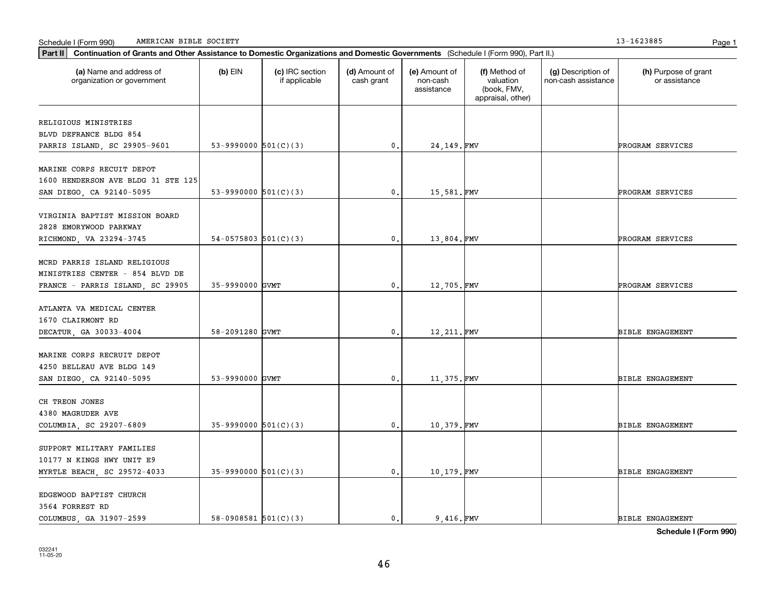| Schedule I (Form 990) |  | AMERICAN BIBLE<br>SOCIETY | 162388! | Page |  |
|-----------------------|--|---------------------------|---------|------|--|
|-----------------------|--|---------------------------|---------|------|--|

| Part II   Continuation of Grants and Other Assistance to Domestic Organizations and Domestic Governments (Schedule I (Form 990), Part II.) |                          |                                  |                             |                                         |                                                                |                                           |                                       |
|--------------------------------------------------------------------------------------------------------------------------------------------|--------------------------|----------------------------------|-----------------------------|-----------------------------------------|----------------------------------------------------------------|-------------------------------------------|---------------------------------------|
| (a) Name and address of<br>organization or government                                                                                      | $(b)$ EIN                | (c) IRC section<br>if applicable | (d) Amount of<br>cash grant | (e) Amount of<br>non-cash<br>assistance | (f) Method of<br>valuation<br>(book, FMV,<br>appraisal, other) | (g) Description of<br>non-cash assistance | (h) Purpose of grant<br>or assistance |
|                                                                                                                                            |                          |                                  |                             |                                         |                                                                |                                           |                                       |
| RELIGIOUS MINISTRIES<br>BLVD DEFRANCE BLDG 854                                                                                             |                          |                                  |                             |                                         |                                                                |                                           |                                       |
| PARRIS ISLAND, SC 29905-9601                                                                                                               | 53-9990000 $501(C)(3)$   |                                  | $\mathfrak o$ .             | 24,149.FMV                              |                                                                |                                           | PROGRAM SERVICES                      |
|                                                                                                                                            |                          |                                  |                             |                                         |                                                                |                                           |                                       |
| MARINE CORPS RECUIT DEPOT                                                                                                                  |                          |                                  |                             |                                         |                                                                |                                           |                                       |
| 1600 HENDERSON AVE BLDG 31 STE 125                                                                                                         |                          |                                  |                             |                                         |                                                                |                                           |                                       |
| SAN DIEGO, CA 92140-5095                                                                                                                   | 53-9990000 $501(C)(3)$   |                                  | $\mathbf{0}$ .              | 15,581.FMV                              |                                                                |                                           | PROGRAM SERVICES                      |
|                                                                                                                                            |                          |                                  |                             |                                         |                                                                |                                           |                                       |
| VIRGINIA BAPTIST MISSION BOARD                                                                                                             |                          |                                  |                             |                                         |                                                                |                                           |                                       |
| 2828 EMORYWOOD PARKWAY                                                                                                                     |                          |                                  |                             |                                         |                                                                |                                           |                                       |
| RICHMOND, VA 23294-3745                                                                                                                    | $54-0575803$ 501(C)(3)   |                                  | 0.                          | 13,804.FMV                              |                                                                |                                           | PROGRAM SERVICES                      |
|                                                                                                                                            |                          |                                  |                             |                                         |                                                                |                                           |                                       |
| MCRD PARRIS ISLAND RELIGIOUS                                                                                                               |                          |                                  |                             |                                         |                                                                |                                           |                                       |
| MINISTRIES CENTER - 854 BLVD DE                                                                                                            |                          |                                  |                             |                                         |                                                                |                                           |                                       |
| FRANCE - PARRIS ISLAND, SC 29905                                                                                                           | 35-9990000 GVMT          |                                  | $\mathbf{0}$                | 12,705.FMV                              |                                                                |                                           | PROGRAM SERVICES                      |
|                                                                                                                                            |                          |                                  |                             |                                         |                                                                |                                           |                                       |
| ATLANTA VA MEDICAL CENTER                                                                                                                  |                          |                                  |                             |                                         |                                                                |                                           |                                       |
| 1670 CLAIRMONT RD                                                                                                                          | 58-2091280 GVMT          |                                  |                             |                                         |                                                                |                                           | <b>BIBLE ENGAGEMENT</b>               |
| DECATUR, GA 30033-4004                                                                                                                     |                          |                                  | 0.                          | 12,211. FMV                             |                                                                |                                           |                                       |
| MARINE CORPS RECRUIT DEPOT                                                                                                                 |                          |                                  |                             |                                         |                                                                |                                           |                                       |
| 4250 BELLEAU AVE BLDG 149                                                                                                                  |                          |                                  |                             |                                         |                                                                |                                           |                                       |
| SAN DIEGO, CA 92140-5095                                                                                                                   | 53-9990000 GVMT          |                                  | $\mathbf{0}$ .              | 11,375.FMV                              |                                                                |                                           | <b>BIBLE ENGAGEMENT</b>               |
|                                                                                                                                            |                          |                                  |                             |                                         |                                                                |                                           |                                       |
| CH TREON JONES                                                                                                                             |                          |                                  |                             |                                         |                                                                |                                           |                                       |
| 4380 MAGRUDER AVE                                                                                                                          |                          |                                  |                             |                                         |                                                                |                                           |                                       |
| COLUMBIA, SC 29207-6809                                                                                                                    | $35-9990000$ $501(C)(3)$ |                                  | 0.                          | 10,379.FMV                              |                                                                |                                           | <b>BIBLE ENGAGEMENT</b>               |
|                                                                                                                                            |                          |                                  |                             |                                         |                                                                |                                           |                                       |
| SUPPORT MILITARY FAMILIES                                                                                                                  |                          |                                  |                             |                                         |                                                                |                                           |                                       |
| 10177 N KINGS HWY UNIT E9                                                                                                                  |                          |                                  |                             |                                         |                                                                |                                           |                                       |
| MYRTLE BEACH, SC 29572-4033                                                                                                                | $35-9990000$ $501(C)(3)$ |                                  | 0.                          | 10,179.FMV                              |                                                                |                                           | <b>BIBLE ENGAGEMENT</b>               |
|                                                                                                                                            |                          |                                  |                             |                                         |                                                                |                                           |                                       |
| EDGEWOOD BAPTIST CHURCH                                                                                                                    |                          |                                  |                             |                                         |                                                                |                                           |                                       |
| 3564 FORREST RD                                                                                                                            |                          |                                  |                             |                                         |                                                                |                                           |                                       |
| COLUMBUS, GA 31907-2599                                                                                                                    | 58-0908581 $501(C)(3)$   |                                  | 0.                          | 9,416.FMV                               |                                                                |                                           | <b>BIBLE ENGAGEMENT</b>               |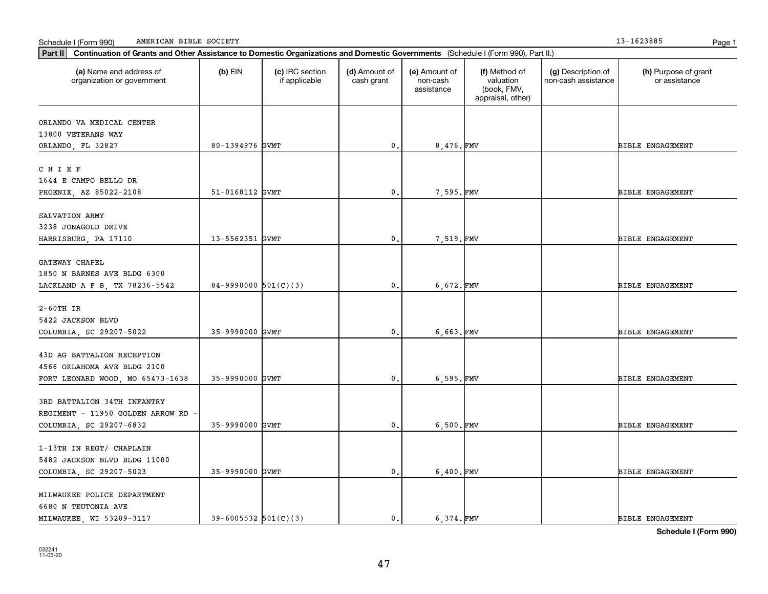Schedule I (Form 990) Page 1 AMERICAN BIBLE SOCIETY 13-1623885

| (a) Name and address of<br>(c) IRC section<br>(d) Amount of<br>(e) Amount of<br>(f) Method of<br>(g) Description of<br>$(b)$ EIN<br>valuation<br>organization or government<br>if applicable<br>cash grant<br>non-cash<br>non-cash assistance<br>or assistance<br>(book, FMV,<br>assistance<br>appraisal, other)<br>80-1394976 GVMT<br>$\mathbf{0}$ .<br>8,476.FMV<br><b>BIBLE ENGAGEMENT</b><br>51-0168112 GVMT<br>$\mathbf{0}$ .<br>7,595.FMV<br><b>BIBLE ENGAGEMENT</b><br>13-5562351 GVMT<br>$\mathbf{0}$ .<br>7,519.FMV<br><b>BIBLE ENGAGEMENT</b><br>84-9990000 $501(C)(3)$<br>6,672.FMV<br>$\mathfrak{o}$ .<br><b>BIBLE ENGAGEMENT</b><br>35-9990000 GVMT<br>$\mathbf{0}$ .<br>6,663.FMV<br><b>BIBLE ENGAGEMENT</b><br>35-9990000 GVMT<br>6,595.FMV<br>$\mathbf{0}$ .<br><b>BIBLE ENGAGEMENT</b><br>35-9990000 GVMT<br>0.<br>6,500.FMV<br><b>BIBLE ENGAGEMENT</b><br>35-9990000 GVMT<br>$\mathsf{0}$ .<br>6,400.FMV<br>BIBLE ENGAGEMENT<br>6.374.FMV<br>$39 - 6005532$ $501(C)(3)$ | Part II   Continuation of Grants and Other Assistance to Domestic Organizations and Domestic Governments (Schedule I (Form 990), Part II.) |  |                |  |                         |
|-------------------------------------------------------------------------------------------------------------------------------------------------------------------------------------------------------------------------------------------------------------------------------------------------------------------------------------------------------------------------------------------------------------------------------------------------------------------------------------------------------------------------------------------------------------------------------------------------------------------------------------------------------------------------------------------------------------------------------------------------------------------------------------------------------------------------------------------------------------------------------------------------------------------------------------------------------------------------------------------|--------------------------------------------------------------------------------------------------------------------------------------------|--|----------------|--|-------------------------|
| ORLANDO VA MEDICAL CENTER<br>13800 VETERANS WAY<br>ORLANDO, FL 32827<br>CHIEF<br>1644 E CAMPO BELLO DR<br>PHOENIX, AZ 85022-2108<br>SALVATION ARMY<br>3238 JONAGOLD DRIVE<br>HARRISBURG, PA 17110<br>GATEWAY CHAPEL                                                                                                                                                                                                                                                                                                                                                                                                                                                                                                                                                                                                                                                                                                                                                                       |                                                                                                                                            |  |                |  | (h) Purpose of grant    |
|                                                                                                                                                                                                                                                                                                                                                                                                                                                                                                                                                                                                                                                                                                                                                                                                                                                                                                                                                                                           |                                                                                                                                            |  |                |  |                         |
|                                                                                                                                                                                                                                                                                                                                                                                                                                                                                                                                                                                                                                                                                                                                                                                                                                                                                                                                                                                           |                                                                                                                                            |  |                |  |                         |
|                                                                                                                                                                                                                                                                                                                                                                                                                                                                                                                                                                                                                                                                                                                                                                                                                                                                                                                                                                                           |                                                                                                                                            |  |                |  |                         |
|                                                                                                                                                                                                                                                                                                                                                                                                                                                                                                                                                                                                                                                                                                                                                                                                                                                                                                                                                                                           |                                                                                                                                            |  |                |  |                         |
|                                                                                                                                                                                                                                                                                                                                                                                                                                                                                                                                                                                                                                                                                                                                                                                                                                                                                                                                                                                           |                                                                                                                                            |  |                |  |                         |
|                                                                                                                                                                                                                                                                                                                                                                                                                                                                                                                                                                                                                                                                                                                                                                                                                                                                                                                                                                                           |                                                                                                                                            |  |                |  |                         |
|                                                                                                                                                                                                                                                                                                                                                                                                                                                                                                                                                                                                                                                                                                                                                                                                                                                                                                                                                                                           |                                                                                                                                            |  |                |  |                         |
|                                                                                                                                                                                                                                                                                                                                                                                                                                                                                                                                                                                                                                                                                                                                                                                                                                                                                                                                                                                           |                                                                                                                                            |  |                |  |                         |
|                                                                                                                                                                                                                                                                                                                                                                                                                                                                                                                                                                                                                                                                                                                                                                                                                                                                                                                                                                                           |                                                                                                                                            |  |                |  |                         |
|                                                                                                                                                                                                                                                                                                                                                                                                                                                                                                                                                                                                                                                                                                                                                                                                                                                                                                                                                                                           |                                                                                                                                            |  |                |  |                         |
|                                                                                                                                                                                                                                                                                                                                                                                                                                                                                                                                                                                                                                                                                                                                                                                                                                                                                                                                                                                           |                                                                                                                                            |  |                |  |                         |
| 1850 N BARNES AVE BLDG 6300<br>LACKLAND A F B, TX 78236-5542<br>$2-60TH$ IR<br>5422 JACKSON BLVD<br>COLUMBIA, SC 29207-5022                                                                                                                                                                                                                                                                                                                                                                                                                                                                                                                                                                                                                                                                                                                                                                                                                                                               |                                                                                                                                            |  |                |  |                         |
|                                                                                                                                                                                                                                                                                                                                                                                                                                                                                                                                                                                                                                                                                                                                                                                                                                                                                                                                                                                           |                                                                                                                                            |  |                |  |                         |
|                                                                                                                                                                                                                                                                                                                                                                                                                                                                                                                                                                                                                                                                                                                                                                                                                                                                                                                                                                                           |                                                                                                                                            |  |                |  |                         |
|                                                                                                                                                                                                                                                                                                                                                                                                                                                                                                                                                                                                                                                                                                                                                                                                                                                                                                                                                                                           |                                                                                                                                            |  |                |  |                         |
|                                                                                                                                                                                                                                                                                                                                                                                                                                                                                                                                                                                                                                                                                                                                                                                                                                                                                                                                                                                           |                                                                                                                                            |  |                |  |                         |
|                                                                                                                                                                                                                                                                                                                                                                                                                                                                                                                                                                                                                                                                                                                                                                                                                                                                                                                                                                                           |                                                                                                                                            |  |                |  |                         |
|                                                                                                                                                                                                                                                                                                                                                                                                                                                                                                                                                                                                                                                                                                                                                                                                                                                                                                                                                                                           |                                                                                                                                            |  |                |  |                         |
| 43D AG BATTALION RECEPTION<br>4566 OKLAHOMA AVE BLDG 2100<br>FORT LEONARD WOOD, MO 65473-1638<br>3RD BATTALION 34TH INFANTRY<br>REGIMENT - 11950 GOLDEN ARROW RD<br>COLUMBIA, SC 29207-6832<br>1-13TH IN REGT/ CHAPLAIN<br>5482 JACKSON BLVD BLDG 11000<br>COLUMBIA, SC 29207-5023<br>MILWAUKEE POLICE DEPARTMENT                                                                                                                                                                                                                                                                                                                                                                                                                                                                                                                                                                                                                                                                         |                                                                                                                                            |  |                |  |                         |
|                                                                                                                                                                                                                                                                                                                                                                                                                                                                                                                                                                                                                                                                                                                                                                                                                                                                                                                                                                                           |                                                                                                                                            |  |                |  |                         |
|                                                                                                                                                                                                                                                                                                                                                                                                                                                                                                                                                                                                                                                                                                                                                                                                                                                                                                                                                                                           |                                                                                                                                            |  |                |  |                         |
|                                                                                                                                                                                                                                                                                                                                                                                                                                                                                                                                                                                                                                                                                                                                                                                                                                                                                                                                                                                           |                                                                                                                                            |  |                |  |                         |
|                                                                                                                                                                                                                                                                                                                                                                                                                                                                                                                                                                                                                                                                                                                                                                                                                                                                                                                                                                                           |                                                                                                                                            |  |                |  |                         |
|                                                                                                                                                                                                                                                                                                                                                                                                                                                                                                                                                                                                                                                                                                                                                                                                                                                                                                                                                                                           |                                                                                                                                            |  |                |  |                         |
|                                                                                                                                                                                                                                                                                                                                                                                                                                                                                                                                                                                                                                                                                                                                                                                                                                                                                                                                                                                           |                                                                                                                                            |  |                |  |                         |
|                                                                                                                                                                                                                                                                                                                                                                                                                                                                                                                                                                                                                                                                                                                                                                                                                                                                                                                                                                                           |                                                                                                                                            |  |                |  |                         |
|                                                                                                                                                                                                                                                                                                                                                                                                                                                                                                                                                                                                                                                                                                                                                                                                                                                                                                                                                                                           |                                                                                                                                            |  |                |  |                         |
|                                                                                                                                                                                                                                                                                                                                                                                                                                                                                                                                                                                                                                                                                                                                                                                                                                                                                                                                                                                           |                                                                                                                                            |  |                |  |                         |
|                                                                                                                                                                                                                                                                                                                                                                                                                                                                                                                                                                                                                                                                                                                                                                                                                                                                                                                                                                                           |                                                                                                                                            |  |                |  |                         |
|                                                                                                                                                                                                                                                                                                                                                                                                                                                                                                                                                                                                                                                                                                                                                                                                                                                                                                                                                                                           |                                                                                                                                            |  |                |  |                         |
| 6680 N TEUTONIA AVE                                                                                                                                                                                                                                                                                                                                                                                                                                                                                                                                                                                                                                                                                                                                                                                                                                                                                                                                                                       |                                                                                                                                            |  |                |  |                         |
|                                                                                                                                                                                                                                                                                                                                                                                                                                                                                                                                                                                                                                                                                                                                                                                                                                                                                                                                                                                           |                                                                                                                                            |  |                |  |                         |
|                                                                                                                                                                                                                                                                                                                                                                                                                                                                                                                                                                                                                                                                                                                                                                                                                                                                                                                                                                                           | MILWAUKEE, WI 53209-3117                                                                                                                   |  | $\mathbf{0}$ . |  | <b>BIBLE ENGAGEMENT</b> |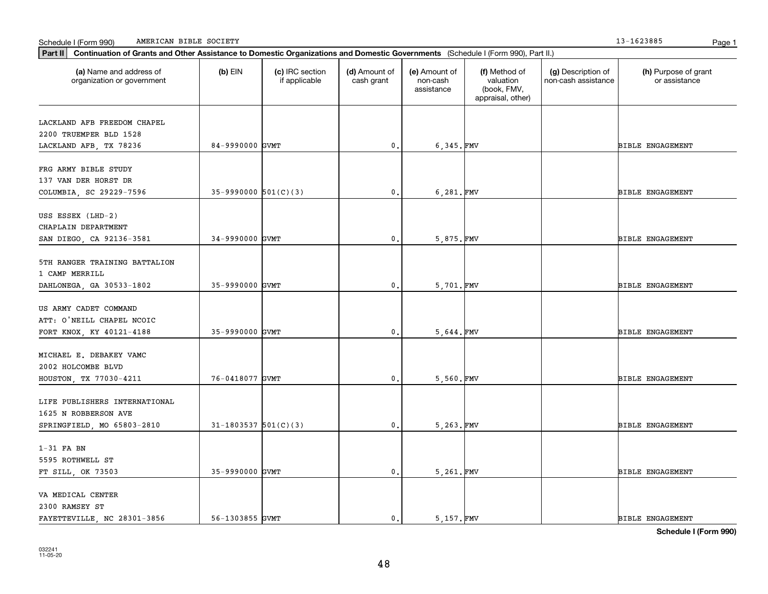Schedule I (Form 990) Page 1 AMERICAN BIBLE SOCIETY 13-1623885

| Part II   Continuation of Grants and Other Assistance to Domestic Organizations and Domestic Governments (Schedule I (Form 990), Part II.) |                          |                                  |                             |                                         |                                                                |                                           |                                       |
|--------------------------------------------------------------------------------------------------------------------------------------------|--------------------------|----------------------------------|-----------------------------|-----------------------------------------|----------------------------------------------------------------|-------------------------------------------|---------------------------------------|
| (a) Name and address of<br>organization or government                                                                                      | $(b)$ EIN                | (c) IRC section<br>if applicable | (d) Amount of<br>cash grant | (e) Amount of<br>non-cash<br>assistance | (f) Method of<br>valuation<br>(book, FMV,<br>appraisal, other) | (g) Description of<br>non-cash assistance | (h) Purpose of grant<br>or assistance |
|                                                                                                                                            |                          |                                  |                             |                                         |                                                                |                                           |                                       |
| LACKLAND AFB FREEDOM CHAPEL<br>2200 TRUEMPER BLD 1528                                                                                      |                          |                                  |                             |                                         |                                                                |                                           |                                       |
| LACKLAND AFB, TX 78236                                                                                                                     | 84-9990000 GVMT          |                                  | 0.                          | 6,345.FMV                               |                                                                |                                           | <b>BIBLE ENGAGEMENT</b>               |
|                                                                                                                                            |                          |                                  |                             |                                         |                                                                |                                           |                                       |
| FRG ARMY BIBLE STUDY                                                                                                                       |                          |                                  |                             |                                         |                                                                |                                           |                                       |
| 137 VAN DER HORST DR                                                                                                                       |                          |                                  |                             |                                         |                                                                |                                           |                                       |
| COLUMBIA, SC 29229-7596                                                                                                                    | $35-9990000$ $501(C)(3)$ |                                  | $\mathbf{0}$ .              | 6,281.FMV                               |                                                                |                                           | <b>BIBLE ENGAGEMENT</b>               |
|                                                                                                                                            |                          |                                  |                             |                                         |                                                                |                                           |                                       |
| USS ESSEX (LHD-2)                                                                                                                          |                          |                                  |                             |                                         |                                                                |                                           |                                       |
| CHAPLAIN DEPARTMENT                                                                                                                        |                          |                                  |                             |                                         |                                                                |                                           |                                       |
| SAN DIEGO, CA 92136-3581                                                                                                                   | 34-9990000 GVMT          |                                  | 0.                          | 5,875.FMV                               |                                                                |                                           | <b>BIBLE ENGAGEMENT</b>               |
| 5TH RANGER TRAINING BATTALION                                                                                                              |                          |                                  |                             |                                         |                                                                |                                           |                                       |
| 1 CAMP MERRILL                                                                                                                             |                          |                                  |                             |                                         |                                                                |                                           |                                       |
| DAHLONEGA, GA 30533-1802                                                                                                                   | 35-9990000 GVMT          |                                  | 0.                          | 5,701.FMV                               |                                                                |                                           | <b>BIBLE ENGAGEMENT</b>               |
|                                                                                                                                            |                          |                                  |                             |                                         |                                                                |                                           |                                       |
| US ARMY CADET COMMAND                                                                                                                      |                          |                                  |                             |                                         |                                                                |                                           |                                       |
| ATT: O'NEILL CHAPEL NCOIC                                                                                                                  |                          |                                  |                             |                                         |                                                                |                                           |                                       |
| FORT KNOX, KY 40121-4188                                                                                                                   | 35-9990000 GVMT          |                                  | 0.                          | 5,644.FMV                               |                                                                |                                           | <b>BIBLE ENGAGEMENT</b>               |
|                                                                                                                                            |                          |                                  |                             |                                         |                                                                |                                           |                                       |
| MICHAEL E. DEBAKEY VAMC                                                                                                                    |                          |                                  |                             |                                         |                                                                |                                           |                                       |
| 2002 HOLCOMBE BLVD                                                                                                                         |                          |                                  |                             |                                         |                                                                |                                           |                                       |
| HOUSTON, TX 77030-4211                                                                                                                     | 76-0418077 GVMT          |                                  | $\mathbf{0}$ .              | 5,560.FMV                               |                                                                |                                           | <b>BIBLE ENGAGEMENT</b>               |
|                                                                                                                                            |                          |                                  |                             |                                         |                                                                |                                           |                                       |
| LIFE PUBLISHERS INTERNATIONAL                                                                                                              |                          |                                  |                             |                                         |                                                                |                                           |                                       |
| 1625 N ROBBERSON AVE                                                                                                                       |                          |                                  |                             |                                         |                                                                |                                           |                                       |
| SPRINGFIELD, MO 65803-2810                                                                                                                 | $31-1803537$ 501(C)(3)   |                                  | 0.                          | 5,263.FMV                               |                                                                |                                           | <b>BIBLE ENGAGEMENT</b>               |
| $1-31$ FA BN                                                                                                                               |                          |                                  |                             |                                         |                                                                |                                           |                                       |
| 5595 ROTHWELL ST                                                                                                                           |                          |                                  |                             |                                         |                                                                |                                           |                                       |
| FT SILL, OK 73503                                                                                                                          | 35-9990000 GVMT          |                                  | $\mathfrak o$ .             | 5,261.FMV                               |                                                                |                                           | <b>BIBLE ENGAGEMENT</b>               |
|                                                                                                                                            |                          |                                  |                             |                                         |                                                                |                                           |                                       |
| VA MEDICAL CENTER                                                                                                                          |                          |                                  |                             |                                         |                                                                |                                           |                                       |
| 2300 RAMSEY ST                                                                                                                             |                          |                                  |                             |                                         |                                                                |                                           |                                       |
| FAYETTEVILLE, NC 28301-3856                                                                                                                | 56-1303855 GVMT          |                                  | $\mathbf{0}$ .              | 5.157.FMV                               |                                                                |                                           | <b>BIBLE ENGAGEMENT</b>               |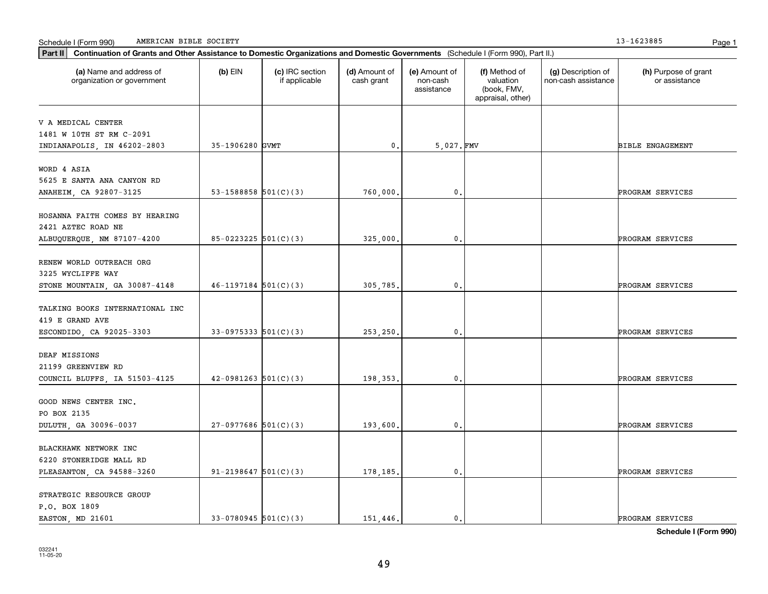**Schedule I (Form 990)**

| V A MEDICAL CENTER              |                          |          |                |                         |
|---------------------------------|--------------------------|----------|----------------|-------------------------|
| 1481 W 10TH ST RM C-2091        |                          |          |                |                         |
| INDIANAPOLIS, IN 46202-2803     | 35-1906280 GVMT          | 0.       | 5,027. FMV     | <b>BIBLE ENGAGEMENT</b> |
|                                 |                          |          |                |                         |
| WORD 4 ASIA                     |                          |          |                |                         |
| 5625 E SANTA ANA CANYON RD      |                          |          |                |                         |
| ANAHEIM, CA 92807-3125          | 53-1588858 $501(C)(3)$   | 760,000  | 0.             | PROGRAM SERVICES        |
| HOSANNA FAITH COMES BY HEARING  |                          |          |                |                         |
| 2421 AZTEC ROAD NE              |                          |          |                |                         |
|                                 | $85-0223225$ 501(C)(3)   | 325,000. | $\mathbf{0}$ . | PROGRAM SERVICES        |
| ALBUQUERQUE, NM 87107-4200      |                          |          |                |                         |
| RENEW WORLD OUTREACH ORG        |                          |          |                |                         |
| 3225 WYCLIFFE WAY               |                          |          |                |                         |
| STONE MOUNTAIN, GA 30087-4148   | $46 - 1197184$ 501(C)(3) | 305,785. | 0.             | PROGRAM SERVICES        |
|                                 |                          |          |                |                         |
| TALKING BOOKS INTERNATIONAL INC |                          |          |                |                         |
| 419 E GRAND AVE                 |                          |          |                |                         |
| ESCONDIDO, CA 92025-3303        | $33-0975333$ $501(C)(3)$ | 253,250. | $\mathbf{0}$ . | PROGRAM SERVICES        |
|                                 |                          |          |                |                         |
| DEAF MISSIONS                   |                          |          |                |                         |
| 21199 GREENVIEW RD              |                          |          |                |                         |
| COUNCIL BLUFFS, IA 51503-4125   | $42-0981263$ $501(C)(3)$ | 198,353. | 0.             | PROGRAM SERVICES        |
|                                 |                          |          |                |                         |
| GOOD NEWS CENTER INC.           |                          |          |                |                         |
| PO BOX 2135                     |                          |          |                |                         |
| DULUTH, GA 30096-0037           | $27-0977686$ 501(C)(3)   | 193,600  | 0.             | PROGRAM SERVICES        |
| BLACKHAWK NETWORK INC           |                          |          |                |                         |
| 6220 STONERIDGE MALL RD         |                          |          |                |                         |
| PLEASANTON, CA 94588-3260       | $91 - 2198647$ 501(C)(3) | 178,185. | 0.             | PROGRAM SERVICES        |
|                                 |                          |          |                |                         |
| STRATEGIC RESOURCE GROUP        |                          |          |                |                         |
| P.O. BOX 1809                   |                          |          |                |                         |
| EASTON, MD 21601                | $33-0780945$ 501(C)(3)   | 151,446. | 0.             | PROGRAM SERVICES        |

**Part II Continuation of Grants and Other Assistance to Domestic Organizations and Domestic Governments**  (Schedule I (Form 990), Part II.)

if applicable

 $(b)$  EIN  $(c)$  IRC section

**(a) (b) (c) (d) (e) (f) (g) (h)** Name and address of

(d) Amount of cash grant

(e) Amount of non-cashassistance

(f) Method of valuation (book, FMV, appraisal, other)

(g) Description of non-cash assistance

Schedule I (Form 990) Page 1 AMERICAN BIBLE SOCIETY 13-1623885

organization or government

(h) Purpose of grant or assistance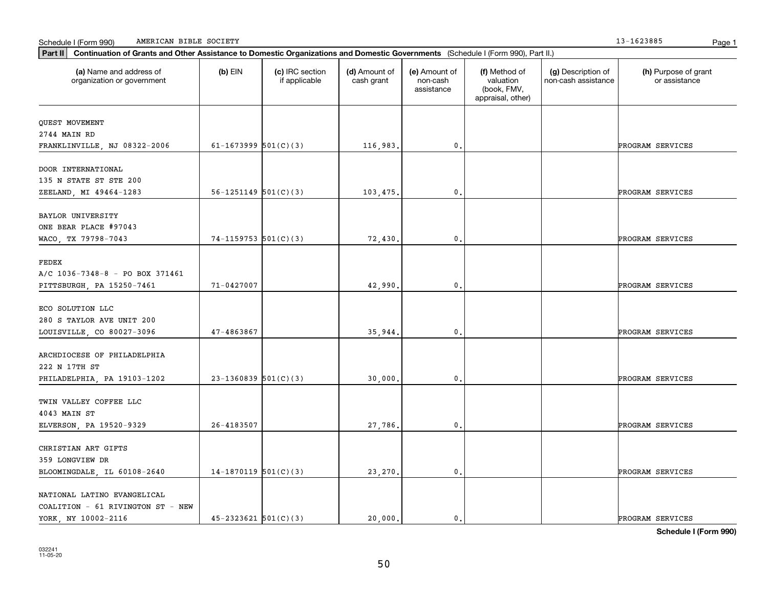NATIONAL LATINO EVANGELICAL COALITION - 61 RIVINGTON ST - NEW

|                                 |                            |          |                | appraisal, other) |                  |
|---------------------------------|----------------------------|----------|----------------|-------------------|------------------|
|                                 |                            |          |                |                   |                  |
| QUEST MOVEMENT                  |                            |          |                |                   |                  |
| 2744 MAIN RD                    | 61-1673999 $501(C)(3)$     |          |                |                   |                  |
| FRANKLINVILLE, NJ 08322-2006    |                            | 116,983. | $\mathbf{0}$ . |                   | PROGRAM SERVICES |
| DOOR INTERNATIONAL              |                            |          |                |                   |                  |
| 135 N STATE ST STE 200          |                            |          |                |                   |                  |
| ZEELAND, MI 49464-1283          | $56 - 1251149$ $501(C)(3)$ | 103,475. | 0.             |                   | PROGRAM SERVICES |
| BAYLOR UNIVERSITY               |                            |          |                |                   |                  |
| ONE BEAR PLACE #97043           |                            |          |                |                   |                  |
| WACO, TX 79798-7043             | 74-1159753 $501(C)(3)$     | 72,430.  | $\mathbf{0}$ . |                   | PROGRAM SERVICES |
|                                 |                            |          |                |                   |                  |
| FEDEX                           |                            |          |                |                   |                  |
| A/C 1036-7348-8 - PO BOX 371461 |                            |          |                |                   |                  |
| PITTSBURGH, PA 15250-7461       | 71-0427007                 | 42,990.  | $\mathbf{0}$ . |                   | PROGRAM SERVICES |
| ECO SOLUTION LLC                |                            |          |                |                   |                  |
| 280 S TAYLOR AVE UNIT 200       |                            |          |                |                   |                  |
| LOUISVILLE, CO 80027-3096       | 47-4863867                 | 35,944.  | $\mathbf{0}$ . |                   | PROGRAM SERVICES |
|                                 |                            |          |                |                   |                  |
| ARCHDIOCESE OF PHILADELPHIA     |                            |          |                |                   |                  |
| 222 N 17TH ST                   |                            |          |                |                   |                  |
| PHILADELPHIA, PA 19103-1202     | $23-1360839$ 501(C)(3)     | 30,000.  | 0.             |                   | PROGRAM SERVICES |
| TWIN VALLEY COFFEE LLC          |                            |          |                |                   |                  |
| 4043 MAIN ST                    |                            |          |                |                   |                  |
| ELVERSON, PA 19520-9329         | 26-4183507                 | 27,786.  | $\mathbf{0}$ . |                   | PROGRAM SERVICES |
|                                 |                            |          |                |                   |                  |
| CHRISTIAN ART GIFTS             |                            |          |                |                   |                  |
| 359 LONGVIEW DR                 | $14-1870119$ 501(C)(3)     |          | 0.             |                   | PROGRAM SERVICES |
| BLOOMINGDALE, IL 60108-2640     |                            | 23, 270. |                |                   |                  |

**(a) (b) (c) (d) (e) (f) (g) (h)** Name and address of

(d) Amount of cash grant

(e) Amount of non-cashassistance

(f) Method of valuation (book, FMV,

(g) Description of non-cash assistance

**Part II Continuation of Grants and Other Assistance to Domestic Organizations and Domestic Governments**  (Schedule I (Form 990), Part II.)

if applicable

 $(b)$  EIN  $(c)$  IRC section

#### Schedule I (Form 990) Page 1 AMERICAN BIBLE SOCIETY 13-1623885

organization or government

(h) Purpose of grant or assistance

**Schedule I (Form 990)**

YORK, NY 10002-2116 45-2323621 501(C)(3) 20,000. 0. PROGRAM SERVICES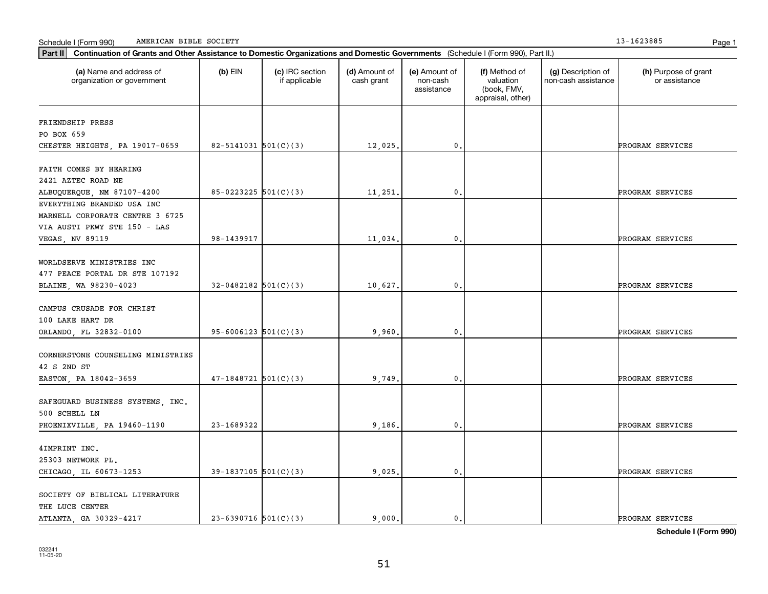THE LUCE CENTER

SOCIETY OF BIBLICAL LITERATURE

| EVERYTHING BRANDED USA INC        |                            |         |                |  |                  |
|-----------------------------------|----------------------------|---------|----------------|--|------------------|
| MARNELL CORPORATE CENTRE 3 6725   |                            |         |                |  |                  |
| VIA AUSTI PKWY STE 150 - LAS      |                            |         |                |  |                  |
| VEGAS, NV 89119                   | 98-1439917                 | 11,034. | $\mathbf{0}$ . |  | PROGRAM SERVICES |
| WORLDSERVE MINISTRIES INC         |                            |         |                |  |                  |
| 477 PEACE PORTAL DR STE 107192    |                            |         |                |  |                  |
| BLAINE, WA 98230-4023             | $32-0482182$ 501(C)(3)     | 10,627. | 0.             |  | PROGRAM SERVICES |
| CAMPUS CRUSADE FOR CHRIST         |                            |         |                |  |                  |
| 100 LAKE HART DR                  |                            |         |                |  |                  |
| ORLANDO, FL 32832-0100            | $95 - 6006123$ $501(C)(3)$ | 9,960.  | 0.             |  | PROGRAM SERVICES |
| CORNERSTONE COUNSELING MINISTRIES |                            |         |                |  |                  |
| 42 S 2ND ST                       |                            |         |                |  |                  |
| EASTON, PA 18042-3659             | $47-1848721$ 501(C)(3)     | 9,749.  | $\mathbf{0}$ . |  | PROGRAM SERVICES |
| SAFEGUARD BUSINESS SYSTEMS, INC.  |                            |         |                |  |                  |
| 500 SCHELL LN                     |                            |         |                |  |                  |
| PHOENIXVILLE, PA 19460-1190       | 23-1689322                 | 9,186.  | $\mathbf 0$ .  |  | PROGRAM SERVICES |
| 4IMPRINT INC.                     |                            |         |                |  |                  |
| 25303 NETWORK PL.                 |                            |         |                |  |                  |
| CHICAGO, IL 60673-1253            | $39-1837105$ 501(C)(3)     | 9,025.  | 0.             |  | PROGRAM SERVICES |
|                                   |                            |         |                |  |                  |

**(a) (b) (c) (d) (e) (f) (g) (h)** Name and address of

CHESTER HEIGHTS, PA 19017-0659 | 82-5141031 501(C)(3) | 12,025. 0. 0. | PROGRAM SERVICES

ALBUQUERQUE, NM 87107-4200 85-0223225 501(C)(3) 11,251. 0. PROGRAM SERVICES

(d) Amount of cash grant

(e) Amount of non-cashassistance

(f) Method of valuation (book, FMV, appraisal, other)

(g) Description of non-cash assistance

**Part II Continuation of Grants and Other Assistance to Domestic Organizations and Domestic Governments**  (Schedule I (Form 990), Part II.)

if applicable

 $(b)$  EIN  $(c)$  IRC section

### Schedule I (Form 990) Page 1 AMERICAN BIBLE SOCIETY 13-1623885

organization or government

FRIENDSHIP PRESS PO BOX 659

FAITH COMES BY HEARING 2421 AZTEC ROAD NE

(h) Purpose of grant or assistance

ATLANTA, GA 30329-4217 23-6390716 501(C)(3) 9,000. 0. 0. PROGRAM SERVICES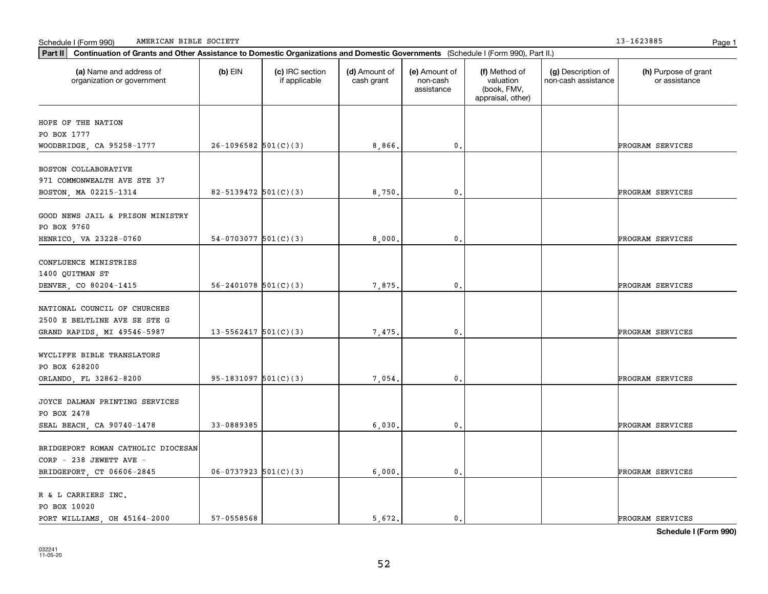| Continuation of Grants and Other Assistance to Domestic Organizations and Domestic Governments (Schedule I (Form 990), Part II.)<br>Part II |                            |                                  |                             |                                         |                                                                |                                           |                                       |
|---------------------------------------------------------------------------------------------------------------------------------------------|----------------------------|----------------------------------|-----------------------------|-----------------------------------------|----------------------------------------------------------------|-------------------------------------------|---------------------------------------|
| (a) Name and address of<br>organization or government                                                                                       | $(b)$ EIN                  | (c) IRC section<br>if applicable | (d) Amount of<br>cash grant | (e) Amount of<br>non-cash<br>assistance | (f) Method of<br>valuation<br>(book, FMV,<br>appraisal, other) | (g) Description of<br>non-cash assistance | (h) Purpose of grant<br>or assistance |
| HOPE OF THE NATION<br>PO BOX 1777<br>WOODBRIDGE, CA 95258-1777                                                                              | $26-1096582$ 501(C)(3)     |                                  | 8,866                       | $\mathbf 0$ .                           |                                                                |                                           | PROGRAM SERVICES                      |
| BOSTON COLLABORATIVE<br>971 COMMONWEALTH AVE STE 37<br>BOSTON, MA 02215-1314                                                                | 82-5139472 501(C)(3)       |                                  | 8,750.                      | $\mathbf 0$ .                           |                                                                |                                           | PROGRAM SERVICES                      |
| GOOD NEWS JAIL & PRISON MINISTRY<br>PO BOX 9760<br>HENRICO, VA 23228-0760                                                                   | 54-0703077 $501(C)(3)$     |                                  | 8,000.                      | $\mathbf{0}$                            |                                                                |                                           | PROGRAM SERVICES                      |
| CONFLUENCE MINISTRIES<br>1400 QUITMAN ST<br>DENVER, CO 80204-1415                                                                           | $56 - 2401078$ $501(C)(3)$ |                                  | 7.875.                      | 0.                                      |                                                                |                                           | PROGRAM SERVICES                      |
| NATIONAL COUNCIL OF CHURCHES<br>2500 E BELTLINE AVE SE STE G<br>GRAND RAPIDS, MI 49546-5987                                                 | $13 - 5562417$ $501(C)(3)$ |                                  | 7,475                       | $\mathbf{0}$                            |                                                                |                                           | PROGRAM SERVICES                      |
| WYCLIFFE BIBLE TRANSLATORS<br>PO BOX 628200<br>ORLANDO, FL 32862-8200                                                                       | $95-1831097$ $501(C)(3)$   |                                  | 7,054.                      | $\mathbf{0}$                            |                                                                |                                           | PROGRAM SERVICES                      |
| JOYCE DALMAN PRINTING SERVICES<br>PO BOX 2478<br>SEAL BEACH, CA 90740-1478                                                                  | 33-0889385                 |                                  | 6,030.                      | 0.                                      |                                                                |                                           | PROGRAM SERVICES                      |
| BRIDGEPORT ROMAN CATHOLIC DIOCESAN<br>CORP - 238 JEWETT AVE -<br>BRIDGEPORT, CT 06606-2845                                                  | $06-0737923$ $501(C)(3)$   |                                  | 6,000.                      | 0.                                      |                                                                |                                           | PROGRAM SERVICES                      |
| R & L CARRIERS INC.<br>PO BOX 10020<br>PORT WILLIAMS, OH 45164-2000                                                                         | 57-0558568                 |                                  | 5.672.                      | 0.                                      |                                                                |                                           | PROGRAM SERVICES                      |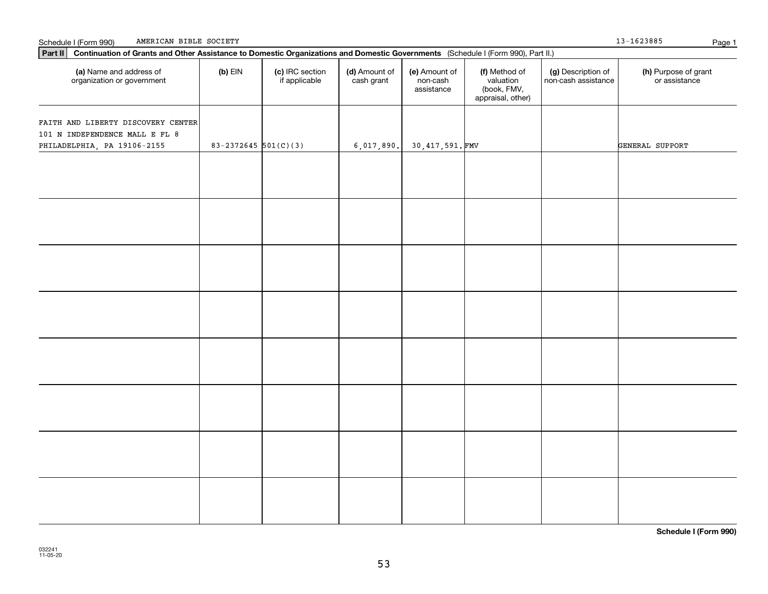| Part II   Continuation of Grants and Other Assistance to Domestic Organizations and Domestic Governments (Schedule I (Form 990), Part II.) |                          |                                  |                             |                                         |                                                                |                                           |                                       |  |  |  |  |  |
|--------------------------------------------------------------------------------------------------------------------------------------------|--------------------------|----------------------------------|-----------------------------|-----------------------------------------|----------------------------------------------------------------|-------------------------------------------|---------------------------------------|--|--|--|--|--|
| (a) Name and address of<br>organization or government                                                                                      | $(b)$ EIN                | (c) IRC section<br>if applicable | (d) Amount of<br>cash grant | (e) Amount of<br>non-cash<br>assistance | (f) Method of<br>valuation<br>(book, FMV,<br>appraisal, other) | (g) Description of<br>non-cash assistance | (h) Purpose of grant<br>or assistance |  |  |  |  |  |
|                                                                                                                                            |                          |                                  |                             |                                         |                                                                |                                           |                                       |  |  |  |  |  |
| FAITH AND LIBERTY DISCOVERY CENTER<br>101 N INDEPENDENCE MALL E FL 8                                                                       |                          |                                  |                             |                                         |                                                                |                                           |                                       |  |  |  |  |  |
| PHILADELPHIA, PA 19106-2155                                                                                                                | $83 - 2372645$ 501(C)(3) |                                  | 6,017,890.                  | 30,417,591.FMV                          |                                                                |                                           | GENERAL SUPPORT                       |  |  |  |  |  |
|                                                                                                                                            |                          |                                  |                             |                                         |                                                                |                                           |                                       |  |  |  |  |  |
|                                                                                                                                            |                          |                                  |                             |                                         |                                                                |                                           |                                       |  |  |  |  |  |
|                                                                                                                                            |                          |                                  |                             |                                         |                                                                |                                           |                                       |  |  |  |  |  |
|                                                                                                                                            |                          |                                  |                             |                                         |                                                                |                                           |                                       |  |  |  |  |  |
|                                                                                                                                            |                          |                                  |                             |                                         |                                                                |                                           |                                       |  |  |  |  |  |
|                                                                                                                                            |                          |                                  |                             |                                         |                                                                |                                           |                                       |  |  |  |  |  |
|                                                                                                                                            |                          |                                  |                             |                                         |                                                                |                                           |                                       |  |  |  |  |  |
|                                                                                                                                            |                          |                                  |                             |                                         |                                                                |                                           |                                       |  |  |  |  |  |
|                                                                                                                                            |                          |                                  |                             |                                         |                                                                |                                           |                                       |  |  |  |  |  |
|                                                                                                                                            |                          |                                  |                             |                                         |                                                                |                                           |                                       |  |  |  |  |  |
|                                                                                                                                            |                          |                                  |                             |                                         |                                                                |                                           |                                       |  |  |  |  |  |
|                                                                                                                                            |                          |                                  |                             |                                         |                                                                |                                           |                                       |  |  |  |  |  |
|                                                                                                                                            |                          |                                  |                             |                                         |                                                                |                                           |                                       |  |  |  |  |  |
|                                                                                                                                            |                          |                                  |                             |                                         |                                                                |                                           |                                       |  |  |  |  |  |
|                                                                                                                                            |                          |                                  |                             |                                         |                                                                |                                           |                                       |  |  |  |  |  |
|                                                                                                                                            |                          |                                  |                             |                                         |                                                                |                                           |                                       |  |  |  |  |  |
|                                                                                                                                            |                          |                                  |                             |                                         |                                                                |                                           |                                       |  |  |  |  |  |
|                                                                                                                                            |                          |                                  |                             |                                         |                                                                |                                           |                                       |  |  |  |  |  |
|                                                                                                                                            |                          |                                  |                             |                                         |                                                                |                                           |                                       |  |  |  |  |  |
|                                                                                                                                            |                          |                                  |                             |                                         |                                                                |                                           |                                       |  |  |  |  |  |
|                                                                                                                                            |                          |                                  |                             |                                         |                                                                |                                           |                                       |  |  |  |  |  |
|                                                                                                                                            |                          |                                  |                             |                                         |                                                                |                                           |                                       |  |  |  |  |  |
|                                                                                                                                            |                          |                                  |                             |                                         |                                                                |                                           |                                       |  |  |  |  |  |
|                                                                                                                                            |                          |                                  |                             |                                         |                                                                |                                           |                                       |  |  |  |  |  |
|                                                                                                                                            |                          |                                  |                             |                                         |                                                                |                                           |                                       |  |  |  |  |  |
|                                                                                                                                            |                          |                                  |                             |                                         |                                                                |                                           |                                       |  |  |  |  |  |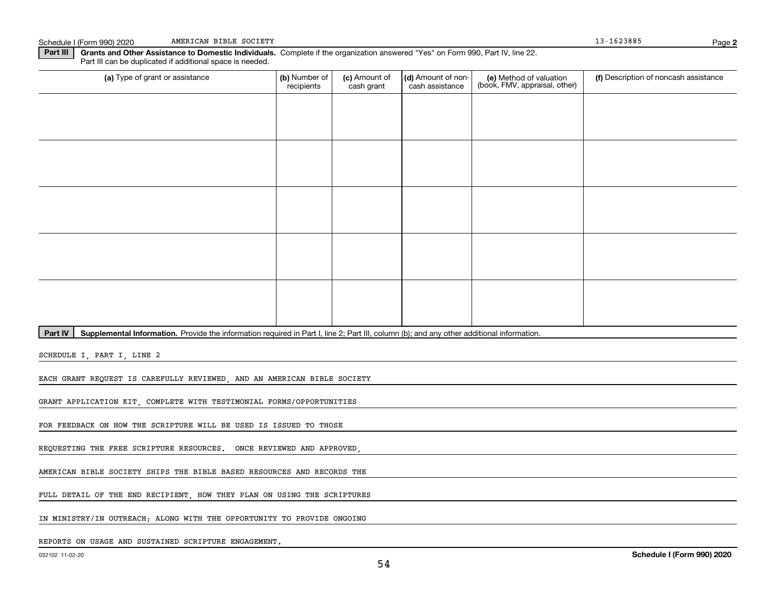Schedule I (Form 990) 2020 AMERICAN BIBLE SOCIETY AND SCHEDULE AND SCHEDULE AND SCHEDULE ASSESSED. AMERICAN BIBLE SOCIETY

**2**

**Part III | Grants and Other Assistance to Domestic Individuals. Complete if the organization answered "Yes" on Form 990, Part IV, line 22.** Part III can be duplicated if additional space is needed.

| (a) Type of grant or assistance | (b) Number of<br>recipients | (c) Amount of<br>cash grant | (d) Amount of non-<br>cash assistance | (e) Method of valuation<br>(book, FMV, appraisal, other) | (f) Description of noncash assistance |
|---------------------------------|-----------------------------|-----------------------------|---------------------------------------|----------------------------------------------------------|---------------------------------------|
|                                 |                             |                             |                                       |                                                          |                                       |
|                                 |                             |                             |                                       |                                                          |                                       |
|                                 |                             |                             |                                       |                                                          |                                       |
|                                 |                             |                             |                                       |                                                          |                                       |
|                                 |                             |                             |                                       |                                                          |                                       |
|                                 |                             |                             |                                       |                                                          |                                       |
|                                 |                             |                             |                                       |                                                          |                                       |
|                                 |                             |                             |                                       |                                                          |                                       |
|                                 |                             |                             |                                       |                                                          |                                       |
|                                 |                             |                             |                                       |                                                          |                                       |

Part IV | Supplemental Information. Provide the information required in Part I, line 2; Part III, column (b); and any other additional information.

SCHEDULE I, PART I, LINE 2

EACH GRANT REQUEST IS CAREFULLY REVIEWED, AND AN AMERICAN BIBLE SOCIETY

GRANT APPLICATION KIT, COMPLETE WITH TESTIMONIAL FORMS/OPPORTUNITIES

FOR FEEDBACK ON HOW THE SCRIPTURE WILL BE USED IS ISSUED TO THOSE

REQUESTING THE FREE SCRIPTURE RESOURCES. ONCE REVIEWED AND APPROVED

AMERICAN BIBLE SOCIETY SHIPS THE BIBLE BASED RESOURCES AND RECORDS THE

FULL DETAIL OF THE END RECIPIENT, HOW THEY PLAN ON USING THE SCRIPTURES

IN MINISTRY/IN OUTREACH; ALONG WITH THE OPPORTUNITY TO PROVIDE ONGOING

REPORTS ON USAGE AND SUSTAINED SCRIPTURE ENGAGEMENT.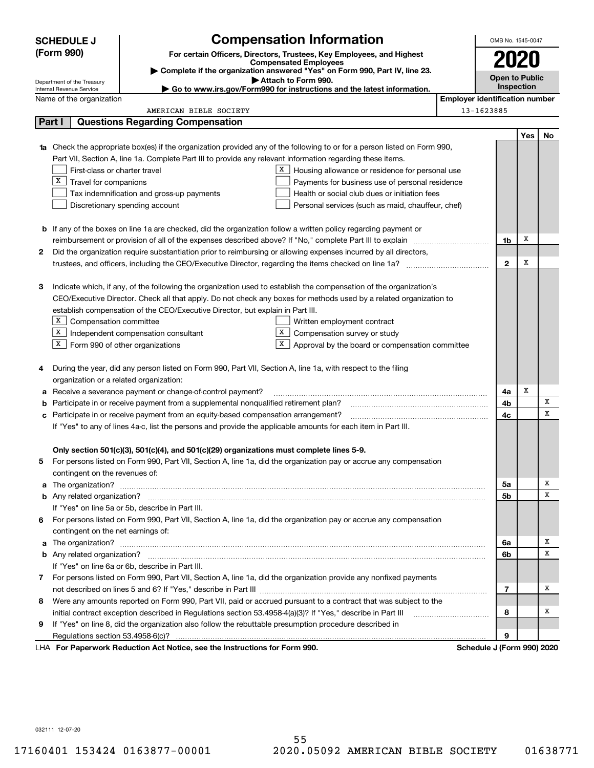|    | <b>SCHEDULE J</b>                       | <b>Compensation Information</b>                                                                                                                                                                      | OMB No. 1545-0047                     |            |     |  |  |
|----|-----------------------------------------|------------------------------------------------------------------------------------------------------------------------------------------------------------------------------------------------------|---------------------------------------|------------|-----|--|--|
|    | (Form 990)                              | For certain Officers, Directors, Trustees, Key Employees, and Highest                                                                                                                                |                                       |            |     |  |  |
|    |                                         | <b>Compensated Employees</b>                                                                                                                                                                         | 2020                                  |            |     |  |  |
|    | Department of the Treasury              | Complete if the organization answered "Yes" on Form 990, Part IV, line 23.<br>Attach to Form 990.                                                                                                    | <b>Open to Public</b>                 |            |     |  |  |
|    | Internal Revenue Service                | Go to www.irs.gov/Form990 for instructions and the latest information.                                                                                                                               | Inspection                            |            |     |  |  |
|    | Name of the organization                |                                                                                                                                                                                                      | <b>Employer identification number</b> |            |     |  |  |
|    |                                         | AMERICAN BIBLE SOCIETY                                                                                                                                                                               | 13-1623885                            |            |     |  |  |
|    | Part I                                  | <b>Questions Regarding Compensation</b>                                                                                                                                                              |                                       |            |     |  |  |
|    |                                         |                                                                                                                                                                                                      |                                       | <b>Yes</b> | No. |  |  |
| 1a |                                         | Check the appropriate box(es) if the organization provided any of the following to or for a person listed on Form 990,                                                                               |                                       |            |     |  |  |
|    |                                         | Part VII, Section A, line 1a. Complete Part III to provide any relevant information regarding these items.                                                                                           |                                       |            |     |  |  |
|    | First-class or charter travel           | X  <br>Housing allowance or residence for personal use                                                                                                                                               |                                       |            |     |  |  |
|    | $X$ Travel for companions               | Payments for business use of personal residence                                                                                                                                                      |                                       |            |     |  |  |
|    |                                         | Tax indemnification and gross-up payments<br>Health or social club dues or initiation fees                                                                                                           |                                       |            |     |  |  |
|    |                                         | Discretionary spending account<br>Personal services (such as maid, chauffeur, chef)                                                                                                                  |                                       |            |     |  |  |
|    |                                         |                                                                                                                                                                                                      |                                       |            |     |  |  |
|    |                                         | <b>b</b> If any of the boxes on line 1a are checked, did the organization follow a written policy regarding payment or                                                                               |                                       | x          |     |  |  |
|    |                                         | reimbursement or provision of all of the expenses described above? If "No," complete Part III to explain                                                                                             | 1b                                    |            |     |  |  |
| 2  |                                         | Did the organization require substantiation prior to reimbursing or allowing expenses incurred by all directors,                                                                                     |                                       | X          |     |  |  |
|    |                                         |                                                                                                                                                                                                      | $\mathbf{2}$                          |            |     |  |  |
|    |                                         |                                                                                                                                                                                                      |                                       |            |     |  |  |
| З  |                                         | Indicate which, if any, of the following the organization used to establish the compensation of the organization's                                                                                   |                                       |            |     |  |  |
|    |                                         | CEO/Executive Director. Check all that apply. Do not check any boxes for methods used by a related organization to<br>establish compensation of the CEO/Executive Director, but explain in Part III. |                                       |            |     |  |  |
|    |                                         |                                                                                                                                                                                                      |                                       |            |     |  |  |
|    | $X$ Compensation committee              | Written employment contract<br>X<br>$X$ Independent compensation consultant<br>Compensation survey or study                                                                                          |                                       |            |     |  |  |
|    | $X$ Form 990 of other organizations     | X                                                                                                                                                                                                    |                                       |            |     |  |  |
|    |                                         | Approval by the board or compensation committee                                                                                                                                                      |                                       |            |     |  |  |
| 4  |                                         | During the year, did any person listed on Form 990, Part VII, Section A, line 1a, with respect to the filing                                                                                         |                                       |            |     |  |  |
|    | organization or a related organization: |                                                                                                                                                                                                      |                                       |            |     |  |  |
| а  |                                         | Receive a severance payment or change-of-control payment?                                                                                                                                            | 4a                                    | X          |     |  |  |
| b  |                                         | Participate in or receive payment from a supplemental nonqualified retirement plan?                                                                                                                  | 4b                                    |            | х   |  |  |
| с  |                                         | Participate in or receive payment from an equity-based compensation arrangement?                                                                                                                     | 4c                                    |            | х   |  |  |
|    |                                         | If "Yes" to any of lines 4a-c, list the persons and provide the applicable amounts for each item in Part III.                                                                                        |                                       |            |     |  |  |
|    |                                         |                                                                                                                                                                                                      |                                       |            |     |  |  |
|    |                                         | Only section 501(c)(3), 501(c)(4), and 501(c)(29) organizations must complete lines 5-9.                                                                                                             |                                       |            |     |  |  |
|    |                                         | For persons listed on Form 990, Part VII, Section A, line 1a, did the organization pay or accrue any compensation                                                                                    |                                       |            |     |  |  |
|    | contingent on the revenues of:          |                                                                                                                                                                                                      |                                       |            |     |  |  |
|    |                                         |                                                                                                                                                                                                      | 5a                                    |            | х   |  |  |
|    |                                         |                                                                                                                                                                                                      | 5b                                    |            | x   |  |  |
|    |                                         | If "Yes" on line 5a or 5b, describe in Part III.                                                                                                                                                     |                                       |            |     |  |  |
|    |                                         | 6 For persons listed on Form 990, Part VII, Section A, line 1a, did the organization pay or accrue any compensation                                                                                  |                                       |            |     |  |  |
|    | contingent on the net earnings of:      |                                                                                                                                                                                                      |                                       |            |     |  |  |
|    |                                         |                                                                                                                                                                                                      | 6a                                    |            | х   |  |  |
|    |                                         |                                                                                                                                                                                                      | 6b                                    |            | х   |  |  |
|    |                                         | If "Yes" on line 6a or 6b, describe in Part III.                                                                                                                                                     |                                       |            |     |  |  |
|    |                                         | 7 For persons listed on Form 990, Part VII, Section A, line 1a, did the organization provide any nonfixed payments                                                                                   |                                       |            |     |  |  |
|    |                                         |                                                                                                                                                                                                      | 7                                     |            | х   |  |  |
| 8  |                                         | Were any amounts reported on Form 990, Part VII, paid or accrued pursuant to a contract that was subject to the                                                                                      |                                       |            |     |  |  |
|    |                                         | initial contract exception described in Regulations section 53.4958-4(a)(3)? If "Yes," describe in Part III                                                                                          | 8                                     |            | х   |  |  |
| 9  |                                         | If "Yes" on line 8, did the organization also follow the rebuttable presumption procedure described in                                                                                               |                                       |            |     |  |  |
|    |                                         |                                                                                                                                                                                                      | 9                                     |            |     |  |  |
|    |                                         | LHA For Paperwork Reduction Act Notice, see the Instructions for Form 990.                                                                                                                           | Schedule J (Form 990) 2020            |            |     |  |  |

032111 12-07-20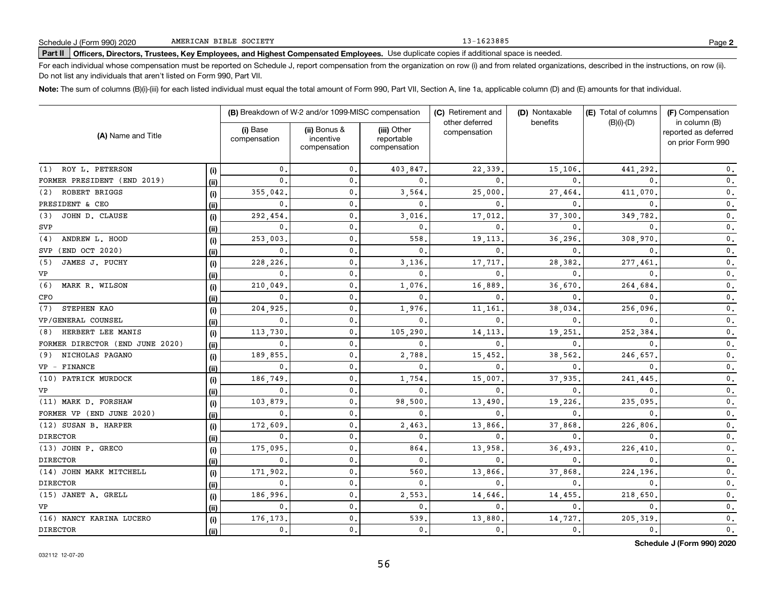13-1623885

# **Part II Officers, Directors, Trustees, Key Employees, and Highest Compensated Employees.**  Schedule J (Form 990) 2020 Page Use duplicate copies if additional space is needed.

For each individual whose compensation must be reported on Schedule J, report compensation from the organization on row (i) and from related organizations, described in the instructions, on row (ii). Do not list any individuals that aren't listed on Form 990, Part VII.

**Note:**  The sum of columns (B)(i)-(iii) for each listed individual must equal the total amount of Form 990, Part VII, Section A, line 1a, applicable column (D) and (E) amounts for that individual.

|                                 |      |                          | (B) Breakdown of W-2 and/or 1099-MISC compensation |                                           | (C) Retirement and<br>other deferred | (D) Nontaxable<br>benefits | (E) Total of columns<br>$(B)(i)-(D)$ | (F) Compensation                                           |  |
|---------------------------------|------|--------------------------|----------------------------------------------------|-------------------------------------------|--------------------------------------|----------------------------|--------------------------------------|------------------------------------------------------------|--|
| (A) Name and Title              |      | (i) Base<br>compensation | (ii) Bonus &<br>incentive<br>compensation          | (iii) Other<br>reportable<br>compensation | compensation                         |                            |                                      | in column (B)<br>reported as deferred<br>on prior Form 990 |  |
| (1) ROY L. PETERSON             | (i)  | 0.                       | 0.                                                 | 403,847.                                  | 22,339                               | 15,106.                    | 441,292                              | $\mathbf{0}$ .                                             |  |
| FORMER PRESIDENT (END 2019)     | (ii) | 0.                       | $\mathbf 0$ .                                      | $\mathbf{0}$ .                            | 0                                    | $\Omega$                   | $\Omega$                             | $\mathfrak o$ .                                            |  |
| ROBERT BRIGGS<br>(2)            | (i)  | 355,042.                 | 0.                                                 | 3,564                                     | 25,000                               | 27,464                     | 411,070                              | $\mathbf 0$ .                                              |  |
| PRESIDENT & CEO                 | (ii) | $\mathbf{0}$             | $\mathbf{0}$ .                                     | $\mathbf{0}$ .                            | $\Omega$                             | $\Omega$                   | $\Omega$                             | $\mathfrak o$ .                                            |  |
| JOHN D. CLAUSE<br>(3)           | (i)  | 292,454                  | 0.                                                 | 3,016                                     | 17,012                               | 37,300                     | 349,782                              | $\mathbf 0$ .                                              |  |
| SVP                             | (ii) | $\mathbf{0}$             | $\mathfrak o$ .                                    | $\mathbf{0}$                              | 0                                    | $\Omega$                   | $\mathbf{0}$                         | $\mathbf 0$ .                                              |  |
| (4)<br>ANDREW L. HOOD           | (i)  | 253,003                  | 0.                                                 | 558                                       | 19,113                               | 36,296                     | 308,970                              | 0.                                                         |  |
| (END OCT 2020)<br>SVP           | (ii) | 0.                       | $\mathbf{0}$ .                                     | $\mathbf{0}$                              | $\mathbf{0}$                         | $\Omega$                   | $\Omega$                             | $\mathbf{0}$ .                                             |  |
| JAMES J. PUCHY<br>(5)           | (i)  | 228,226                  | 0.                                                 | 3,136                                     | 17,717                               | 28,382                     | 277,461                              | $\mathbf 0$ .                                              |  |
| VP                              | (ii) | $\mathbf{0}$             | 0.                                                 | $\mathbf{0}$                              | 0                                    | $\mathbf{0}$               | $\Omega$                             | $\mathbf 0$ .                                              |  |
| (6)<br>MARK R. WILSON           | (i)  | 210,049                  | 0.                                                 | 1,076                                     | 16,889                               | 36,670                     | 264,684                              | $\mathbf 0$ .                                              |  |
| CFO                             | (ii) | $\mathbf{0}$             | $\mathbf 0$ .                                      | $\mathbf{0}$                              | 0                                    | $\mathbf{0}$               | $\Omega$                             | $\mathbf{0}$ .                                             |  |
| (7)<br>STEPHEN KAO              | (i)  | 204.925                  | 0.                                                 | 1,976.                                    | 11,161                               | 38,034                     | 256,096                              | $\mathbf 0$ .                                              |  |
| VP/GENERAL COUNSEL              | (ii) | $\mathbf{0}$             | $\mathbf{0}$ .                                     | $\mathbf{0}$                              | 0                                    | $\mathbf{0}$               | $\mathbf{0}$                         | 0.                                                         |  |
| HERBERT LEE MANIS<br>(8)        | (i)  | 113,730                  | $\mathbf{0}$ .                                     | 105,290                                   | 14,113                               | 19,251                     | 252,384                              | 0.                                                         |  |
| FORMER DIRECTOR (END JUNE 2020) | (ii) | $\mathbf{0}$             | $\mathbf 0$ .                                      | $\mathbf{0}$                              | 0                                    | 0                          | $\mathbf{0}$                         | $\mathbf{0}$ .                                             |  |
| NICHOLAS PAGANO<br>(9)          | (i)  | 189,855                  | $\mathbf{0}$                                       | 2,788                                     | 15,452                               | 38,562                     | 246,657                              | 0.                                                         |  |
| VP - FINANCE                    | (ii) | $\mathbf{0}$             | $\mathbf{0}$                                       | $\mathbf{0}$                              | 0                                    | 0                          | $\mathbf{0}$                         | 0.                                                         |  |
| (10) PATRICK MURDOCK            | (i)  | 186,749                  | $\mathbf{0}$ .                                     | 1,754                                     | 15,007                               | 37,935                     | 241,445                              | 0.                                                         |  |
| VP                              | (ii) | $\mathbf 0$ .            | $\mathsf{0}$ .                                     | $\mathbf{0}$ .                            | 0                                    | 0                          | 0                                    | $\mathbf{0}$ .                                             |  |
| (11) MARK D. FORSHAW            | (i)  | 103,879                  | $\mathbf{0}$ .                                     | 98,500                                    | 13,490                               | 19,226                     | 235,095                              | $\mathbf{0}$ .                                             |  |
| FORMER VP (END JUNE 2020)       | (ii) | $\mathbf{0}$             | $\mathbf{0}$ .                                     | $\mathbf{0}$                              | 0                                    | 0                          | $\mathbf{0}$                         | $\mathbf{0}$ .                                             |  |
| (12) SUSAN B. HARPER            | (i)  | 172,609                  | 0.                                                 | 2,463                                     | 13,866                               | 37,868                     | 226,806                              | 0.                                                         |  |
| <b>DIRECTOR</b>                 | (ii) | 0.                       | $\mathbf{0}$ .                                     | $\mathbf{0}$ .                            | 0                                    | $\mathbf{0}$               | $\mathbf{0}$                         | $\mathbf{0}$ .                                             |  |
| (13) JOHN P. GRECO              | (i)  | 175,095                  | $\mathbf{0}$ .                                     | 864.                                      | 13,958                               | 36,493                     | 226,410                              | $\mathbf{0}$ .                                             |  |
| <b>DIRECTOR</b>                 | (ii) | $\mathbf{0}$ .           | $\mathbf{0}$ .                                     | $\mathbf{0}$ .                            | 0                                    | $\mathbf{0}$               | $\mathbf{0}$                         | $\mathbf{0}$ .                                             |  |
| (14) JOHN MARK MITCHELL         | (i)  | 171,902                  | 0.                                                 | 560                                       | 13,866                               | 37,868                     | 224,196                              | $\mathbf 0$ .                                              |  |
| <b>DIRECTOR</b>                 | (ii) | 0.                       | 0.                                                 | $\mathbf{0}$ .                            | $\mathbf{0}$                         | 0.                         | 0.                                   | $\mathbf 0$ .                                              |  |
| (15) JANET A. GRELL             | (i)  | 186,996                  | 0.                                                 | 2,553                                     | 14,646                               | 14,455.                    | 218,650                              | $\mathbf{0}$ .                                             |  |
| VP                              | (ii) | 0.                       | 0.                                                 | $\mathbf 0$ .                             | $\mathbf{0}$                         | $\mathbf{0}$ .             | 0.                                   | $\mathbf 0$ .                                              |  |
| (16) NANCY KARINA LUCERO        | (i)  | 176,173                  | 0.                                                 | 539                                       | 13,880                               | 14,727                     | 205,319                              | $\mathbf 0$ .                                              |  |
| <b>DIRECTOR</b>                 | (ii) | 0.                       | $\mathbf{0}$ .                                     | $\mathbf{0}$ .                            | 0.                                   | 0.                         | 0.                                   | $\mathbf 0$ .                                              |  |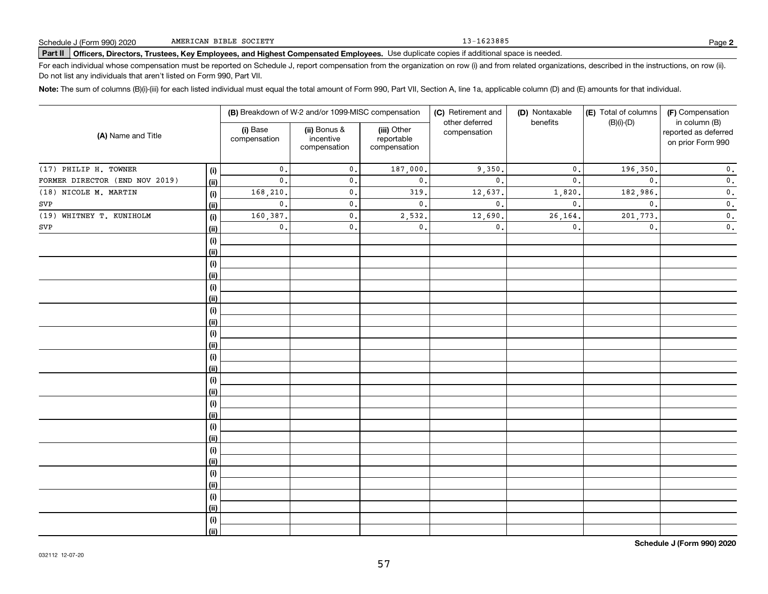13-1623885

# **Part II Officers, Directors, Trustees, Key Employees, and Highest Compensated Employees.**  Schedule J (Form 990) 2020 Page Use duplicate copies if additional space is needed.

For each individual whose compensation must be reported on Schedule J, report compensation from the organization on row (i) and from related organizations, described in the instructions, on row (ii). Do not list any individuals that aren't listed on Form 990, Part VII.

**Note:**  The sum of columns (B)(i)-(iii) for each listed individual must equal the total amount of Form 990, Part VII, Section A, line 1a, applicable column (D) and (E) amounts for that individual.

|                                |      |                          | (B) Breakdown of W-2 and/or 1099-MISC compensation |                                           | (C) Retirement and<br>other deferred | (D) Nontaxable | (E) Total of columns | (F) Compensation                                           |
|--------------------------------|------|--------------------------|----------------------------------------------------|-------------------------------------------|--------------------------------------|----------------|----------------------|------------------------------------------------------------|
| (A) Name and Title             |      | (i) Base<br>compensation | (ii) Bonus &<br>incentive<br>compensation          | (iii) Other<br>reportable<br>compensation | compensation                         | benefits       | $(B)(i)-(D)$         | in column (B)<br>reported as deferred<br>on prior Form 990 |
| (17) PHILIP H. TOWNER          | (i)  | $\mathbf{0}$ .           | $\mathbf{0}$ .                                     | 187,000.                                  | 9,350.                               | $\mathbf{0}$ . | 196,350.             | $\mathbf 0$ .                                              |
| FORMER DIRECTOR (END NOV 2019) | (ii) | $\mathbf{0}$ .           | $\mathbf{0}$ .                                     | $\mathbf{0}$ .                            | $\mathbf{0}$ .                       | $\mathbf{0}$   | $\mathbf{0}$ .       | $\mathbf 0$ .                                              |
| (18) NICOLE M. MARTIN          | (i)  | 168,210.                 | $\mathbf{0}$ .                                     | 319.                                      | 12,637.                              | 1,820          | 182,986.             | $\mathbf 0$ .                                              |
| SVP                            | (ii) | $\mathbf{0}$ .           | $\mathfrak o$ .                                    | $\mathsf{0}\,.$                           | $\mathbf{0}$ .                       | $\mathbf{0}$ . | $\mathbf{0}$ .       | $\mathbf 0$ .                                              |
| (19) WHITNEY T. KUNIHOLM       | (i)  | 160,387.                 | $\mathfrak o$ .                                    | 2,532.                                    | 12,690                               | 26, 164        | 201,773.             | $\overline{\mathbf{0}}$ .                                  |
| ${\tt SVP}$                    | (ii) | $\mathbf{0}$ .           | $\mathbf{0}$ .                                     | $\mathbf{0}$ .                            | $\mathsf{o}$ .                       | $\mathbf{0}$ . | $\mathfrak{o}$ .     | $\overline{\mathbf{0}}$ .                                  |
|                                | (i)  |                          |                                                    |                                           |                                      |                |                      |                                                            |
|                                | (ii) |                          |                                                    |                                           |                                      |                |                      |                                                            |
|                                | (i)  |                          |                                                    |                                           |                                      |                |                      |                                                            |
|                                | (ii) |                          |                                                    |                                           |                                      |                |                      |                                                            |
|                                | (i)  |                          |                                                    |                                           |                                      |                |                      |                                                            |
|                                | (ii) |                          |                                                    |                                           |                                      |                |                      |                                                            |
|                                | (i)  |                          |                                                    |                                           |                                      |                |                      |                                                            |
|                                | (ii) |                          |                                                    |                                           |                                      |                |                      |                                                            |
|                                | (i)  |                          |                                                    |                                           |                                      |                |                      |                                                            |
|                                | (ii) |                          |                                                    |                                           |                                      |                |                      |                                                            |
|                                | (i)  |                          |                                                    |                                           |                                      |                |                      |                                                            |
|                                | (ii) |                          |                                                    |                                           |                                      |                |                      |                                                            |
|                                | (i)  |                          |                                                    |                                           |                                      |                |                      |                                                            |
|                                | (ii) |                          |                                                    |                                           |                                      |                |                      |                                                            |
|                                | (i)  |                          |                                                    |                                           |                                      |                |                      |                                                            |
|                                | (ii) |                          |                                                    |                                           |                                      |                |                      |                                                            |
|                                | (i)  |                          |                                                    |                                           |                                      |                |                      |                                                            |
|                                | (ii) |                          |                                                    |                                           |                                      |                |                      |                                                            |
|                                | (i)  |                          |                                                    |                                           |                                      |                |                      |                                                            |
|                                | (ii) |                          |                                                    |                                           |                                      |                |                      |                                                            |
|                                | (i)  |                          |                                                    |                                           |                                      |                |                      |                                                            |
|                                | (ii) |                          |                                                    |                                           |                                      |                |                      |                                                            |
|                                | (i)  |                          |                                                    |                                           |                                      |                |                      |                                                            |
|                                | (ii) |                          |                                                    |                                           |                                      |                |                      |                                                            |
|                                | (i)  |                          |                                                    |                                           |                                      |                |                      |                                                            |
|                                | (ii) |                          |                                                    |                                           |                                      |                |                      |                                                            |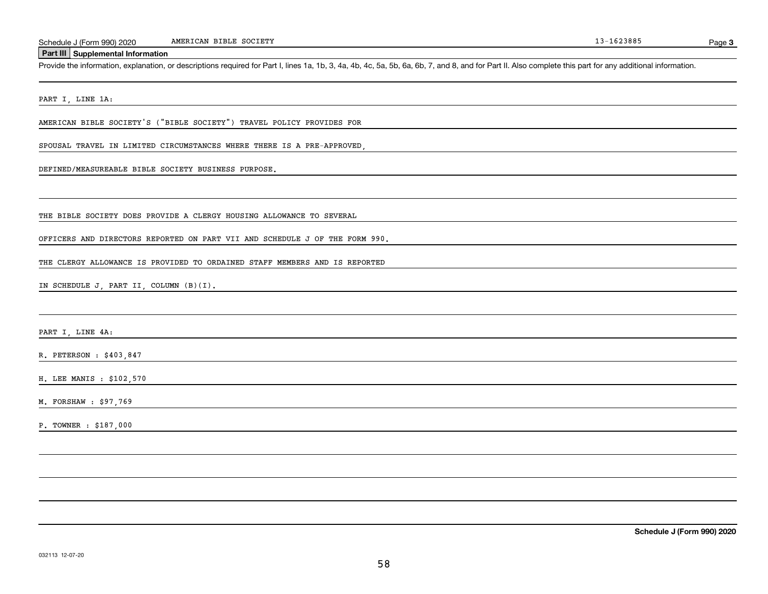#### **Part III Supplemental Information**

Schedule J (Form 990) 2020 MMERICAN BIBLE SOCIETY<br>Part III Supplemental Information<br>Provide the information, explanation, or descriptions required for Part I, lines 1a, 1b, 3, 4a, 4b, 4c, 5a, 5b, 6a, 6b, 7, and 8, and for

PART I, LINE 1A:

AMERICAN BIBLE SOCIETY'S ("BIBLE SOCIETY") TRAVEL POLICY PROVIDES FOR

SPOUSAL TRAVEL IN LIMITED CIRCUMSTANCES WHERE THERE IS A PRE-APPROVED,

DEFINED/MEASUREABLE BIBLE SOCIETY BUSINESS PURPOSE.

THE BIBLE SOCIETY DOES PROVIDE A CLERGY HOUSING ALLOWANCE TO SEVERAL

OFFICERS AND DIRECTORS REPORTED ON PART VII AND SCHEDULE J OF THE FORM 990.

THE CLERGY ALLOWANCE IS PROVIDED TO ORDAINED STAFF MEMBERS AND IS REPORTED

IN SCHEDULE J, PART II, COLUMN (B)(I).

PART I, LINE 4A:

R. PETERSON : \$403,847

H. LEE MANIS : \$102,570

M. FORSHAW : \$97,769

P. TOWNER : \$187,000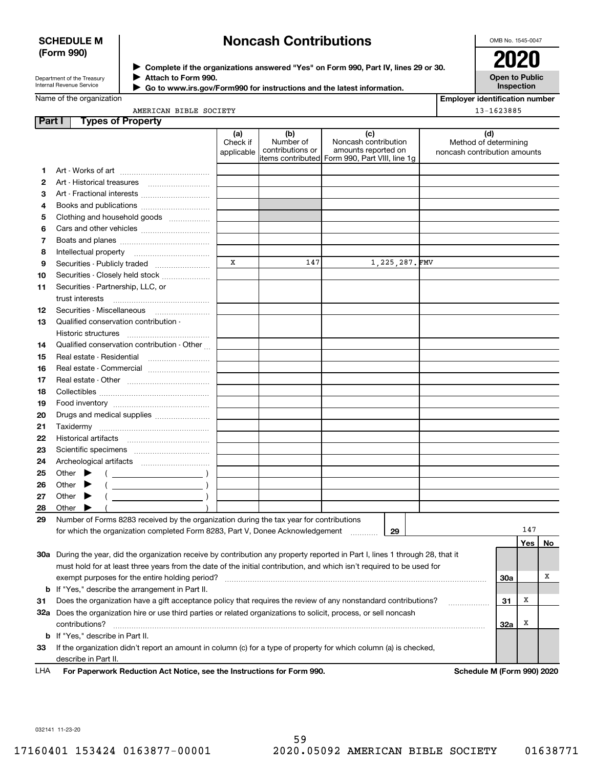### **SCHEDULE M (Form 990)**

# **Noncash Contributions**

OMB No. 1545-0047

| Department of the Treasury |  |
|----------------------------|--|
| Internal Revenue Service   |  |

**1213**

**Complete if the organizations answered "Yes" on Form 990, Part IV, lines 29 or 30.** <sup>J</sup>**2020 Attach to Form 990.** J

 **Go to www.irs.gov/Form990 for instructions and the latest information.** J

**Open to Public Inspection**

|  | Name of the organization |
|--|--------------------------|
|  |                          |

| Employer identification number |
|--------------------------------|
|--------------------------------|

|        | AMERICAN BIBLE SOCIETY                                                                                                         |                               |                                      |                                                                                                      |  | 13-1623885                                                   |            |            |    |
|--------|--------------------------------------------------------------------------------------------------------------------------------|-------------------------------|--------------------------------------|------------------------------------------------------------------------------------------------------|--|--------------------------------------------------------------|------------|------------|----|
| Part I | <b>Types of Property</b>                                                                                                       |                               |                                      |                                                                                                      |  |                                                              |            |            |    |
|        |                                                                                                                                | (a)<br>Check if<br>applicable | (b)<br>Number of<br>contributions or | (c)<br>Noncash contribution<br>amounts reported on<br>items contributed Form 990, Part VIII, line 1g |  | (d)<br>Method of determining<br>noncash contribution amounts |            |            |    |
| 1      |                                                                                                                                |                               |                                      |                                                                                                      |  |                                                              |            |            |    |
| 2      |                                                                                                                                |                               |                                      |                                                                                                      |  |                                                              |            |            |    |
| 3      | Art - Fractional interests                                                                                                     |                               |                                      |                                                                                                      |  |                                                              |            |            |    |
| 4      | Books and publications                                                                                                         |                               |                                      |                                                                                                      |  |                                                              |            |            |    |
| 5      | Clothing and household goods                                                                                                   |                               |                                      |                                                                                                      |  |                                                              |            |            |    |
| 6      |                                                                                                                                |                               |                                      |                                                                                                      |  |                                                              |            |            |    |
| 7      |                                                                                                                                |                               |                                      |                                                                                                      |  |                                                              |            |            |    |
| 8      |                                                                                                                                |                               |                                      |                                                                                                      |  |                                                              |            |            |    |
| 9      | Securities - Publicly traded                                                                                                   | x                             | 147                                  | 1,225,287. FMV                                                                                       |  |                                                              |            |            |    |
| 10     | Securities - Closely held stock                                                                                                |                               |                                      |                                                                                                      |  |                                                              |            |            |    |
| 11     | Securities - Partnership, LLC, or<br>trust interests                                                                           |                               |                                      |                                                                                                      |  |                                                              |            |            |    |
| 12     | Securities - Miscellaneous                                                                                                     |                               |                                      |                                                                                                      |  |                                                              |            |            |    |
| 13     | Qualified conservation contribution -                                                                                          |                               |                                      |                                                                                                      |  |                                                              |            |            |    |
|        | Historic structures                                                                                                            |                               |                                      |                                                                                                      |  |                                                              |            |            |    |
| 14     | Qualified conservation contribution - Other                                                                                    |                               |                                      |                                                                                                      |  |                                                              |            |            |    |
| 15     | Real estate - Residential                                                                                                      |                               |                                      |                                                                                                      |  |                                                              |            |            |    |
| 16     | Real estate - Commercial                                                                                                       |                               |                                      |                                                                                                      |  |                                                              |            |            |    |
| 17     |                                                                                                                                |                               |                                      |                                                                                                      |  |                                                              |            |            |    |
| 18     |                                                                                                                                |                               |                                      |                                                                                                      |  |                                                              |            |            |    |
| 19     |                                                                                                                                |                               |                                      |                                                                                                      |  |                                                              |            |            |    |
| 20     | Drugs and medical supplies                                                                                                     |                               |                                      |                                                                                                      |  |                                                              |            |            |    |
| 21     |                                                                                                                                |                               |                                      |                                                                                                      |  |                                                              |            |            |    |
| 22     |                                                                                                                                |                               |                                      |                                                                                                      |  |                                                              |            |            |    |
| 23     |                                                                                                                                |                               |                                      |                                                                                                      |  |                                                              |            |            |    |
| 24     |                                                                                                                                |                               |                                      |                                                                                                      |  |                                                              |            |            |    |
| 25     | Other $\blacktriangleright$<br>$\overline{\phantom{a}}$ )                                                                      |                               |                                      |                                                                                                      |  |                                                              |            |            |    |
| 26     | Other $\blacktriangleright$                                                                                                    |                               |                                      |                                                                                                      |  |                                                              |            |            |    |
| 27     | Other $\blacktriangleright$<br>$\overline{\phantom{a}}$                                                                        |                               |                                      |                                                                                                      |  |                                                              |            |            |    |
| 28     | Other $\blacktriangleright$                                                                                                    |                               |                                      |                                                                                                      |  |                                                              |            |            |    |
| 29     | Number of Forms 8283 received by the organization during the tax year for contributions                                        |                               |                                      |                                                                                                      |  |                                                              |            |            |    |
|        | for which the organization completed Form 8283, Part V, Donee Acknowledgement                                                  |                               |                                      | 29<br>.                                                                                              |  |                                                              |            | 147<br>Yes | No |
|        | 30a During the year, did the organization receive by contribution any property reported in Part I, lines 1 through 28, that it |                               |                                      |                                                                                                      |  |                                                              |            |            |    |
|        | must hold for at least three years from the date of the initial contribution, and which isn't required to be used for          |                               |                                      |                                                                                                      |  |                                                              |            |            |    |
|        | exempt purposes for the entire holding period?                                                                                 |                               |                                      |                                                                                                      |  |                                                              | <b>30a</b> |            | х  |
|        | <b>b</b> If "Yes," describe the arrangement in Part II.                                                                        |                               |                                      |                                                                                                      |  |                                                              |            |            |    |
| 31     | Does the organization have a gift acceptance policy that requires the review of any nonstandard contributions?                 |                               |                                      |                                                                                                      |  |                                                              | 31         | x          |    |
|        | 32a Does the organization hire or use third parties or related organizations to solicit, process, or sell noncash              |                               |                                      |                                                                                                      |  | .                                                            |            |            |    |
|        | contributions?                                                                                                                 |                               |                                      |                                                                                                      |  |                                                              | <b>32a</b> | x          |    |

**For Paperwork Reduction Act Notice, see the Instructions for Form 990. Schedule M (Form 990) 2020**

If the organization didn't report an amount in column (c) for a type of property for which column (a) is checked,

**31**

**33**

LHA

**b** If "Yes," describe in Part II.

describe in Part II.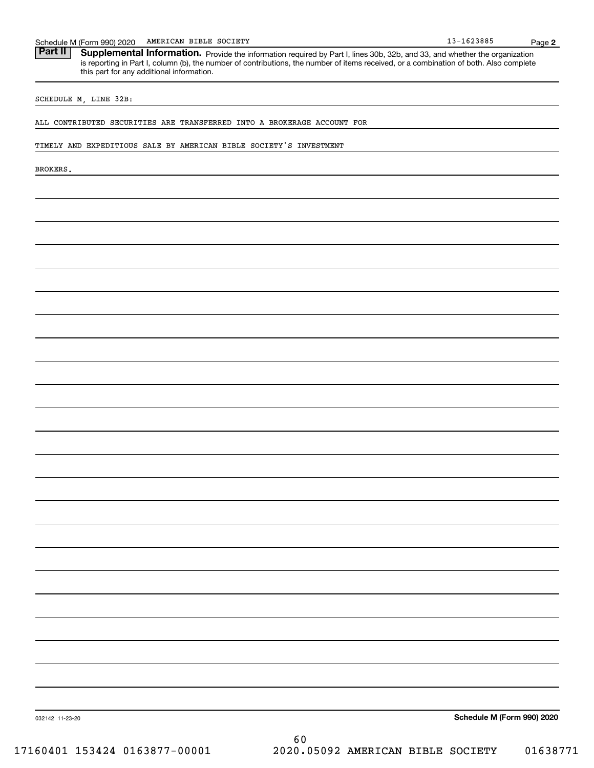Schedule M (Form 990) 2020 AMERICAN BIBLE SOCIETY<br>**Part II** Supplemental Information. Provide the information required by Part I. lines 30b. 32b. and 33. and whether the c Part II | Supplemental Information. Provide the information required by Part I, lines 30b, 32b, and 33, and whether the organization is reporting in Part I, column (b), the number of contributions, the number of items received, or a combination of both. Also complete this part for any additional information.

#### SCHEDULE M, LINE 32B:

#### ALL CONTRIBUTED SECURITIES ARE TRANSFERRED INTO A BROKERAGE ACCOUNT FOR

#### TIMELY AND EXPEDITIOUS SALE BY AMERICAN BIBLE SOCIETY'S INVESTMENT

BROKERS.

**Schedule M (Form 990) 2020**

032142 11-23-20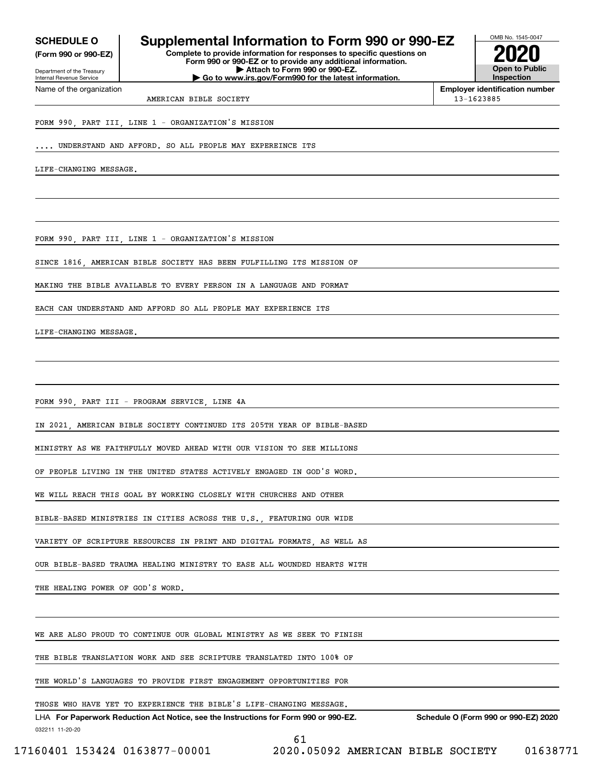**(Form 990 or 990-EZ)**

Department of the Treasury Internal Revenue Service Name of the organization

## **SCHEDULE O Supplemental Information to Form 990 or 990-EZ**

**Complete to provide information for responses to specific questions on Form 990 or 990-EZ or to provide any additional information. | Attach to Form 990 or 990-EZ. | Go to www.irs.gov/Form990 for the latest information.**



**Employer identification number** AMERICAN BIBLE SOCIETY 13-1623885

## FORM 990, PART III, LINE 1 - ORGANIZATION'S MISSION

... UNDERSTAND AND AFFORD. SO ALL PEOPLE MAY EXPEREINCE ITS

LIFE-CHANGING MESSAGE.

FORM 990, PART III, LINE 1 - ORGANIZATION'S MISSION

SINCE 1816, AMERICAN BIBLE SOCIETY HAS BEEN FULFILLING ITS MISSION OF

MAKING THE BIBLE AVAILABLE TO EVERY PERSON IN A LANGUAGE AND FORMAT

EACH CAN UNDERSTAND AND AFFORD SO ALL PEOPLE MAY EXPERIENCE ITS

LIFE-CHANGING MESSAGE.

FORM 990, PART III - PROGRAM SERVICE, LINE 4A

IN 2021, AMERICAN BIBLE SOCIETY CONTINUED ITS 205TH YEAR OF BIBLE-BASED

MINISTRY AS WE FAITHFULLY MOVED AHEAD WITH OUR VISION TO SEE MILLIONS

OF PEOPLE LIVING IN THE UNITED STATES ACTIVELY ENGAGED IN GOD'S WORD.

WE WILL REACH THIS GOAL BY WORKING CLOSELY WITH CHURCHES AND OTHER

BIBLE-BASED MINISTRIES IN CITIES ACROSS THE U.S., FEATURING OUR WIDE

VARIETY OF SCRIPTURE RESOURCES IN PRINT AND DIGITAL FORMATS, AS WELL AS

OUR BIBLE-BASED TRAUMA HEALING MINISTRY TO EASE ALL WOUNDED HEARTS WITH

THE HEALING POWER OF GOD'S WORD.

WE ARE ALSO PROUD TO CONTINUE OUR GLOBAL MINISTRY AS WE SEEK TO FINISH

THE BIBLE TRANSLATION WORK AND SEE SCRIPTURE TRANSLATED INTO 100% OF

THE WORLD'S LANGUAGES TO PROVIDE FIRST ENGAGEMENT OPPORTUNITIES FOR

#### THOSE WHO HAVE YET TO EXPERIENCE THE BIBLE'S LIFE-CHANGING MESSAGE.

032211 11-20-20 LHA For Paperwork Reduction Act Notice, see the Instructions for Form 990 or 990-EZ. Schedule O (Form 990 or 990-EZ) 2020

61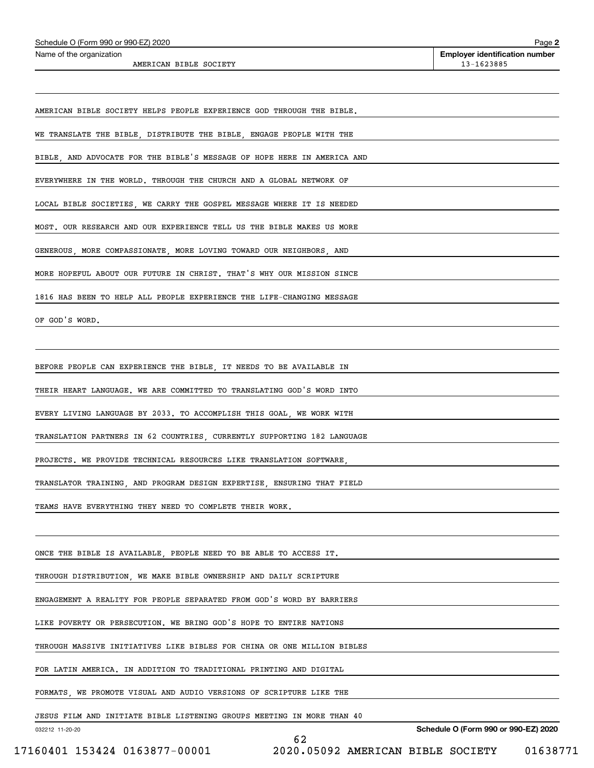| AMERICAN BIBLE SOCIETY                                                  | 13-1623885 |
|-------------------------------------------------------------------------|------------|
|                                                                         |            |
| AMERICAN BIBLE SOCIETY HELPS PEOPLE EXPERIENCE GOD THROUGH THE BIBLE.   |            |
| WE TRANSLATE THE BIBLE, DISTRIBUTE THE BIBLE, ENGAGE PEOPLE WITH THE    |            |
| BIBLE, AND ADVOCATE FOR THE BIBLE'S MESSAGE OF HOPE HERE IN AMERICA AND |            |
| EVERYWHERE IN THE WORLD. THROUGH THE CHURCH AND A GLOBAL NETWORK OF     |            |
| LOCAL BIBLE SOCIETIES, WE CARRY THE GOSPEL MESSAGE WHERE IT IS NEEDED   |            |
| MOST. OUR RESEARCH AND OUR EXPERIENCE TELL US THE BIBLE MAKES US MORE   |            |
| GENEROUS, MORE COMPASSIONATE, MORE LOVING TOWARD OUR NEIGHBORS, AND     |            |
| MORE HOPEFUL ABOUT OUR FUTURE IN CHRIST. THAT'S WHY OUR MISSION SINCE   |            |
| 1816 HAS BEEN TO HELP ALL PEOPLE EXPERIENCE THE LIFE-CHANGING MESSAGE   |            |
| OF GOD'S WORD.                                                          |            |
|                                                                         |            |
| BEFORE PEOPLE CAN EXPERIENCE THE BIBLE, IT NEEDS TO BE AVAILABLE IN     |            |
| THEIR HEART LANGUAGE. WE ARE COMMITTED TO TRANSLATING GOD'S WORD INTO   |            |
| EVERY LIVING LANGUAGE BY 2033. TO ACCOMPLISH THIS GOAL, WE WORK WITH    |            |
| TRANSLATION PARTNERS IN 62 COUNTRIES, CURRENTLY SUPPORTING 182 LANGUAGE |            |
| PROJECTS. WE PROVIDE TECHNICAL RESOURCES LIKE TRANSLATION SOFTWARE,     |            |
| TRANSLATOR TRAINING, AND PROGRAM DESIGN EXPERTISE, ENSURING THAT FIELD  |            |
| TEAMS HAVE EVERYTHING THEY NEED TO COMPLETE THEIR WORK.                 |            |
|                                                                         |            |
| ONCE THE BIBLE IS AVAILABLE, PEOPLE NEED TO BE ABLE TO ACCESS IT.       |            |
| THROUGH DISTRIBUTION, WE MAKE BIBLE OWNERSHIP AND DAILY SCRIPTURE       |            |
| ENGAGEMENT A REALITY FOR PEOPLE SEPARATED FROM GOD'S WORD BY BARRIERS   |            |
| LIKE POVERTY OR PERSECUTION. WE BRING GOD'S HOPE TO ENTIRE NATIONS      |            |
| THROUGH MASSIVE INITIATIVES LIKE BIBLES FOR CHINA OR ONE MILLION BIBLES |            |
| FOR LATIN AMERICA. IN ADDITION TO TRADITIONAL PRINTING AND DIGITAL      |            |
| FORMATS, WE PROMOTE VISUAL AND AUDIO VERSIONS OF SCRIPTURE LIKE THE     |            |
| JESUS FILM AND INITIATE BIBLE LISTENING GROUPS MEETING IN MORE THAN 40  |            |

62

032212 11-20-20

**Schedule O (Form 990 or 990-EZ) 2020**

**Contract Contract** 

**Contract Contract** 

**Contract Contract Contract** 

**Contract Contract** 

**Contract Contract**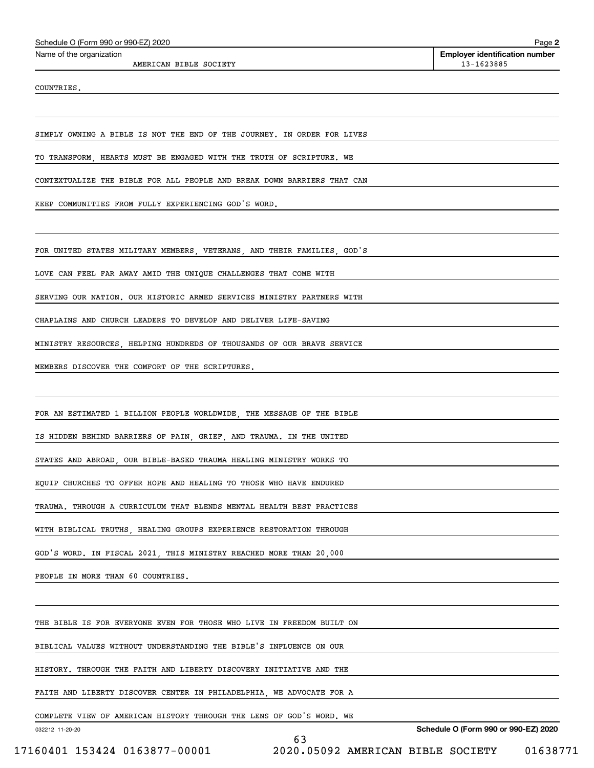| Schedule O (Form 990 or 990-EZ) 2020 |  |  |  |
|--------------------------------------|--|--|--|
|--------------------------------------|--|--|--|

AMERICAN BIBLE SOCIETY 13-1623885

COUNTRIES.

SIMPLY OWNING A BIBLE IS NOT THE END OF THE JOURNEY. IN ORDER FOR LIVES

TO TRANSFORM, HEARTS MUST BE ENGAGED WITH THE TRUTH OF SCRIPTURE. WE

CONTEXTUALIZE THE BIBLE FOR ALL PEOPLE AND BREAK DOWN BARRIERS THAT CAN

KEEP COMMUNITIES FROM FULLY EXPERIENCING GOD'S WORD.

FOR UNITED STATES MILITARY MEMBERS, VETERANS, AND THEIR FAMILIES, GOD'S

LOVE CAN FEEL FAR AWAY AMID THE UNIQUE CHALLENGES THAT COME WITH

SERVING OUR NATION. OUR HISTORIC ARMED SERVICES MINISTRY PARTNERS WITH

CHAPLAINS AND CHURCH LEADERS TO DEVELOP AND DELIVER LIFE-SAVING

MINISTRY RESOURCES, HELPING HUNDREDS OF THOUSANDS OF OUR BRAVE SERVICE

MEMBERS DISCOVER THE COMFORT OF THE SCRIPTURES.

FOR AN ESTIMATED 1 BILLION PEOPLE WORLDWIDE, THE MESSAGE OF THE BIBLE

IS HIDDEN BEHIND BARRIERS OF PAIN, GRIEF, AND TRAUMA. IN THE UNITED

STATES AND ABROAD, OUR BIBLE-BASED TRAUMA HEALING MINISTRY WORKS TO

EQUIP CHURCHES TO OFFER HOPE AND HEALING TO THOSE WHO HAVE ENDURED

TRAUMA. THROUGH A CURRICULUM THAT BLENDS MENTAL HEALTH BEST PRACTICES

WITH BIBLICAL TRUTHS, HEALING GROUPS EXPERIENCE RESTORATION THROUGH

GOD'S WORD. IN FISCAL 2021, THIS MINISTRY REACHED MORE THAN 20,000

PEOPLE IN MORE THAN 60 COUNTRIES.

THE BIBLE IS FOR EVERYONE EVEN FOR THOSE WHO LIVE IN FREEDOM BUILT ON

BIBLICAL VALUES WITHOUT UNDERSTANDING THE BIBLE'S INFLUENCE ON OUR

HISTORY. THROUGH THE FAITH AND LIBERTY DISCOVERY INITIATIVE AND THE

FAITH AND LIBERTY DISCOVER CENTER IN PHILADELPHIA, WE ADVOCATE FOR A

COMPLETE VIEW OF AMERICAN HISTORY THROUGH THE LENS OF GOD'S WORD. WE

63

032212 11-20-20

**Schedule O (Form 990 or 990-EZ) 2020**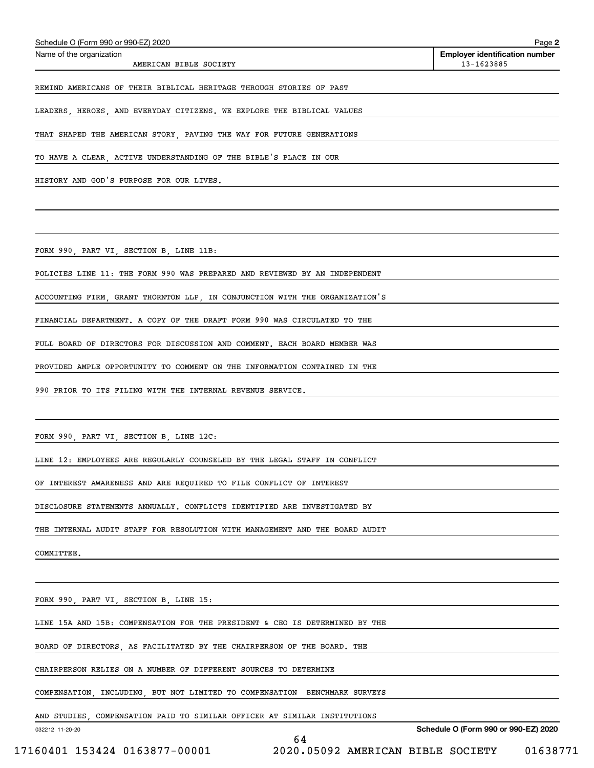| Schedule O (Form 990 or 990-EZ) 2020                                        | Page 2                                              |
|-----------------------------------------------------------------------------|-----------------------------------------------------|
| Name of the organization<br>AMERICAN BIBLE SOCIETY                          | <b>Employer identification number</b><br>13-1623885 |
| REMIND AMERICANS OF THEIR BIBLICAL HERITAGE THROUGH STORIES OF PAST         |                                                     |
| LEADERS, HEROES, AND EVERYDAY CITIZENS. WE EXPLORE THE BIBLICAL VALUES      |                                                     |
| THAT SHAPED THE AMERICAN STORY, PAVING THE WAY FOR FUTURE GENERATIONS       |                                                     |
| TO HAVE A CLEAR, ACTIVE UNDERSTANDING OF THE BIBLE'S PLACE IN OUR           |                                                     |
| HISTORY AND GOD'S PURPOSE FOR OUR LIVES.                                    |                                                     |
|                                                                             |                                                     |
| FORM 990, PART VI, SECTION B, LINE 11B:                                     |                                                     |
| POLICIES LINE 11: THE FORM 990 WAS PREPARED AND REVIEWED BY AN INDEPENDENT  |                                                     |
| ACCOUNTING FIRM, GRANT THORNTON LLP, IN CONJUNCTION WITH THE ORGANIZATION'S |                                                     |
| FINANCIAL DEPARTMENT. A COPY OF THE DRAFT FORM 990 WAS CIRCULATED TO THE    |                                                     |
| FULL BOARD OF DIRECTORS FOR DISCUSSION AND COMMENT. EACH BOARD MEMBER WAS   |                                                     |
| PROVIDED AMPLE OPPORTUNITY TO COMMENT ON THE INFORMATION CONTAINED IN THE   |                                                     |
| 990 PRIOR TO ITS FILING WITH THE INTERNAL REVENUE SERVICE.                  |                                                     |
|                                                                             |                                                     |
| FORM 990, PART VI, SECTION B, LINE 12C:                                     |                                                     |
| LINE 12: EMPLOYEES ARE REGULARLY COUNSELED BY THE LEGAL STAFF IN CONFLICT   |                                                     |
| OF INTEREST AWARENESS AND ARE REQUIRED TO FILE CONFLICT OF INTEREST         |                                                     |
| DISCLOSURE STATEMENTS ANNUALLY. CONFLICTS IDENTIFIED ARE INVESTIGATED BY    |                                                     |
| THE INTERNAL AUDIT STAFF FOR RESOLUTION WITH MANAGEMENT AND THE BOARD AUDIT |                                                     |
| COMMITTEE.                                                                  |                                                     |
|                                                                             |                                                     |
| FORM 990, PART VI, SECTION B, LINE 15:                                      |                                                     |
| LINE 15A AND 15B: COMPENSATION FOR THE PRESIDENT & CEO IS DETERMINED BY THE |                                                     |
| BOARD OF DIRECTORS, AS FACILITATED BY THE CHAIRPERSON OF THE BOARD. THE     |                                                     |
| CHAIRPERSON RELIES ON A NUMBER OF DIFFERENT SOURCES TO DETERMINE            |                                                     |
| COMPENSATION, INCLUDING, BUT NOT LIMITED TO COMPENSATION BENCHMARK SURVEYS  |                                                     |

64

AND STUDIES, COMPENSATION PAID TO SIMILAR OFFICER AT SIMILAR INSTITUTIONS

032212 11-20-20

**Schedule O (Form 990 or 990-EZ) 2020**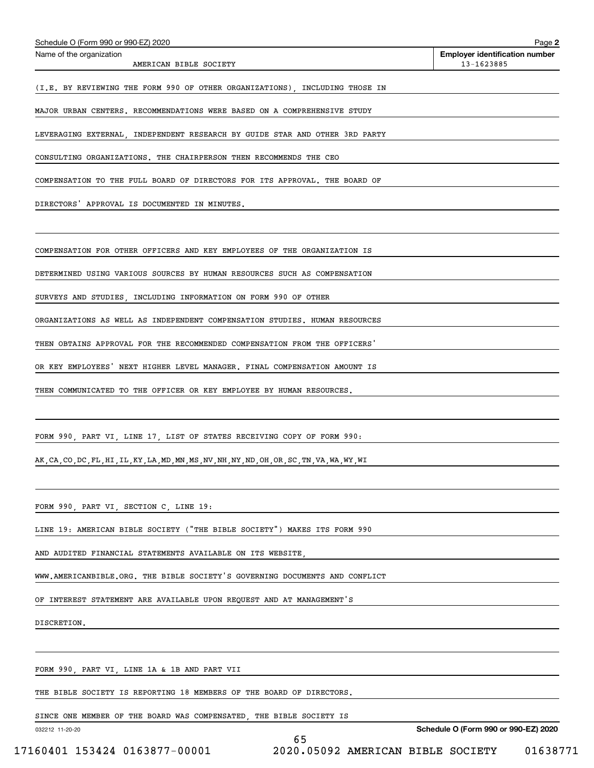| Schedule O (Form 990 or 990-EZ) 2020                                                           | Page 2                                              |
|------------------------------------------------------------------------------------------------|-----------------------------------------------------|
| Name of the organization<br>AMERICAN BIBLE SOCIETY                                             | <b>Employer identification number</b><br>13-1623885 |
| (I.E. BY REVIEWING THE FORM 990 OF OTHER ORGANIZATIONS), INCLUDING THOSE IN                    |                                                     |
| MAJOR URBAN CENTERS. RECOMMENDATIONS WERE BASED ON A COMPREHENSIVE STUDY                       |                                                     |
| LEVERAGING EXTERNAL INDEPENDENT RESEARCH BY GUIDE STAR AND OTHER 3RD PARTY                     |                                                     |
| CONSULTING ORGANIZATIONS. THE CHAIRPERSON THEN RECOMMENDS THE CEO                              |                                                     |
| COMPENSATION TO THE FULL BOARD OF DIRECTORS FOR ITS APPROVAL. THE BOARD OF                     |                                                     |
| DIRECTORS' APPROVAL IS DOCUMENTED IN MINUTES.                                                  |                                                     |
|                                                                                                |                                                     |
| COMPENSATION FOR OTHER OFFICERS AND KEY EMPLOYEES OF THE ORGANIZATION IS                       |                                                     |
| DETERMINED USING VARIOUS SOURCES BY HUMAN RESOURCES SUCH AS COMPENSATION                       |                                                     |
| SURVEYS AND STUDIES, INCLUDING INFORMATION ON FORM 990 OF OTHER                                |                                                     |
| ORGANIZATIONS AS WELL AS INDEPENDENT COMPENSATION STUDIES. HUMAN RESOURCES                     |                                                     |
| THEN OBTAINS APPROVAL FOR THE RECOMMENDED COMPENSATION FROM THE OFFICERS                       |                                                     |
| OR KEY EMPLOYEES' NEXT HIGHER LEVEL MANAGER. FINAL COMPENSATION AMOUNT IS                      |                                                     |
| THEN COMMUNICATED TO THE OFFICER OR KEY EMPLOYEE BY HUMAN RESOURCES.                           |                                                     |
|                                                                                                |                                                     |
| FORM 990, PART VI, LINE 17, LIST OF STATES RECEIVING COPY OF FORM 990:                         |                                                     |
| AK, CA, CO, DC, FL, HI, IL, KY, LA, MD, MN, MS, NV, NH, NY, ND, OH, OR, SC, TN, VA, WA, WY, WI |                                                     |
|                                                                                                |                                                     |
| FORM 990, PART VI, SECTION C, LINE 19:                                                         |                                                     |
|                                                                                                |                                                     |

65

LINE 19: AMERICAN BIBLE SOCIETY ("THE BIBLE SOCIETY") MAKES ITS FORM 990

AND AUDITED FINANCIAL STATEMENTS AVAILABLE ON ITS WEBSITE,

WWW.AMERICANBIBLE.ORG. THE BIBLE SOCIETY'S GOVERNING DOCUMENTS AND CONFLICT

OF INTEREST STATEMENT ARE AVAILABLE UPON REQUEST AND AT MANAGEMENT'S

DISCRETION.

FORM 990, PART VI, LINE 1A & 1B AND PART VII

THE BIBLE SOCIETY IS REPORTING 18 MEMBERS OF THE BOARD OF DIRECTORS.

SINCE ONE MEMBER OF THE BOARD WAS COMPENSATED, THE BIBLE SOCIETY IS

032212 11-20-20

**Schedule O (Form 990 or 990-EZ) 2020**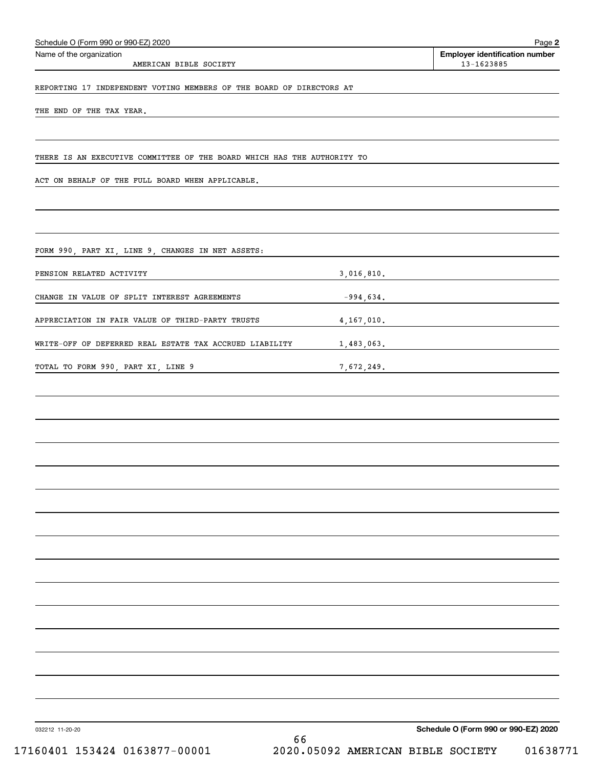| Schedule O (Form 990 or 990-EZ) 2020                                    |              | Page 2                                              |
|-------------------------------------------------------------------------|--------------|-----------------------------------------------------|
| Name of the organization<br>AMERICAN BIBLE SOCIETY                      |              | <b>Employer identification number</b><br>13-1623885 |
| REPORTING 17 INDEPENDENT VOTING MEMBERS OF THE BOARD OF DIRECTORS AT    |              |                                                     |
| THE END OF THE TAX YEAR.                                                |              |                                                     |
|                                                                         |              |                                                     |
| THERE IS AN EXECUTIVE COMMITTEE OF THE BOARD WHICH HAS THE AUTHORITY TO |              |                                                     |
| ACT ON BEHALF OF THE FULL BOARD WHEN APPLICABLE.                        |              |                                                     |
|                                                                         |              |                                                     |
| FORM 990, PART XI, LINE 9, CHANGES IN NET ASSETS:                       |              |                                                     |
| PENSION RELATED ACTIVITY                                                | 3,016,810.   |                                                     |
| CHANGE IN VALUE OF SPLIT INTEREST AGREEMENTS                            | $-994,634.$  |                                                     |
| APPRECIATION IN FAIR VALUE OF THIRD-PARTY TRUSTS                        | 4, 167, 010. |                                                     |
| WRITE-OFF OF DEFERRED REAL ESTATE TAX ACCRUED LIABILITY                 | 1,483,063.   |                                                     |
| TOTAL TO FORM 990, PART XI, LINE 9                                      | 7,672,249.   |                                                     |
|                                                                         |              |                                                     |
|                                                                         |              |                                                     |
|                                                                         |              |                                                     |
|                                                                         |              |                                                     |
|                                                                         |              |                                                     |
|                                                                         |              |                                                     |
|                                                                         |              |                                                     |
|                                                                         |              |                                                     |
|                                                                         |              |                                                     |
|                                                                         |              |                                                     |
|                                                                         |              |                                                     |
|                                                                         |              |                                                     |
|                                                                         |              |                                                     |
|                                                                         |              |                                                     |
|                                                                         |              |                                                     |

032212 11-20-20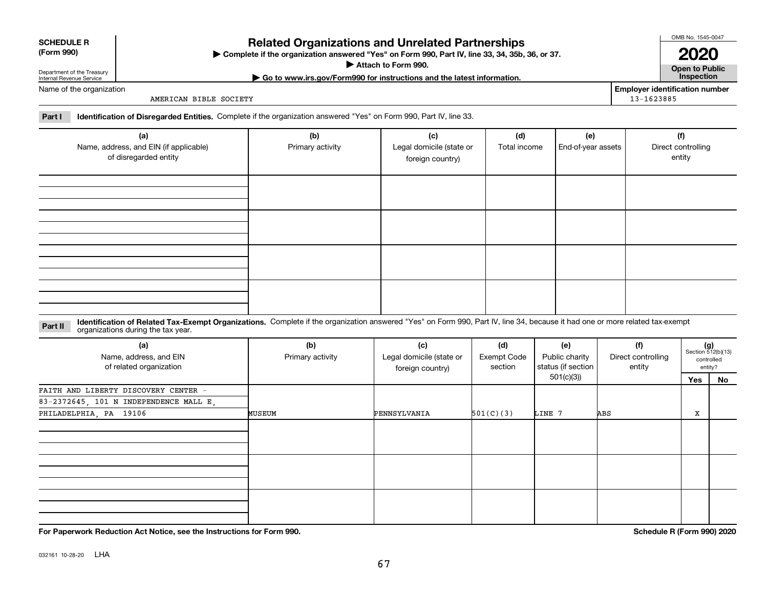**For Paperwork Reduction Act Notice, see the Instructions for Form 990. Schedule R (Form 990) 2020**

# **Related Organizations and Unrelated Partnerships**

**Complete if the organization answered "Yes" on Form 990, Part IV, line 33, 34, 35b, 36, or 37.** |

**Attach to Form 990.**  |

#### Name of the organization

Department of the Treasury Internal Revenue Service

**SCHEDULE R (Form 990)**

AMERICAN BIBLE SOCIETY

**Employer identification number** 13-1623885

**Part I Identification of Disregarded Entities.**  Complete if the organization answered "Yes" on Form 990, Part IV, line 33.

| (a)<br>Name, address, and EIN (if applicable)<br>of disregarded entity | (b)<br>Primary activity | (c)<br>Legal domicile (state or<br>foreign country) | (d)<br>Total income | (e)<br>End-of-year assets | (f)<br>Direct controlling<br>entity |
|------------------------------------------------------------------------|-------------------------|-----------------------------------------------------|---------------------|---------------------------|-------------------------------------|
|                                                                        |                         |                                                     |                     |                           |                                     |
|                                                                        |                         |                                                     |                     |                           |                                     |
|                                                                        |                         |                                                     |                     |                           |                                     |
|                                                                        |                         |                                                     |                     |                           |                                     |

#### **Identification of Related Tax-Exempt Organizations.** Complete if the organization answered "Yes" on Form 990, Part IV, line 34, because it had one or more related tax-exempt **Part II** organizations during the tax year.

| (a)<br>Name, address, and EIN<br>of related organization | (b)<br>Primary activity | (c)<br>Legal domicile (state or<br>foreign country) | (d)<br><b>Exempt Code</b><br>section | (e)<br>Public charity<br>status (if section | (f)<br>Direct controlling<br>entity | $(g)$<br>Section 512(b)(13) | controlled<br>entity? |
|----------------------------------------------------------|-------------------------|-----------------------------------------------------|--------------------------------------|---------------------------------------------|-------------------------------------|-----------------------------|-----------------------|
|                                                          |                         |                                                     |                                      | 501(c)(3))                                  |                                     | Yes                         | No                    |
| FAITH AND LIBERTY DISCOVERY CENTER -                     |                         |                                                     |                                      |                                             |                                     |                             |                       |
| 83-2372645, 101 N INDEPENDENCE MALL E,                   |                         |                                                     |                                      |                                             |                                     |                             |                       |
| PHILADELPHIA, PA 19106                                   | MUSEUM                  | PENNSYLVANIA                                        | 501(C)(3)                            | LINE 7                                      | ABS                                 | х                           |                       |
|                                                          |                         |                                                     |                                      |                                             |                                     |                             |                       |
|                                                          |                         |                                                     |                                      |                                             |                                     |                             |                       |
|                                                          |                         |                                                     |                                      |                                             |                                     |                             |                       |

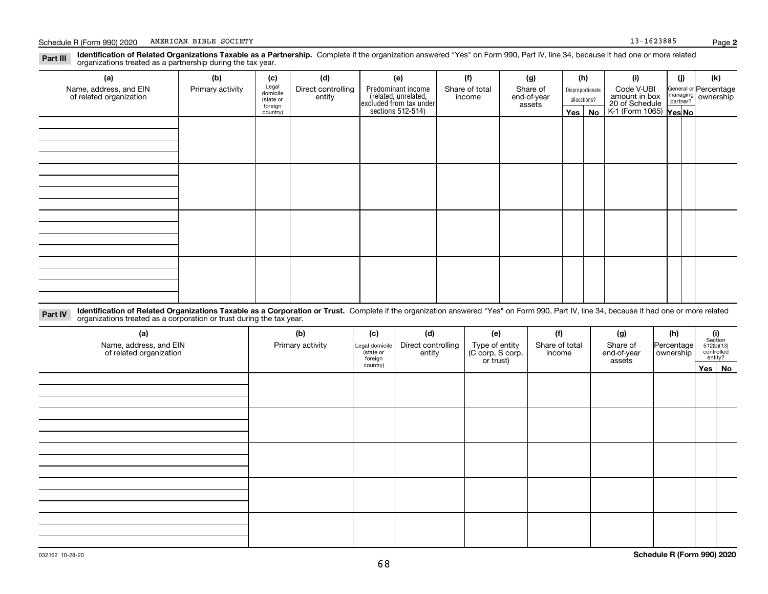#### **Identification of Related Organizations Taxable as a Partnership.** Complete if the organization answered "Yes" on Form 990, Part IV, line 34, because it had one or more related **Part III** organizations treated as a partnership during the tax year.

| (a)                     | (b)              | (c)                  | (d)                          | (e)                                                                                       | (f)                      | (g)                               |                                  | (h)      | (i)                                                                     | (j) | (k)                   |
|-------------------------|------------------|----------------------|------------------------------|-------------------------------------------------------------------------------------------|--------------------------|-----------------------------------|----------------------------------|----------|-------------------------------------------------------------------------|-----|-----------------------|
| Name, address, and EIN  | Primary activity | Legal<br>domicile    | Direct controlling<br>entity | Predominant income<br>related, unrelated,<br>excluded from tax under<br>sections 512-514) | Share of total<br>income | Share of<br>end-of-year<br>assets | Disproportionate<br>allocations? |          | Code V-UBI<br>amount in box<br>20 of Schedule<br>K-1 (Form 1065) Yes No |     | General or Percentage |
| of related organization |                  | (state or<br>foreign |                              |                                                                                           |                          |                                   |                                  |          |                                                                         |     | managing ownership    |
|                         |                  | country)             |                              |                                                                                           |                          |                                   |                                  | Yes   No |                                                                         |     |                       |
|                         |                  |                      |                              |                                                                                           |                          |                                   |                                  |          |                                                                         |     |                       |
|                         |                  |                      |                              |                                                                                           |                          |                                   |                                  |          |                                                                         |     |                       |
|                         |                  |                      |                              |                                                                                           |                          |                                   |                                  |          |                                                                         |     |                       |
|                         |                  |                      |                              |                                                                                           |                          |                                   |                                  |          |                                                                         |     |                       |
|                         |                  |                      |                              |                                                                                           |                          |                                   |                                  |          |                                                                         |     |                       |
|                         |                  |                      |                              |                                                                                           |                          |                                   |                                  |          |                                                                         |     |                       |
|                         |                  |                      |                              |                                                                                           |                          |                                   |                                  |          |                                                                         |     |                       |
|                         |                  |                      |                              |                                                                                           |                          |                                   |                                  |          |                                                                         |     |                       |
|                         |                  |                      |                              |                                                                                           |                          |                                   |                                  |          |                                                                         |     |                       |
|                         |                  |                      |                              |                                                                                           |                          |                                   |                                  |          |                                                                         |     |                       |
|                         |                  |                      |                              |                                                                                           |                          |                                   |                                  |          |                                                                         |     |                       |
|                         |                  |                      |                              |                                                                                           |                          |                                   |                                  |          |                                                                         |     |                       |
|                         |                  |                      |                              |                                                                                           |                          |                                   |                                  |          |                                                                         |     |                       |
|                         |                  |                      |                              |                                                                                           |                          |                                   |                                  |          |                                                                         |     |                       |
|                         |                  |                      |                              |                                                                                           |                          |                                   |                                  |          |                                                                         |     |                       |
|                         |                  |                      |                              |                                                                                           |                          |                                   |                                  |          |                                                                         |     |                       |
|                         |                  |                      |                              |                                                                                           |                          |                                   |                                  |          |                                                                         |     |                       |

**Identification of Related Organizations Taxable as a Corporation or Trust.** Complete if the organization answered "Yes" on Form 990, Part IV, line 34, because it had one or more related **Part IV** organizations treated as a corporation or trust during the tax year.

| (a)<br>Name, address, and EIN<br>of related organization | (b)<br>Primary activity | (c)<br>Legal domicile<br>(state or<br>foreign | (d)<br>Direct controlling<br>entity | (e)<br>Type of entity<br>(C corp, S corp,<br>or trust) | (f)<br>Share of total<br>income | (g)<br>Share of<br>end-of-year<br>assets | (h)<br>Percentage<br>ownership | $\begin{array}{c} \textbf{(i)}\\ \text{Section}\\ 512 \text{(b)} \text{(13)}\\ \text{controlled}\\ \text{entity?} \end{array}$ |        |
|----------------------------------------------------------|-------------------------|-----------------------------------------------|-------------------------------------|--------------------------------------------------------|---------------------------------|------------------------------------------|--------------------------------|--------------------------------------------------------------------------------------------------------------------------------|--------|
|                                                          |                         | country)                                      |                                     |                                                        |                                 |                                          |                                |                                                                                                                                | Yes No |
|                                                          |                         |                                               |                                     |                                                        |                                 |                                          |                                |                                                                                                                                |        |
|                                                          |                         |                                               |                                     |                                                        |                                 |                                          |                                |                                                                                                                                |        |
|                                                          |                         |                                               |                                     |                                                        |                                 |                                          |                                |                                                                                                                                |        |
|                                                          |                         |                                               |                                     |                                                        |                                 |                                          |                                |                                                                                                                                |        |
|                                                          |                         |                                               |                                     |                                                        |                                 |                                          |                                |                                                                                                                                |        |
|                                                          |                         |                                               |                                     |                                                        |                                 |                                          |                                |                                                                                                                                |        |
|                                                          |                         |                                               |                                     |                                                        |                                 |                                          |                                |                                                                                                                                |        |
|                                                          |                         |                                               |                                     |                                                        |                                 |                                          |                                |                                                                                                                                |        |
|                                                          |                         |                                               |                                     |                                                        |                                 |                                          |                                |                                                                                                                                |        |
|                                                          |                         |                                               |                                     |                                                        |                                 |                                          |                                |                                                                                                                                |        |
|                                                          |                         |                                               |                                     |                                                        |                                 |                                          |                                |                                                                                                                                |        |
|                                                          |                         |                                               |                                     |                                                        |                                 |                                          |                                |                                                                                                                                |        |
|                                                          |                         |                                               |                                     |                                                        |                                 |                                          |                                |                                                                                                                                |        |
|                                                          |                         |                                               |                                     |                                                        |                                 |                                          |                                |                                                                                                                                |        |
|                                                          |                         |                                               |                                     |                                                        |                                 |                                          |                                |                                                                                                                                |        |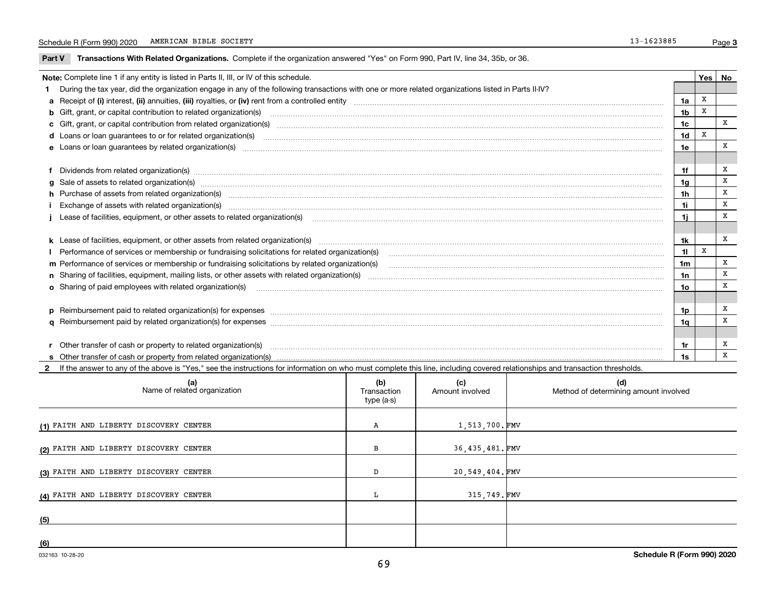$\overline{\phantom{a}}$ 

**Part V** T**ransactions With Related Organizations.** Complete if the organization answered "Yes" on Form 990, Part IV, line 34, 35b, or 36.

| Note: Complete line 1 if any entity is listed in Parts II, III, or IV of this schedule.                                                                                                                                        |                |  |   |   |  |  |
|--------------------------------------------------------------------------------------------------------------------------------------------------------------------------------------------------------------------------------|----------------|--|---|---|--|--|
| 1 During the tax year, did the organization engage in any of the following transactions with one or more related organizations listed in Parts II-IV?                                                                          |                |  |   |   |  |  |
|                                                                                                                                                                                                                                | 1a             |  | x |   |  |  |
| <b>b</b> Gift, grant, or capital contribution to related organization(s)                                                                                                                                                       | 1 <sub>b</sub> |  | x |   |  |  |
| c Gift, grant, or capital contribution from related organization(s)                                                                                                                                                            | 1c             |  |   | x |  |  |
|                                                                                                                                                                                                                                | 1d             |  | X |   |  |  |
| e Loans or loan quarantees by related organization(s)                                                                                                                                                                          | 1e             |  |   | X |  |  |
|                                                                                                                                                                                                                                |                |  |   |   |  |  |
| f Dividends from related organization(s) manufactured contains and contained and contained contained and contained and contained and contained and contained and contained and contained and contained and contained and conta | 1f             |  |   | X |  |  |
| g Sale of assets to related organization(s) manufactured contains and contained contained and contained contains and contained and contained and set of assets to related organization(s) manufactured and contained and conta | 1g             |  |   | х |  |  |
| h Purchase of assets from related organization(s) manufactured and content to the content of the content of the content of the content of the content of the content of the content of the content of the content of the conte | 1h             |  |   | X |  |  |
| Exchange of assets with related organization(s) www.andromanaceaerrational contract and an exchange of assets with related organization(s)                                                                                     | 1i             |  |   | X |  |  |
| Lease of facilities, equipment, or other assets to related organization(s) The manuform manuform manuform manuform manuform manuform manuform manuform manuform manuform manuform manuform manuform manuform manuform manuform |                |  |   | X |  |  |
|                                                                                                                                                                                                                                |                |  |   |   |  |  |
| k Lease of facilities, equipment, or other assets from related organization(s) manufaction content and content to the content of facilities, equipment, or other assets from related organization(s) manufaction content and c | 1k             |  |   | X |  |  |
| Performance of services or membership or fundraising solicitations for related organization(s)                                                                                                                                 | 11             |  | X |   |  |  |
| m Performance of services or membership or fundraising solicitations by related organization(s)                                                                                                                                | 1m             |  |   | х |  |  |
|                                                                                                                                                                                                                                | 1n             |  |   | X |  |  |
| <b>o</b> Sharing of paid employees with related organization(s)                                                                                                                                                                | 1o             |  |   | X |  |  |
|                                                                                                                                                                                                                                |                |  |   |   |  |  |
|                                                                                                                                                                                                                                | 1p             |  |   | х |  |  |
|                                                                                                                                                                                                                                | 1q             |  |   | X |  |  |
|                                                                                                                                                                                                                                |                |  |   |   |  |  |
| r Other transfer of cash or property to related organization(s)                                                                                                                                                                | 1r             |  |   | X |  |  |
|                                                                                                                                                                                                                                | 1s             |  |   | X |  |  |

**2**If the answer to any of the above is "Yes," see the instructions for information on who must complete this line, including covered relationships and transaction thresholds.

| (a)<br>Name of related organization    | (b)<br>Transaction<br>type (a-s) | (c)<br>Amount involved | (d)<br>Method of determining amount involved |
|----------------------------------------|----------------------------------|------------------------|----------------------------------------------|
| (1) FAITH AND LIBERTY DISCOVERY CENTER | Α                                | 1,513,700.FMV          |                                              |
| (2) FAITH AND LIBERTY DISCOVERY CENTER | в                                | 36,435,481.FMV         |                                              |
| (3) FAITH AND LIBERTY DISCOVERY CENTER | D                                | 20,549,404.FMV         |                                              |
| (4) FAITH AND LIBERTY DISCOVERY CENTER |                                  | 315,749.FMV            |                                              |
| (5)                                    |                                  |                        |                                              |
| (6)                                    |                                  |                        |                                              |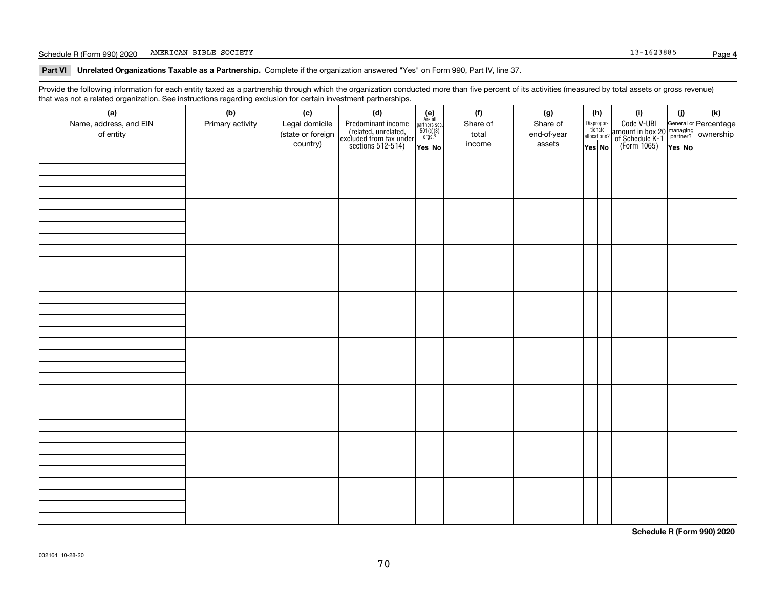#### Schedule R (Form 990) 2020 Page AMERICAN BIBLE SOCIETY 13-1623885

**Part VI Unrelated Organizations Taxable as a Partnership. Complete if the organization answered "Yes" on Form 990, Part IV, line 37.** 

Provide the following information for each entity taxed as a partnership through which the organization conducted more than five percent of its activities (measured by total assets or gross revenue) that was not a related organization. See instructions regarding exclusion for certain investment partnerships.

| (a)<br>Name, address, and EIN<br>of entity | (b)<br>Primary activity | (c)<br>Legal domicile<br>(state or foreign<br>country) | (d)<br>Predominant income<br>(related, unrelated,<br>excluded from tax under<br>sections 512-514) | $\begin{array}{c} \textbf{(e)}\\ \text{Are all} \\ \text{partners sec.}\\ 501(c)(3)\\ \text{orgs.?} \end{array}$<br>$Yes$ No | (f)<br>Share of<br>total<br>income | (g)<br>Share of<br>end-of-year<br>assets | (h)<br>Dispropor-<br>tionate<br>allocations?<br>Yes No | (i)<br>Code V-UBI<br>amount in box 20 managing<br>of Schedule K-1 partner? ownership<br>(Form 1065)<br>ves No | (i)<br>Yes No | (k) |
|--------------------------------------------|-------------------------|--------------------------------------------------------|---------------------------------------------------------------------------------------------------|------------------------------------------------------------------------------------------------------------------------------|------------------------------------|------------------------------------------|--------------------------------------------------------|---------------------------------------------------------------------------------------------------------------|---------------|-----|
|                                            |                         |                                                        |                                                                                                   |                                                                                                                              |                                    |                                          |                                                        |                                                                                                               |               |     |
|                                            |                         |                                                        |                                                                                                   |                                                                                                                              |                                    |                                          |                                                        |                                                                                                               |               |     |
|                                            |                         |                                                        |                                                                                                   |                                                                                                                              |                                    |                                          |                                                        |                                                                                                               |               |     |
|                                            |                         |                                                        |                                                                                                   |                                                                                                                              |                                    |                                          |                                                        |                                                                                                               |               |     |
|                                            |                         |                                                        |                                                                                                   |                                                                                                                              |                                    |                                          |                                                        |                                                                                                               |               |     |
|                                            |                         |                                                        |                                                                                                   |                                                                                                                              |                                    |                                          |                                                        |                                                                                                               |               |     |
|                                            |                         |                                                        |                                                                                                   |                                                                                                                              |                                    |                                          |                                                        |                                                                                                               |               |     |
|                                            |                         |                                                        |                                                                                                   |                                                                                                                              |                                    |                                          |                                                        |                                                                                                               |               |     |